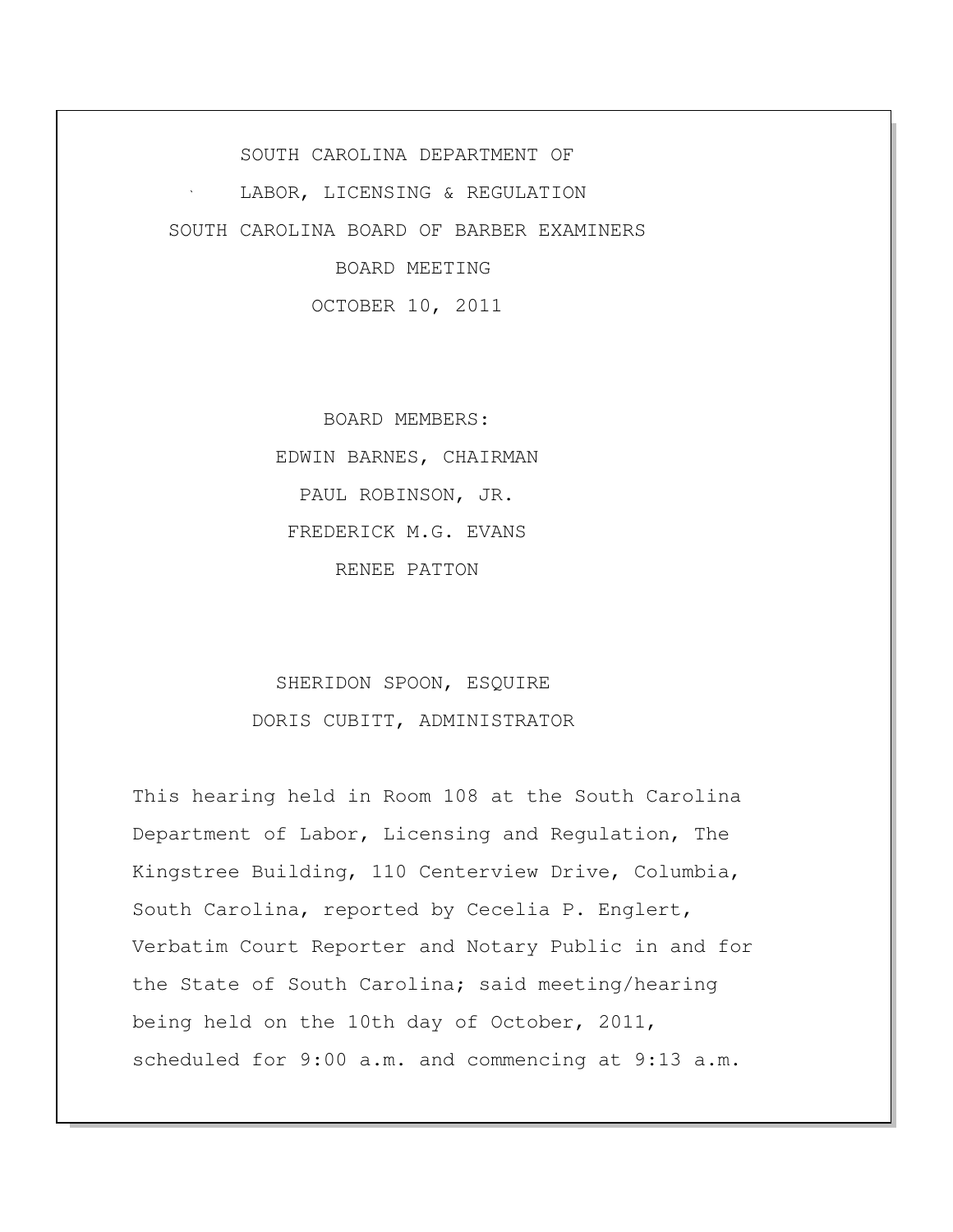SOUTH CAROLINA DEPARTMENT OF LABOR, LICENSING & REGULATION SOUTH CAROLINA BOARD OF BARBER EXAMINERS BOARD MEETING

OCTOBER 10, 2011

 BOARD MEMBERS: EDWIN BARNES, CHAIRMAN PAUL ROBINSON, JR. FREDERICK M.G. EVANS RENEE PATTON

## SHERIDON SPOON, ESQUIRE DORIS CUBITT, ADMINISTRATOR

This hearing held in Room 108 at the South Carolina Department of Labor, Licensing and Regulation, The Kingstree Building, 110 Centerview Drive, Columbia, South Carolina, reported by Cecelia P. Englert, Verbatim Court Reporter and Notary Public in and for the State of South Carolina; said meeting/hearing being held on the 10th day of October, 2011, scheduled for 9:00 a.m. and commencing at 9:13 a.m.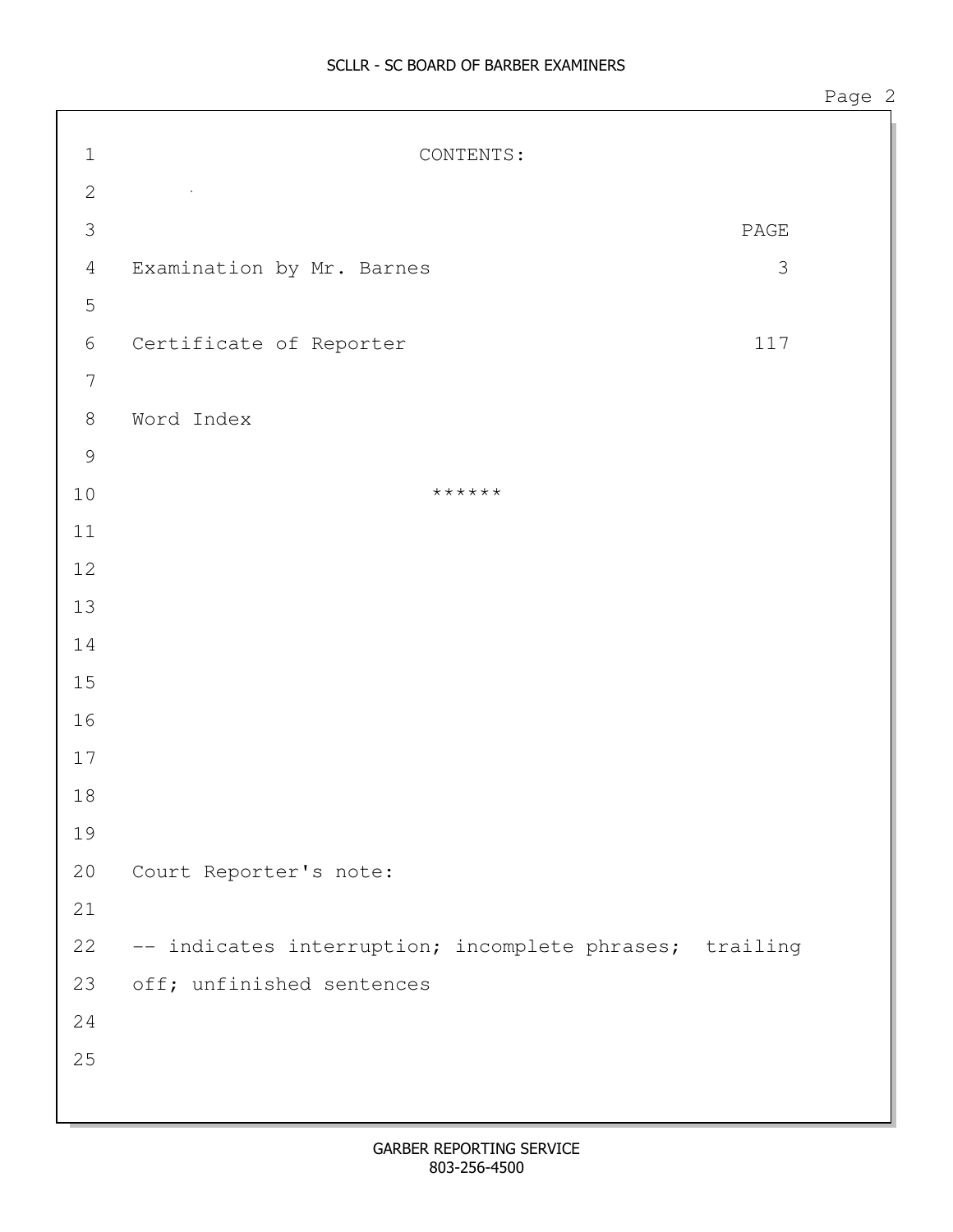| $\mathbf 1$      | CONTENTS:                                               |                              |
|------------------|---------------------------------------------------------|------------------------------|
| $\mathbf{2}$     | $\sim 100$                                              |                              |
| $\mathfrak{Z}$   |                                                         | $\ensuremath{\mathsf{PAGE}}$ |
| $\overline{4}$   | Examination by Mr. Barnes                               | 3                            |
| $\mathsf S$      |                                                         |                              |
| $\sqrt{6}$       | Certificate of Reporter                                 | 117                          |
| $\boldsymbol{7}$ |                                                         |                              |
| $\,8\,$          | Word Index                                              |                              |
| $\mathcal{G}$    |                                                         |                              |
| $10$             | ******                                                  |                              |
| $11$             |                                                         |                              |
| $12$             |                                                         |                              |
| 13               |                                                         |                              |
| 14               |                                                         |                              |
| $15$             |                                                         |                              |
| 16               |                                                         |                              |
| 17               |                                                         |                              |
| 18               |                                                         |                              |
| 19               |                                                         |                              |
| 20               | Court Reporter's note:                                  |                              |
| 21               |                                                         |                              |
| 22               | -- indicates interruption; incomplete phrases; trailing |                              |
| 23               | off; unfinished sentences                               |                              |
| 24               |                                                         |                              |
| 25               |                                                         |                              |
|                  |                                                         |                              |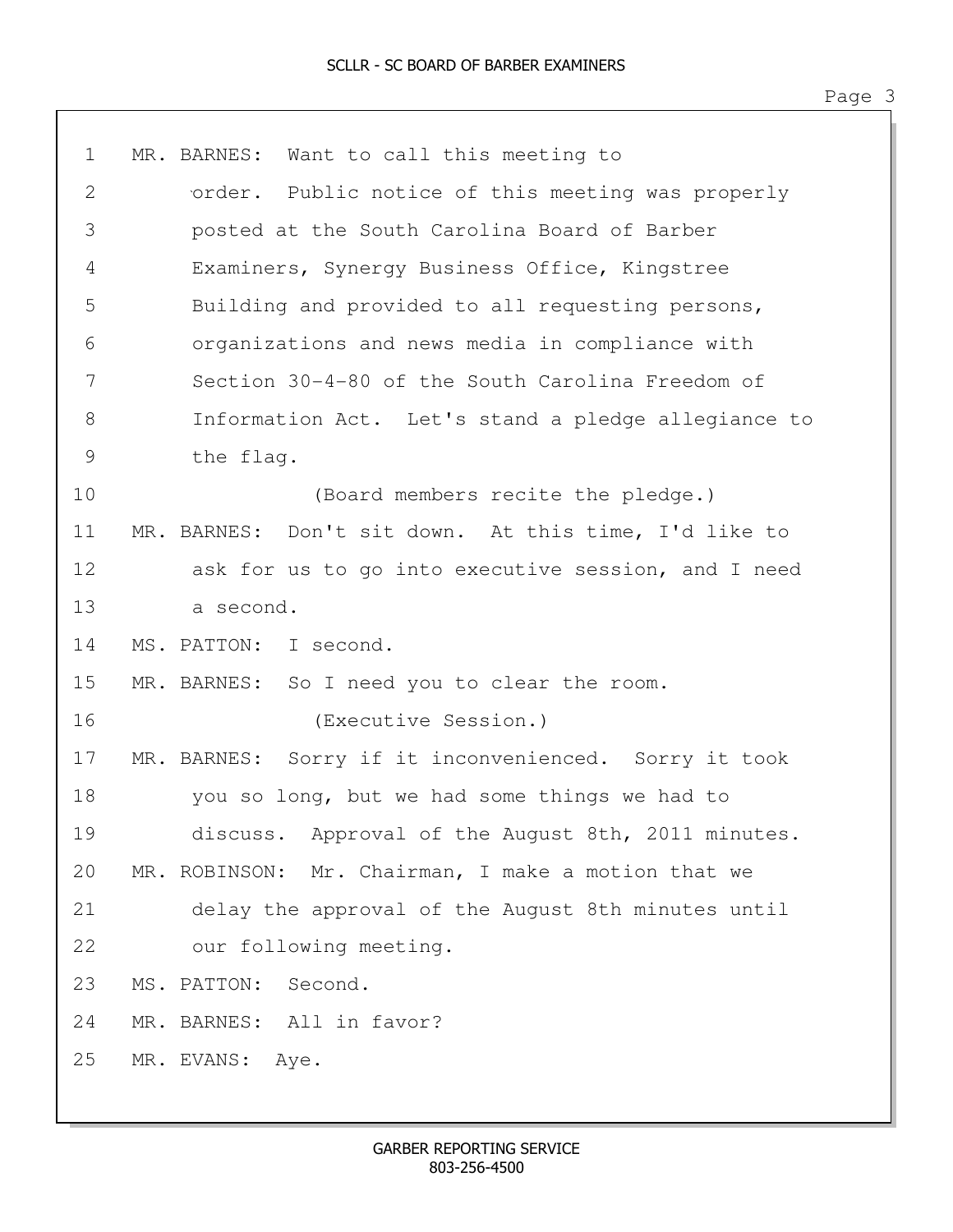1 MR. BARNES: Want to call this meeting to 2 order. Public notice of this meeting was properly 3 posted at the South Carolina Board of Barber 4 Examiners, Synergy Business Office, Kingstree 5 Building and provided to all requesting persons, 6 organizations and news media in compliance with 7 Section 30-4-80 of the South Carolina Freedom of 8 Information Act. Let's stand a pledge allegiance to 9 the flag. 10 (Board members recite the pledge.) 11 MR. BARNES: Don't sit down. At this time, I'd like to 12 ask for us to go into executive session, and I need 13 a second. 14 MS. PATTON: I second. 15 MR. BARNES: So I need you to clear the room. 16 (Executive Session.) 17 MR. BARNES: Sorry if it inconvenienced. Sorry it took 18 you so long, but we had some things we had to 19 discuss. Approval of the August 8th, 2011 minutes. 20 MR. ROBINSON: Mr. Chairman, I make a motion that we 21 delay the approval of the August 8th minutes until 22 our following meeting. 23 MS. PATTON: Second. 24 MR. BARNES: All in favor? 25 MR. EVANS: Aye.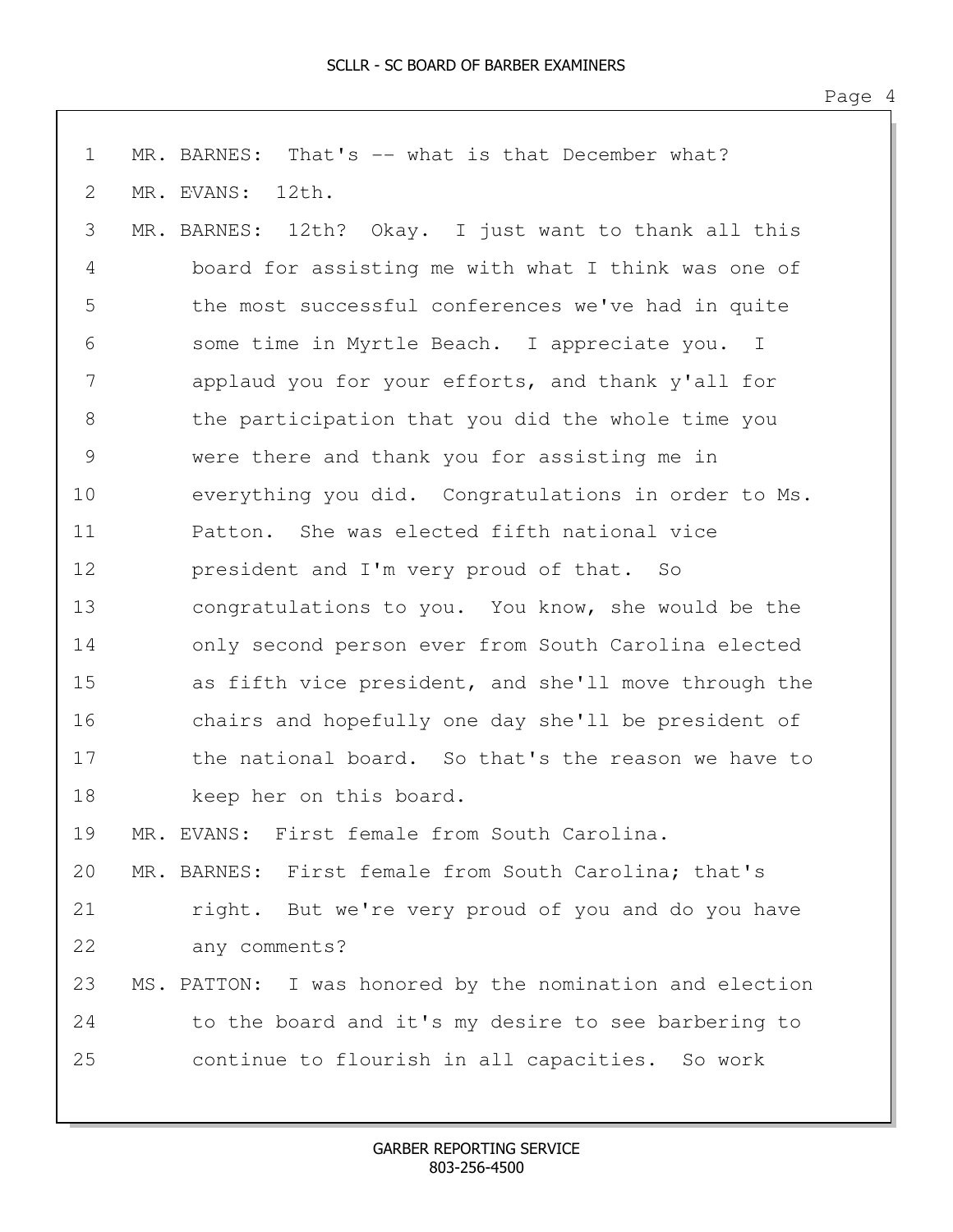| $\mathbf 1$   | MR. BARNES: That's -- what is that December what?        |
|---------------|----------------------------------------------------------|
| 2             | MR. EVANS:<br>12th.                                      |
| 3             | MR. BARNES: 12th? Okay. I just want to thank all this    |
| 4             | board for assisting me with what I think was one of      |
| 5             | the most successful conferences we've had in quite       |
| 6             | some time in Myrtle Beach. I appreciate you. I           |
| 7             | applaud you for your efforts, and thank y'all for        |
| $8\,$         | the participation that you did the whole time you        |
| $\mathcal{G}$ | were there and thank you for assisting me in             |
| 10            | everything you did. Congratulations in order to Ms.      |
| 11            | Patton. She was elected fifth national vice              |
| 12            | president and I'm very proud of that. So                 |
| 13            | congratulations to you. You know, she would be the       |
| 14            | only second person ever from South Carolina elected      |
| 15            | as fifth vice president, and she'll move through the     |
| 16            | chairs and hopefully one day she'll be president of      |
| 17            | the national board. So that's the reason we have to      |
| 18            | keep her on this board.                                  |
| 19            | MR. EVANS: First female from South Carolina.             |
| 20            | MR. BARNES: First female from South Carolina; that's     |
| 21            | right. But we're very proud of you and do you have       |
| 22            | any comments?                                            |
| 23            | MS. PATTON: I was honored by the nomination and election |
| 24            | to the board and it's my desire to see barbering to      |
| 25            | continue to flourish in all capacities. So work          |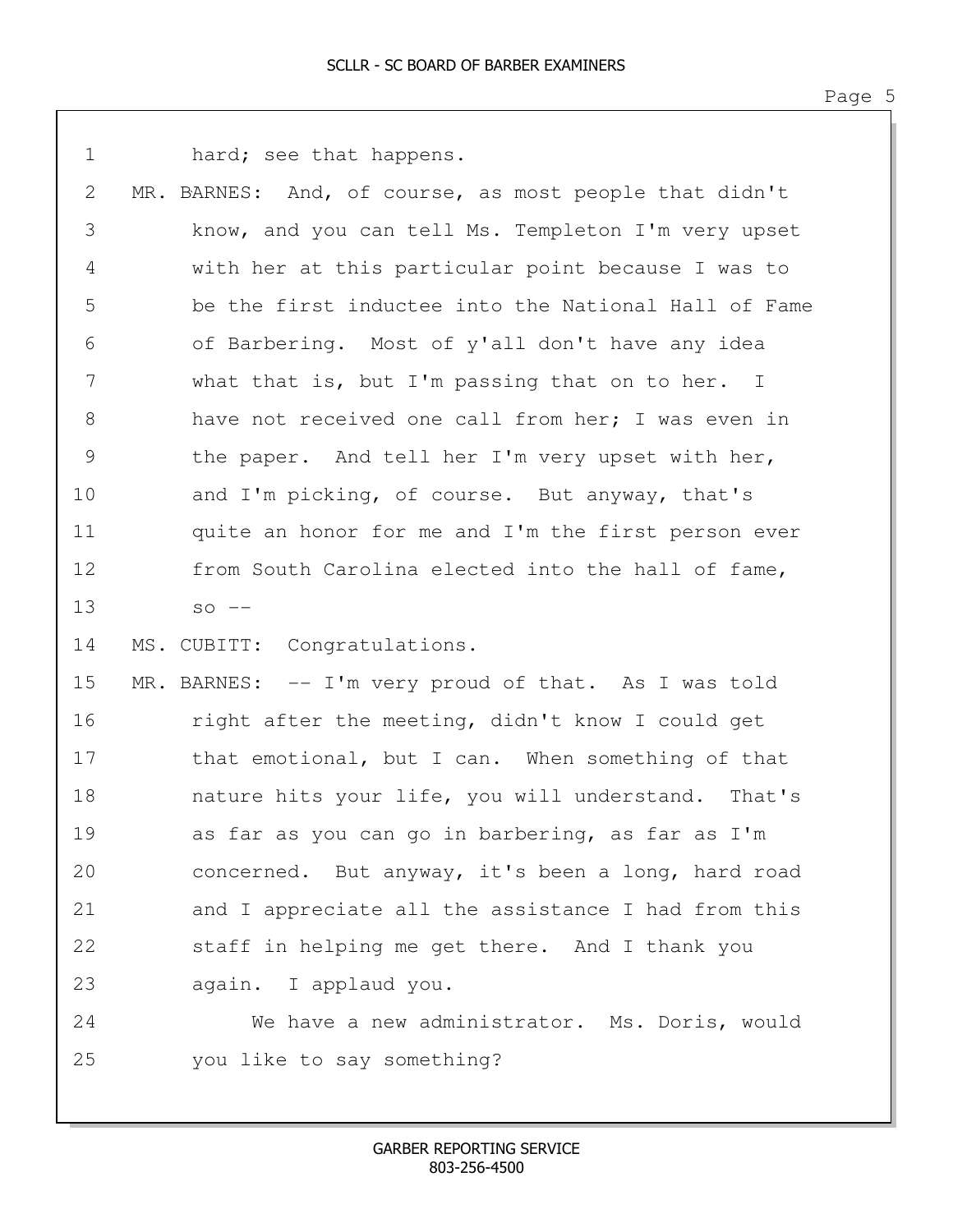| $\mathbf 1$   | hard; see that happens.                                |
|---------------|--------------------------------------------------------|
| 2             | MR. BARNES: And, of course, as most people that didn't |
| 3             | know, and you can tell Ms. Templeton I'm very upset    |
| 4             | with her at this particular point because I was to     |
| 5             | be the first inductee into the National Hall of Fame   |
| 6             | of Barbering. Most of y'all don't have any idea        |
| 7             | what that is, but I'm passing that on to her. I        |
| 8             | have not received one call from her; I was even in     |
| $\mathcal{G}$ | the paper. And tell her I'm very upset with her,       |
| 10            | and I'm picking, of course. But anyway, that's         |
| 11            | quite an honor for me and I'm the first person ever    |
| 12            | from South Carolina elected into the hall of fame,     |
| 13            | $SO$ $--$                                              |
| 14            | MS. CUBITT: Congratulations.                           |
| 15            | MR. BARNES: -- I'm very proud of that. As I was told   |
| 16            | right after the meeting, didn't know I could get       |
| 17            | that emotional, but I can. When something of that      |
| 18            | nature hits your life, you will understand.<br>That's  |
| 19            | as far as you can go in barbering, as far as I'm       |
| 20            | concerned. But anyway, it's been a long, hard road     |
| 21            | and I appreciate all the assistance I had from this    |
| 22            | staff in helping me get there. And I thank you         |
| 23            | again. I applaud you.                                  |
| 24            | We have a new administrator. Ms. Doris, would          |
| 25            | you like to say something?                             |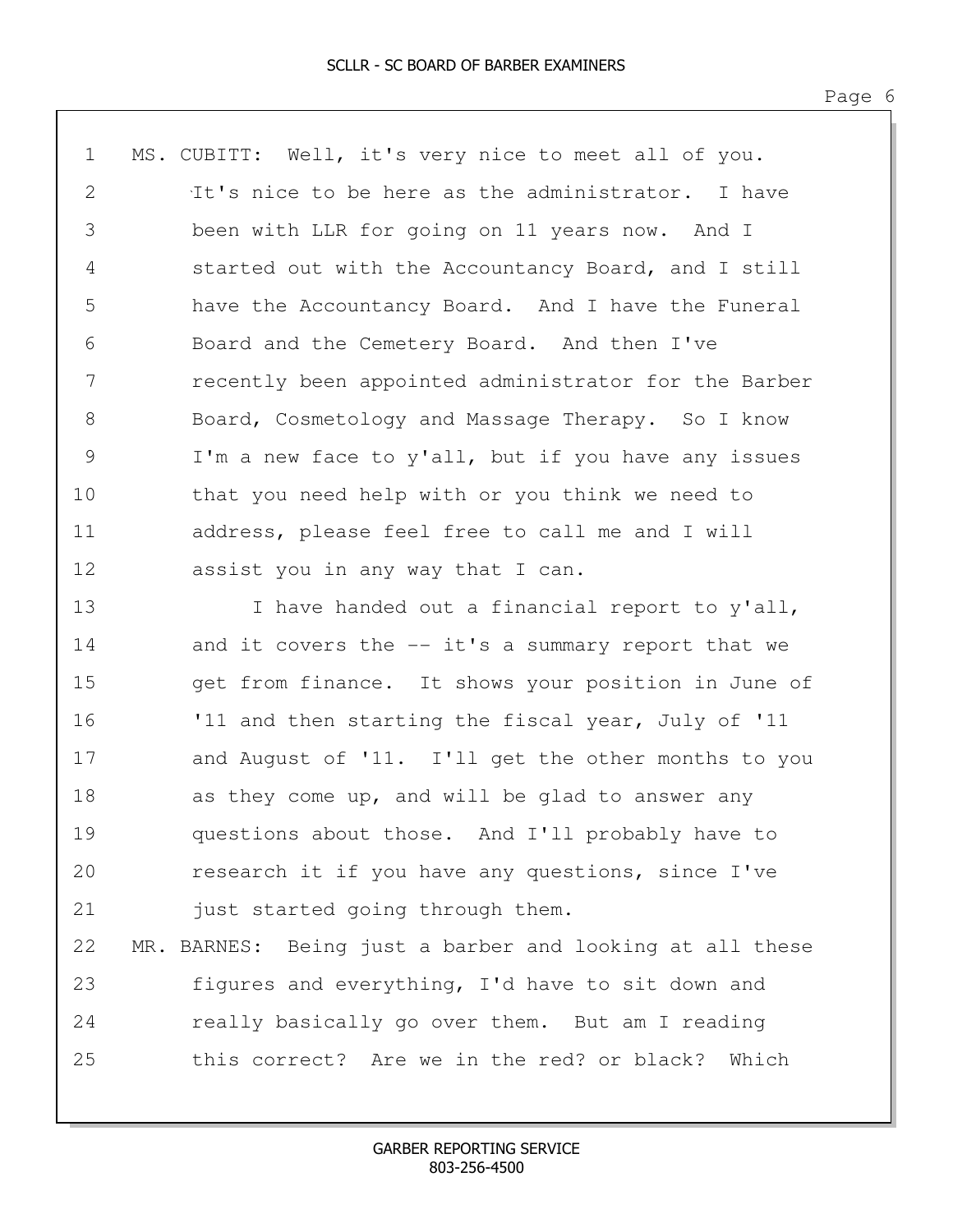1 MS. CUBITT: Well, it's very nice to meet all of you. 2 1t's nice to be here as the administrator. I have 3 been with LLR for going on 11 years now. And I 4 started out with the Accountancy Board, and I still 5 have the Accountancy Board. And I have the Funeral 6 Board and the Cemetery Board. And then I've 7 recently been appointed administrator for the Barber 8 Board, Cosmetology and Massage Therapy. So I know 9 I'm a new face to y'all, but if you have any issues 10 that you need help with or you think we need to 11 address, please feel free to call me and I will 12 assist you in any way that I can. 13 I have handed out a financial report to y'all, 14 and it covers the -- it's a summary report that we 15 get from finance. It shows your position in June of 16 '11 and then starting the fiscal year, July of '11

17 and August of '11. I'll get the other months to you 18 as they come up, and will be glad to answer any 19 questions about those. And I'll probably have to 20 research it if you have any questions, since I've 21 just started going through them.

22 MR. BARNES: Being just a barber and looking at all these 23 figures and everything, I'd have to sit down and 24 really basically go over them. But am I reading 25 this correct? Are we in the red? or black? Which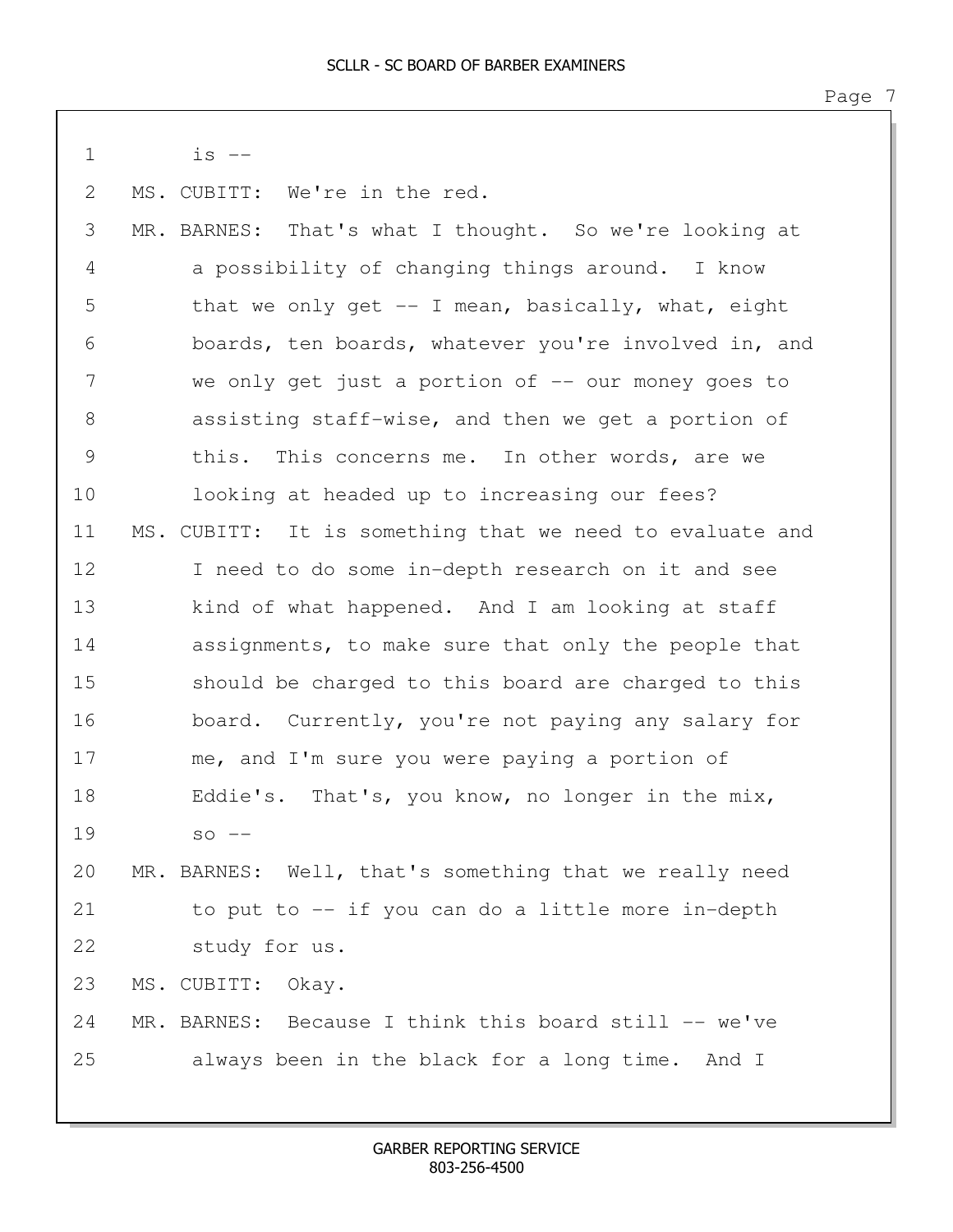| $\mathbf 1$   | $is$ $--$                                                |
|---------------|----------------------------------------------------------|
| 2             | MS. CUBITT: We're in the red.                            |
| 3             | MR. BARNES: That's what I thought. So we're looking at   |
| 4             | a possibility of changing things around. I know          |
| 5             | that we only get $-$ I mean, basically, what, eight      |
| 6             | boards, ten boards, whatever you're involved in, and     |
| 7             | we only get just a portion of $-$ our money goes to      |
| 8             | assisting staff-wise, and then we get a portion of       |
| $\mathcal{G}$ | this. This concerns me. In other words, are we           |
| 10            | looking at headed up to increasing our fees?             |
| 11            | MS. CUBITT: It is something that we need to evaluate and |
| 12            | I need to do some in-depth research on it and see        |
| 13            | kind of what happened. And I am looking at staff         |
| 14            | assignments, to make sure that only the people that      |
| 15            | should be charged to this board are charged to this      |
| 16            | board. Currently, you're not paying any salary for       |
| 17            | me, and I'm sure you were paying a portion of            |
| 18            | Eddie's. That's, you know, no longer in the mix,         |
| 19            | $SO$ $--$                                                |
| 20            | MR. BARNES: Well, that's something that we really need   |
| 21            | to put to -- if you can do a little more in-depth        |
| 22            | study for us.                                            |
| 23            | MS. CUBITT:<br>Okay.                                     |
| 24            | MR. BARNES: Because I think this board still -- we've    |
| 25            | always been in the black for a long time. And I          |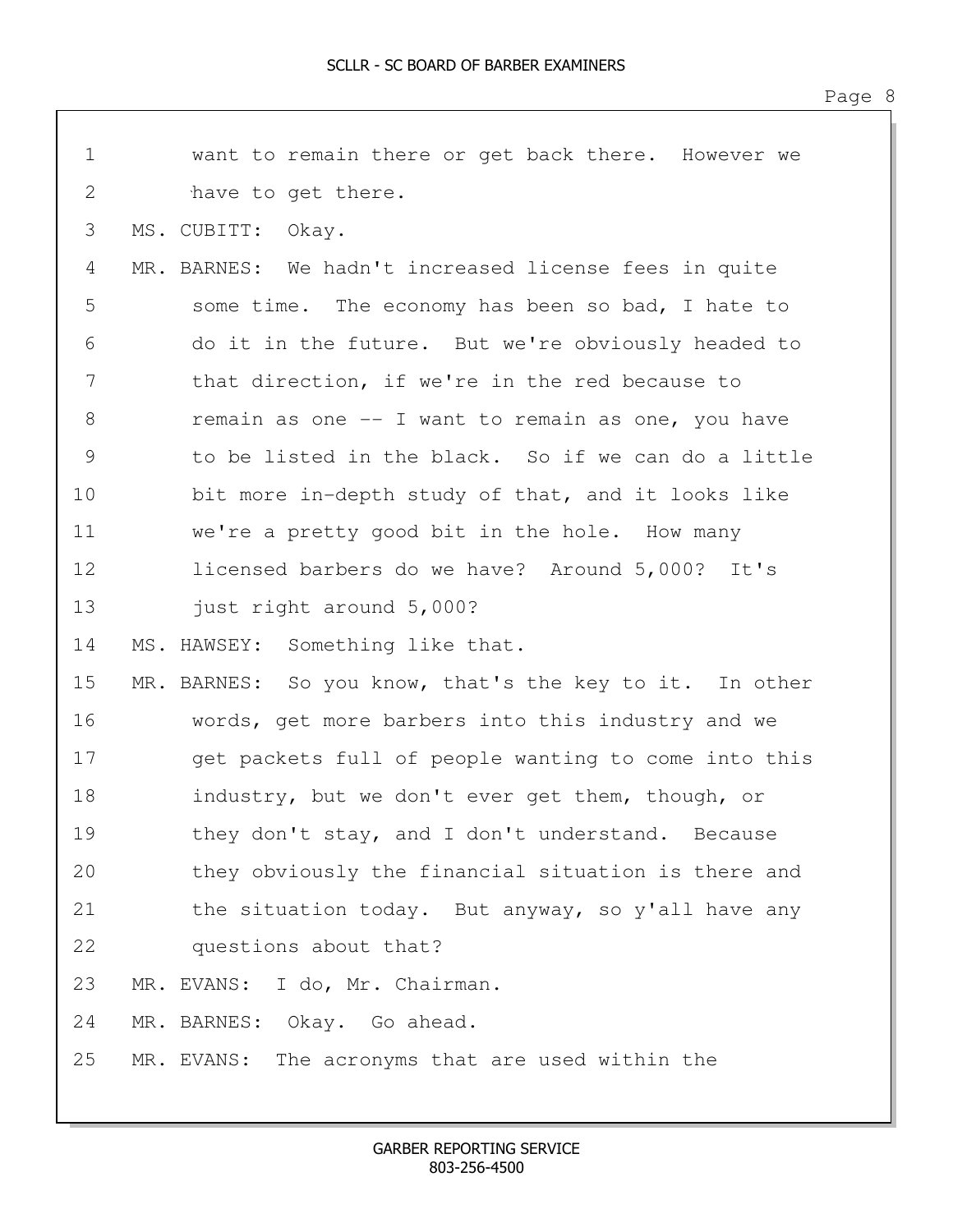| $\mathbf 1$   | want to remain there or get back there. However we      |
|---------------|---------------------------------------------------------|
| 2             | have to get there.                                      |
| 3             | MS. CUBITT: Okay.                                       |
| 4             | MR. BARNES: We hadn't increased license fees in quite   |
| 5             | some time. The economy has been so bad, I hate to       |
| 6             | do it in the future. But we're obviously headed to      |
| 7             | that direction, if we're in the red because to          |
| 8             | remain as one -- I want to remain as one, you have      |
| $\mathcal{G}$ | to be listed in the black. So if we can do a little     |
| 10            | bit more in-depth study of that, and it looks like      |
| 11            | we're a pretty good bit in the hole. How many           |
| 12            | licensed barbers do we have? Around 5,000? It's         |
| 13            | just right around 5,000?                                |
| 14            | MS. HAWSEY: Something like that.                        |
| 15            | MR. BARNES: So you know, that's the key to it. In other |
| 16            | words, get more barbers into this industry and we       |
| 17            | get packets full of people wanting to come into this    |
| 18            | industry, but we don't ever get them, though, or        |
| 19            | they don't stay, and I don't understand. Because        |
| 20            | they obviously the financial situation is there and     |
| 21            | the situation today. But anyway, so y'all have any      |
| 22            | questions about that?                                   |
| 23            | MR. EVANS: I do, Mr. Chairman.                          |
| 24            | MR. BARNES: Okay. Go ahead.                             |
| 25            | The acronyms that are used within the<br>MR. EVANS:     |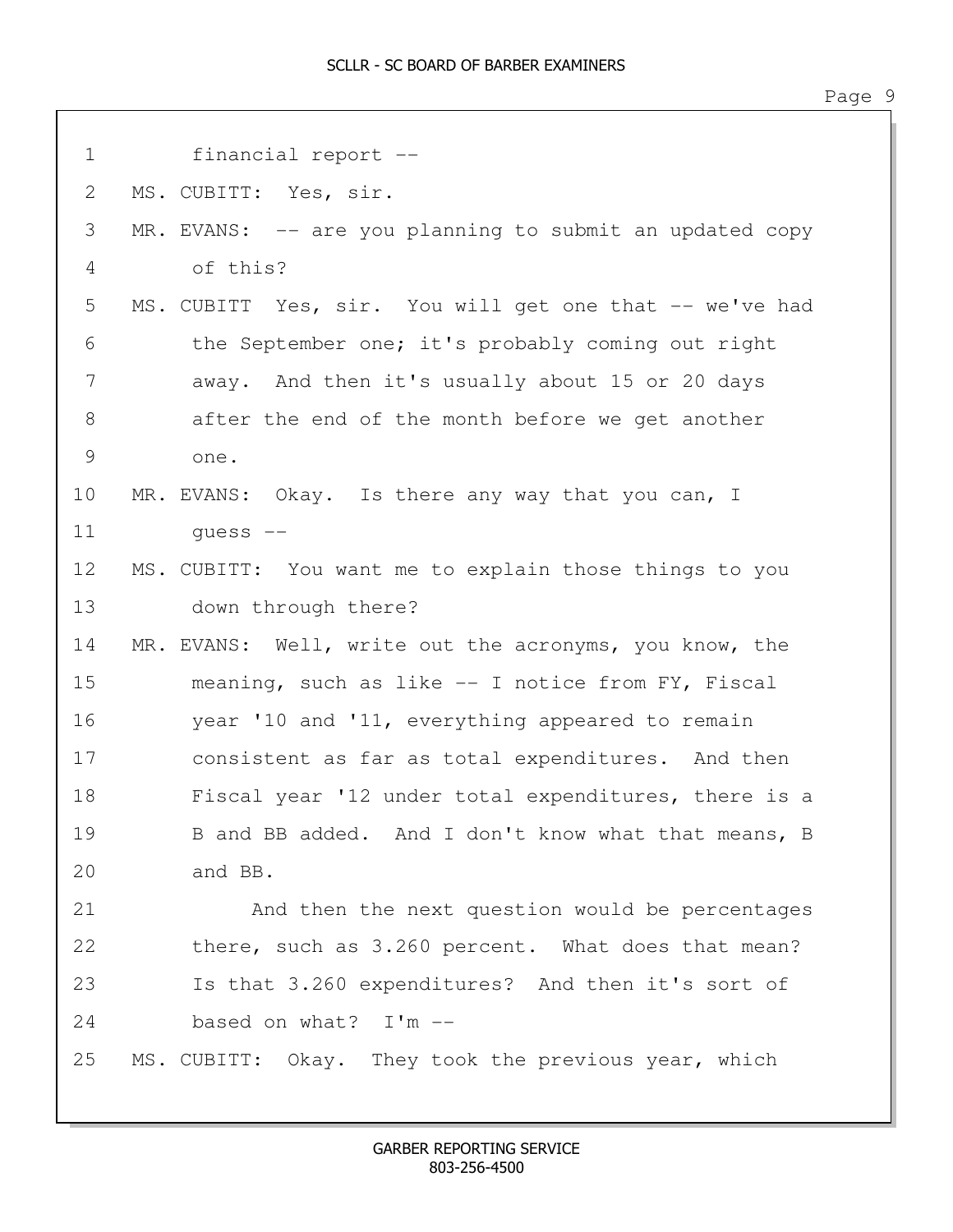1 financial report -- 2 MS. CUBITT: Yes, sir. 3 MR. EVANS: -- are you planning to submit an updated copy 4 of this? 5 MS. CUBITT Yes, sir. You will get one that -- we've had 6 the September one; it's probably coming out right 7 away. And then it's usually about 15 or 20 days 8 after the end of the month before we get another 9 one. 10 MR. EVANS: Okay. Is there any way that you can, I 11 guess -- 12 MS. CUBITT: You want me to explain those things to you 13 down through there? 14 MR. EVANS: Well, write out the acronyms, you know, the 15 meaning, such as like -- I notice from FY, Fiscal 16 year '10 and '11, everything appeared to remain 17 consistent as far as total expenditures. And then 18 Fiscal year '12 under total expenditures, there is a 19 B and BB added. And I don't know what that means, B 20 and BB. 21 And then the next question would be percentages 22 there, such as 3.260 percent. What does that mean? 23 Is that 3.260 expenditures? And then it's sort of 24 based on what? I'm --25 MS. CUBITT: Okay. They took the previous year, which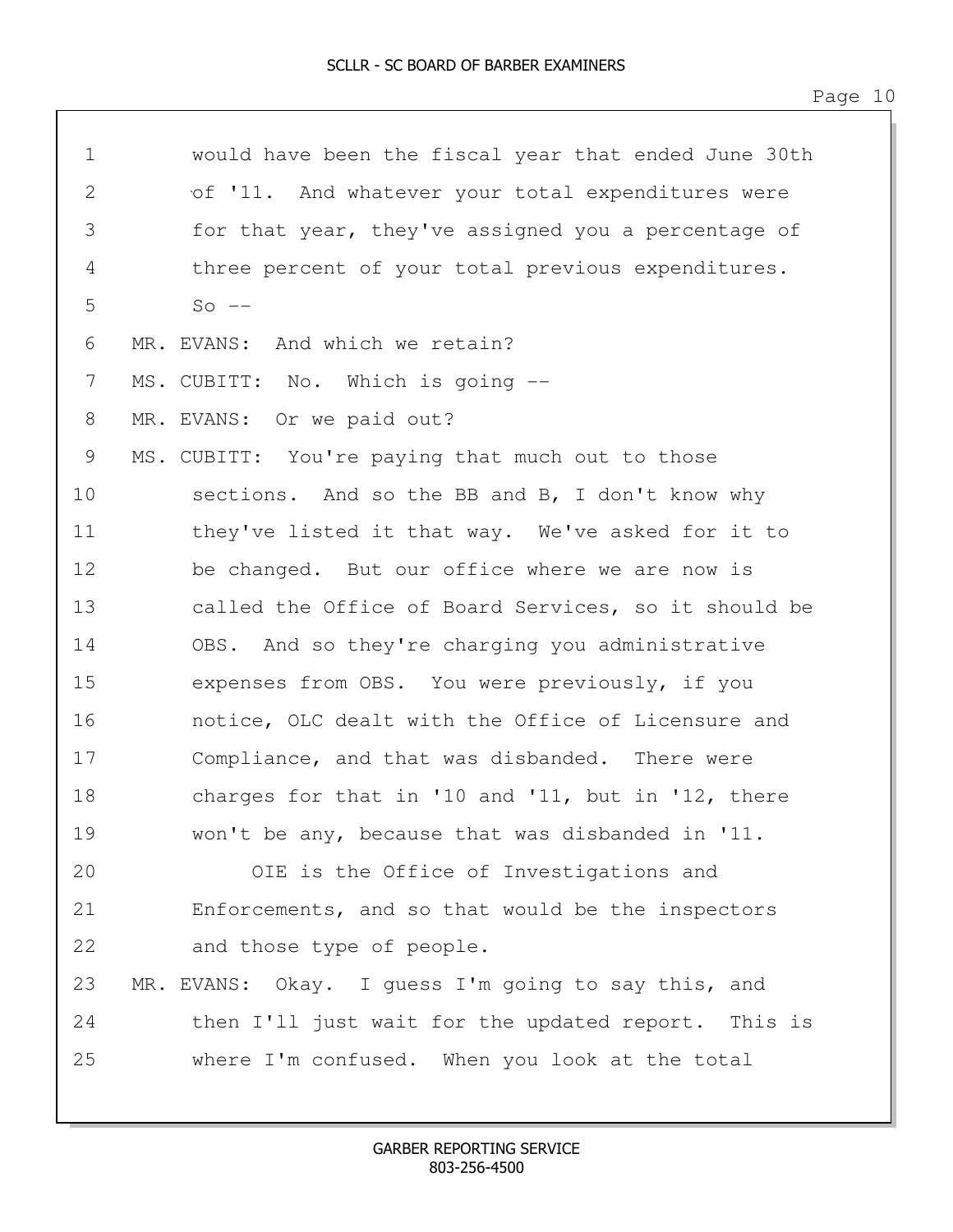1 would have been the fiscal year that ended June 30th 2 of '11. And whatever your total expenditures were 3 for that year, they've assigned you a percentage of 4 three percent of your total previous expenditures.  $5 S_0$   $-$ 6 MR. EVANS: And which we retain? 7 MS. CUBITT: No. Which is going -- 8 MR. EVANS: Or we paid out? 9 MS. CUBITT: You're paying that much out to those 10 sections. And so the BB and B, I don't know why 11 they've listed it that way. We've asked for it to 12 be changed. But our office where we are now is 13 called the Office of Board Services, so it should be 14 OBS. And so they're charging you administrative 15 expenses from OBS. You were previously, if you 16 notice, OLC dealt with the Office of Licensure and 17 Compliance, and that was disbanded. There were 18 charges for that in '10 and '11, but in '12, there 19 won't be any, because that was disbanded in '11. 20 OIE is the Office of Investigations and 21 Enforcements, and so that would be the inspectors 22 and those type of people. 23 MR. EVANS: Okay. I guess I'm going to say this, and 24 then I'll just wait for the updated report. This is 25 where I'm confused. When you look at the total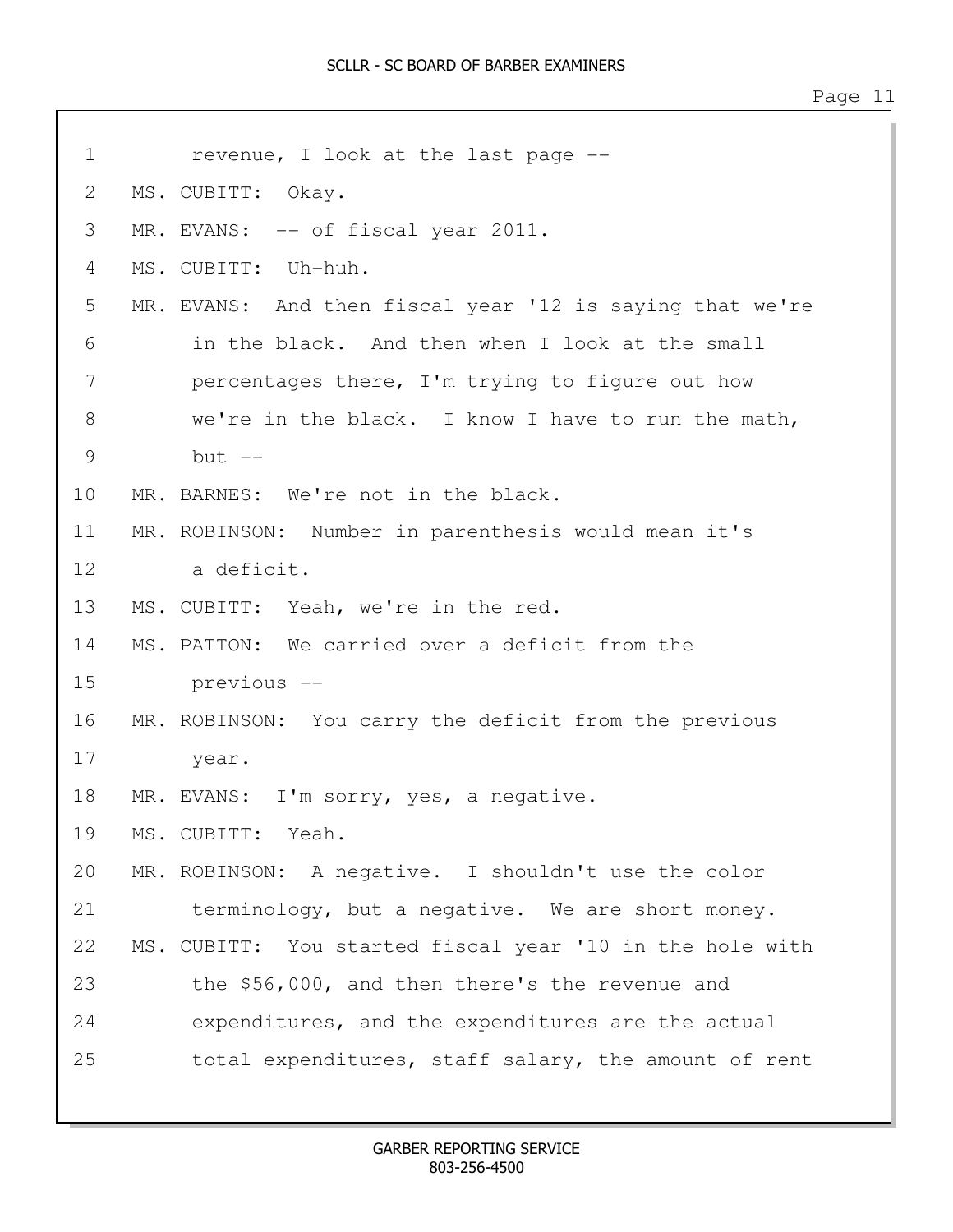| 1             | revenue, I look at the last page --                      |
|---------------|----------------------------------------------------------|
| 2             | MS. CUBITT: Okay.                                        |
| 3             | MR. EVANS: -- of fiscal year 2011.                       |
| 4             | MS. CUBITT: Uh-huh.                                      |
| 5             | MR. EVANS: And then fiscal year '12 is saying that we're |
| 6             | in the black. And then when I look at the small          |
| 7             | percentages there, I'm trying to figure out how          |
| 8             | we're in the black. I know I have to run the math,       |
| $\mathcal{G}$ | but $--$                                                 |
| 10            | MR. BARNES: We're not in the black.                      |
| 11            | MR. ROBINSON: Number in parenthesis would mean it's      |
| 12            | a deficit.                                               |
| 13            | MS. CUBITT: Yeah, we're in the red.                      |
| 14            | MS. PATTON: We carried over a deficit from the           |
| 15            | previous --                                              |
| 16            | MR. ROBINSON: You carry the deficit from the previous    |
| 17            | year.                                                    |
| 18            | MR. EVANS: I'm sorry, yes, a negative.                   |
| 19            | MS. CUBITT: Yeah.                                        |
| 20            | MR. ROBINSON: A negative. I shouldn't use the color      |
| 21            | terminology, but a negative. We are short money.         |
| 22            | MS. CUBITT: You started fiscal year '10 in the hole with |
| 23            | the \$56,000, and then there's the revenue and           |
| 24            | expenditures, and the expenditures are the actual        |
| 25            | total expenditures, staff salary, the amount of rent     |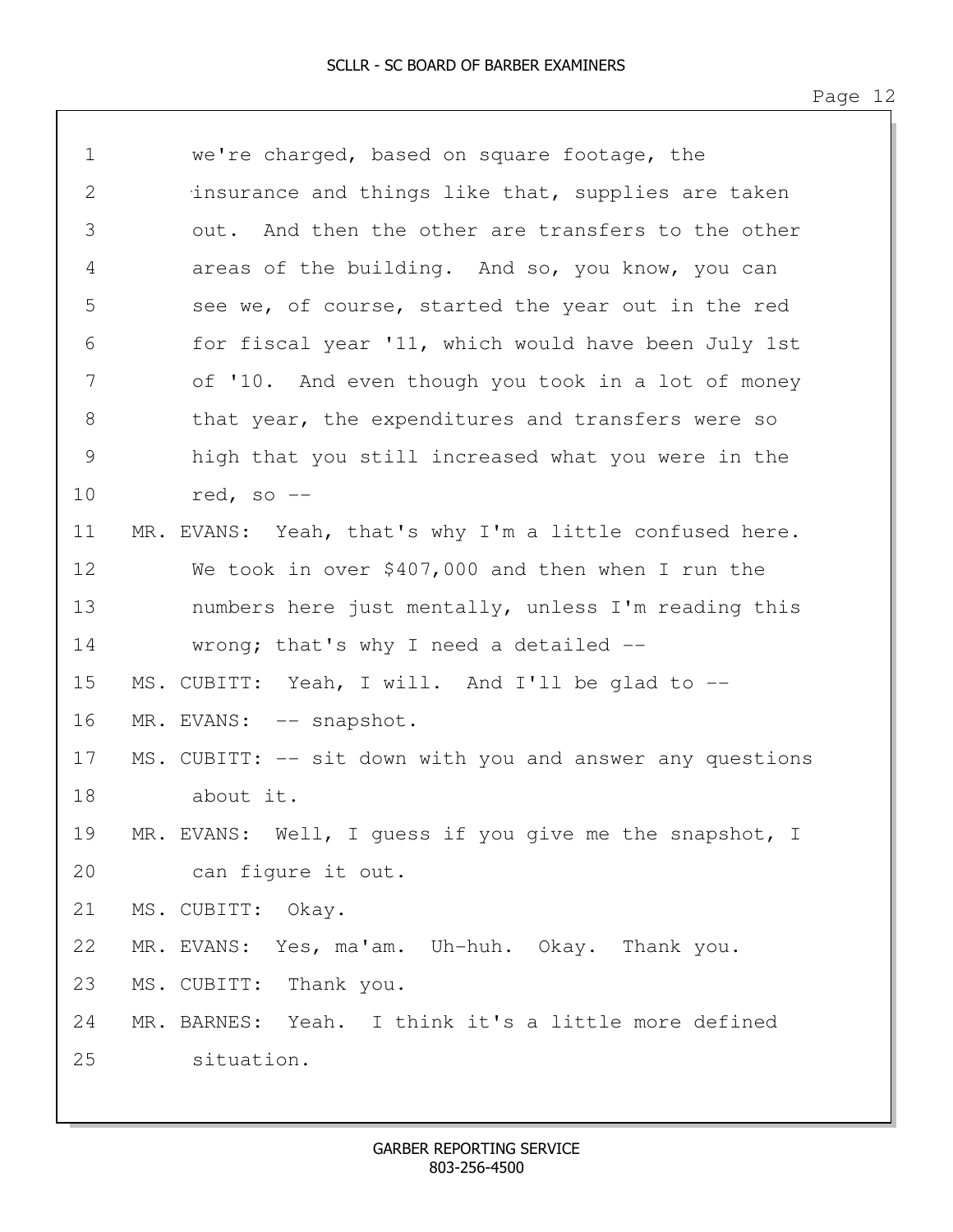| $\mathbf 1$ | we're charged, based on square footage, the               |
|-------------|-----------------------------------------------------------|
| 2           | insurance and things like that, supplies are taken        |
| 3           | out. And then the other are transfers to the other        |
| 4           | areas of the building. And so, you know, you can          |
| 5           | see we, of course, started the year out in the red        |
| 6           | for fiscal year '11, which would have been July 1st       |
| 7           | of '10. And even though you took in a lot of money        |
| 8           | that year, the expenditures and transfers were so         |
| 9           | high that you still increased what you were in the        |
| 10          | red, so $--$                                              |
| 11          | MR. EVANS: Yeah, that's why I'm a little confused here.   |
| 12          | We took in over \$407,000 and then when I run the         |
| 13          | numbers here just mentally, unless I'm reading this       |
| 14          | wrong; that's why I need a detailed $-$ -                 |
| 15          | MS. CUBITT: Yeah, I will. And I'll be glad to --          |
| 16          | MR. EVANS: -- snapshot.                                   |
| 17          | MS. CUBITT: -- sit down with you and answer any questions |
| 18          | about it.                                                 |
| 19          | MR. EVANS: Well, I guess if you give me the snapshot, I   |
| 20          | can fiqure it out.                                        |
| 21          | MS. CUBITT: Okay.                                         |
| 22          | MR. EVANS: Yes, ma'am. Uh-huh. Okay. Thank you.           |
| 23          | MS. CUBITT: Thank you.                                    |
| 24          | MR. BARNES: Yeah. I think it's a little more defined      |
| 25          | situation.                                                |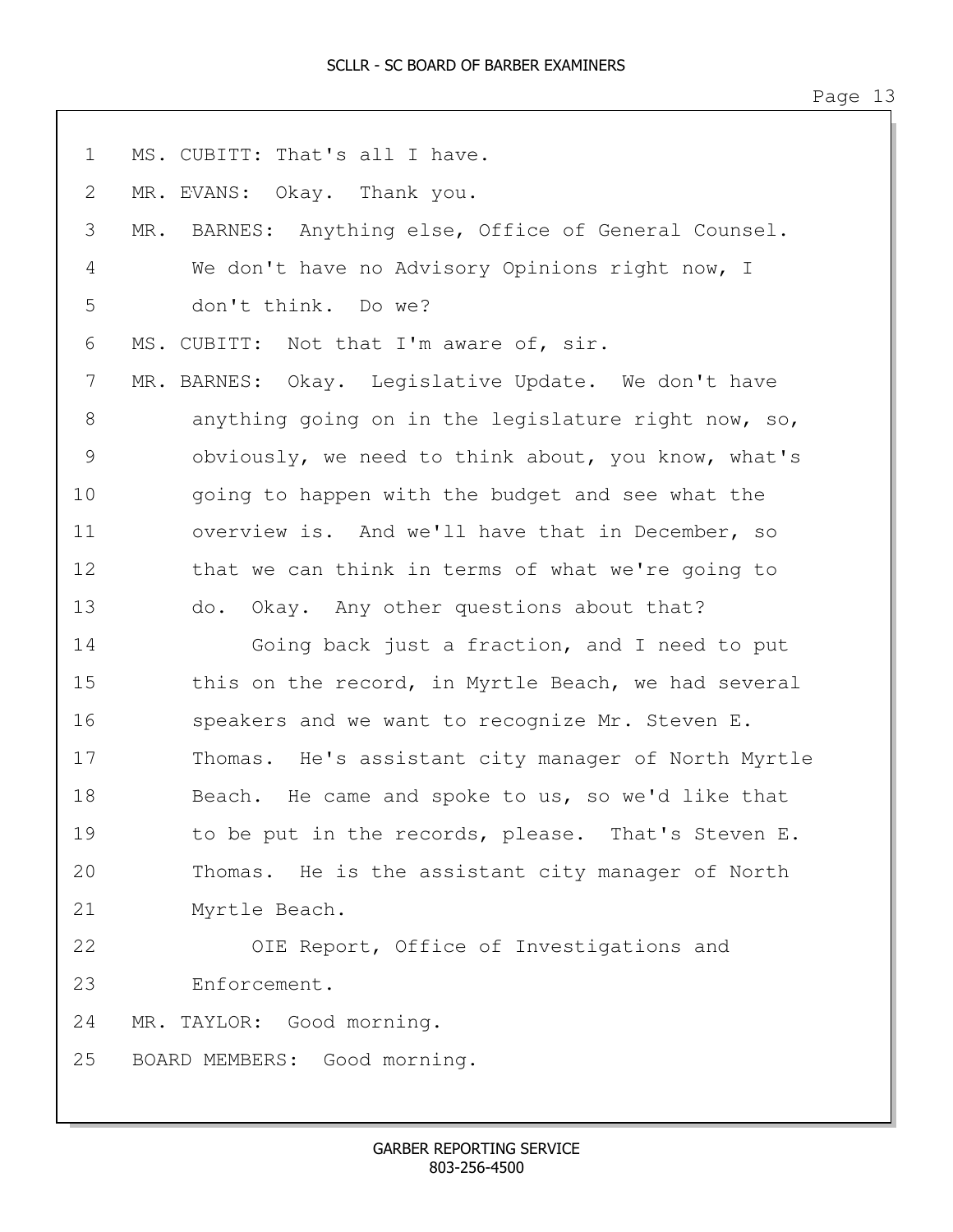| $\mathbf 1$ | MS. CUBITT: That's all I have.                           |
|-------------|----------------------------------------------------------|
| 2           | MR. EVANS: Okay. Thank you.                              |
| 3           | BARNES: Anything else, Office of General Counsel.<br>MR. |
| 4           | We don't have no Advisory Opinions right now, I          |
| 5           | don't think. Do we?                                      |
| 6           | MS. CUBITT: Not that I'm aware of, sir.                  |
| 7           | MR. BARNES: Okay. Legislative Update. We don't have      |
| 8           | anything going on in the legislature right now, so,      |
| 9           | obviously, we need to think about, you know, what's      |
| 10          | going to happen with the budget and see what the         |
| 11          | overview is. And we'll have that in December, so         |
| 12          | that we can think in terms of what we're going to        |
| 13          | do. Okay. Any other questions about that?                |
| 14          | Going back just a fraction, and I need to put            |
| 15          | this on the record, in Myrtle Beach, we had several      |
| 16          | speakers and we want to recognize Mr. Steven E.          |
| 17          | Thomas. He's assistant city manager of North Myrtle      |
| 18          | Beach. He came and spoke to us, so we'd like that        |
| 19          | to be put in the records, please. That's Steven E.       |
| 20          | Thomas. He is the assistant city manager of North        |
| 21          | Myrtle Beach.                                            |
| 22          | OIE Report, Office of Investigations and                 |
| 23          | Enforcement.                                             |
| 24          | MR. TAYLOR: Good morning.                                |
| 25          | BOARD MEMBERS: Good morning.                             |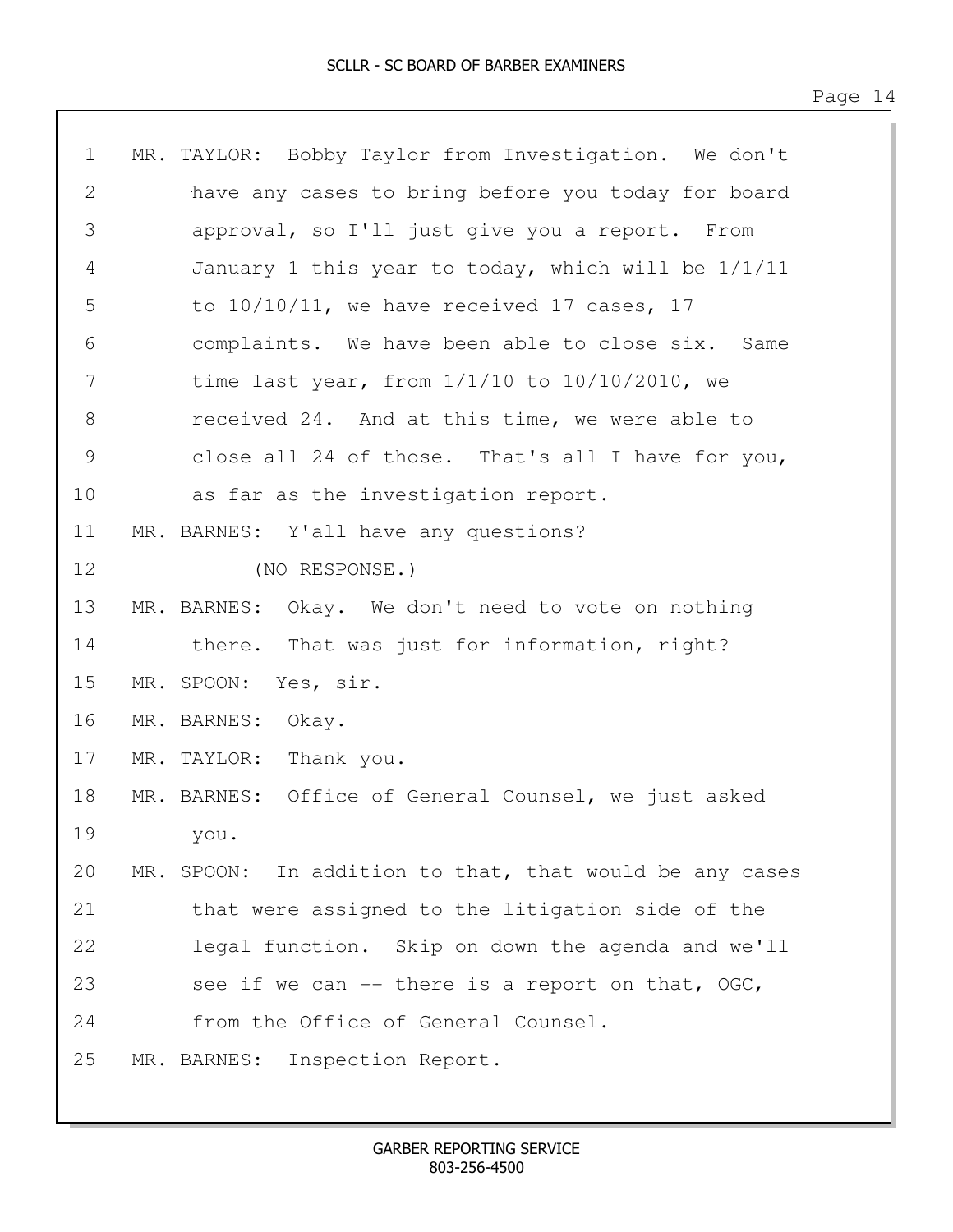| $\mathbf 1$ | MR. TAYLOR: Bobby Taylor from Investigation. We don't   |
|-------------|---------------------------------------------------------|
| 2           | have any cases to bring before you today for board      |
| 3           | approval, so I'll just give you a report. From          |
| 4           | January 1 this year to today, which will be $1/1/11$    |
| 5           | to $10/10/11$ , we have received 17 cases, 17           |
| 6           | complaints. We have been able to close six. Same        |
| 7           | time last year, from $1/1/10$ to $10/10/2010$ , we      |
| $8\,$       | received 24. And at this time, we were able to          |
| 9           | close all 24 of those. That's all I have for you,       |
| 10          | as far as the investigation report.                     |
| 11          | MR. BARNES: Y'all have any questions?                   |
| 12          | (NO RESPONSE.)                                          |
| 13          | MR. BARNES: Okay. We don't need to vote on nothing      |
| 14          | there. That was just for information, right?            |
| 15          | MR. SPOON:<br>Yes, sir.                                 |
| 16          | MR. BARNES: Okay.                                       |
| 17          | MR. TAYLOR: Thank you.                                  |
| 18          | MR. BARNES: Office of General Counsel, we just asked    |
| 19          | you.                                                    |
| 20          | MR. SPOON: In addition to that, that would be any cases |
| 21          | that were assigned to the litigation side of the        |
| 22          | legal function. Skip on down the agenda and we'll       |
| 23          | see if we can -- there is a report on that, OGC,        |
| 24          | from the Office of General Counsel.                     |
| 25          | MR. BARNES:<br>Inspection Report.                       |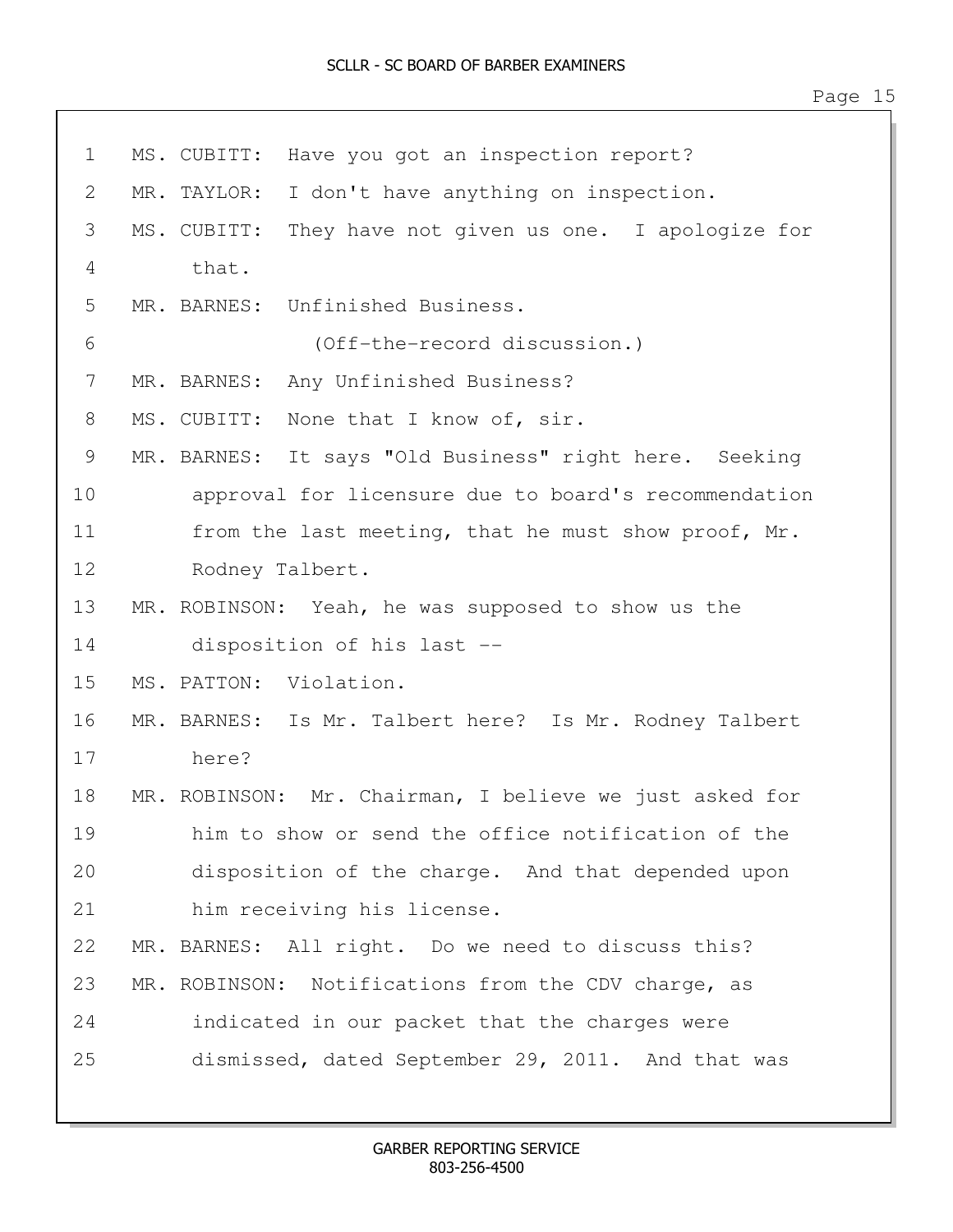| $\mathbf 1$ | Have you got an inspection report?<br>MS. CUBITT:          |
|-------------|------------------------------------------------------------|
| 2           | I don't have anything on inspection.<br>MR. TAYLOR:        |
| 3           | MS. CUBITT:<br>They have not given us one. I apologize for |
| 4           | that.                                                      |
| 5           | MR. BARNES: Unfinished Business.                           |
| 6           | (Off-the-record discussion.)                               |
| 7           | MR. BARNES:<br>Any Unfinished Business?                    |
| 8           | None that I know of, sir.<br>MS. CUBITT:                   |
| 9           | MR. BARNES: It says "Old Business" right here. Seeking     |
| 10          | approval for licensure due to board's recommendation       |
| 11          | from the last meeting, that he must show proof, Mr.        |
| 12          | Rodney Talbert.                                            |
| 13          | MR. ROBINSON: Yeah, he was supposed to show us the         |
| 14          | disposition of his last --                                 |
| 15          | MS. PATTON: Violation.                                     |
| 16          | MR. BARNES: Is Mr. Talbert here? Is Mr. Rodney Talbert     |
| 17          | here?                                                      |
| 18          | MR. ROBINSON: Mr. Chairman, I believe we just asked for    |
| 19          | him to show or send the office notification of the         |
| 20          | disposition of the charge. And that depended upon          |
| 21          | him receiving his license.                                 |
| 22          | MR. BARNES: All right. Do we need to discuss this?         |
| 23          | MR. ROBINSON: Notifications from the CDV charge, as        |
| 24          | indicated in our packet that the charges were              |
| 25          | dismissed, dated September 29, 2011. And that was          |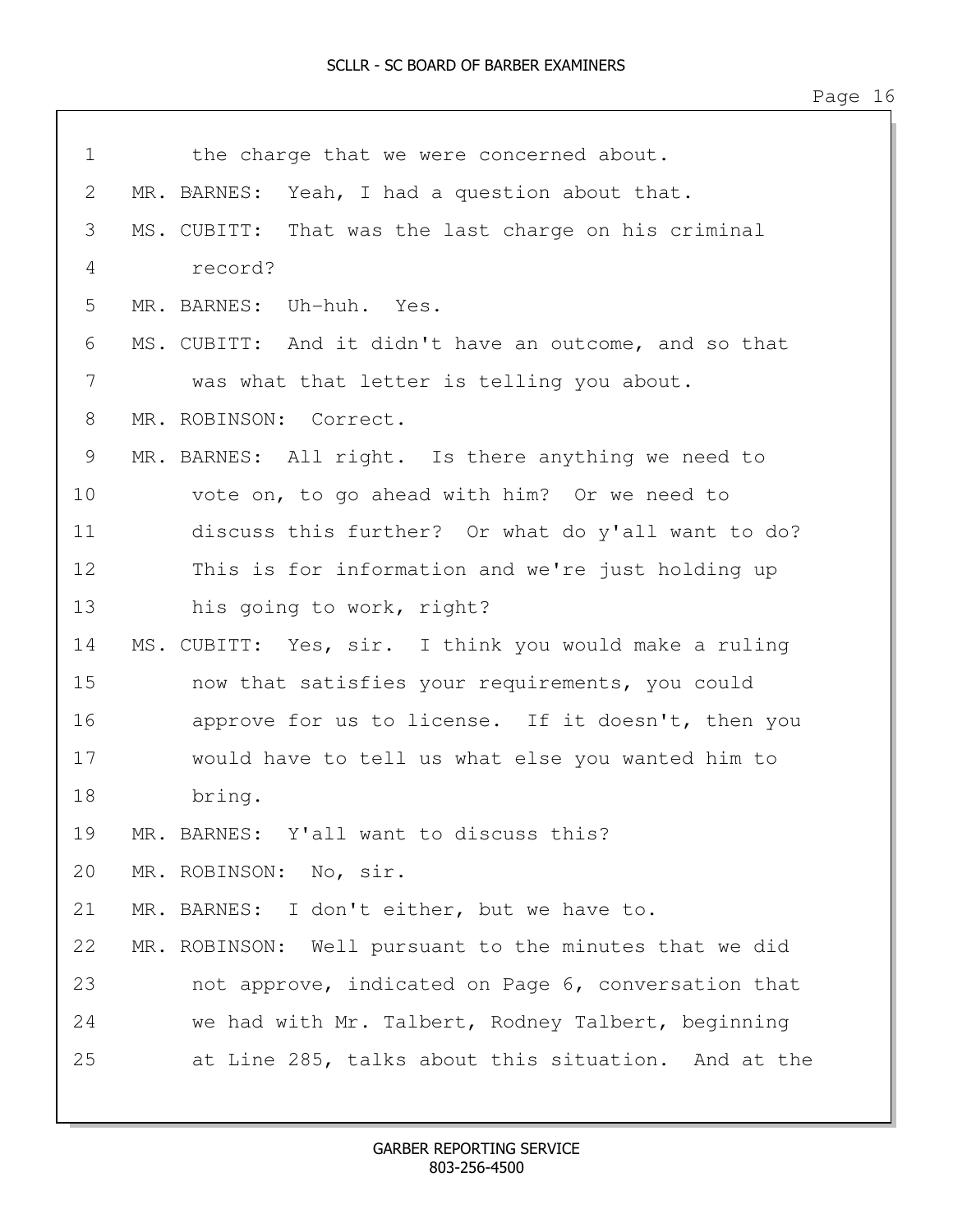| $\mathbf 1$ | the charge that we were concerned about.               |
|-------------|--------------------------------------------------------|
| 2           | MR. BARNES: Yeah, I had a question about that.         |
| 3           | MS. CUBITT: That was the last charge on his criminal   |
| 4           | record?                                                |
| 5           | MR. BARNES: Uh-huh. Yes.                               |
| 6           | MS. CUBITT: And it didn't have an outcome, and so that |
| 7           | was what that letter is telling you about.             |
| 8           | MR. ROBINSON: Correct.                                 |
| 9           | MR. BARNES: All right. Is there anything we need to    |
| 10          | vote on, to go ahead with him? Or we need to           |
| 11          | discuss this further? Or what do y'all want to do?     |
| 12          | This is for information and we're just holding up      |
| 13          | his going to work, right?                              |
| 14          | MS. CUBITT: Yes, sir. I think you would make a ruling  |
| 15          | now that satisfies your requirements, you could        |
| 16          | approve for us to license. If it doesn't, then you     |
| 17          | would have to tell us what else you wanted him to      |
| 18          | bring.                                                 |
| 19          | MR. BARNES: Y'all want to discuss this?                |
| 20          | MR. ROBINSON: No, sir.                                 |
| 21          | MR. BARNES: I don't either, but we have to.            |
| 22          | MR. ROBINSON: Well pursuant to the minutes that we did |
| 23          | not approve, indicated on Page 6, conversation that    |
| 24          | we had with Mr. Talbert, Rodney Talbert, beginning     |
| 25          | at Line 285, talks about this situation. And at the    |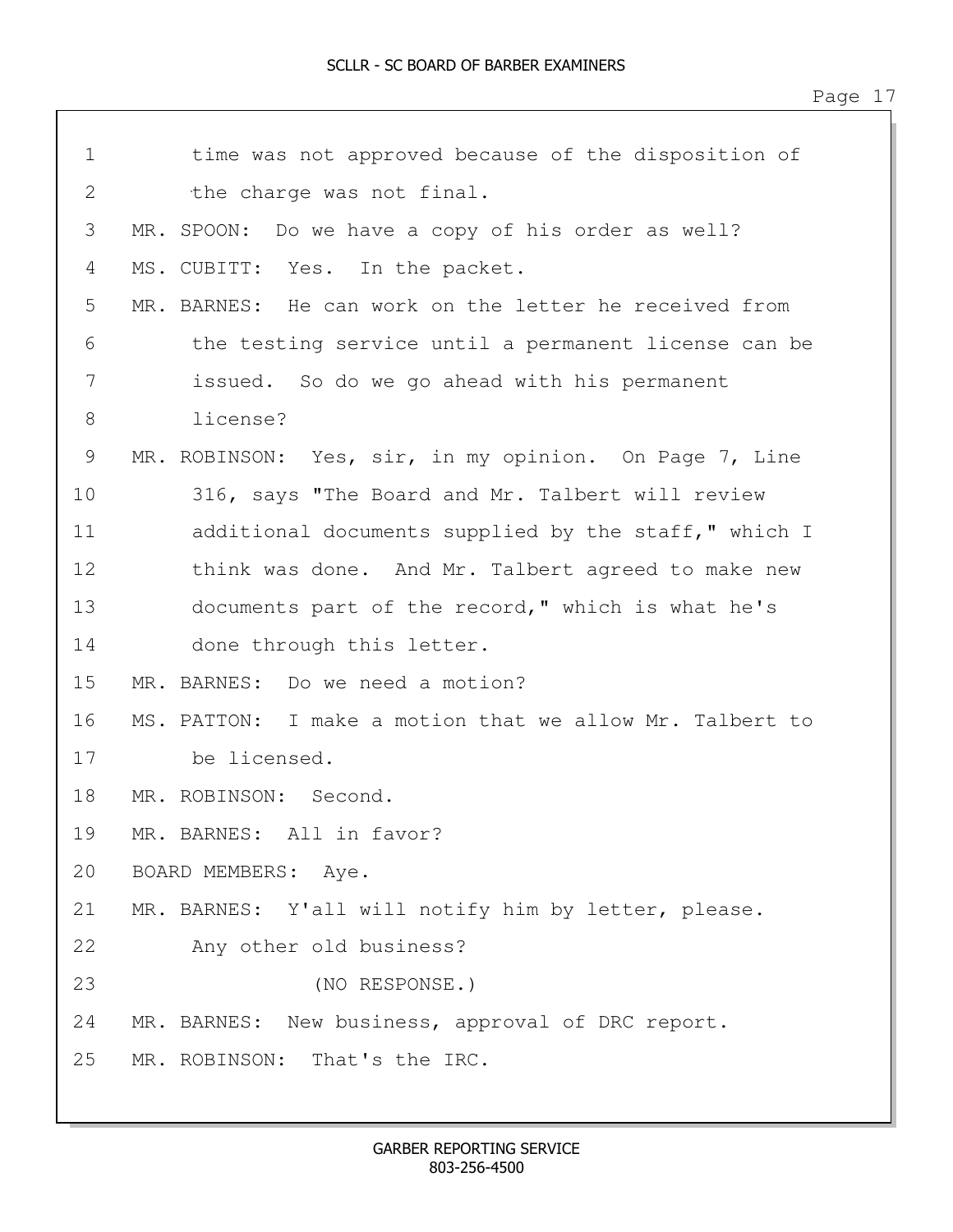| $\mathbf 1$    | time was not approved because of the disposition of      |
|----------------|----------------------------------------------------------|
| $\overline{2}$ | the charge was not final.                                |
| 3              | MR. SPOON: Do we have a copy of his order as well?       |
| 4              | MS. CUBITT: Yes. In the packet.                          |
| 5              | MR. BARNES: He can work on the letter he received from   |
| 6              | the testing service until a permanent license can be     |
| 7              | issued. So do we go ahead with his permanent             |
| 8              | license?                                                 |
| 9              | MR. ROBINSON: Yes, sir, in my opinion. On Page 7, Line   |
| 10             | 316, says "The Board and Mr. Talbert will review         |
| 11             | additional documents supplied by the staff," which I     |
| 12             | think was done. And Mr. Talbert agreed to make new       |
| 13             | documents part of the record," which is what he's        |
| 14             | done through this letter.                                |
| 15             | MR. BARNES: Do we need a motion?                         |
| 16             | MS. PATTON: I make a motion that we allow Mr. Talbert to |
| 17             | be licensed.                                             |
| 18             | MR. ROBINSON: Second.                                    |
| 19             | MR. BARNES: All in favor?                                |
| 20             | BOARD MEMBERS: Aye.                                      |
| 21             | MR. BARNES: Y'all will notify him by letter, please.     |
| 22             | Any other old business?                                  |
| 23             | (NO RESPONSE.)                                           |
| 24             | MR. BARNES: New business, approval of DRC report.        |
| 25             | MR. ROBINSON: That's the IRC.                            |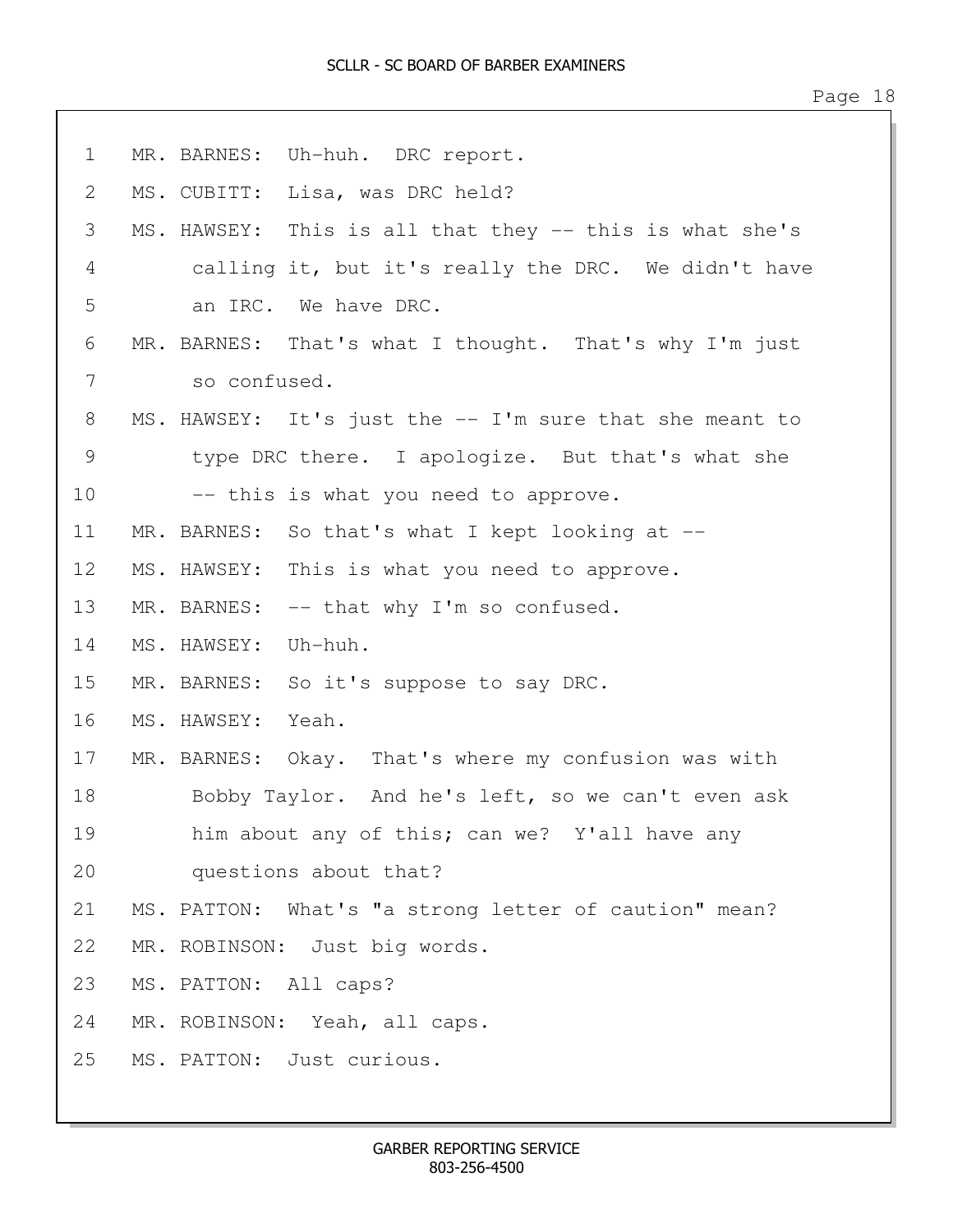1 MR. BARNES: Uh-huh. DRC report. 2 MS. CUBITT: Lisa, was DRC held? 3 MS. HAWSEY: This is all that they -- this is what she's 4 calling it, but it's really the DRC. We didn't have 5 an IRC. We have DRC. 6 MR. BARNES: That's what I thought. That's why I'm just 7 so confused. 8 MS. HAWSEY: It's just the -- I'm sure that she meant to 9 type DRC there. I apologize. But that's what she 10 -- this is what you need to approve. 11 MR. BARNES: So that's what I kept looking at -- 12 MS. HAWSEY: This is what you need to approve. 13 MR. BARNES: -- that why I'm so confused. 14 MS. HAWSEY: Uh-huh. 15 MR. BARNES: So it's suppose to say DRC. 16 MS. HAWSEY: Yeah. 17 MR. BARNES: Okay. That's where my confusion was with 18 Bobby Taylor. And he's left, so we can't even ask 19 him about any of this; can we? Y'all have any 20 questions about that? 21 MS. PATTON: What's "a strong letter of caution" mean? 22 MR. ROBINSON: Just big words. 23 MS. PATTON: All caps? 24 MR. ROBINSON: Yeah, all caps. 25 MS. PATTON: Just curious.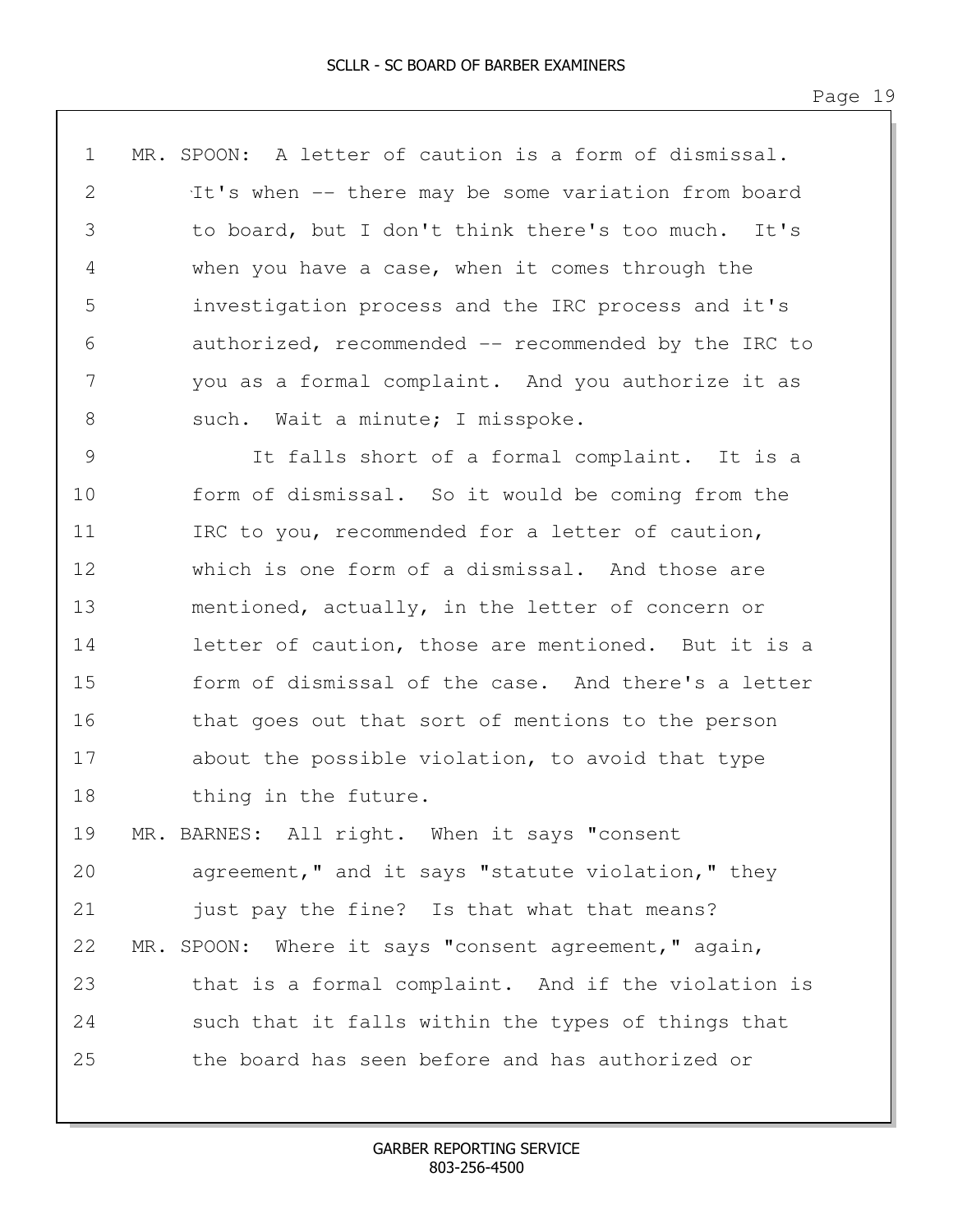| $\mathbf 1$ | MR. SPOON: A letter of caution is a form of dismissal. |
|-------------|--------------------------------------------------------|
| 2           | It's when -- there may be some variation from board    |
| 3           | to board, but I don't think there's too much. It's     |
| 4           | when you have a case, when it comes through the        |
| 5           | investigation process and the IRC process and it's     |
| 6           | authorized, recommended -- recommended by the IRC to   |
| 7           | you as a formal complaint. And you authorize it as     |
| 8           | such. Wait a minute; I misspoke.                       |
| 9           | It falls short of a formal complaint. It is a          |
| 10          | form of dismissal. So it would be coming from the      |
| 11          | IRC to you, recommended for a letter of caution,       |
| 12          | which is one form of a dismissal. And those are        |
| 13          | mentioned, actually, in the letter of concern or       |
|             |                                                        |

14 letter of caution, those are mentioned. But it is a 15 form of dismissal of the case. And there's a letter 16 that goes out that sort of mentions to the person 17 about the possible violation, to avoid that type 18 thing in the future.

19 MR. BARNES: All right. When it says "consent 20 agreement," and it says "statute violation," they 21 just pay the fine? Is that what that means? 22 MR. SPOON: Where it says "consent agreement," again, 23 that is a formal complaint. And if the violation is 24 such that it falls within the types of things that 25 the board has seen before and has authorized or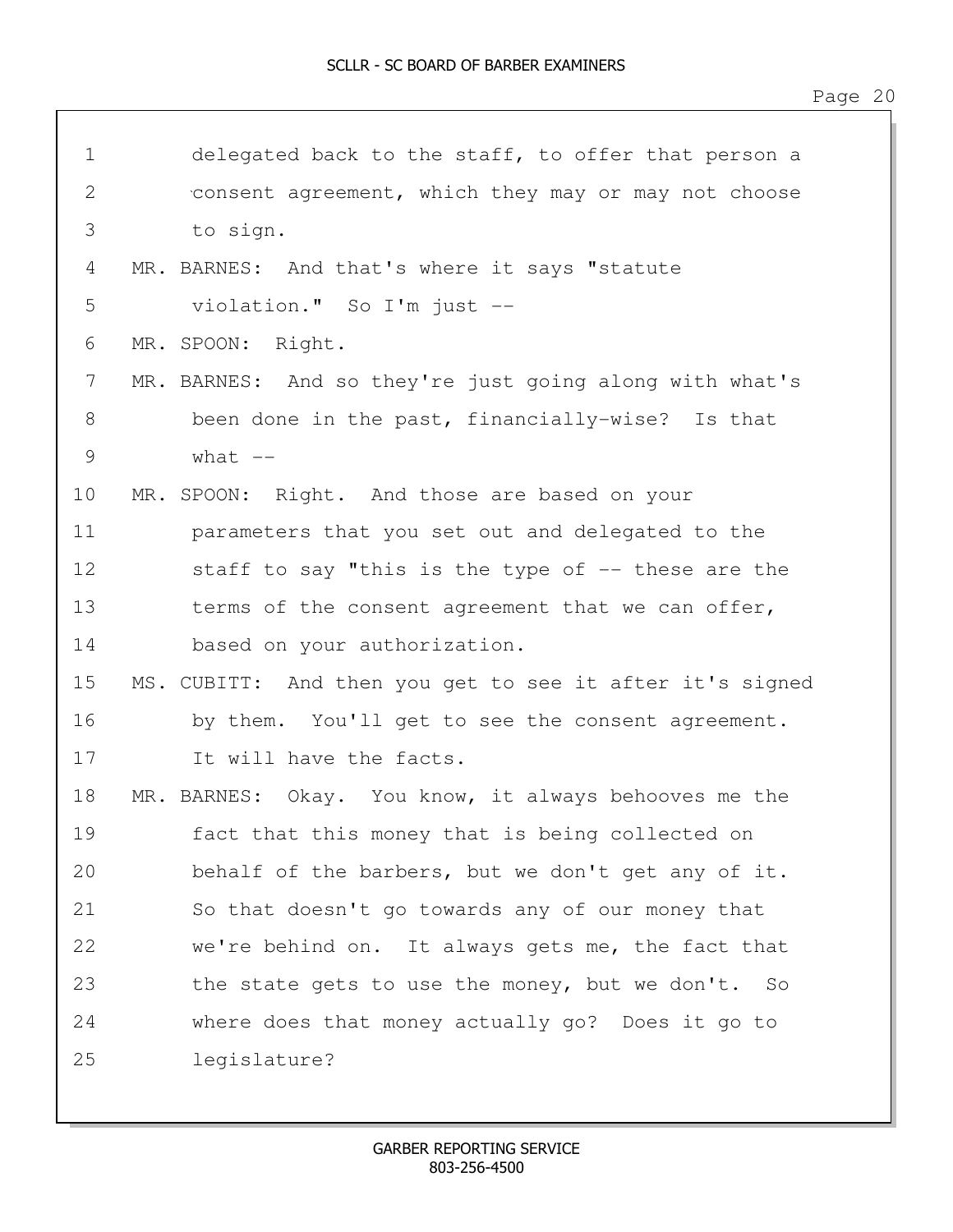| $\mathbf 1$   | delegated back to the staff, to offer that person a      |
|---------------|----------------------------------------------------------|
| $\mathbf{2}$  | consent agreement, which they may or may not choose      |
| 3             | to sign.                                                 |
| 4             | MR. BARNES: And that's where it says "statute            |
| 5             | violation." So I'm just --                               |
| 6             | MR. SPOON:<br>Right.                                     |
| 7             | MR. BARNES: And so they're just going along with what's  |
| 8             | been done in the past, financially-wise? Is that         |
| $\mathcal{G}$ | what $--$                                                |
| 10            | MR. SPOON: Right. And those are based on your            |
| 11            | parameters that you set out and delegated to the         |
| 12            | staff to say "this is the type of $-$ - these are the    |
| 13            | terms of the consent agreement that we can offer,        |
| 14            | based on your authorization.                             |
| 15            | MS. CUBITT: And then you get to see it after it's signed |
| 16            | by them. You'll get to see the consent agreement.        |
| 17            | It will have the facts.                                  |
| 18            | MR. BARNES: Okay. You know, it always behooves me the    |
| 19            | fact that this money that is being collected on          |
| 20            | behalf of the barbers, but we don't get any of it.       |
| 21            | So that doesn't go towards any of our money that         |
| 22            | we're behind on. It always gets me, the fact that        |
| 23            | the state gets to use the money, but we don't. So        |
| 24            | where does that money actually go? Does it go to         |
| 25            | legislature?                                             |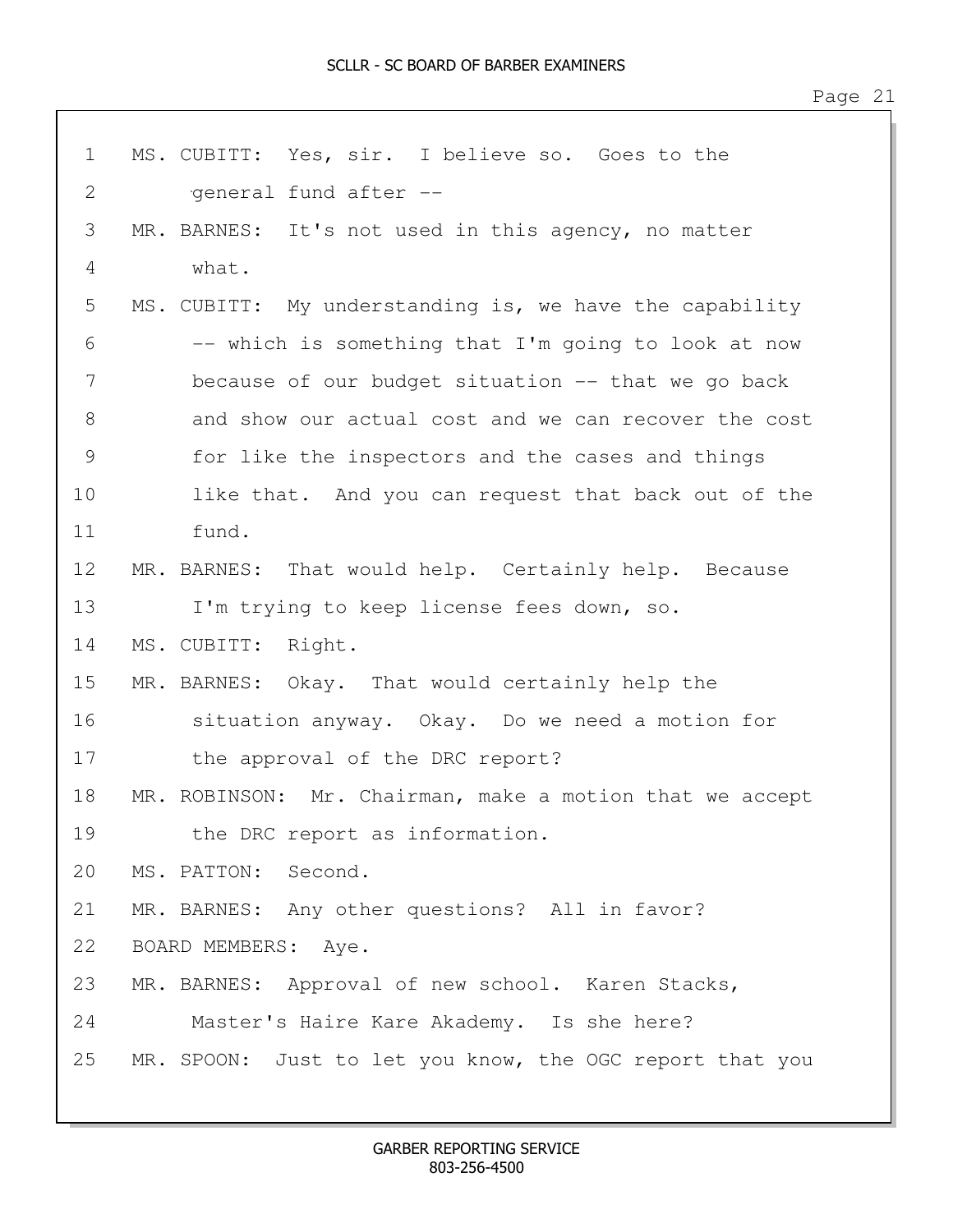| $\mathbf 1$   | MS. CUBITT: Yes, sir. I believe so. Goes to the          |
|---------------|----------------------------------------------------------|
| $\mathbf{2}$  | general fund after --                                    |
| 3             | MR. BARNES: It's not used in this agency, no matter      |
| 4             | what.                                                    |
| 5             | MS. CUBITT: My understanding is, we have the capability  |
| 6             | -- which is something that I'm going to look at now      |
| 7             | because of our budget situation -- that we go back       |
| $8\,$         | and show our actual cost and we can recover the cost     |
| $\mathcal{G}$ | for like the inspectors and the cases and things         |
| 10            | like that. And you can request that back out of the      |
| 11            | fund.                                                    |
| 12            | MR. BARNES: That would help. Certainly help. Because     |
| 13            | I'm trying to keep license fees down, so.                |
| 14            | MS. CUBITT: Right.                                       |
| 15            | MR. BARNES: Okay. That would certainly help the          |
| 16            | situation anyway. Okay. Do we need a motion for          |
| 17            | the approval of the DRC report?                          |
| 18            | MR. ROBINSON: Mr. Chairman, make a motion that we accept |
| 19            | the DRC report as information.                           |
| 20            | MS. PATTON:<br>Second.                                   |
| 21            | MR. BARNES: Any other questions? All in favor?           |
| 22            | BOARD MEMBERS: Aye.                                      |
| 23            | MR. BARNES: Approval of new school. Karen Stacks,        |
| 24            | Master's Haire Kare Akademy. Is she here?                |
| 25            | MR. SPOON: Just to let you know, the OGC report that you |
|               |                                                          |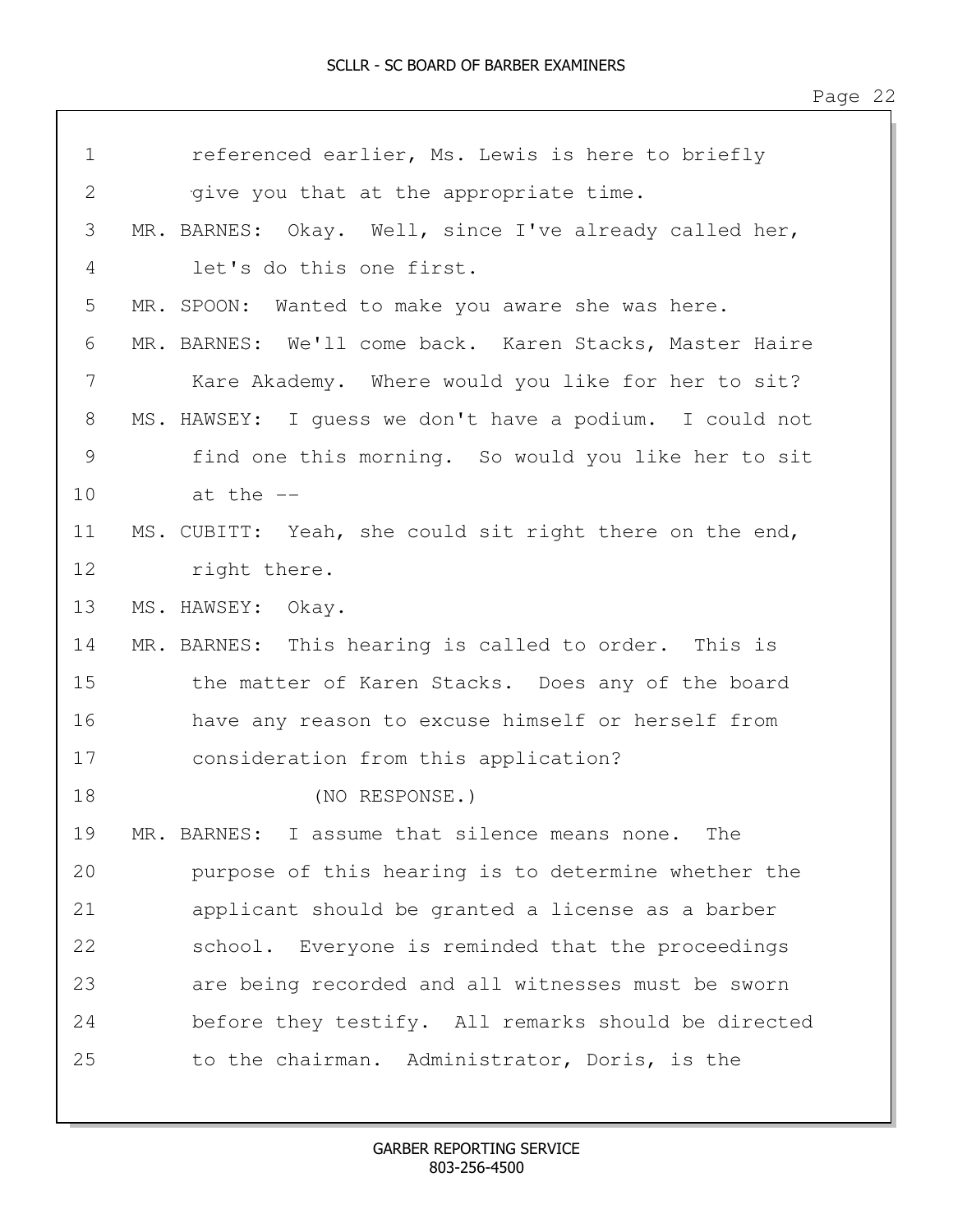| $\mathbf 1$ | referenced earlier, Ms. Lewis is here to briefly        |
|-------------|---------------------------------------------------------|
| 2           | give you that at the appropriate time.                  |
| 3           | MR. BARNES: Okay. Well, since I've already called her,  |
| 4           | let's do this one first.                                |
| 5           | MR. SPOON:<br>Wanted to make you aware she was here.    |
| 6           | MR. BARNES: We'll come back. Karen Stacks, Master Haire |
| 7           | Kare Akademy. Where would you like for her to sit?      |
| 8           | MS. HAWSEY: I guess we don't have a podium. I could not |
| 9           | find one this morning. So would you like her to sit     |
| 10          | at the $-$                                              |
| 11          | MS. CUBITT: Yeah, she could sit right there on the end, |
| 12          | right there.                                            |
| 13          | MS. HAWSEY: Okay.                                       |
| 14          | MR. BARNES: This hearing is called to order. This is    |
| 15          | the matter of Karen Stacks. Does any of the board       |
| 16          | have any reason to excuse himself or herself from       |
| 17          | consideration from this application?                    |
| 18          | (NO RESPONSE.)                                          |
| 19          | MR. BARNES: I assume that silence means none. The       |
| 20          | purpose of this hearing is to determine whether the     |
| 21          | applicant should be granted a license as a barber       |
| 22          | school. Everyone is reminded that the proceedings       |
| 23          | are being recorded and all witnesses must be sworn      |
| 24          | before they testify. All remarks should be directed     |
| 25          | to the chairman. Administrator, Doris, is the           |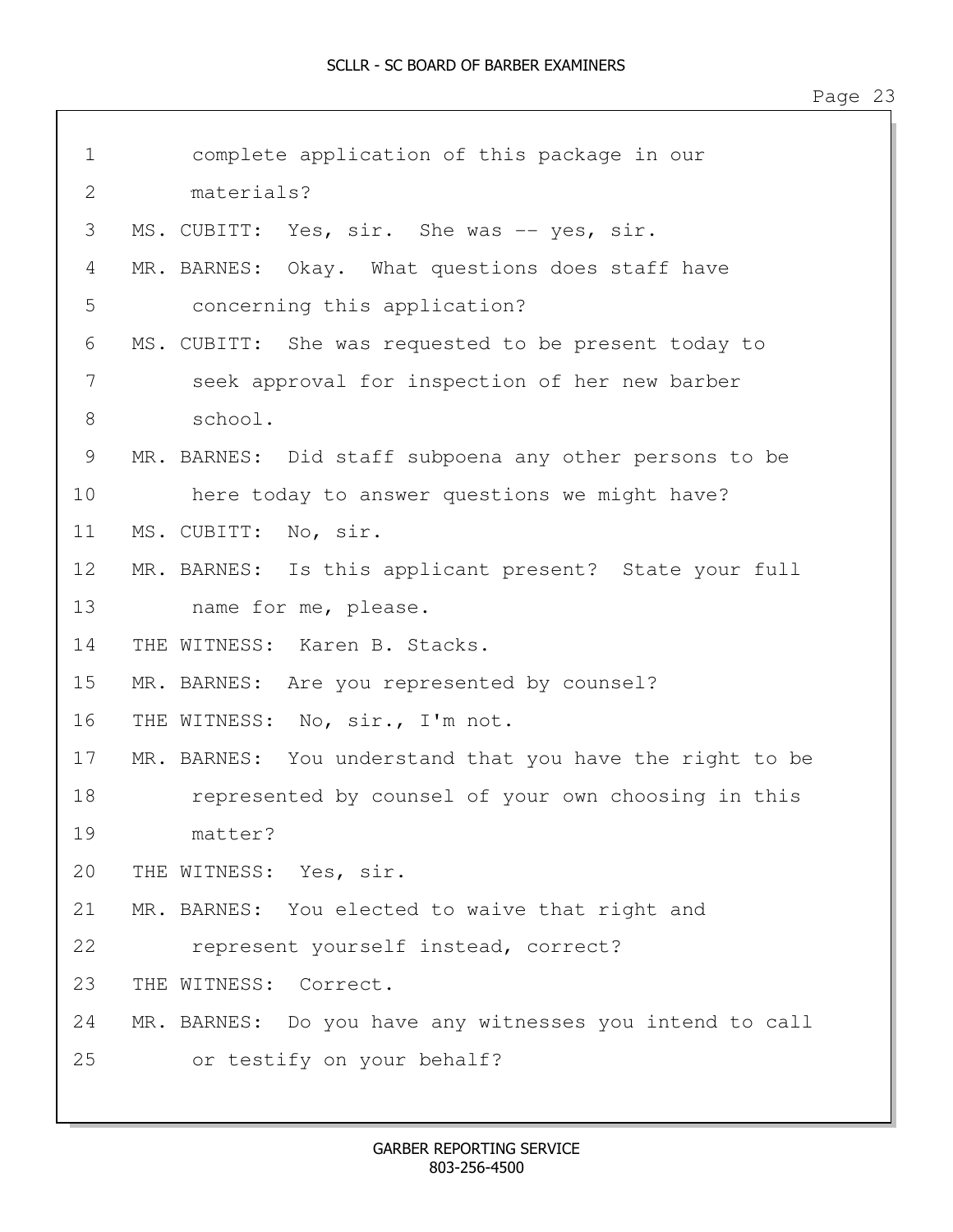| $\mathbf 1$  | complete application of this package in our              |
|--------------|----------------------------------------------------------|
| $\mathbf{2}$ | materials?                                               |
| 3            | MS. CUBITT: Yes, sir. She was -- yes, sir.               |
| 4            | MR. BARNES: Okay. What questions does staff have         |
| 5            | concerning this application?                             |
| 6            | MS. CUBITT: She was requested to be present today to     |
| 7            | seek approval for inspection of her new barber           |
| 8            | school.                                                  |
| 9            | MR. BARNES: Did staff subpoena any other persons to be   |
| 10           | here today to answer questions we might have?            |
| 11           | MS. CUBITT: No, sir.                                     |
| 12           | MR. BARNES: Is this applicant present? State your full   |
| 13           | name for me, please.                                     |
| 14           | THE WITNESS: Karen B. Stacks.                            |
| 15           | MR. BARNES: Are you represented by counsel?              |
| 16           | THE WITNESS: No, sir., I'm not.                          |
| 17           | MR. BARNES: You understand that you have the right to be |
| 18           | represented by counsel of your own choosing in this      |
| 19           | matter?                                                  |
| 20           | THE WITNESS: Yes, sir.                                   |
| 21           | MR. BARNES: You elected to waive that right and          |
| 22           | represent yourself instead, correct?                     |
| 23           | THE WITNESS: Correct.                                    |
| 24           | MR. BARNES: Do you have any witnesses you intend to call |
| 25           | or testify on your behalf?                               |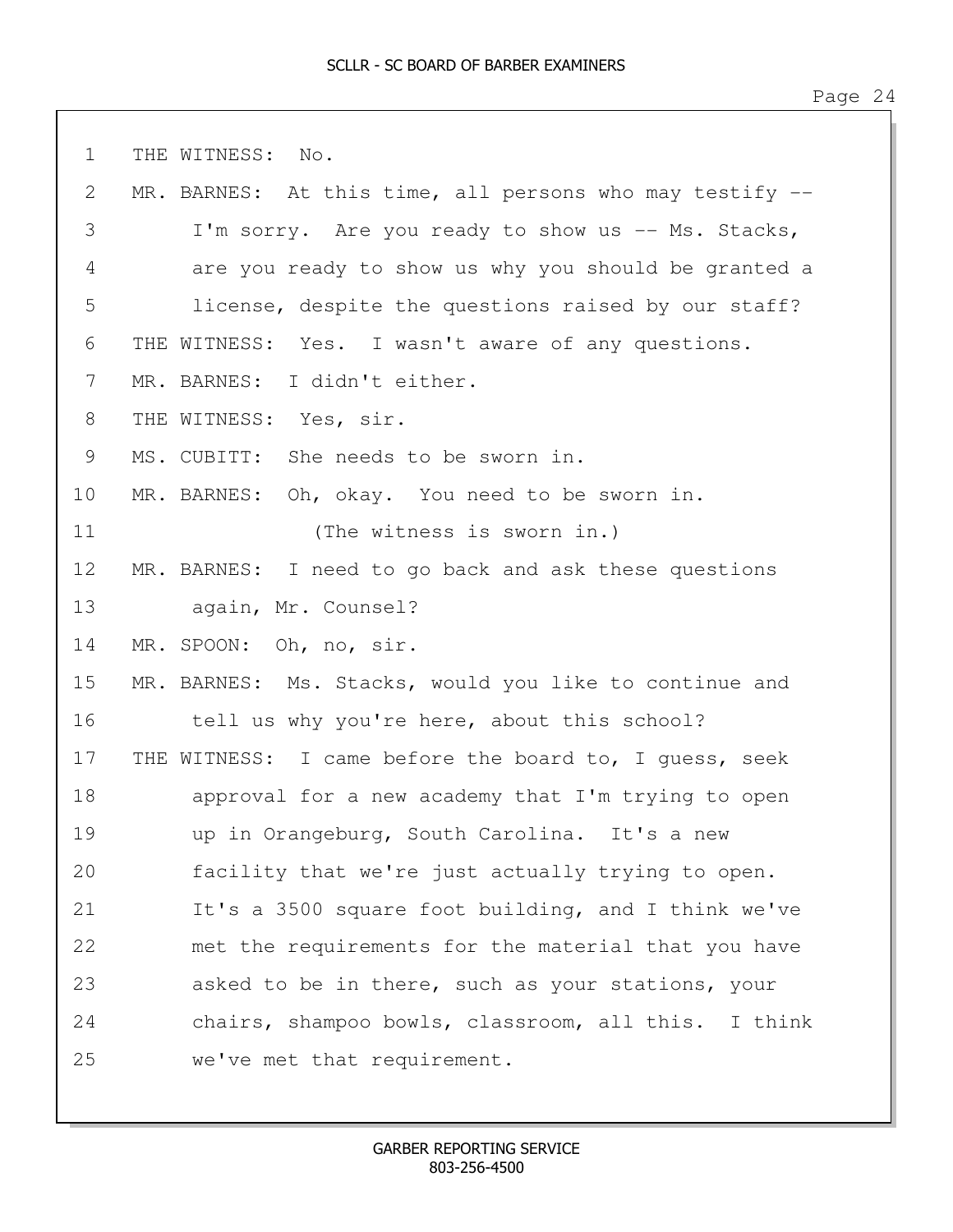1 THE WITNESS: No. 2 MR. BARNES: At this time, all persons who may testify --3 I'm sorry. Are you ready to show us -- Ms. Stacks, 4 are you ready to show us why you should be granted a 5 license, despite the questions raised by our staff? 6 THE WITNESS: Yes. I wasn't aware of any questions. 7 MR. BARNES: I didn't either. 8 THE WITNESS: Yes, sir. 9 MS. CUBITT: She needs to be sworn in. 10 MR. BARNES: Oh, okay. You need to be sworn in. 11 (The witness is sworn in.) 12 MR. BARNES: I need to go back and ask these questions 13 again, Mr. Counsel? 14 MR. SPOON: Oh, no, sir. 15 MR. BARNES: Ms. Stacks, would you like to continue and 16 tell us why you're here, about this school? 17 THE WITNESS: I came before the board to, I guess, seek 18 approval for a new academy that I'm trying to open 19 up in Orangeburg, South Carolina. It's a new 20 facility that we're just actually trying to open. 21 It's a 3500 square foot building, and I think we've 22 met the requirements for the material that you have 23 asked to be in there, such as your stations, your 24 chairs, shampoo bowls, classroom, all this. I think 25 we've met that requirement.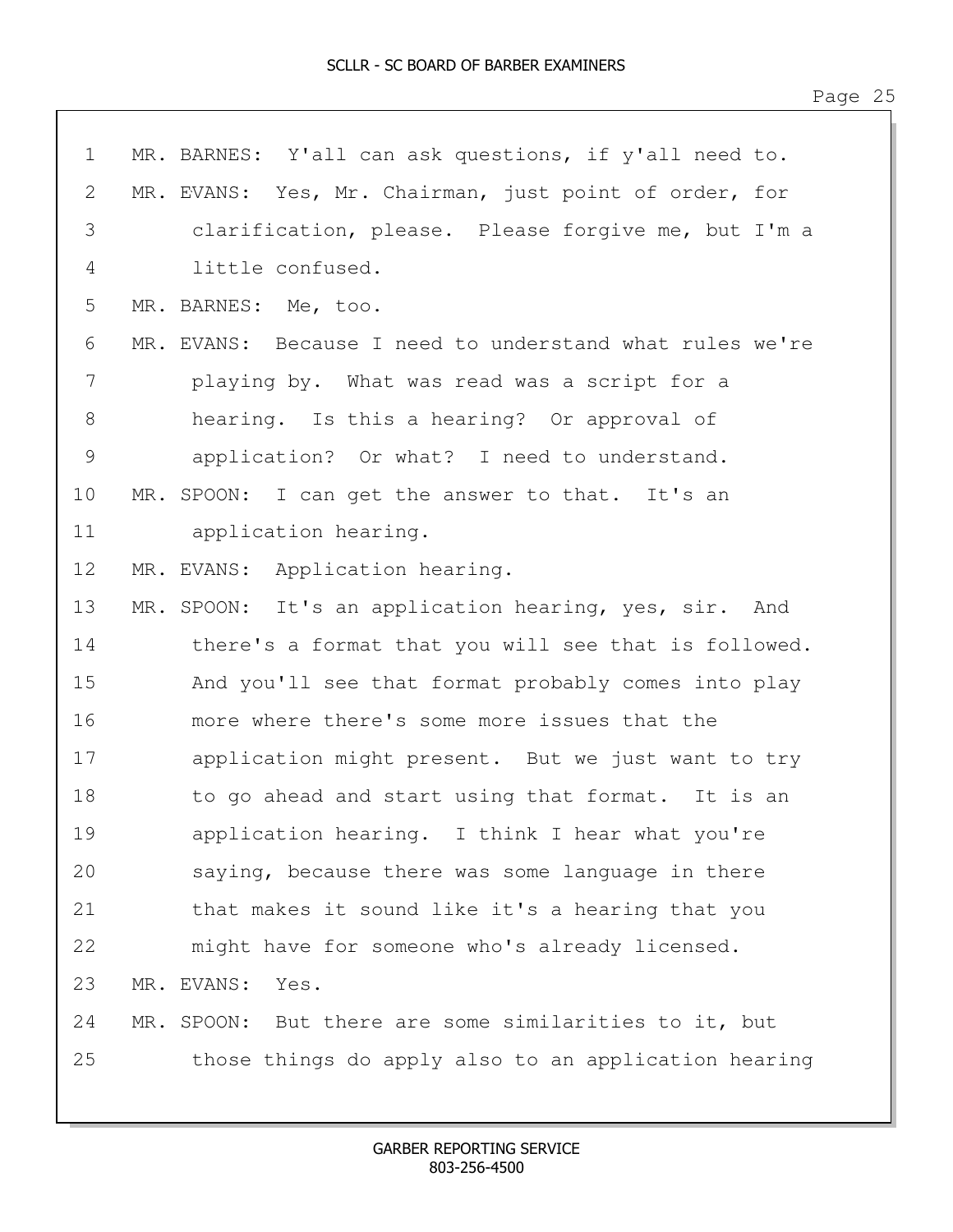| $\mathbf 1$   | MR. BARNES: Y'all can ask questions, if y'all need to.   |
|---------------|----------------------------------------------------------|
| 2             | MR. EVANS: Yes, Mr. Chairman, just point of order, for   |
| 3             | clarification, please. Please forgive me, but I'm a      |
| 4             | little confused.                                         |
| 5             | MR. BARNES: Me, too.                                     |
| 6             | MR. EVANS: Because I need to understand what rules we're |
| 7             | playing by. What was read was a script for a             |
| $8\,$         | hearing. Is this a hearing? Or approval of               |
| $\mathcal{G}$ | application? Or what? I need to understand.              |
| 10            | MR. SPOON: I can get the answer to that. It's an         |
| 11            | application hearing.                                     |
| 12            | MR. EVANS: Application hearing.                          |
| 13            | MR. SPOON: It's an application hearing, yes, sir. And    |
| 14            | there's a format that you will see that is followed.     |
| 15            | And you'll see that format probably comes into play      |
| 16            | more where there's some more issues that the             |
| 17            | application might present. But we just want to try       |
| 18            | to go ahead and start using that format. It is an        |
| 19            | application hearing. I think I hear what you're          |
| 20            | saying, because there was some language in there         |
| 21            | that makes it sound like it's a hearing that you         |
| 22            | might have for someone who's already licensed.           |
| 23            | MR. EVANS:<br>Yes.                                       |
| 24            | MR. SPOON: But there are some similarities to it, but    |
| 25            | those things do apply also to an application hearing     |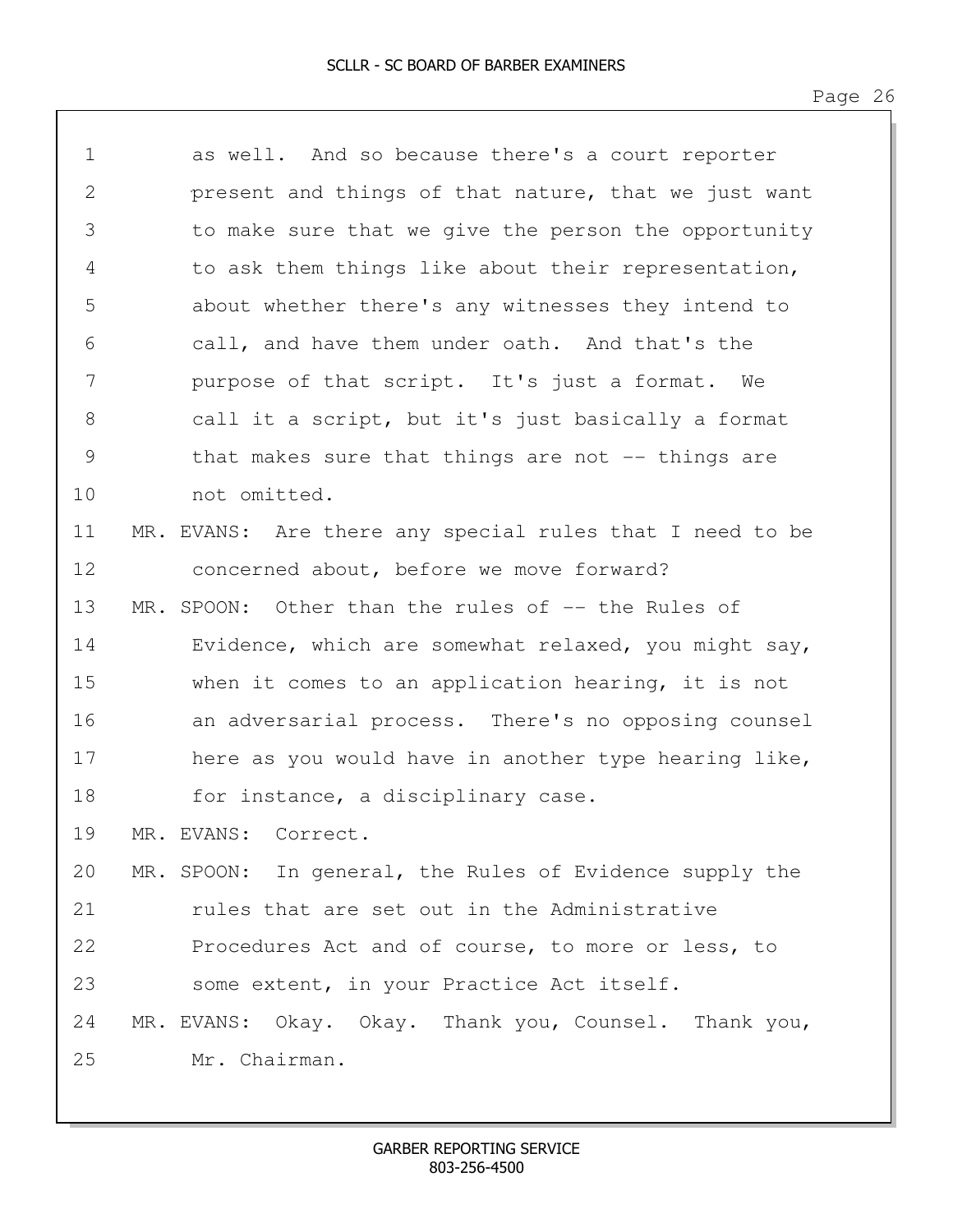| $\mathbf 1$   | as well. And so because there's a court reporter         |
|---------------|----------------------------------------------------------|
| $\mathbf{2}$  | present and things of that nature, that we just want     |
| 3             | to make sure that we give the person the opportunity     |
| 4             | to ask them things like about their representation,      |
| 5             | about whether there's any witnesses they intend to       |
| 6             | call, and have them under oath. And that's the           |
| 7             | purpose of that script. It's just a format. We           |
| 8             | call it a script, but it's just basically a format       |
| $\mathcal{G}$ | that makes sure that things are not $-$ things are       |
| 10            | not omitted.                                             |
| 11            | MR. EVANS: Are there any special rules that I need to be |
| 12            | concerned about, before we move forward?                 |
| 13            | MR. SPOON: Other than the rules of -- the Rules of       |
| 14            | Evidence, which are somewhat relaxed, you might say,     |
| 15            | when it comes to an application hearing, it is not       |
| 16            | an adversarial process. There's no opposing counsel      |
| 17            | here as you would have in another type hearing like,     |
| 18            | for instance, a disciplinary case.                       |
| 19            | MR. EVANS: Correct.                                      |
| 20            | MR. SPOON: In general, the Rules of Evidence supply the  |
| 21            | rules that are set out in the Administrative             |
| 22            | Procedures Act and of course, to more or less, to        |
| 23            | some extent, in your Practice Act itself.                |
| 24            | MR. EVANS: Okay. Okay. Thank you, Counsel. Thank you,    |
| 25            | Mr. Chairman.                                            |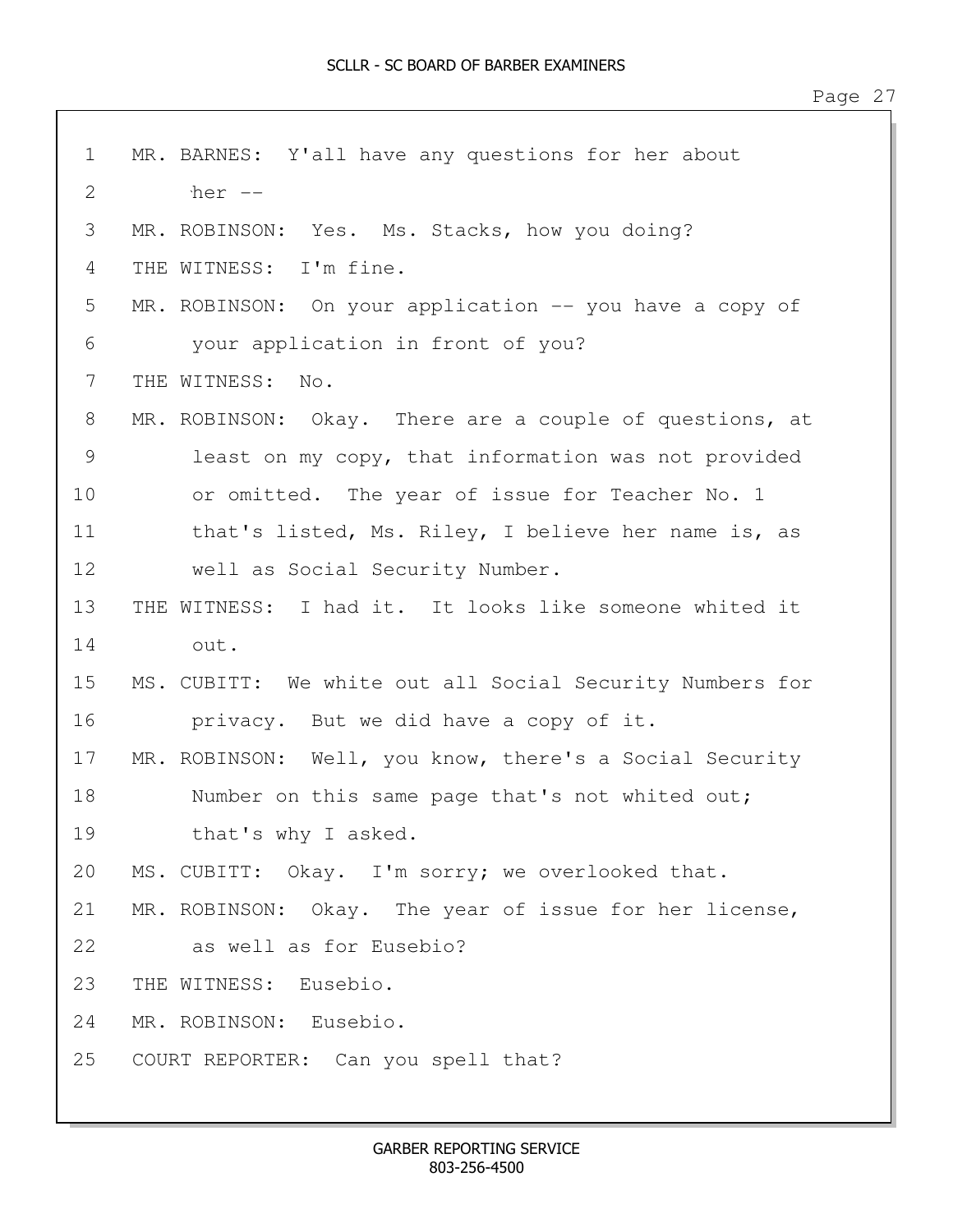| $\mathbf 1$  | MR. BARNES: Y'all have any questions for her about       |
|--------------|----------------------------------------------------------|
| $\mathbf{2}$ | her --                                                   |
| 3            | MR. ROBINSON: Yes. Ms. Stacks, how you doing?            |
| 4            | THE WITNESS: I'm fine.                                   |
| 5            | MR. ROBINSON: On your application -- you have a copy of  |
| 6            | your application in front of you?                        |
| 7            | THE WITNESS:<br>No.                                      |
| 8            | MR. ROBINSON: Okay. There are a couple of questions, at  |
| 9            | least on my copy, that information was not provided      |
| 10           | or omitted. The year of issue for Teacher No. 1          |
| 11           | that's listed, Ms. Riley, I believe her name is, as      |
| 12           | well as Social Security Number.                          |
| 13           | THE WITNESS: I had it. It looks like someone whited it   |
| 14           | out.                                                     |
| 15           | MS. CUBITT: We white out all Social Security Numbers for |
| 16           | privacy. But we did have a copy of it.                   |
| 17           | MR. ROBINSON: Well, you know, there's a Social Security  |
| 18           | Number on this same page that's not whited out;          |
| 19           | that's why I asked.                                      |
| 20           | MS. CUBITT: Okay. I'm sorry; we overlooked that.         |
| 21           | MR. ROBINSON: Okay. The year of issue for her license,   |
| 22           | as well as for Eusebio?                                  |
| 23           | THE WITNESS: Eusebio.                                    |
| 24           | MR. ROBINSON: Eusebio.                                   |
| 25           | COURT REPORTER: Can you spell that?                      |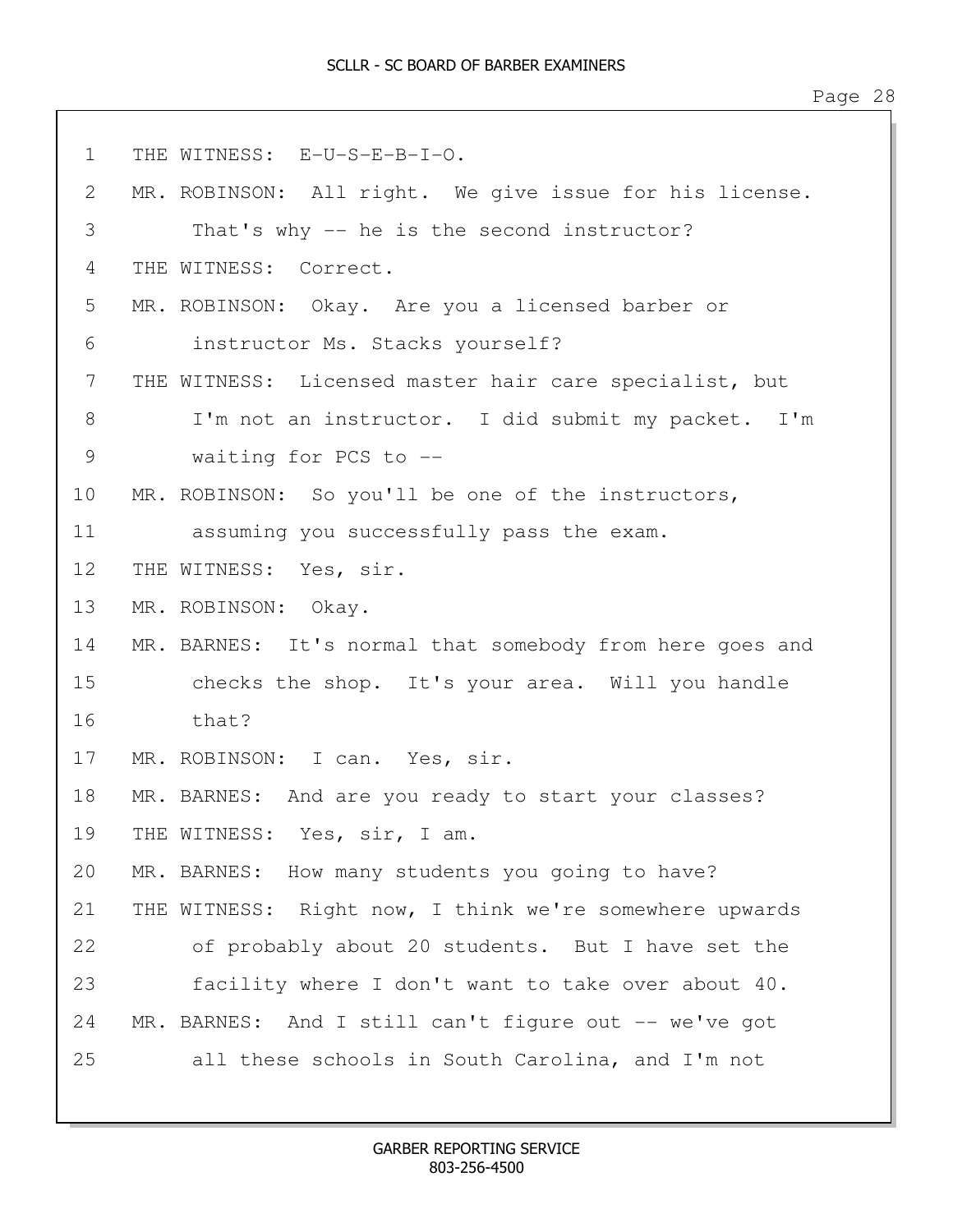```
1 THE WITNESS: E-U-S-E-B-I-O.
2 MR. ROBINSON: All right. We give issue for his license. 
3 That's why -- he is the second instructor?
4 THE WITNESS: Correct. 
5 MR. ROBINSON: Okay. Are you a licensed barber or
6 instructor Ms. Stacks yourself?
7 THE WITNESS: Licensed master hair care specialist, but
8 I'm not an instructor. I did submit my packet. I'm
9 waiting for PCS to --
10 MR. ROBINSON: So you'll be one of the instructors,
11 assuming you successfully pass the exam.
12 THE WITNESS: Yes, sir. 
13 MR. ROBINSON: Okay. 
14 MR. BARNES: It's normal that somebody from here goes and
15 checks the shop. It's your area. Will you handle
16 that?
17 MR. ROBINSON: I can. Yes, sir. 
18 MR. BARNES: And are you ready to start your classes?
19 THE WITNESS: Yes, sir, I am.
20 MR. BARNES: How many students you going to have?
21 THE WITNESS: Right now, I think we're somewhere upwards
22 of probably about 20 students. But I have set the
23 facility where I don't want to take over about 40.
24 MR. BARNES: And I still can't figure out -- we've got
25 all these schools in South Carolina, and I'm not
```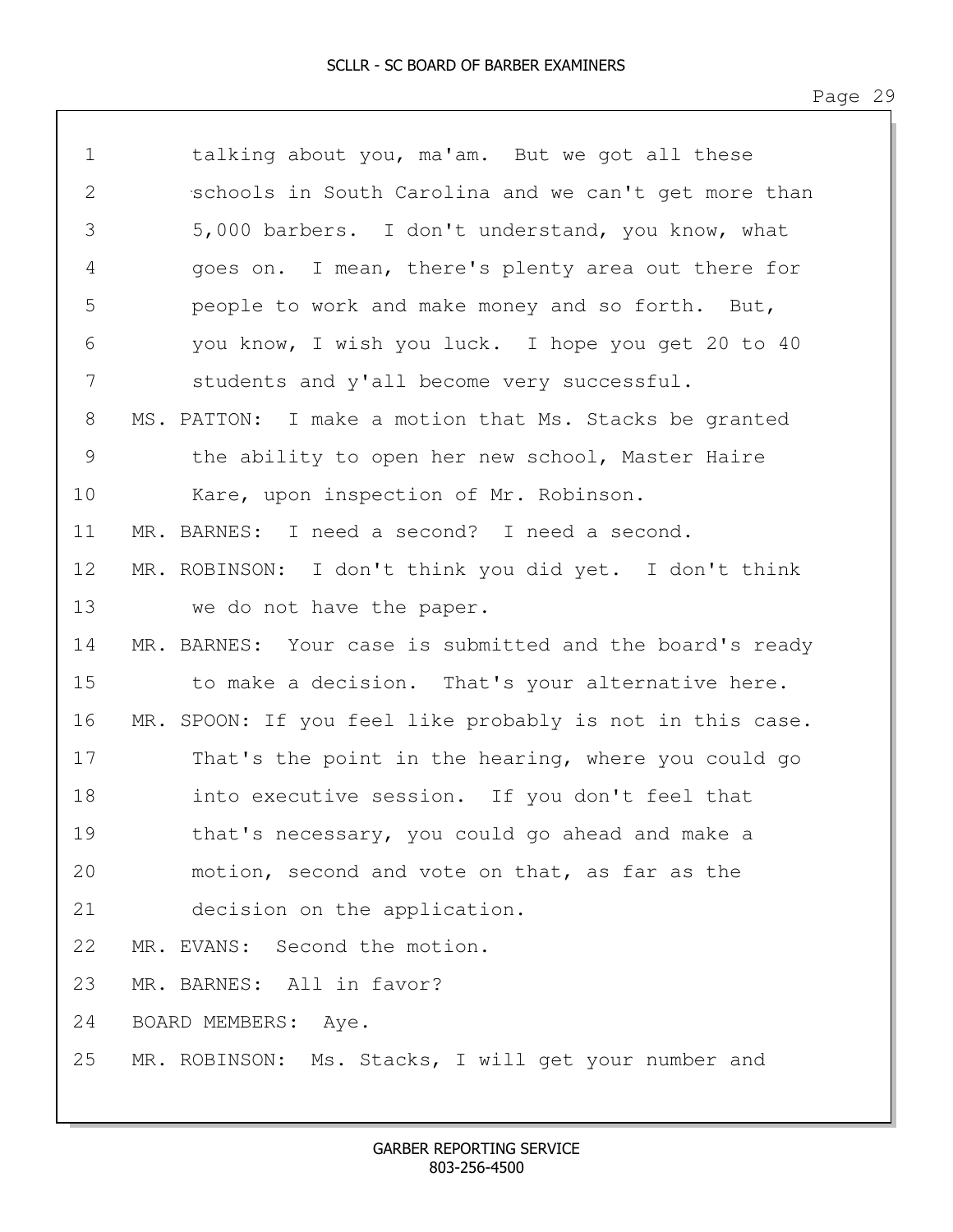| $\mathbf 1$ | talking about you, ma'am. But we got all these            |
|-------------|-----------------------------------------------------------|
| 2           | schools in South Carolina and we can't get more than      |
| 3           | 5,000 barbers. I don't understand, you know, what         |
| 4           | goes on. I mean, there's plenty area out there for        |
| 5           | people to work and make money and so forth. But,          |
| 6           | you know, I wish you luck. I hope you get 20 to 40        |
| 7           | students and y'all become very successful.                |
| 8           | MS. PATTON: I make a motion that Ms. Stacks be granted    |
| 9           | the ability to open her new school, Master Haire          |
| 10          | Kare, upon inspection of Mr. Robinson.                    |
| 11          | MR. BARNES: I need a second? I need a second.             |
| 12          | MR. ROBINSON: I don't think you did yet. I don't think    |
| 13          | we do not have the paper.                                 |
| 14          | MR. BARNES: Your case is submitted and the board's ready  |
| 15          | to make a decision. That's your alternative here.         |
| 16          | MR. SPOON: If you feel like probably is not in this case. |
| 17          | That's the point in the hearing, where you could go       |
| 18          | into executive session. If you don't feel that            |
| 19          | that's necessary, you could go ahead and make a           |
| 20          | motion, second and vote on that, as far as the            |
| 21          | decision on the application.                              |
| 22          | MR. EVANS: Second the motion.                             |
| 23          | MR. BARNES: All in favor?                                 |
| 24          | BOARD MEMBERS: Aye.                                       |
| 25          | MR. ROBINSON: Ms. Stacks, I will get your number and      |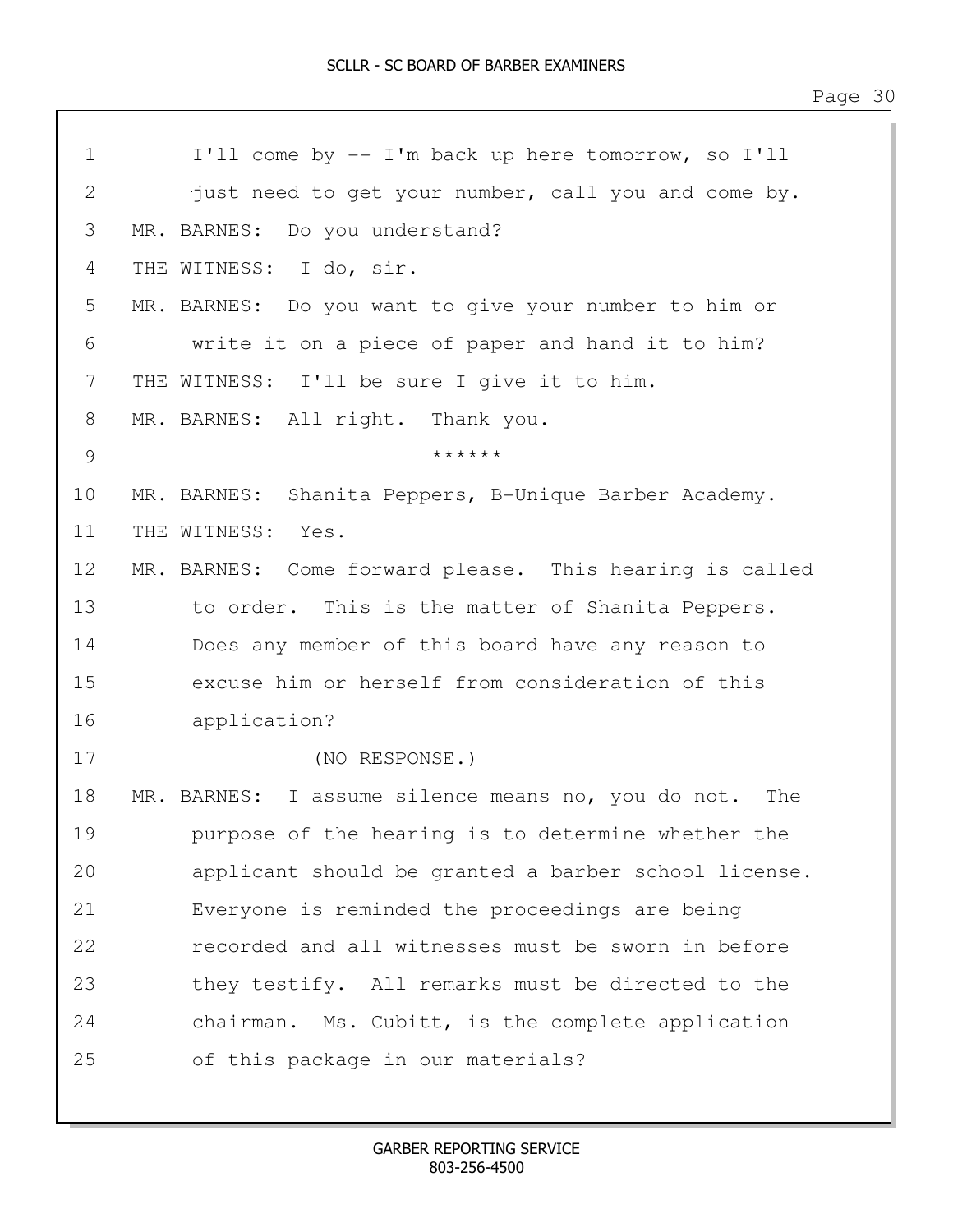| $\mathbf 1$   | I'll come by -- I'm back up here tomorrow, so I'll      |
|---------------|---------------------------------------------------------|
| $\sqrt{2}$    | just need to get your number, call you and come by.     |
| 3             | MR. BARNES: Do you understand?                          |
| 4             | THE WITNESS: I do, sir.                                 |
| 5             | MR. BARNES: Do you want to give your number to him or   |
| 6             | write it on a piece of paper and hand it to him?        |
| 7             | THE WITNESS: I'll be sure I give it to him.             |
| 8             | MR. BARNES: All right. Thank you.                       |
| $\mathcal{G}$ | ******                                                  |
| 10            | MR. BARNES: Shanita Peppers, B-Unique Barber Academy.   |
| 11            | THE WITNESS:<br>Yes.                                    |
| 12            | MR. BARNES: Come forward please. This hearing is called |
| 13            | to order. This is the matter of Shanita Peppers.        |
| 14            | Does any member of this board have any reason to        |
| 15            | excuse him or herself from consideration of this        |
| 16            | application?                                            |
| 17            | (NO RESPONSE.)                                          |
| 18            | MR. BARNES: I assume silence means no, you do not. The  |
| 19            | purpose of the hearing is to determine whether the      |
| 20            | applicant should be granted a barber school license.    |
| 21            | Everyone is reminded the proceedings are being          |
| 22            | recorded and all witnesses must be sworn in before      |
| 23            | they testify. All remarks must be directed to the       |
| 24            | chairman. Ms. Cubitt, is the complete application       |
| 25            | of this package in our materials?                       |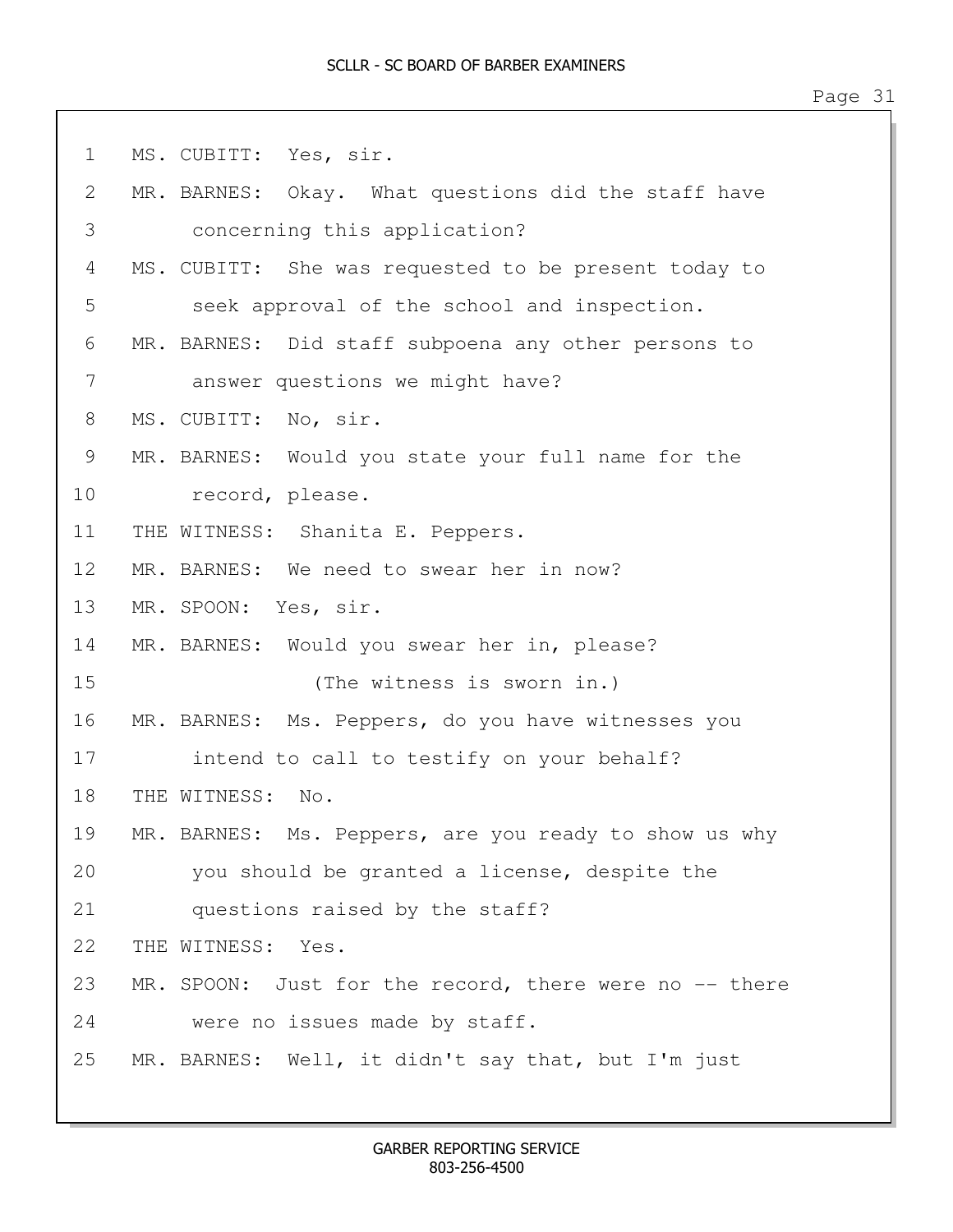| $\mathbf 1$ | MS. CUBITT: Yes, sir.                                  |
|-------------|--------------------------------------------------------|
| 2           | MR. BARNES: Okay. What questions did the staff have    |
| 3           | concerning this application?                           |
| 4           | MS. CUBITT: She was requested to be present today to   |
| 5           | seek approval of the school and inspection.            |
| 6           | MR. BARNES: Did staff subpoena any other persons to    |
| 7           | answer questions we might have?                        |
| 8           | MS. CUBITT: No, sir.                                   |
| 9           | MR. BARNES: Would you state your full name for the     |
| 10          | record, please.                                        |
| 11          | THE WITNESS: Shanita E. Peppers.                       |
| 12          | MR. BARNES: We need to swear her in now?               |
| 13          | MR. SPOON: Yes, sir.                                   |
| 14          | MR. BARNES: Would you swear her in, please?            |
| 15          | (The witness is sworn in.)                             |
| 16          | MR. BARNES: Ms. Peppers, do you have witnesses you     |
| 17          | intend to call to testify on your behalf?              |
| 18          | THE WITNESS: No.                                       |
| 19          | MR. BARNES: Ms. Peppers, are you ready to show us why  |
| 20          | you should be granted a license, despite the           |
| 21          | questions raised by the staff?                         |
| 22          | THE WITNESS: Yes.                                      |
| 23          | MR. SPOON: Just for the record, there were no -- there |
| 24          | were no issues made by staff.                          |
| 25          | MR. BARNES: Well, it didn't say that, but I'm just     |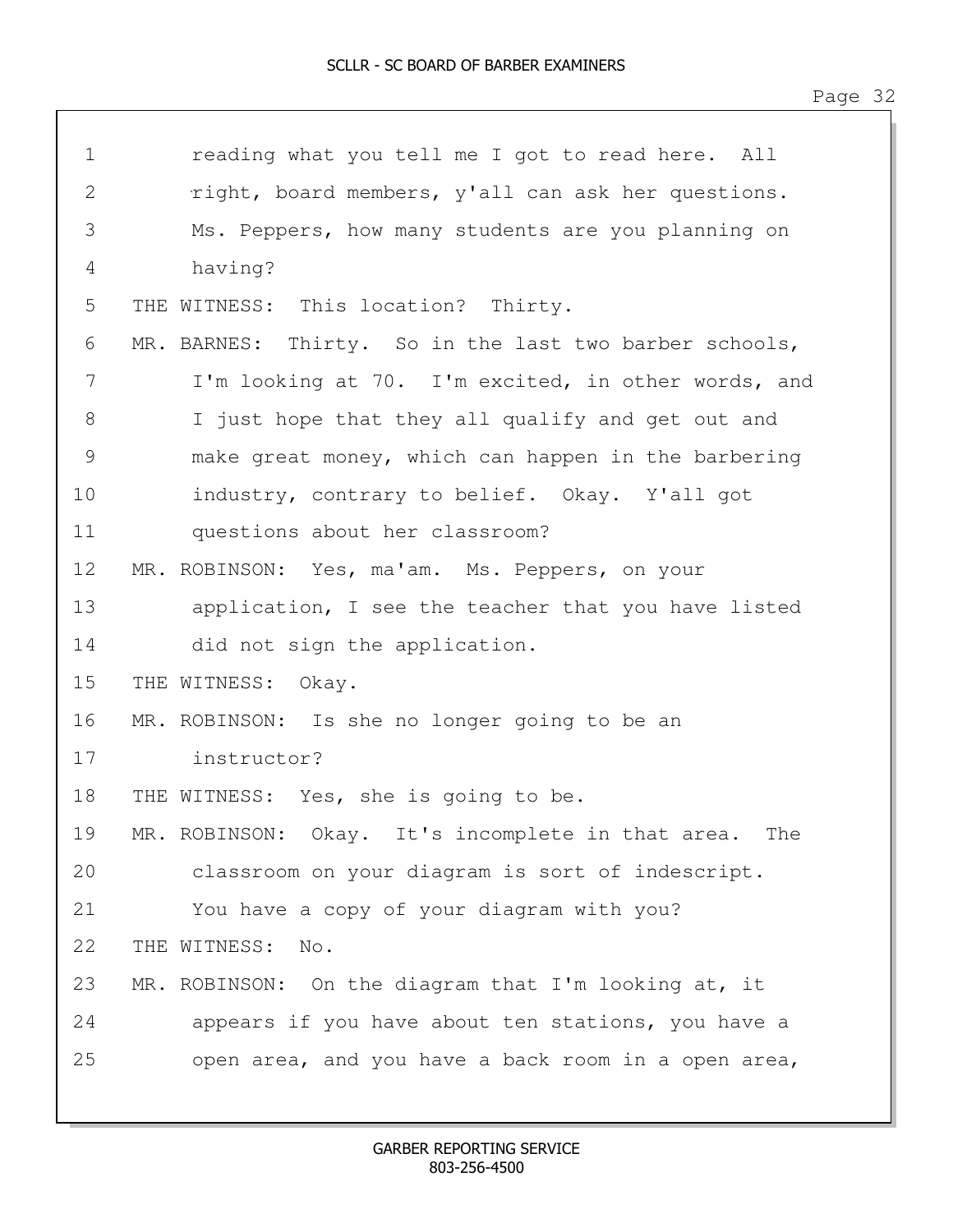| $\mathbf 1$    | reading what you tell me I got to read here. All         |
|----------------|----------------------------------------------------------|
| $\mathbf{2}$   | right, board members, y'all can ask her questions.       |
| $\mathfrak{Z}$ | Ms. Peppers, how many students are you planning on       |
| 4              | having?                                                  |
| 5              | THE WITNESS: This location? Thirty.                      |
| 6              | MR. BARNES: Thirty. So in the last two barber schools,   |
| 7              | I'm looking at 70. I'm excited, in other words, and      |
| 8              | I just hope that they all qualify and get out and        |
| $\mathcal{G}$  | make great money, which can happen in the barbering      |
| 10             | industry, contrary to belief. Okay. Y'all got            |
| 11             | questions about her classroom?                           |
| 12             | MR. ROBINSON: Yes, ma'am. Ms. Peppers, on your           |
| 13             | application, I see the teacher that you have listed      |
| 14             | did not sign the application.                            |
| 15             | THE WITNESS:<br>Okay.                                    |
| 16             | MR. ROBINSON: Is she no longer going to be an            |
| 17             | instructor?                                              |
| 18             | THE WITNESS: Yes, she is going to be.                    |
| 19             | MR. ROBINSON: Okay. It's incomplete in that area.<br>The |
| 20             | classroom on your diagram is sort of indescript.         |
| 21             | You have a copy of your diagram with you?                |
| 22             | THE WITNESS:<br>No.                                      |
| 23             | MR. ROBINSON: On the diagram that I'm looking at, it     |
| 24             | appears if you have about ten stations, you have a       |
| 25             | open area, and you have a back room in a open area,      |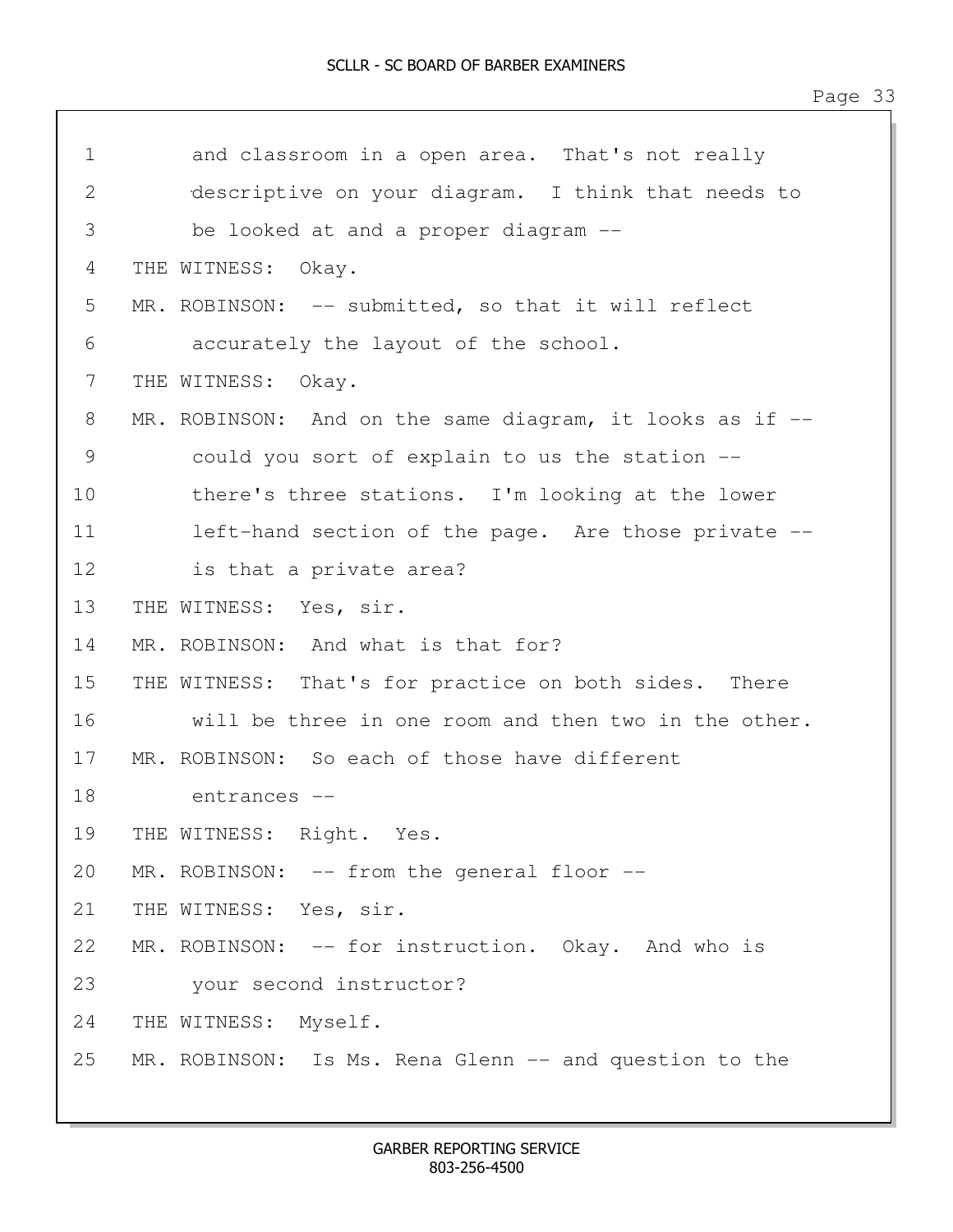| $\mathbf 1$ | and classroom in a open area. That's not really          |
|-------------|----------------------------------------------------------|
| 2           | descriptive on your diagram. I think that needs to       |
| 3           | be looked at and a proper diagram --                     |
| 4           | THE WITNESS:<br>Okay.                                    |
| 5           | MR. ROBINSON: -- submitted, so that it will reflect      |
| 6           | accurately the layout of the school.                     |
| 7           | THE WITNESS:<br>Okay.                                    |
| 8           | MR. ROBINSON: And on the same diagram, it looks as if -- |
| 9           | could you sort of explain to us the station --           |
| 10          | there's three stations. I'm looking at the lower         |
| 11          | left-hand section of the page. Are those private --      |
| 12          | is that a private area?                                  |
| 13          | THE WITNESS:<br>Yes, sir.                                |
| 14          | MR. ROBINSON: And what is that for?                      |
| 15          | THE WITNESS: That's for practice on both sides. There    |
| 16          | will be three in one room and then two in the other.     |
| 17          | MR. ROBINSON: So each of those have different            |
| 18          | entrances --                                             |
| 19          | THE WITNESS: Right. Yes.                                 |
| 20          | MR. ROBINSON: -- from the general floor --               |
| 21          | THE WITNESS: Yes, sir.                                   |
| 22          | MR. ROBINSON: -- for instruction. Okay. And who is       |
| 23          | your second instructor?                                  |
| 24          | THE WITNESS: Myself.                                     |
| 25          | MR. ROBINSON: Is Ms. Rena Glenn -- and question to the   |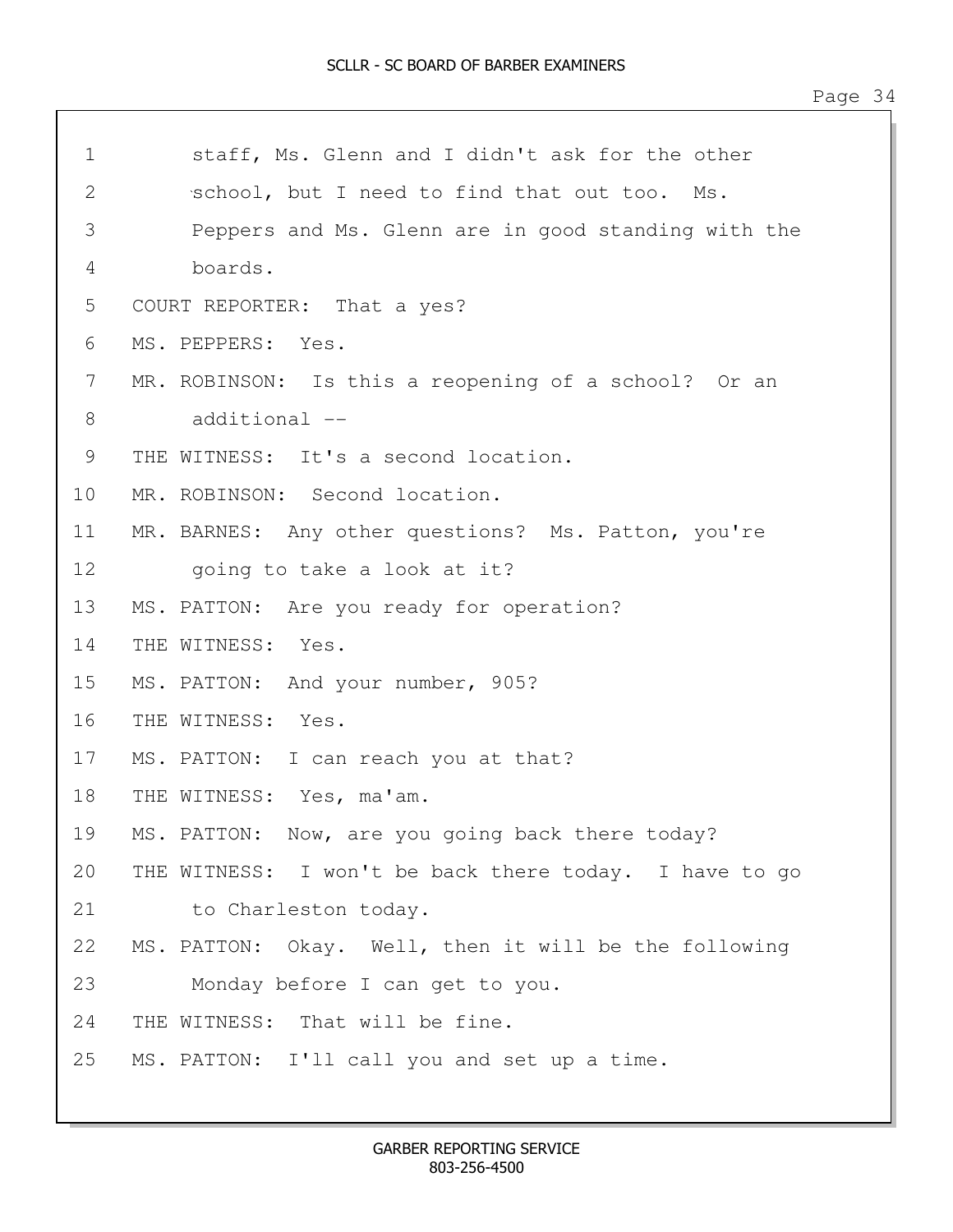| $\mathbf 1$  | staff, Ms. Glenn and I didn't ask for the other        |
|--------------|--------------------------------------------------------|
| $\mathbf{2}$ | school, but I need to find that out too. Ms.           |
| 3            | Peppers and Ms. Glenn are in good standing with the    |
| 4            | boards.                                                |
| 5            | COURT REPORTER: That a yes?                            |
| 6            | MS. PEPPERS: Yes.                                      |
| 7            | MR. ROBINSON: Is this a reopening of a school? Or an   |
| 8            | additional --                                          |
| 9            | THE WITNESS: It's a second location.                   |
| 10           | MR. ROBINSON: Second location.                         |
| 11           | MR. BARNES: Any other questions? Ms. Patton, you're    |
| 12           | going to take a look at it?                            |
| 13           | MS. PATTON: Are you ready for operation?               |
| 14           | THE WITNESS:<br>Yes.                                   |
| 15           | MS. PATTON: And your number, 905?                      |
| 16           | THE WITNESS: Yes.                                      |
| 17           | MS. PATTON: I can reach you at that?                   |
| 18           | THE WITNESS: Yes, ma'am.                               |
| 19           | MS. PATTON: Now, are you going back there today?       |
| 20           | THE WITNESS: I won't be back there today. I have to go |
| 21           | to Charleston today.                                   |
| 22           | MS. PATTON: Okay. Well, then it will be the following  |
| 23           | Monday before I can get to you.                        |
| 24           | THE WITNESS: That will be fine.                        |
| 25           | MS. PATTON: I'll call you and set up a time.           |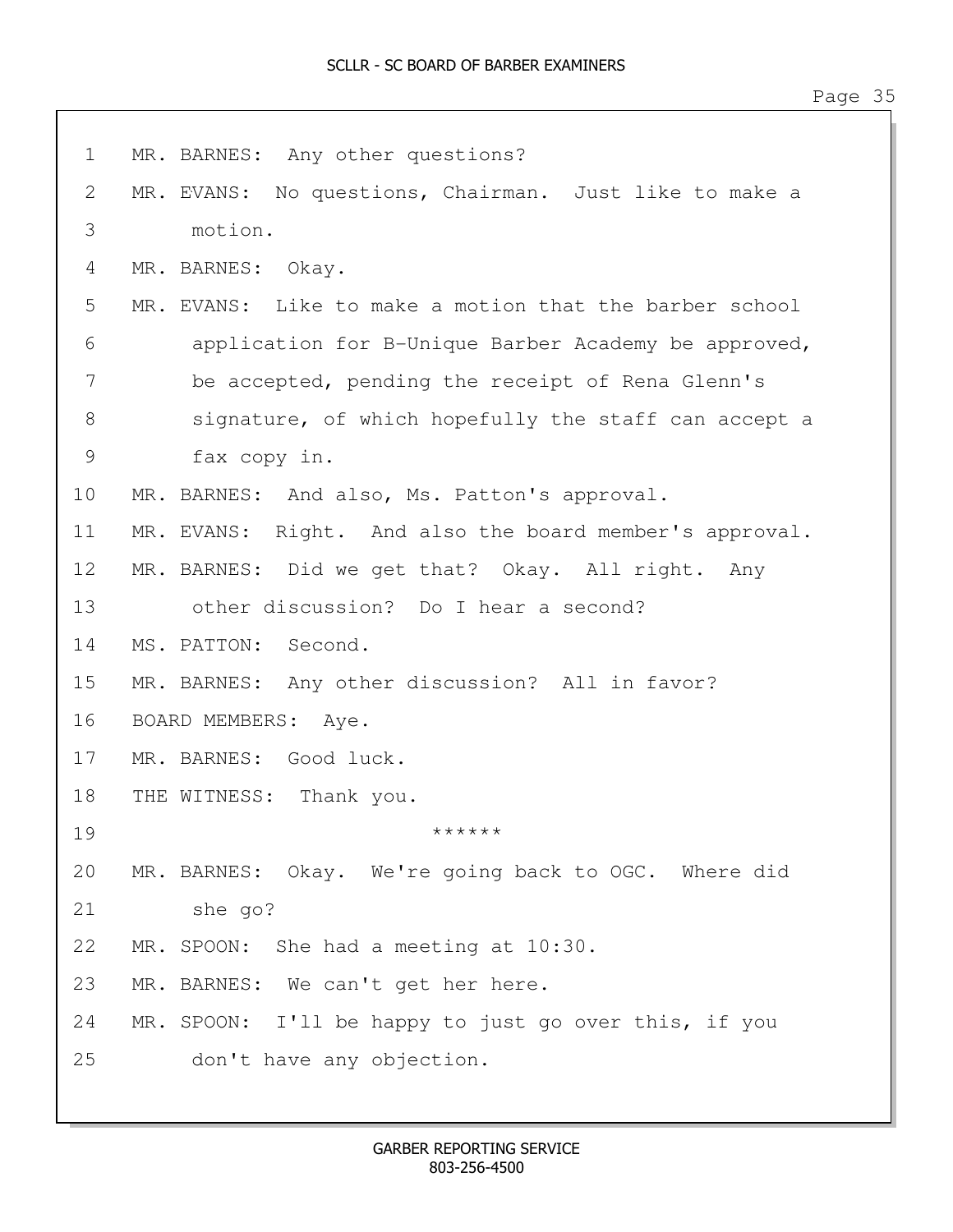| $\mathbf 1$   | MR. BARNES: Any other questions?                        |
|---------------|---------------------------------------------------------|
| $\mathbf{2}$  | MR. EVANS: No questions, Chairman. Just like to make a  |
| 3             | motion.                                                 |
| 4             | MR. BARNES: Okay.                                       |
| 5             | MR. EVANS: Like to make a motion that the barber school |
| 6             | application for B-Unique Barber Academy be approved,    |
| 7             | be accepted, pending the receipt of Rena Glenn's        |
| 8             | signature, of which hopefully the staff can accept a    |
| $\mathcal{G}$ | fax copy in.                                            |
| 10            | MR. BARNES: And also, Ms. Patton's approval.            |
| 11            | MR. EVANS: Right. And also the board member's approval. |
| 12            | MR. BARNES: Did we get that? Okay. All right. Any       |
| 13            | other discussion? Do I hear a second?                   |
| 14            | MS. PATTON: Second.                                     |
| 15            | MR. BARNES: Any other discussion? All in favor?         |
| 16            | BOARD MEMBERS: Aye.                                     |
| 17            | MR. BARNES: Good luck.                                  |
| 18            | THE WITNESS: Thank you.                                 |
| 19            | ******                                                  |
| 20            | MR. BARNES: Okay. We're going back to OGC. Where did    |
| 21            | she go?                                                 |
| 22            | MR. SPOON: She had a meeting at 10:30.                  |
| 23            | MR. BARNES: We can't get her here.                      |
| 24            | MR. SPOON: I'll be happy to just go over this, if you   |
| 25            | don't have any objection.                               |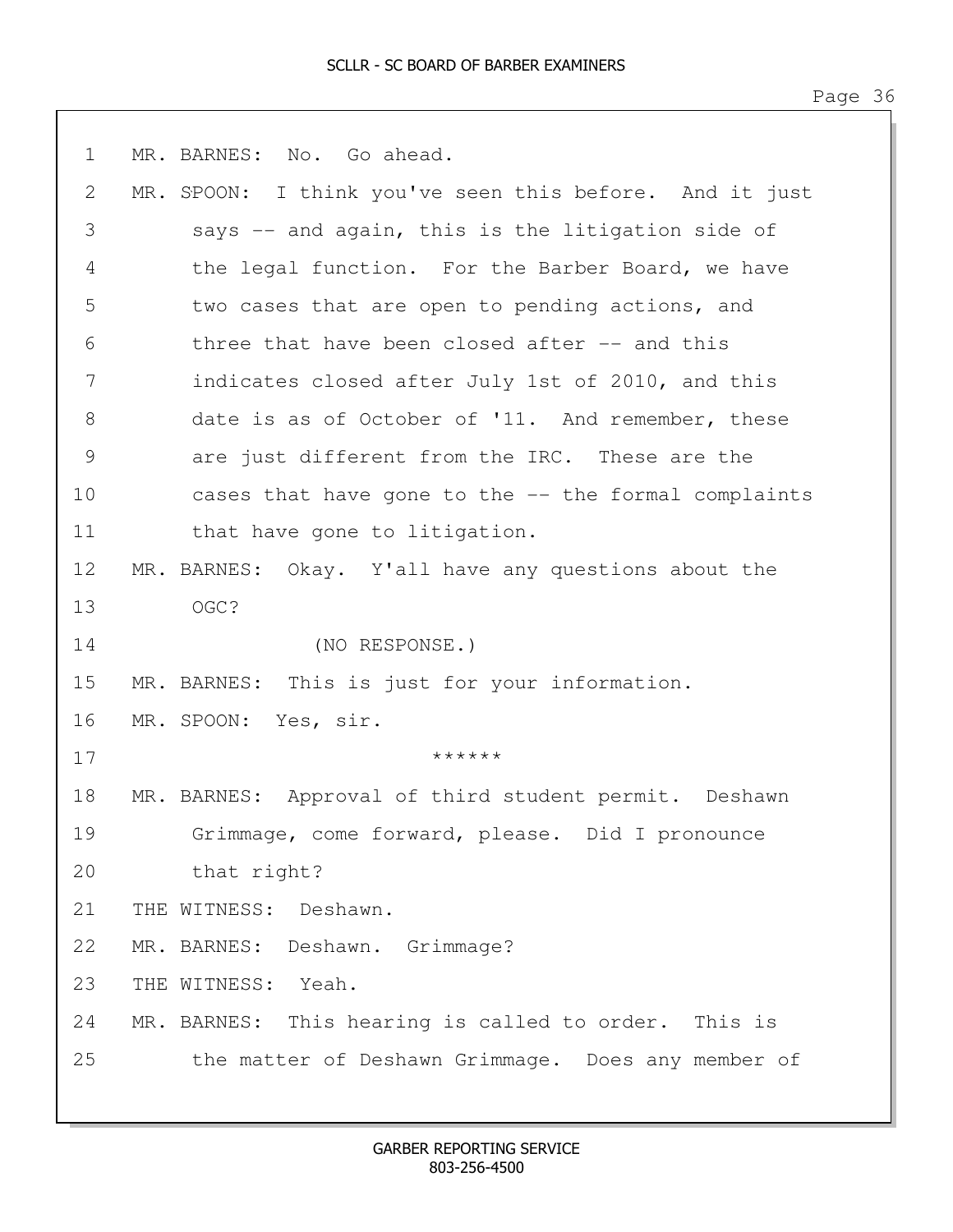| $\mathbf 1$     | MR. BARNES: No. Go ahead.                               |
|-----------------|---------------------------------------------------------|
| 2               | MR. SPOON: I think you've seen this before. And it just |
| 3               | says -- and again, this is the litigation side of       |
| 4               | the legal function. For the Barber Board, we have       |
| 5               | two cases that are open to pending actions, and         |
| 6               | three that have been closed after -- and this           |
| 7               | indicates closed after July 1st of 2010, and this       |
| $8\,$           | date is as of October of '11. And remember, these       |
| $\mathcal{G}$   | are just different from the IRC. These are the          |
| 10              | cases that have gone to the -- the formal complaints    |
| 11              | that have gone to litigation.                           |
| 12 <sup>°</sup> | MR. BARNES: Okay. Y'all have any questions about the    |
| 13              | OGC?                                                    |
| 14              | (NO RESPONSE.)                                          |
| 15              | MR. BARNES: This is just for your information.          |
| 16              | MR. SPOON: Yes, sir.                                    |
| 17              | ******                                                  |
| 18              | MR. BARNES: Approval of third student permit. Deshawn   |
| 19              | Grimmage, come forward, please. Did I pronounce         |
| 20              | that right?                                             |
| 21              | THE WITNESS: Deshawn.                                   |
| 22              | MR. BARNES: Deshawn. Grimmage?                          |
| 23              | THE WITNESS: Yeah.                                      |
| 24              | MR. BARNES: This hearing is called to order. This is    |
| 25              | the matter of Deshawn Grimmage. Does any member of      |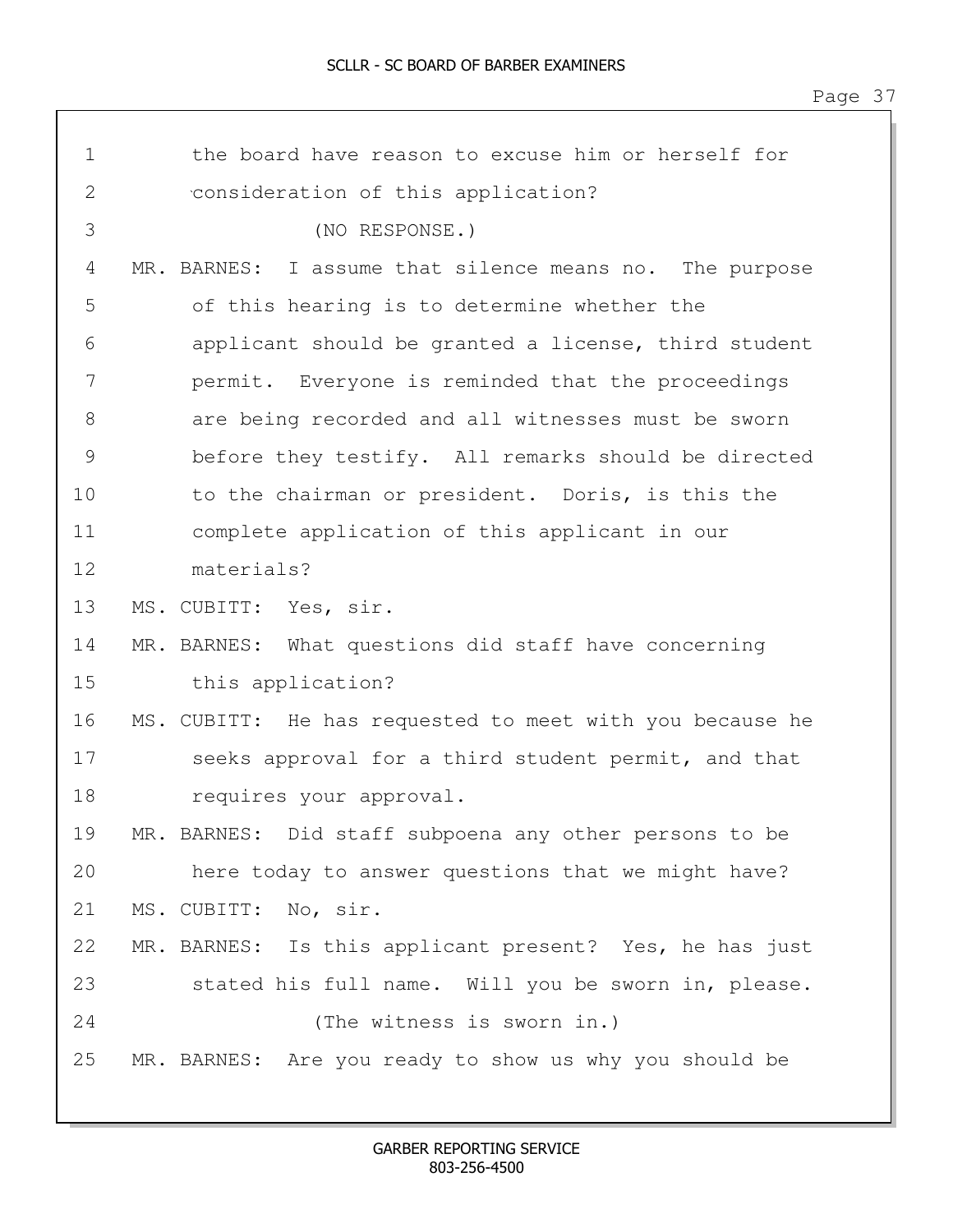| $\mathbf{2}$<br>consideration of this application?<br>3<br>(NO RESPONSE.)<br>4<br>I assume that silence means no. The purpose<br>MR. BARNES:<br>5<br>of this hearing is to determine whether the<br>6<br>applicant should be granted a license, third student<br>7<br>permit. Everyone is reminded that the proceedings<br>8<br>are being recorded and all witnesses must be sworn<br>$\mathcal{G}$<br>before they testify. All remarks should be directed<br>to the chairman or president. Doris, is this the<br>10<br>11<br>complete application of this applicant in our<br>materials?<br>12<br>13<br>MS. CUBITT: Yes, sir.<br>14<br>MR. BARNES: What questions did staff have concerning<br>15<br>this application?<br>16<br>MS. CUBITT: He has requested to meet with you because he<br>17<br>seeks approval for a third student permit, and that<br>18<br>requires your approval.<br>MR. BARNES: Did staff subpoena any other persons to be<br>19<br>20<br>here today to answer questions that we might have?<br>21<br>MS. CUBITT: No, sir.<br>22<br>MR. BARNES: Is this applicant present? Yes, he has just<br>23<br>stated his full name. Will you be sworn in, please.<br>24<br>(The witness is sworn in.)<br>25 | $\mathbf 1$ | the board have reason to excuse him or herself for     |  |
|---------------------------------------------------------------------------------------------------------------------------------------------------------------------------------------------------------------------------------------------------------------------------------------------------------------------------------------------------------------------------------------------------------------------------------------------------------------------------------------------------------------------------------------------------------------------------------------------------------------------------------------------------------------------------------------------------------------------------------------------------------------------------------------------------------------------------------------------------------------------------------------------------------------------------------------------------------------------------------------------------------------------------------------------------------------------------------------------------------------------------------------------------------------------------------------------------------------------------|-------------|--------------------------------------------------------|--|
|                                                                                                                                                                                                                                                                                                                                                                                                                                                                                                                                                                                                                                                                                                                                                                                                                                                                                                                                                                                                                                                                                                                                                                                                                           |             |                                                        |  |
|                                                                                                                                                                                                                                                                                                                                                                                                                                                                                                                                                                                                                                                                                                                                                                                                                                                                                                                                                                                                                                                                                                                                                                                                                           |             |                                                        |  |
|                                                                                                                                                                                                                                                                                                                                                                                                                                                                                                                                                                                                                                                                                                                                                                                                                                                                                                                                                                                                                                                                                                                                                                                                                           |             |                                                        |  |
|                                                                                                                                                                                                                                                                                                                                                                                                                                                                                                                                                                                                                                                                                                                                                                                                                                                                                                                                                                                                                                                                                                                                                                                                                           |             |                                                        |  |
|                                                                                                                                                                                                                                                                                                                                                                                                                                                                                                                                                                                                                                                                                                                                                                                                                                                                                                                                                                                                                                                                                                                                                                                                                           |             |                                                        |  |
|                                                                                                                                                                                                                                                                                                                                                                                                                                                                                                                                                                                                                                                                                                                                                                                                                                                                                                                                                                                                                                                                                                                                                                                                                           |             |                                                        |  |
|                                                                                                                                                                                                                                                                                                                                                                                                                                                                                                                                                                                                                                                                                                                                                                                                                                                                                                                                                                                                                                                                                                                                                                                                                           |             |                                                        |  |
|                                                                                                                                                                                                                                                                                                                                                                                                                                                                                                                                                                                                                                                                                                                                                                                                                                                                                                                                                                                                                                                                                                                                                                                                                           |             |                                                        |  |
|                                                                                                                                                                                                                                                                                                                                                                                                                                                                                                                                                                                                                                                                                                                                                                                                                                                                                                                                                                                                                                                                                                                                                                                                                           |             |                                                        |  |
|                                                                                                                                                                                                                                                                                                                                                                                                                                                                                                                                                                                                                                                                                                                                                                                                                                                                                                                                                                                                                                                                                                                                                                                                                           |             |                                                        |  |
|                                                                                                                                                                                                                                                                                                                                                                                                                                                                                                                                                                                                                                                                                                                                                                                                                                                                                                                                                                                                                                                                                                                                                                                                                           |             |                                                        |  |
|                                                                                                                                                                                                                                                                                                                                                                                                                                                                                                                                                                                                                                                                                                                                                                                                                                                                                                                                                                                                                                                                                                                                                                                                                           |             |                                                        |  |
|                                                                                                                                                                                                                                                                                                                                                                                                                                                                                                                                                                                                                                                                                                                                                                                                                                                                                                                                                                                                                                                                                                                                                                                                                           |             |                                                        |  |
|                                                                                                                                                                                                                                                                                                                                                                                                                                                                                                                                                                                                                                                                                                                                                                                                                                                                                                                                                                                                                                                                                                                                                                                                                           |             |                                                        |  |
|                                                                                                                                                                                                                                                                                                                                                                                                                                                                                                                                                                                                                                                                                                                                                                                                                                                                                                                                                                                                                                                                                                                                                                                                                           |             |                                                        |  |
|                                                                                                                                                                                                                                                                                                                                                                                                                                                                                                                                                                                                                                                                                                                                                                                                                                                                                                                                                                                                                                                                                                                                                                                                                           |             |                                                        |  |
|                                                                                                                                                                                                                                                                                                                                                                                                                                                                                                                                                                                                                                                                                                                                                                                                                                                                                                                                                                                                                                                                                                                                                                                                                           |             |                                                        |  |
|                                                                                                                                                                                                                                                                                                                                                                                                                                                                                                                                                                                                                                                                                                                                                                                                                                                                                                                                                                                                                                                                                                                                                                                                                           |             |                                                        |  |
|                                                                                                                                                                                                                                                                                                                                                                                                                                                                                                                                                                                                                                                                                                                                                                                                                                                                                                                                                                                                                                                                                                                                                                                                                           |             |                                                        |  |
|                                                                                                                                                                                                                                                                                                                                                                                                                                                                                                                                                                                                                                                                                                                                                                                                                                                                                                                                                                                                                                                                                                                                                                                                                           |             |                                                        |  |
|                                                                                                                                                                                                                                                                                                                                                                                                                                                                                                                                                                                                                                                                                                                                                                                                                                                                                                                                                                                                                                                                                                                                                                                                                           |             |                                                        |  |
|                                                                                                                                                                                                                                                                                                                                                                                                                                                                                                                                                                                                                                                                                                                                                                                                                                                                                                                                                                                                                                                                                                                                                                                                                           |             |                                                        |  |
|                                                                                                                                                                                                                                                                                                                                                                                                                                                                                                                                                                                                                                                                                                                                                                                                                                                                                                                                                                                                                                                                                                                                                                                                                           |             |                                                        |  |
|                                                                                                                                                                                                                                                                                                                                                                                                                                                                                                                                                                                                                                                                                                                                                                                                                                                                                                                                                                                                                                                                                                                                                                                                                           |             | MR. BARNES: Are you ready to show us why you should be |  |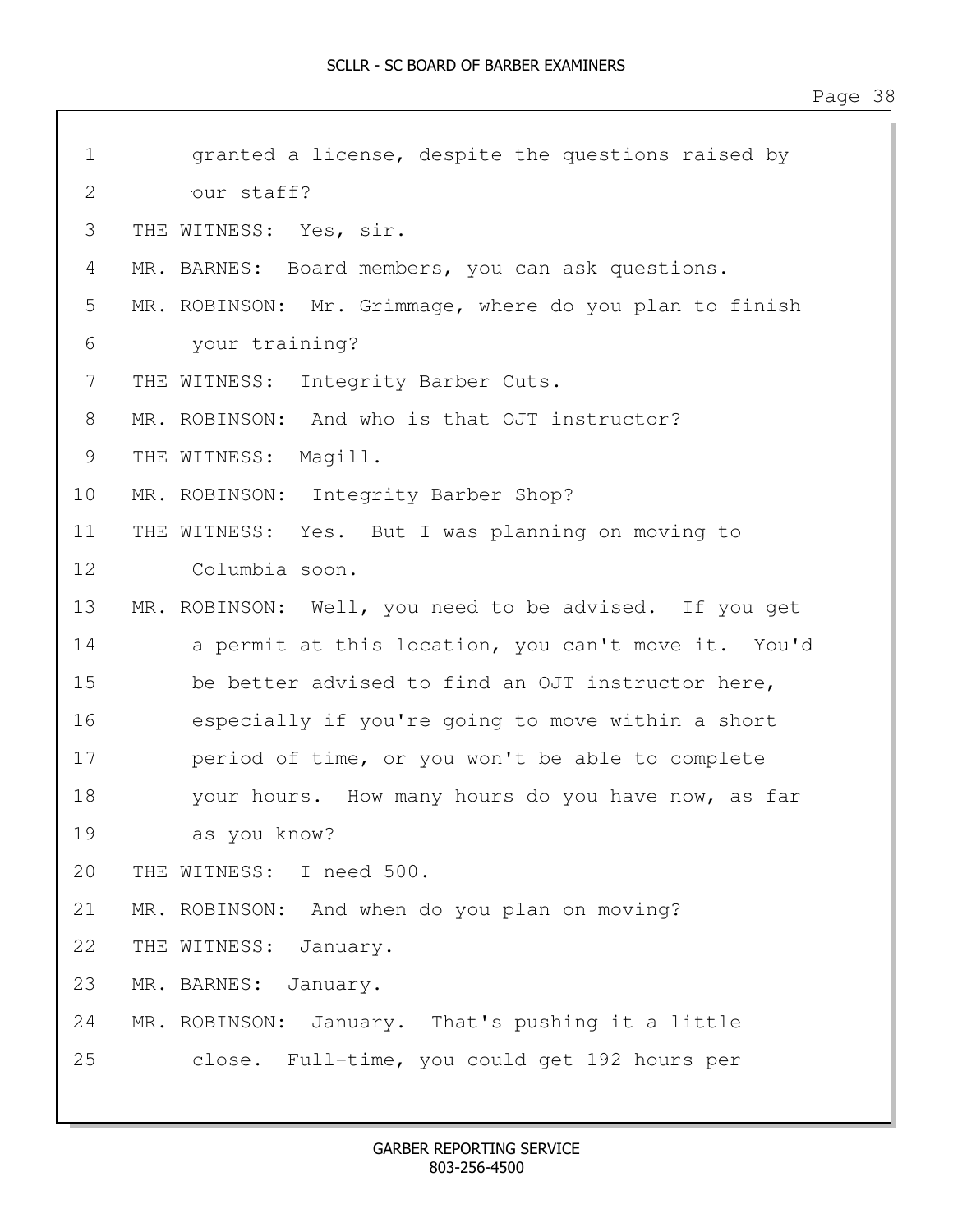| $\mathbf 1$  | granted a license, despite the questions raised by      |
|--------------|---------------------------------------------------------|
| $\mathbf{2}$ | our staff?                                              |
| 3            | THE WITNESS: Yes, sir.                                  |
| 4            | MR. BARNES: Board members, you can ask questions.       |
| 5            | MR. ROBINSON: Mr. Grimmage, where do you plan to finish |
| 6            | your training?                                          |
| 7            | THE WITNESS: Integrity Barber Cuts.                     |
| 8            | MR. ROBINSON: And who is that OJT instructor?           |
| 9            | THE WITNESS: Magill.                                    |
| 10           | MR. ROBINSON: Integrity Barber Shop?                    |
| 11           | THE WITNESS: Yes. But I was planning on moving to       |
| 12           | Columbia soon.                                          |
| 13           | MR. ROBINSON: Well, you need to be advised. If you get  |
| 14           | a permit at this location, you can't move it. You'd     |
| 15           | be better advised to find an OJT instructor here,       |
| 16           | especially if you're going to move within a short       |
| 17           | period of time, or you won't be able to complete        |
| 18           | your hours. How many hours do you have now, as far      |
| 19           | as you know?                                            |
| 20           | THE WITNESS: I need 500.                                |
| 21           | MR. ROBINSON: And when do you plan on moving?           |
| 22           | THE WITNESS:<br>January.                                |
| 23           | MR. BARNES:<br>January.                                 |
| 24           | January. That's pushing it a little<br>MR. ROBINSON:    |
| 25           | Full-time, you could get 192 hours per<br>close.        |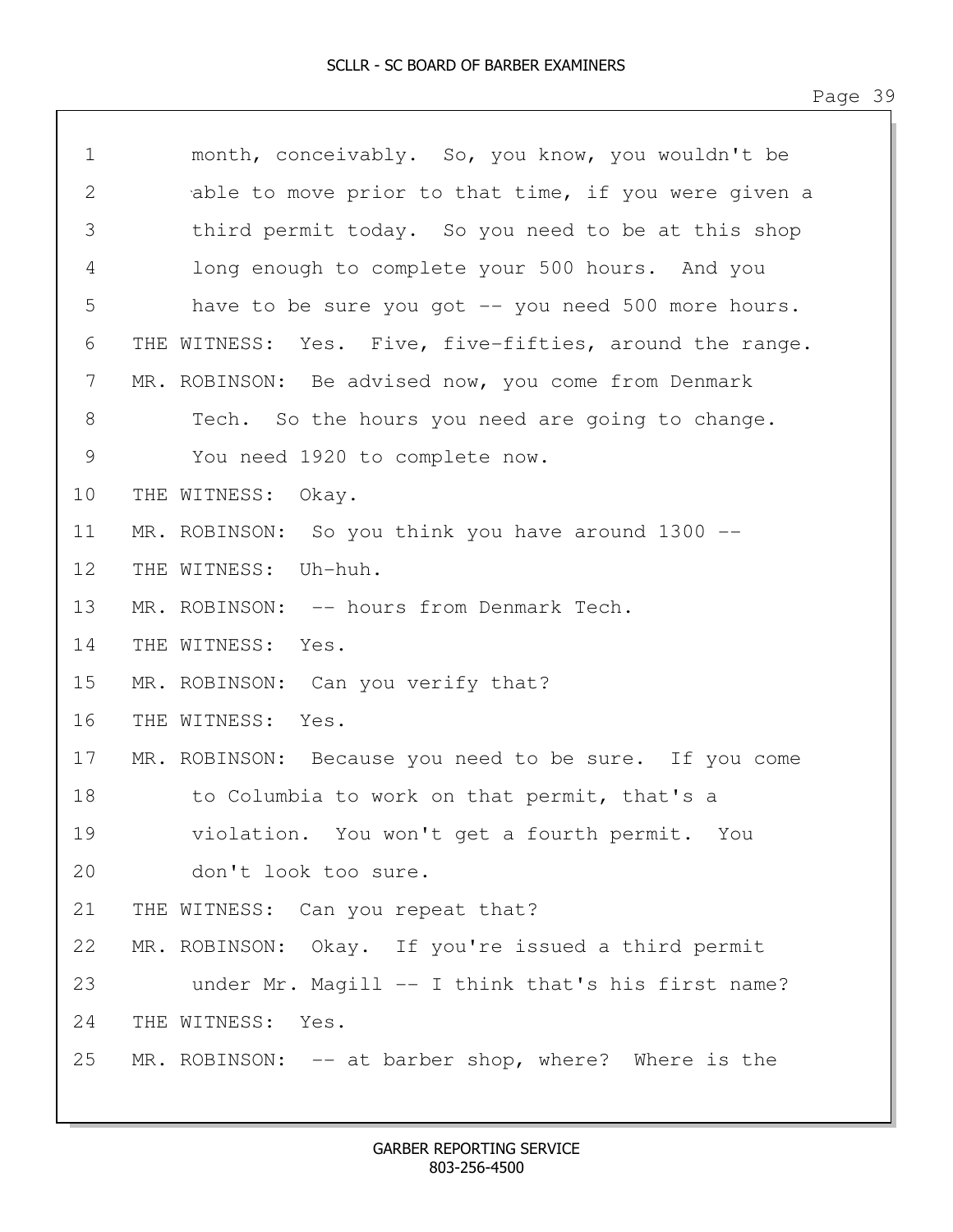| $\mathbf 1$ | month, conceivably. So, you know, you wouldn't be       |
|-------------|---------------------------------------------------------|
| 2           | able to move prior to that time, if you were given a    |
| 3           | third permit today. So you need to be at this shop      |
| 4           | long enough to complete your 500 hours. And you         |
| 5           | have to be sure you got -- you need 500 more hours.     |
| 6           | THE WITNESS: Yes. Five, five-fifties, around the range. |
| 7           | MR. ROBINSON: Be advised now, you come from Denmark     |
| 8           | Tech. So the hours you need are going to change.        |
| 9           | You need 1920 to complete now.                          |
| 10          | THE WITNESS: Okay.                                      |
| 11          | MR. ROBINSON: So you think you have around 1300 --      |
| 12          | THE WITNESS: Uh-huh.                                    |
| 13          | MR. ROBINSON: -- hours from Denmark Tech.               |
| 14          | THE WITNESS:<br>Yes.                                    |
| 15          | MR. ROBINSON: Can you verify that?                      |
| 16          | THE WITNESS:<br>Yes.                                    |
| 17          | MR. ROBINSON: Because you need to be sure. If you come  |
| 18          | to Columbia to work on that permit, that's a            |
| 19          | violation. You won't get a fourth permit. You           |
| 20          | don't look too sure.                                    |
| 21          | THE WITNESS: Can you repeat that?                       |
| 22          | MR. ROBINSON: Okay. If you're issued a third permit     |
| 23          | under Mr. Magill -- I think that's his first name?      |
| 24          | THE WITNESS: Yes.                                       |
| 25          | MR. ROBINSON: $-$ at barber shop, where? Where is the   |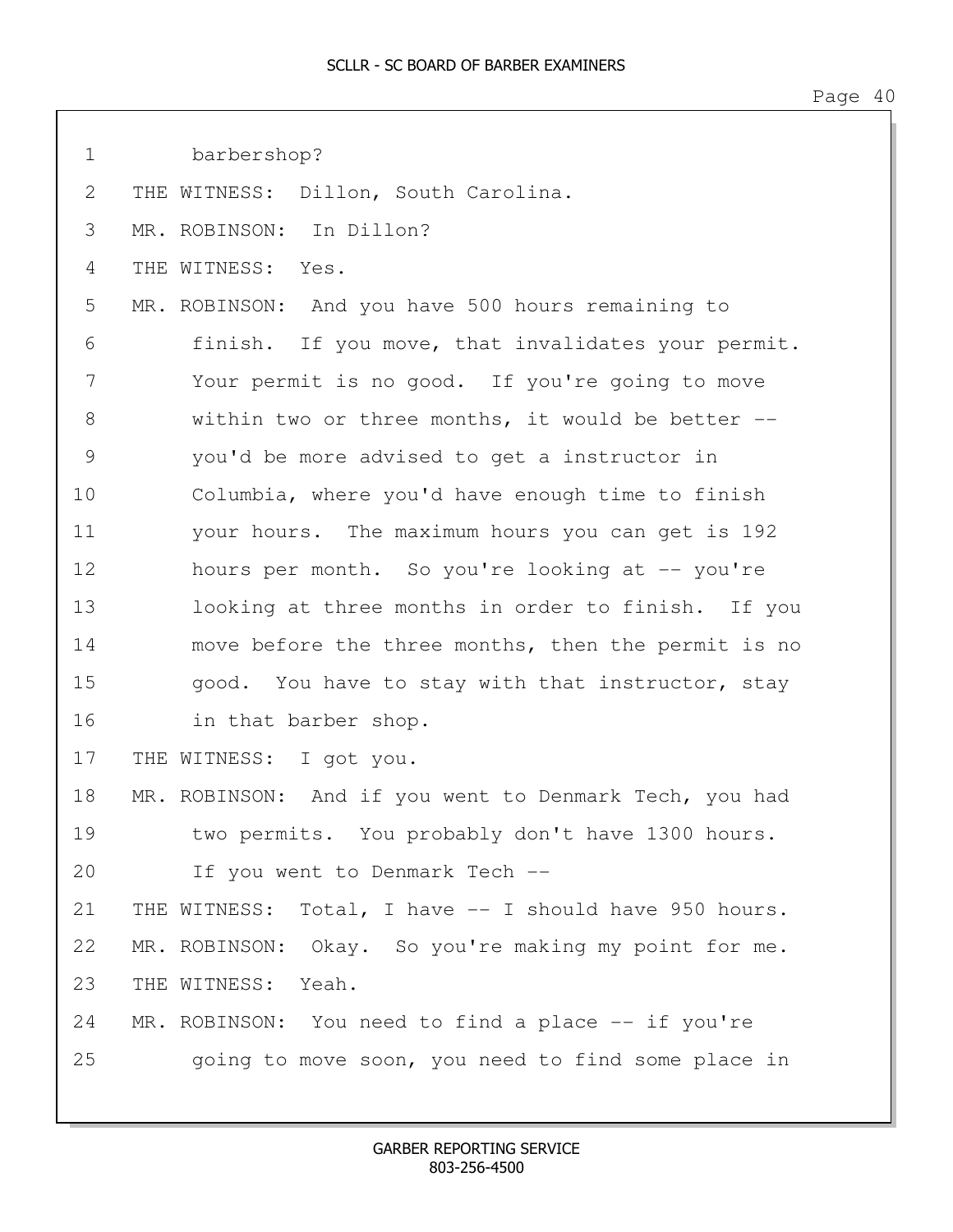| $\mathbf 1$   | barbershop?                                            |
|---------------|--------------------------------------------------------|
| 2             | THE WITNESS: Dillon, South Carolina.                   |
| 3             | MR. ROBINSON: In Dillon?                               |
| 4             | THE WITNESS: Yes.                                      |
| 5             | MR. ROBINSON: And you have 500 hours remaining to      |
| 6             | finish. If you move, that invalidates your permit.     |
| 7             | Your permit is no good. If you're going to move        |
| 8             | within two or three months, it would be better --      |
| $\mathcal{G}$ | you'd be more advised to get a instructor in           |
| 10            | Columbia, where you'd have enough time to finish       |
| 11            | your hours. The maximum hours you can get is 192       |
| 12            | hours per month. So you're looking at -- you're        |
| 13            | looking at three months in order to finish. If you     |
| 14            | move before the three months, then the permit is no    |
| 15            | good. You have to stay with that instructor, stay      |
| 16            | in that barber shop.                                   |
| 17            | THE WITNESS: I got you.                                |
| 18            | MR. ROBINSON: And if you went to Denmark Tech, you had |
| 19            | two permits. You probably don't have 1300 hours.       |
| 20            | If you went to Denmark Tech --                         |
| 21            | THE WITNESS: Total, I have -- I should have 950 hours. |
| 22            | MR. ROBINSON: Okay. So you're making my point for me.  |
| 23            | THE WITNESS: Yeah.                                     |
| 24            | MR. ROBINSON: You need to find a place -- if you're    |
| 25            | going to move soon, you need to find some place in     |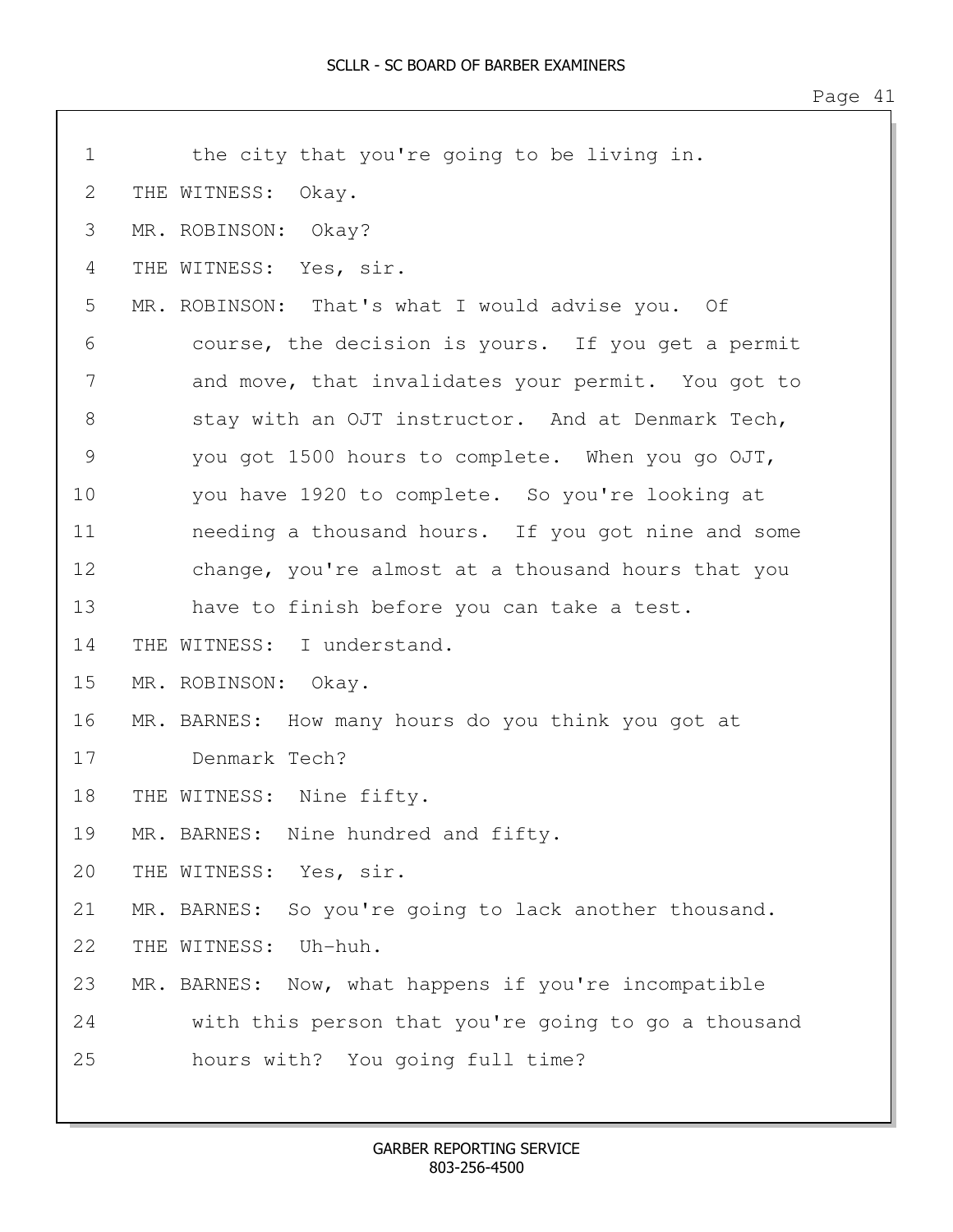| $\mathbf 1$   | the city that you're going to be living in.              |
|---------------|----------------------------------------------------------|
| 2             | THE WITNESS:<br>Okay.                                    |
| 3             | MR. ROBINSON: Okay?                                      |
| 4             | THE WITNESS: Yes, sir.                                   |
| 5             | MR. ROBINSON: That's what I would advise you. Of         |
| 6             | course, the decision is yours. If you get a permit       |
| 7             | and move, that invalidates your permit. You got to       |
| 8             | stay with an OJT instructor. And at Denmark Tech,        |
| $\mathcal{G}$ | you got 1500 hours to complete. When you go OJT,         |
| 10            | you have 1920 to complete. So you're looking at          |
| 11            | needing a thousand hours. If you got nine and some       |
| 12            | change, you're almost at a thousand hours that you       |
| 13            | have to finish before you can take a test.               |
| 14            | THE WITNESS: I understand.                               |
| 15            | MR. ROBINSON: Okay.                                      |
| 16            | MR. BARNES: How many hours do you think you got at       |
| 17            | Denmark Tech?                                            |
| 18            | THE WITNESS: Nine fifty.                                 |
| 19            | MR. BARNES: Nine hundred and fifty.                      |
| 20            | THE WITNESS: Yes, sir.                                   |
| 21            | MR. BARNES:<br>So you're going to lack another thousand. |
| 22            | THE WITNESS:<br>Uh-huh.                                  |
| 23            | MR. BARNES: Now, what happens if you're incompatible     |
| 24            | with this person that you're going to go a thousand      |
| 25            | hours with? You going full time?                         |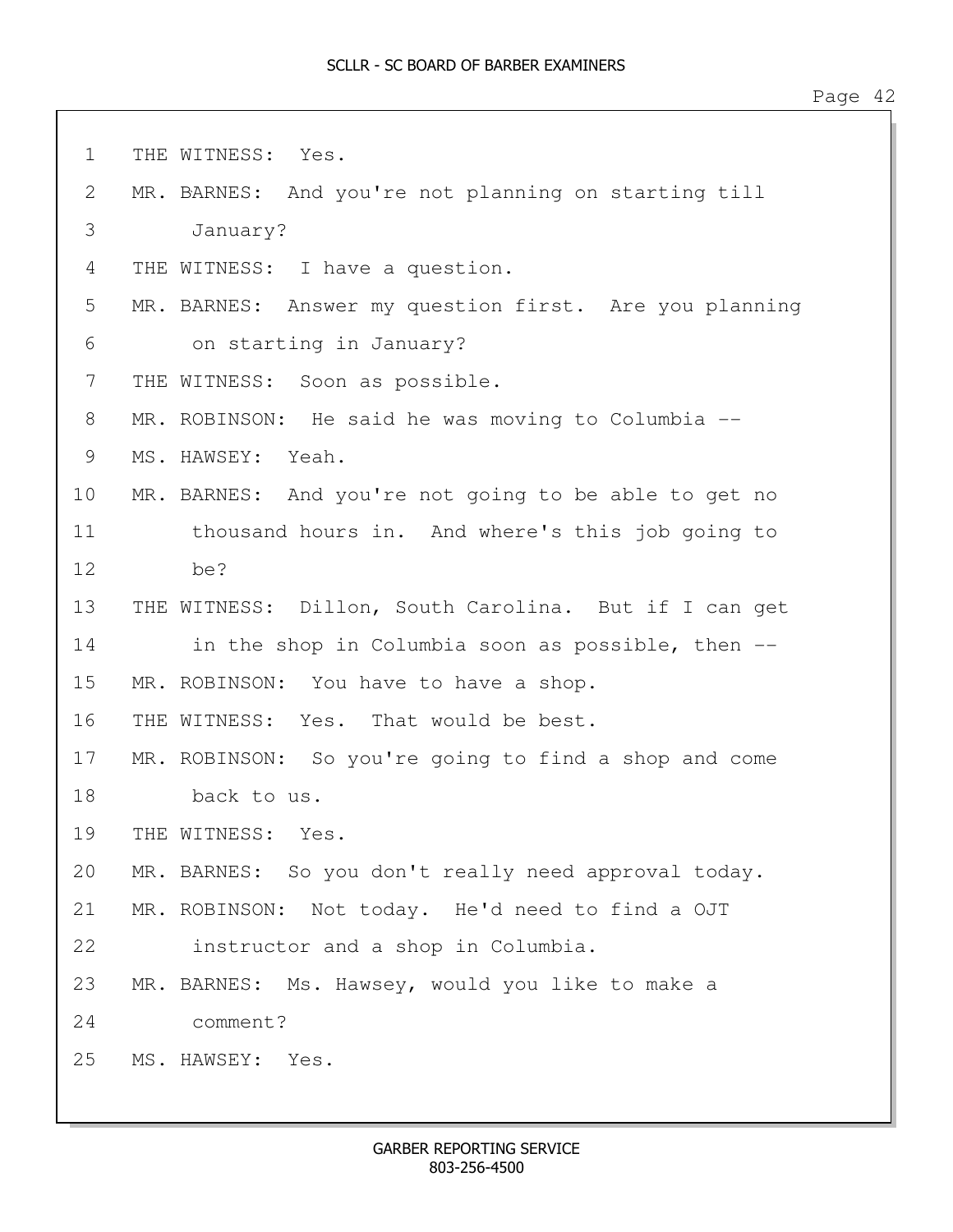1 THE WITNESS: Yes. 2 MR. BARNES: And you're not planning on starting till 3 January? 4 THE WITNESS: I have a question. 5 MR. BARNES: Answer my question first. Are you planning 6 on starting in January? 7 THE WITNESS: Soon as possible. 8 MR. ROBINSON: He said he was moving to Columbia -- 9 MS. HAWSEY: Yeah. 10 MR. BARNES: And you're not going to be able to get no 11 thousand hours in. And where's this job going to 12 be? 13 THE WITNESS: Dillon, South Carolina. But if I can get 14 in the shop in Columbia soon as possible, then --15 MR. ROBINSON: You have to have a shop. 16 THE WITNESS: Yes. That would be best. 17 MR. ROBINSON: So you're going to find a shop and come 18 back to us. 19 THE WITNESS: Yes. 20 MR. BARNES: So you don't really need approval today. 21 MR. ROBINSON: Not today. He'd need to find a OJT 22 instructor and a shop in Columbia. 23 MR. BARNES: Ms. Hawsey, would you like to make a 24 comment? 25 MS. HAWSEY: Yes.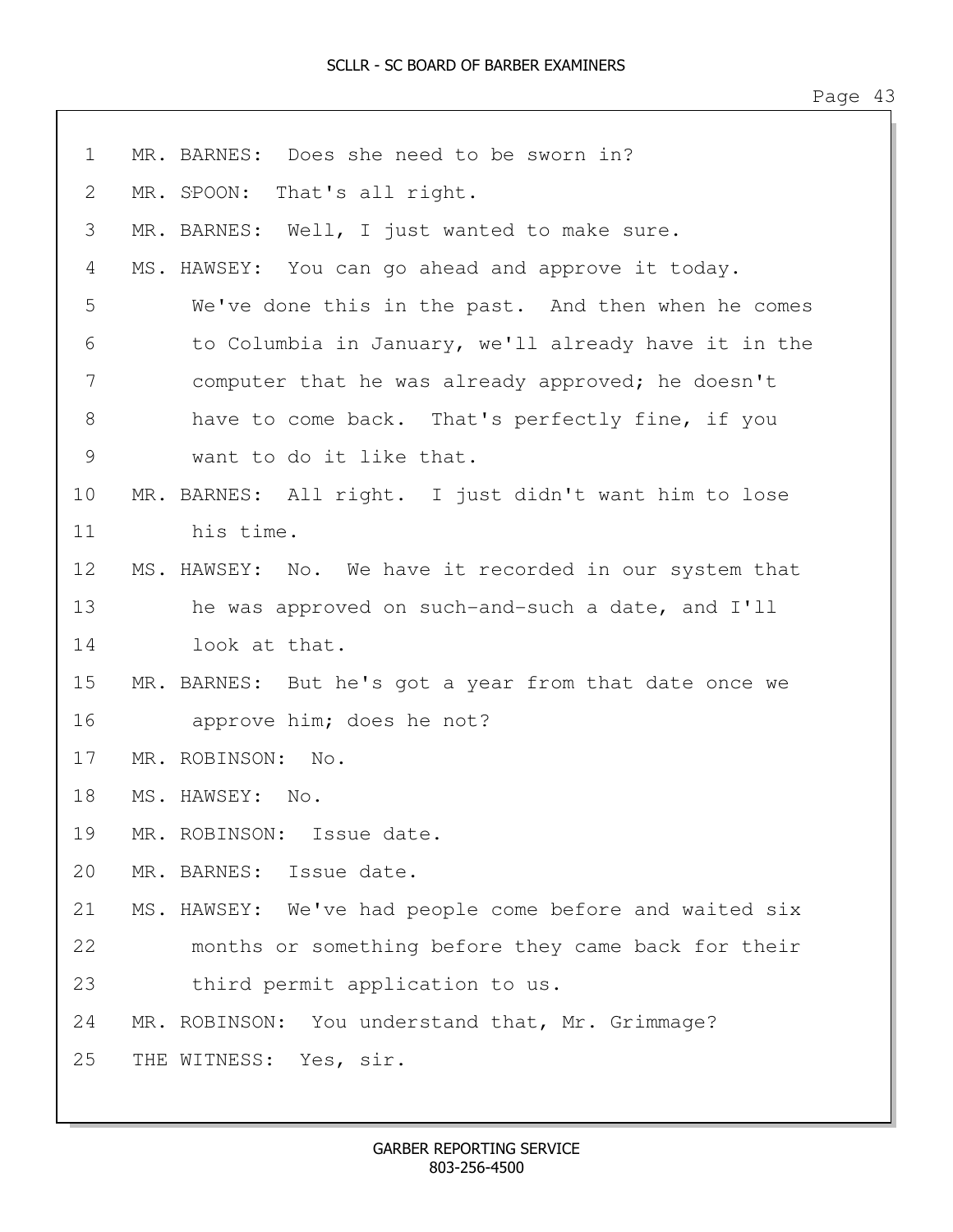| $\mathbf 1$ | MR. BARNES: Does she need to be sworn in?               |
|-------------|---------------------------------------------------------|
| 2           | MR. SPOON:<br>That's all right.                         |
| 3           | MR. BARNES: Well, I just wanted to make sure.           |
| 4           | MS. HAWSEY: You can go ahead and approve it today.      |
| 5           | We've done this in the past. And then when he comes     |
| 6           | to Columbia in January, we'll already have it in the    |
| 7           | computer that he was already approved; he doesn't       |
| 8           | have to come back. That's perfectly fine, if you        |
| 9           | want to do it like that.                                |
| 10          | MR. BARNES: All right. I just didn't want him to lose   |
| 11          | his time.                                               |
| 12          | MS. HAWSEY: No. We have it recorded in our system that  |
| 13          | he was approved on such-and-such a date, and I'll       |
| 14          | look at that.                                           |
| 15          | MR. BARNES: But he's got a year from that date once we  |
| 16          | approve him; does he not?                               |
| 17          | MR. ROBINSON: No.                                       |
| 18          | MS. HAWSEY: No.                                         |
| 19          | MR. ROBINSON: Issue date.                               |
| 20          | MR. BARNES: Issue date.                                 |
| 21          | MS. HAWSEY: We've had people come before and waited six |
| 22          | months or something before they came back for their     |
| 23          | third permit application to us.                         |
| 24          | MR. ROBINSON: You understand that, Mr. Grimmage?        |
| 25          | THE WITNESS: Yes, sir.                                  |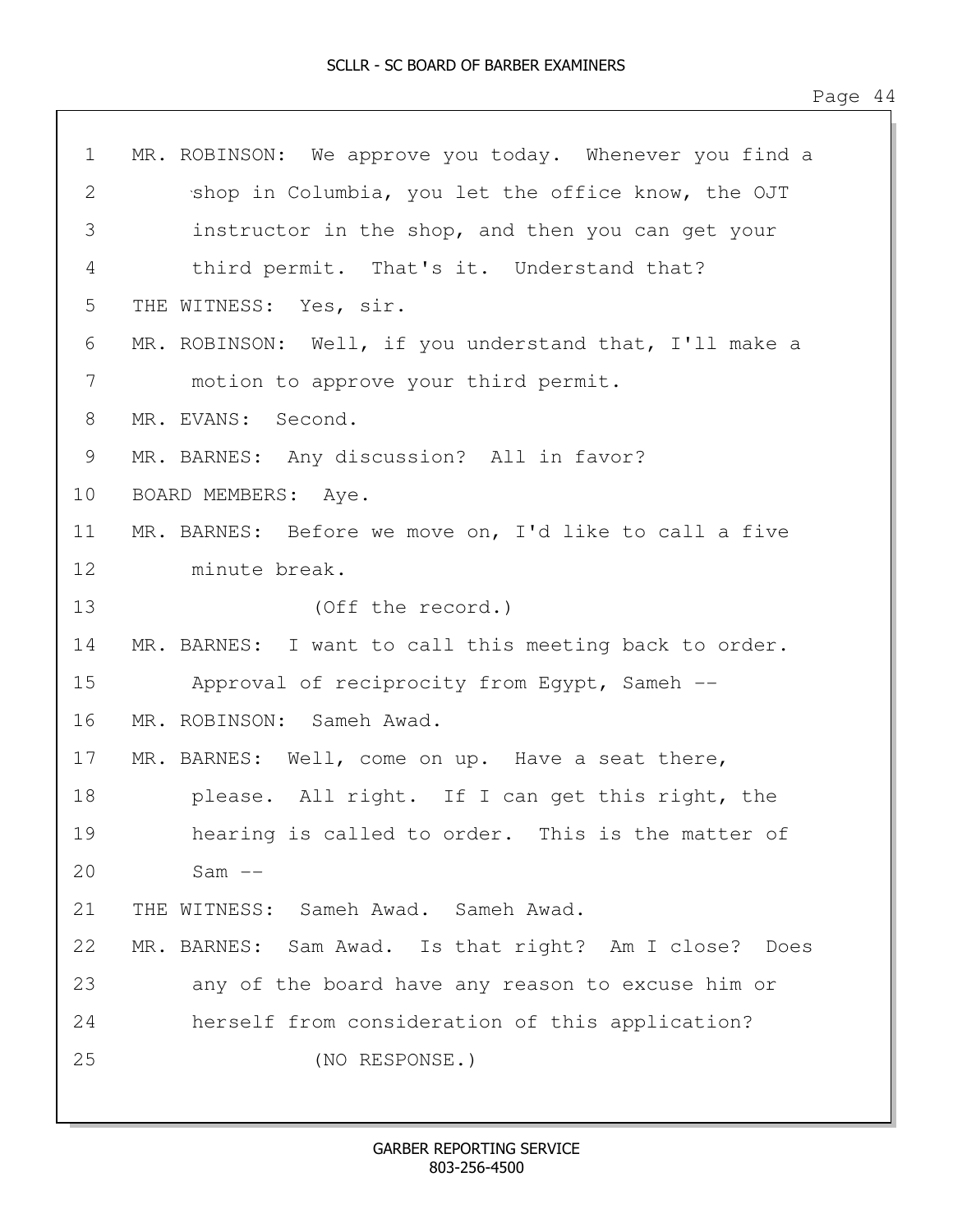| $\mathbf 1$   | MR. ROBINSON: We approve you today. Whenever you find a |
|---------------|---------------------------------------------------------|
| $\mathbf{2}$  | shop in Columbia, you let the office know, the OJT      |
| 3             | instructor in the shop, and then you can get your       |
| 4             | third permit. That's it. Understand that?               |
| 5             | THE WITNESS: Yes, sir.                                  |
| 6             | MR. ROBINSON: Well, if you understand that, I'll make a |
| 7             | motion to approve your third permit.                    |
| 8             | MR. EVANS: Second.                                      |
| $\mathcal{G}$ | MR. BARNES: Any discussion? All in favor?               |
| 10            | BOARD MEMBERS: Aye.                                     |
| 11            | MR. BARNES: Before we move on, I'd like to call a five  |
| 12            | minute break.                                           |
| 13            | (Off the record.)                                       |
| 14            | MR. BARNES: I want to call this meeting back to order.  |
| 15            | Approval of reciprocity from Egypt, Sameh --            |
| 16            | MR. ROBINSON: Sameh Awad.                               |
| 17            | MR. BARNES: Well, come on up. Have a seat there,        |
| 18            | please. All right. If I can get this right, the         |
| 19            | hearing is called to order. This is the matter of       |
| 20            | $Sam$ $--$                                              |
| 21            | THE WITNESS: Sameh Awad. Sameh Awad.                    |
| 22            | MR. BARNES: Sam Awad. Is that right? Am I close? Does   |
| 23            | any of the board have any reason to excuse him or       |
| 24            | herself from consideration of this application?         |
| 25            | (NO RESPONSE.)                                          |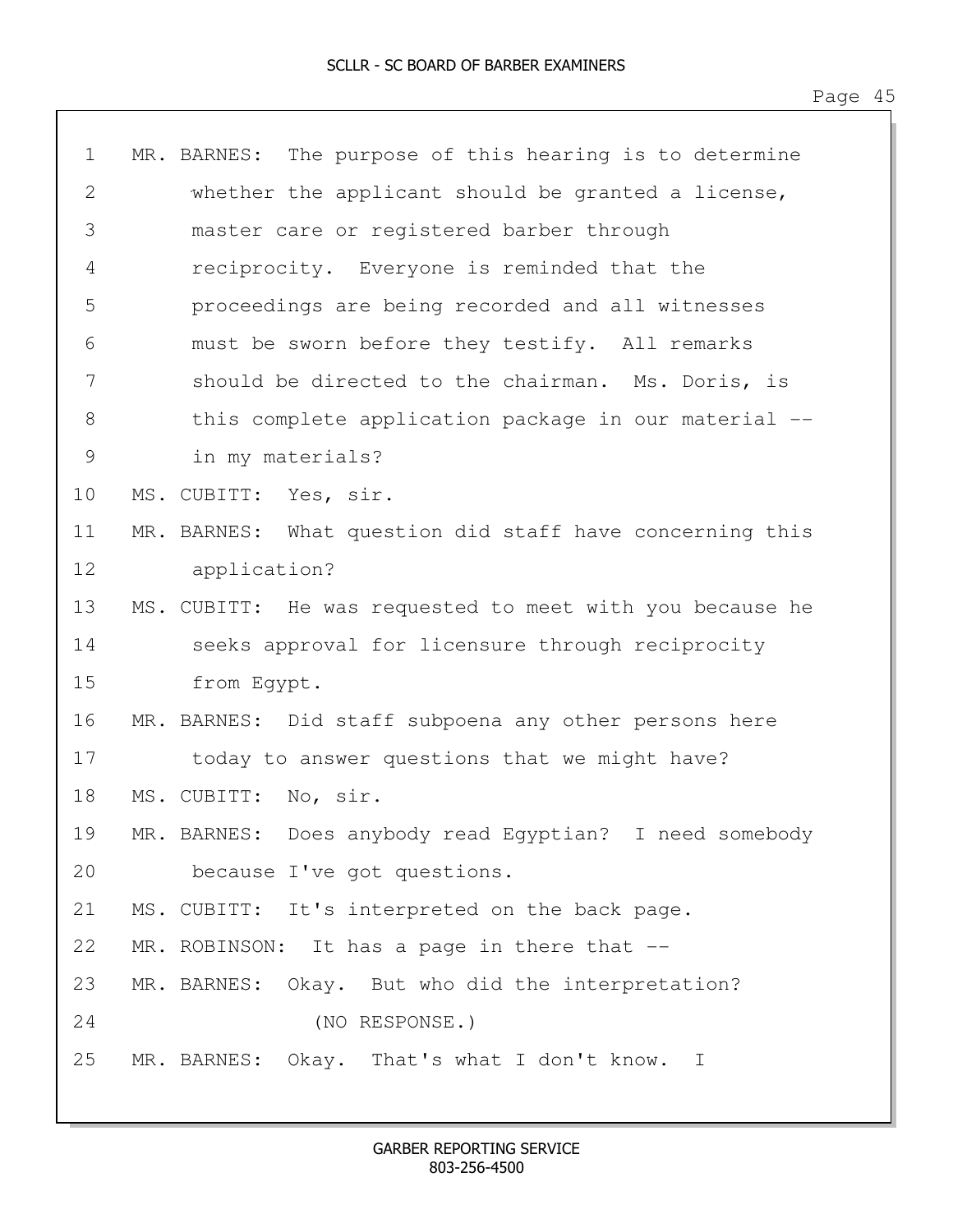| $\mathbf 1$ | The purpose of this hearing is to determine<br>MR. BARNES: |
|-------------|------------------------------------------------------------|
| 2           | whether the applicant should be granted a license,         |
| 3           | master care or registered barber through                   |
| 4           | reciprocity. Everyone is reminded that the                 |
| 5           | proceedings are being recorded and all witnesses           |
| 6           | must be sworn before they testify. All remarks             |
| 7           | should be directed to the chairman. Ms. Doris, is          |
| 8           | this complete application package in our material --       |
| 9           | in my materials?                                           |
| 10          | MS. CUBITT: Yes, sir.                                      |
| 11          | MR. BARNES: What question did staff have concerning this   |
| 12          | application?                                               |
| 13          | MS. CUBITT: He was requested to meet with you because he   |
| 14          | seeks approval for licensure through reciprocity           |
| 15          | from Egypt.                                                |
| 16          | MR. BARNES: Did staff subpoena any other persons here      |
| 17          | today to answer questions that we might have?              |
| 18          | MS. CUBITT: No, sir.                                       |
| 19          | MR. BARNES: Does anybody read Egyptian? I need somebody    |
| 20          | because I've got questions.                                |
| 21          | MS. CUBITT: It's interpreted on the back page.             |
| 22          | MR. ROBINSON: It has a page in there that --               |
| 23          | MR. BARNES: Okay. But who did the interpretation?          |
| 24          | (NO RESPONSE.)                                             |
| 25          | MR. BARNES: Okay. That's what I don't know. I              |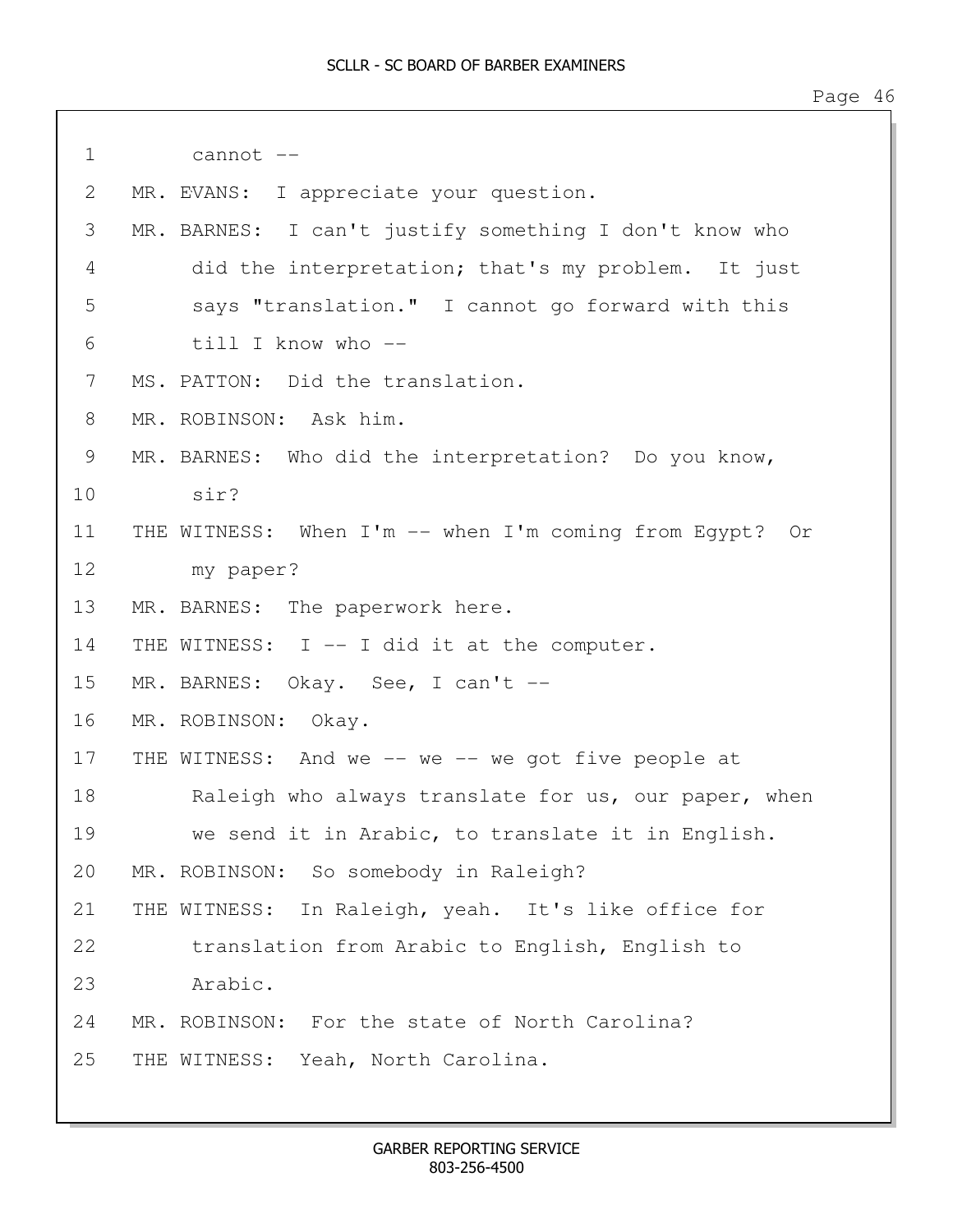| $\mathbf 1$ | cannot --                                               |
|-------------|---------------------------------------------------------|
| 2           | MR. EVANS: I appreciate your question.                  |
| 3           | MR. BARNES: I can't justify something I don't know who  |
| 4           | did the interpretation; that's my problem. It just      |
| 5           | says "translation." I cannot go forward with this       |
| 6           | till I know who --                                      |
| 7           | MS. PATTON: Did the translation.                        |
| 8           | MR. ROBINSON: Ask him.                                  |
| 9           | MR. BARNES: Who did the interpretation? Do you know,    |
| 10          | sir?                                                    |
| 11          | THE WITNESS: When I'm -- when I'm coming from Egypt? Or |
| 12          | my paper?                                               |
| 13          | MR. BARNES: The paperwork here.                         |
| 14          | THE WITNESS: I -- I did it at the computer.             |
| 15          | MR. BARNES: Okay. See, I can't --                       |
| 16          | MR. ROBINSON: Okay.                                     |
| 17          | THE WITNESS: And we -- we -- we got five people at      |
| 18          | Raleigh who always translate for us, our paper, when    |
| 19          | we send it in Arabic, to translate it in English.       |
| 20          | MR. ROBINSON: So somebody in Raleigh?                   |
| 21          | THE WITNESS: In Raleigh, yeah. It's like office for     |
| 22          | translation from Arabic to English, English to          |
| 23          | Arabic.                                                 |
| 24          | MR. ROBINSON: For the state of North Carolina?          |
| 25          | THE WITNESS:<br>Yeah, North Carolina.                   |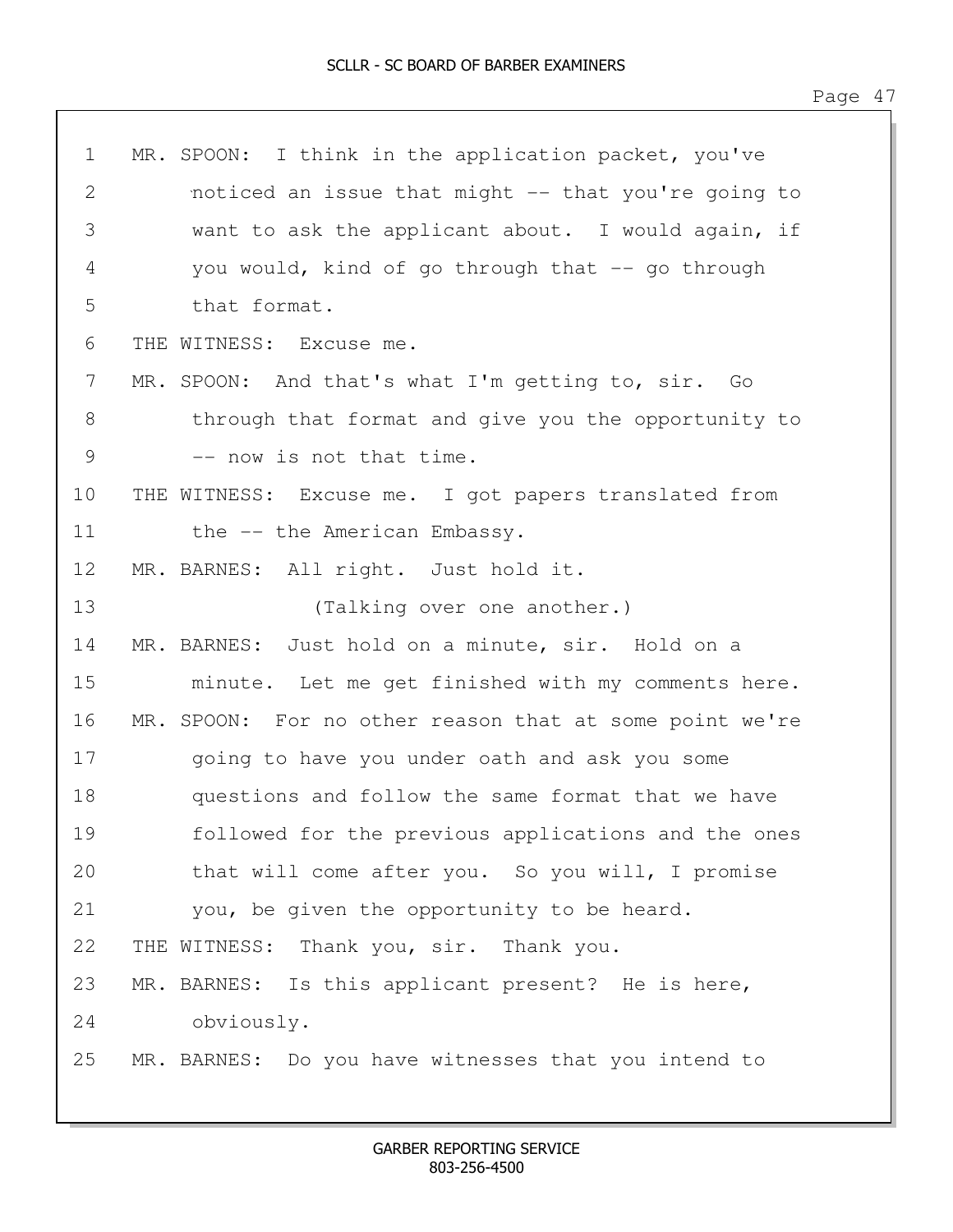| $\mathbf 1$   | MR. SPOON: I think in the application packet, you've    |
|---------------|---------------------------------------------------------|
| 2             | noticed an issue that might -- that you're going to     |
| 3             | want to ask the applicant about. I would again, if      |
| 4             | you would, kind of go through that -- go through        |
| 5             | that format.                                            |
| 6             | THE WITNESS: Excuse me.                                 |
| 7             | MR. SPOON: And that's what I'm getting to, sir. Go      |
| 8             | through that format and give you the opportunity to     |
| $\mathcal{G}$ | -- now is not that time.                                |
| 10            | THE WITNESS: Excuse me. I got papers translated from    |
| 11            | the -- the American Embassy.                            |
| 12            | MR. BARNES: All right. Just hold it.                    |
| 13            | (Talking over one another.)                             |
| 14            | MR. BARNES: Just hold on a minute, sir. Hold on a       |
| 15            | minute. Let me get finished with my comments here.      |
| 16            | MR. SPOON: For no other reason that at some point we're |
| 17            | going to have you under oath and ask you some           |
| 18            | questions and follow the same format that we have       |
| 19            | followed for the previous applications and the ones     |
| 20            | that will come after you. So you will, I promise        |
| 21            | you, be given the opportunity to be heard.              |
| 22            | THE WITNESS: Thank you, sir. Thank you.                 |
| 23            | MR. BARNES: Is this applicant present? He is here,      |
| 24            | obviously.                                              |
| 25            | MR. BARNES: Do you have witnesses that you intend to    |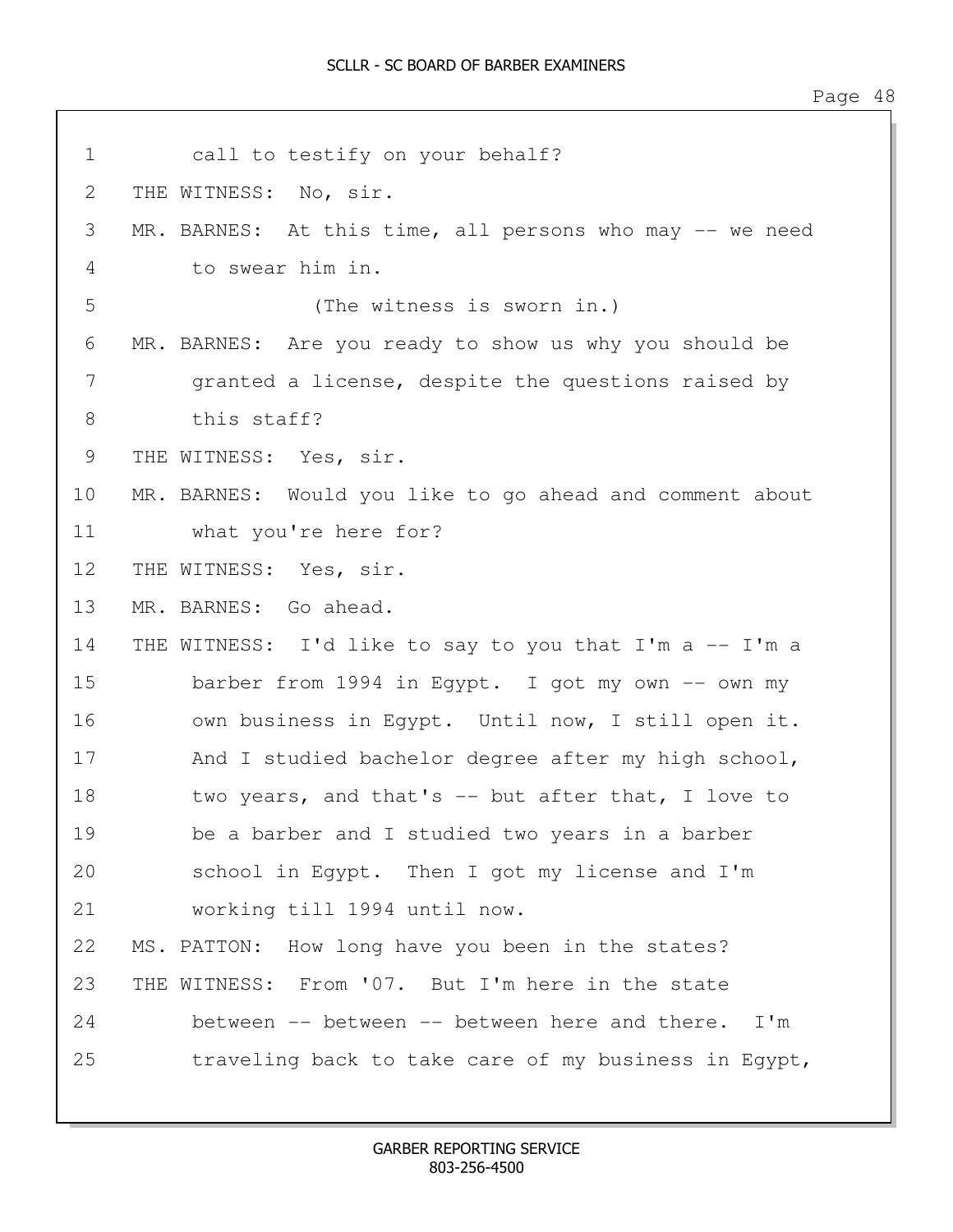1 call to testify on your behalf? 2 THE WITNESS: No, sir. 3 MR. BARNES: At this time, all persons who may -- we need 4 to swear him in. 5 (The witness is sworn in.) 6 MR. BARNES: Are you ready to show us why you should be 7 granted a license, despite the questions raised by 8 this staff? 9 THE WITNESS: Yes, sir. 10 MR. BARNES: Would you like to go ahead and comment about 11 what you're here for? 12 THE WITNESS: Yes, sir. 13 MR. BARNES: Go ahead. 14 THE WITNESS: I'd like to say to you that I'm a -- I'm a 15 barber from 1994 in Egypt. I got my own -- own my 16 own business in Egypt. Until now, I still open it. 17 And I studied bachelor degree after my high school, 18 two years, and that's -- but after that, I love to 19 be a barber and I studied two years in a barber 20 school in Egypt. Then I got my license and I'm 21 working till 1994 until now. 22 MS. PATTON: How long have you been in the states? 23 THE WITNESS: From '07. But I'm here in the state 24 between -- between -- between here and there. I'm 25 traveling back to take care of my business in Egypt,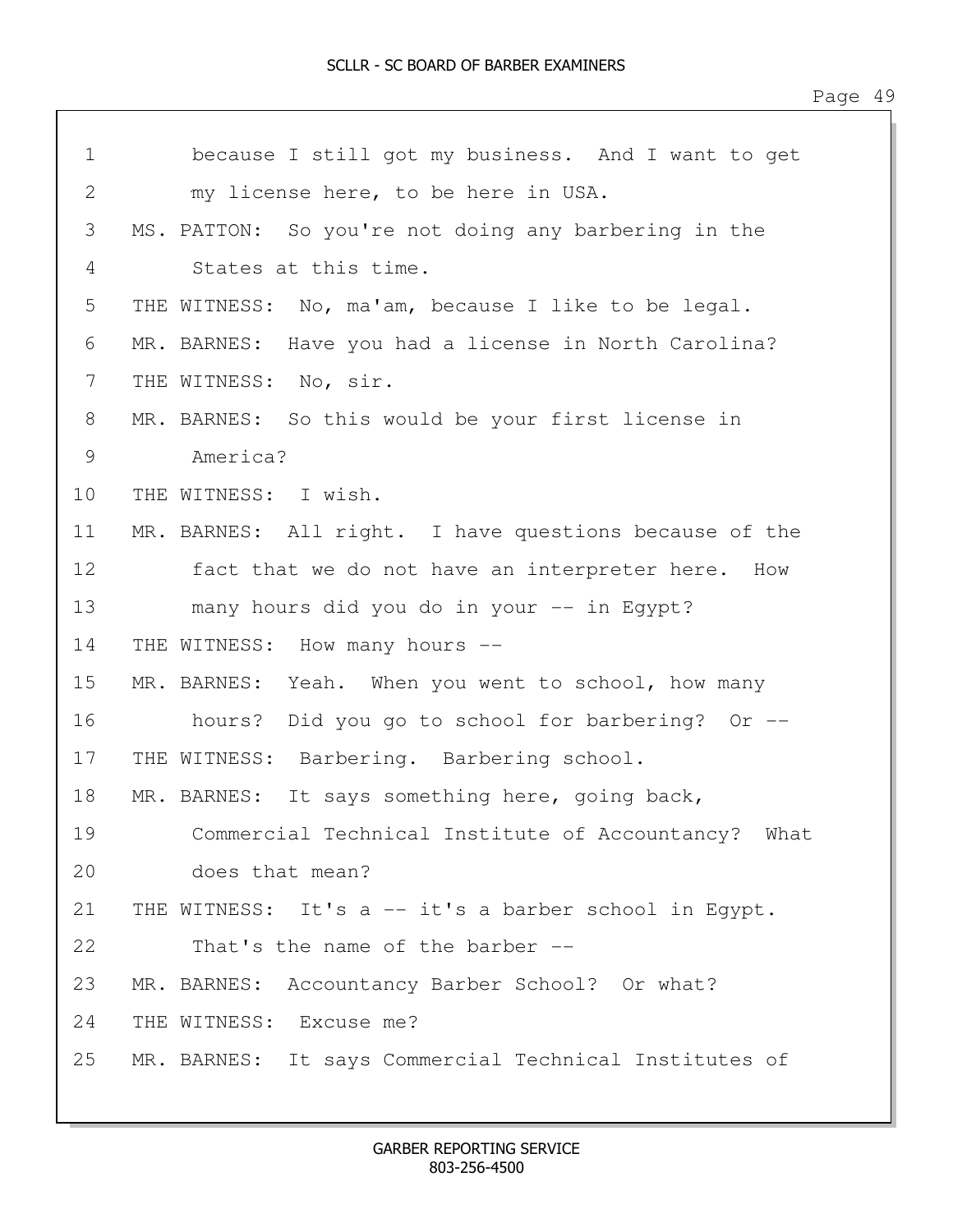| $\mathbf 1$ | because I still got my business. And I want to get     |
|-------------|--------------------------------------------------------|
| 2           | my license here, to be here in USA.                    |
| 3           | MS. PATTON: So you're not doing any barbering in the   |
| 4           | States at this time.                                   |
| 5           | THE WITNESS: No, ma'am, because I like to be legal.    |
| 6           | MR. BARNES: Have you had a license in North Carolina?  |
| 7           | THE WITNESS: No, sir.                                  |
| 8           | MR. BARNES: So this would be your first license in     |
| 9           | America?                                               |
| 10          | THE WITNESS: I wish.                                   |
| 11          | MR. BARNES: All right. I have questions because of the |
| 12          | fact that we do not have an interpreter here. How      |
| 13          | many hours did you do in your -- in Egypt?             |
| 14          | THE WITNESS: How many hours --                         |
| 15          | MR. BARNES: Yeah. When you went to school, how many    |
| 16          | hours? Did you go to school for barbering? Or --       |
| 17          | THE WITNESS: Barbering. Barbering school.              |
| 18          | MR. BARNES: It says something here, going back,        |
| 19          | Commercial Technical Institute of Accountancy? What    |
| 20          | does that mean?                                        |
| 21          | THE WITNESS: It's a -- it's a barber school in Eqypt.  |
| 22          | That's the name of the barber --                       |
| 23          | MR. BARNES: Accountancy Barber School? Or what?        |
| 24          | THE WITNESS: Excuse me?                                |
| 25          | MR. BARNES: It says Commercial Technical Institutes of |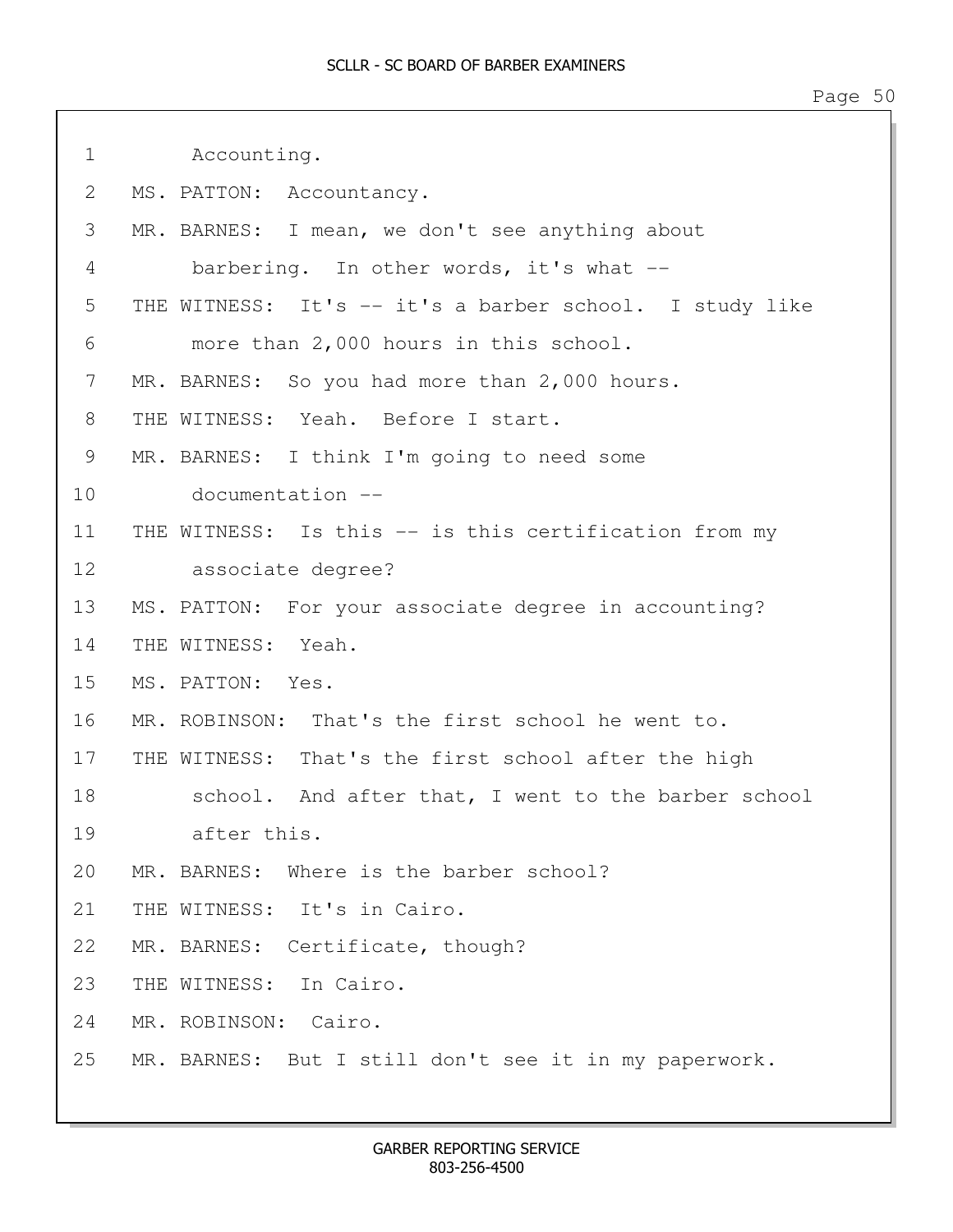| $\mathbf 1$  | Accounting.                                             |
|--------------|---------------------------------------------------------|
| $\mathbf{2}$ | MS. PATTON: Accountancy.                                |
| 3            | MR. BARNES: I mean, we don't see anything about         |
| 4            | barbering. In other words, it's what $-$                |
| 5            | THE WITNESS: It's -- it's a barber school. I study like |
| 6            | more than 2,000 hours in this school.                   |
| 7            | MR. BARNES: So you had more than 2,000 hours.           |
| 8            | THE WITNESS: Yeah. Before I start.                      |
| 9            | MR. BARNES: I think I'm going to need some              |
| 10           | documentation --                                        |
| 11           | THE WITNESS: Is this -- is this certification from my   |
| 12           | associate degree?                                       |
| 13           | MS. PATTON: For your associate degree in accounting?    |
| 14           | THE WITNESS: Yeah.                                      |
| 15           | MS. PATTON: Yes.                                        |
| 16           | MR. ROBINSON: That's the first school he went to.       |
| 17           | THE WITNESS: That's the first school after the high     |
| 18           | school. And after that, I went to the barber school     |
| 19           | after this.                                             |
| 20           | MR. BARNES: Where is the barber school?                 |
| 21           | THE WITNESS: It's in Cairo.                             |
| 22           | MR. BARNES: Certificate, though?                        |
| 23           | THE WITNESS: In Cairo.                                  |
| 24           | MR. ROBINSON: Cairo.                                    |
| 25           | MR. BARNES: But I still don't see it in my paperwork.   |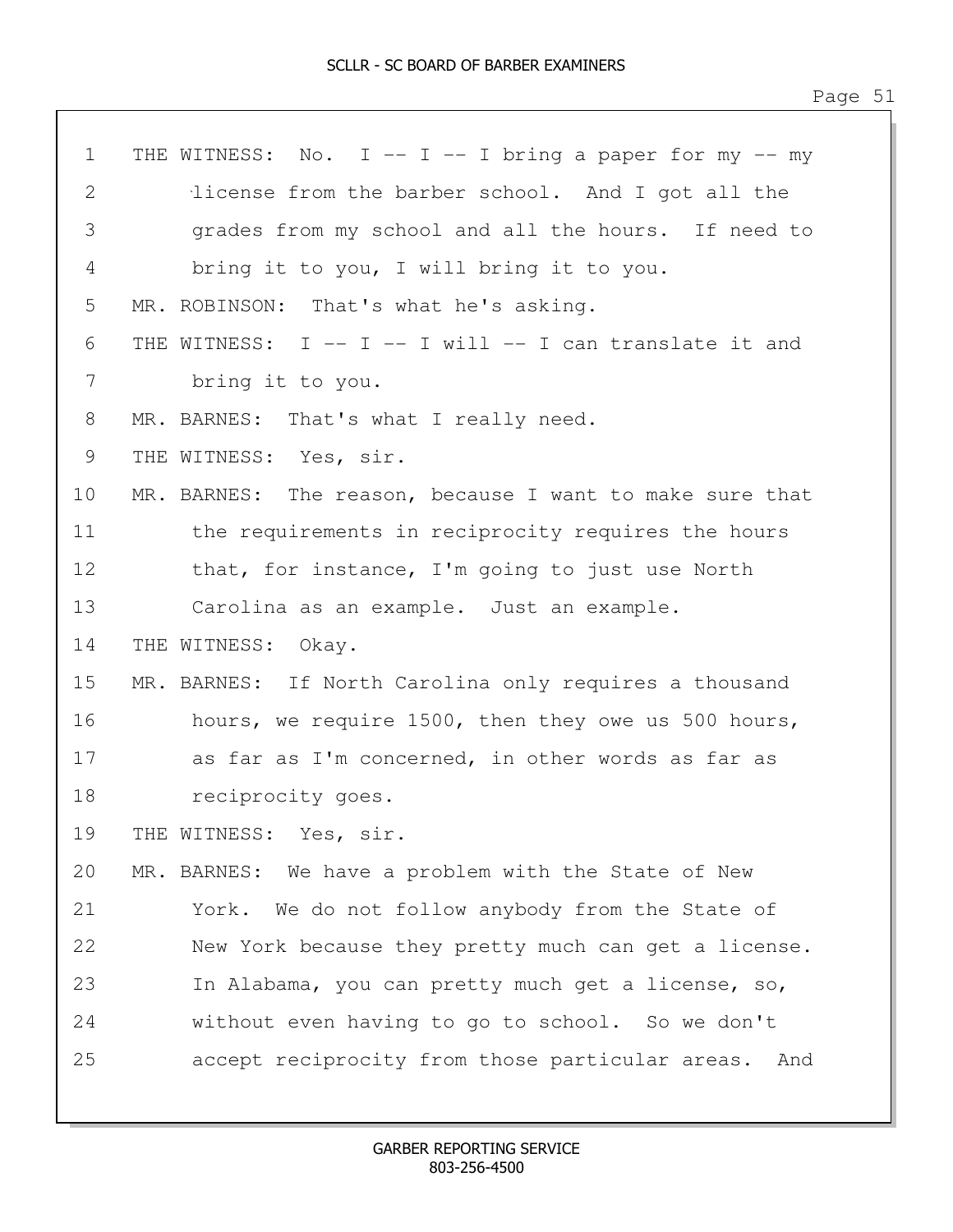| $\mathbf 1$ | THE WITNESS: No. I -- I -- I bring a paper for my -- my  |
|-------------|----------------------------------------------------------|
| 2           | license from the barber school. And I got all the        |
| 3           | grades from my school and all the hours. If need to      |
| 4           | bring it to you, I will bring it to you.                 |
| 5           | MR. ROBINSON: That's what he's asking.                   |
| 6           | THE WITNESS: I -- I -- I will -- I can translate it and  |
| 7           | bring it to you.                                         |
| 8           | MR. BARNES: That's what I really need.                   |
| 9           | THE WITNESS: Yes, sir.                                   |
| 10          | MR. BARNES: The reason, because I want to make sure that |
| 11          | the requirements in reciprocity requires the hours       |
| 12          | that, for instance, I'm going to just use North          |
| 13          | Carolina as an example. Just an example.                 |
| 14          | THE WITNESS: Okay.                                       |
| 15          | MR. BARNES: If North Carolina only requires a thousand   |
| 16          | hours, we require 1500, then they owe us 500 hours,      |
| 17          | as far as I'm concerned, in other words as far as        |
| 18          | reciprocity goes.                                        |
| 19          | THE WITNESS: Yes, sir.                                   |
| 20          | MR. BARNES: We have a problem with the State of New      |
| 21          | York. We do not follow anybody from the State of         |
| 22          | New York because they pretty much can get a license.     |
| 23          | In Alabama, you can pretty much get a license, so,       |
| 24          | without even having to go to school. So we don't         |
| 25          | accept reciprocity from those particular areas.<br>And   |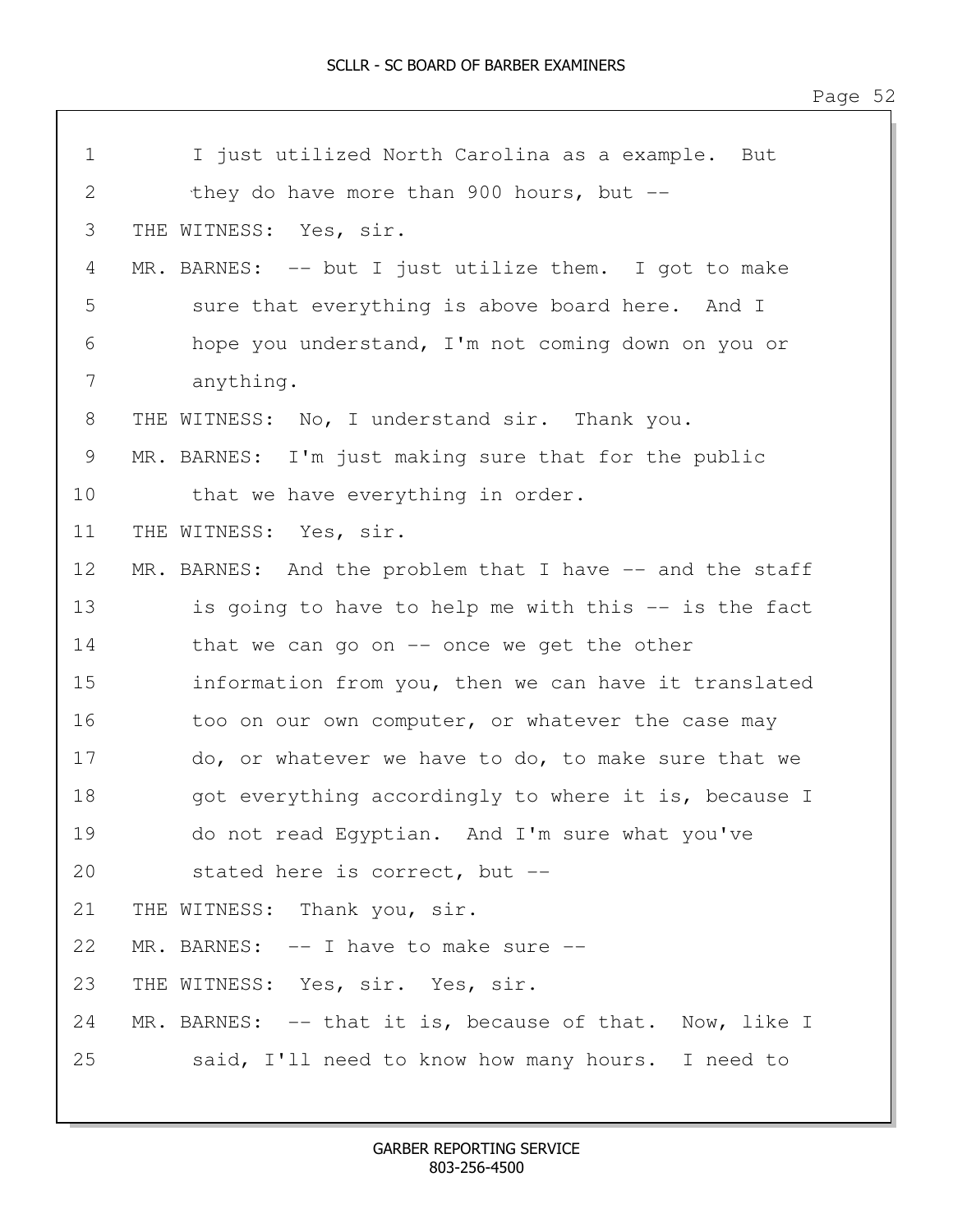| $\mathbf 1$ | I just utilized North Carolina as a example.<br>But      |
|-------------|----------------------------------------------------------|
| 2           | they do have more than 900 hours, but $-$                |
| 3           | THE WITNESS: Yes, sir.                                   |
| 4           | MR. BARNES: -- but I just utilize them. I got to make    |
| 5           | sure that everything is above board here. And I          |
| 6           | hope you understand, I'm not coming down on you or       |
| 7           | anything.                                                |
| 8           | THE WITNESS: No, I understand sir. Thank you.            |
| 9           | MR. BARNES: I'm just making sure that for the public     |
| 10          | that we have everything in order.                        |
| 11          | THE WITNESS: Yes, sir.                                   |
| 12          | MR. BARNES: And the problem that I have -- and the staff |
| 13          | is going to have to help me with this -- is the fact     |
| 14          | that we can go on $-$ once we get the other              |
| 15          | information from you, then we can have it translated     |
| 16          | too on our own computer, or whatever the case may        |
| 17          | do, or whatever we have to do, to make sure that we      |
| 18          | got everything accordingly to where it is, because I     |
| 19          | do not read Egyptian. And I'm sure what you've           |
| 20          | stated here is correct, but --                           |
| 21          | THE WITNESS: Thank you, sir.                             |
| 22          | MR. BARNES: $--$ I have to make sure $--$                |
| 23          | THE WITNESS: Yes, sir. Yes, sir.                         |
| 24          | MR. BARNES: -- that it is, because of that. Now, like I  |
| 25          | said, I'll need to know how many hours. I need to        |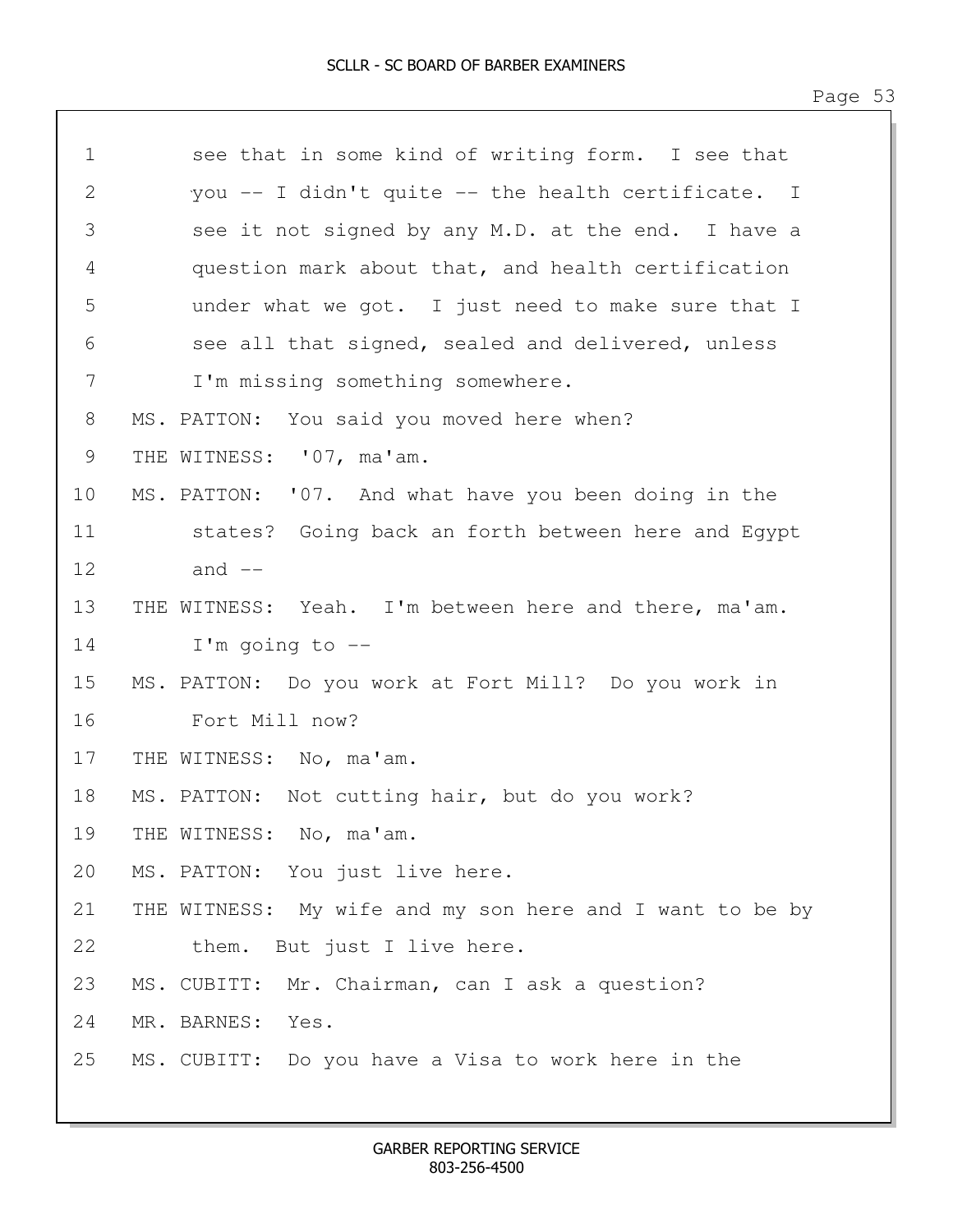| $\mathbf 1$     | see that in some kind of writing form. I see that        |
|-----------------|----------------------------------------------------------|
| 2               | you -- I didn't quite -- the health certificate. I       |
| 3               | see it not signed by any M.D. at the end. I have a       |
| 4               | question mark about that, and health certification       |
| 5               | under what we got. I just need to make sure that I       |
| 6               | see all that signed, sealed and delivered, unless        |
| 7               | I'm missing something somewhere.                         |
| 8               | MS. PATTON: You said you moved here when?                |
| 9               | THE WITNESS: '07, ma'am.                                 |
| 10 <sup>°</sup> | MS. PATTON: '07. And what have you been doing in the     |
| 11              | states? Going back an forth between here and Egypt       |
| 12              | and $--$                                                 |
| 13              | THE WITNESS: Yeah. I'm between here and there, ma'am.    |
| 14              | I'm going to $-$ -                                       |
| 15              | MS. PATTON: Do you work at Fort Mill? Do you work in     |
| 16              | Fort Mill now?                                           |
| 17              | THE WITNESS: No, ma'am.                                  |
| 18              | MS. PATTON: Not cutting hair, but do you work?           |
| 19              | THE WITNESS: No, ma'am.                                  |
| 20              | MS. PATTON: You just live here.                          |
| 21              | THE WITNESS: My wife and my son here and I want to be by |
| 22              | them. But just I live here.                              |
| 23              | MS. CUBITT: Mr. Chairman, can I ask a question?          |
| 24              | MR. BARNES: Yes.                                         |
| 25              | MS. CUBITT: Do you have a Visa to work here in the       |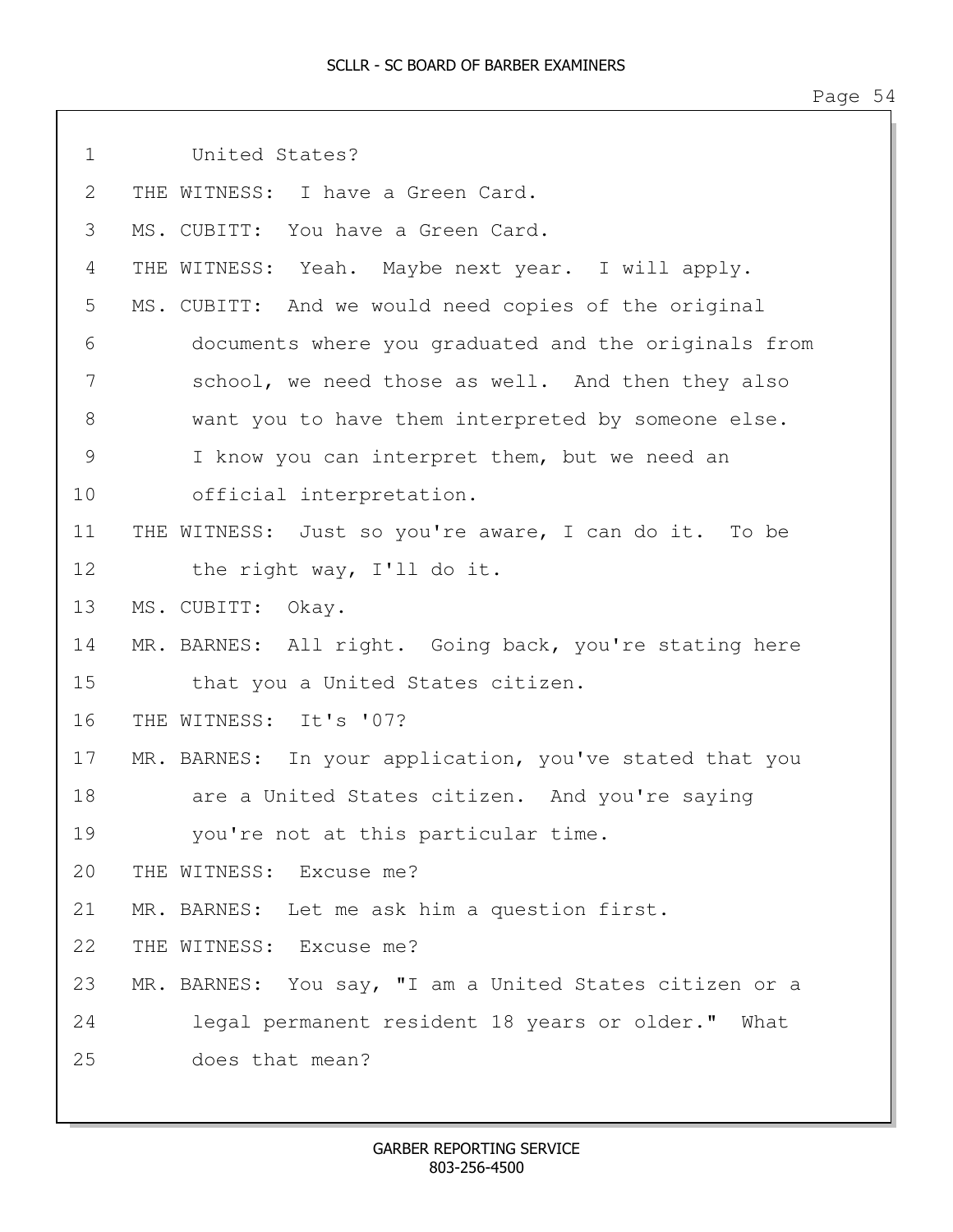| $\mathbf 1$    | United States?                                          |
|----------------|---------------------------------------------------------|
| $\overline{2}$ | THE WITNESS: I have a Green Card.                       |
| 3              | MS. CUBITT: You have a Green Card.                      |
| 4              | THE WITNESS: Yeah. Maybe next year. I will apply.       |
| 5              | MS. CUBITT: And we would need copies of the original    |
| 6              | documents where you graduated and the originals from    |
| 7              | school, we need those as well. And then they also       |
| $8\,$          | want you to have them interpreted by someone else.      |
| $\mathcal{G}$  | I know you can interpret them, but we need an           |
| 10             | official interpretation.                                |
| 11             | THE WITNESS: Just so you're aware, I can do it. To be   |
| 12             | the right way, I'll do it.                              |
| 13             | MS. CUBITT: Okay.                                       |
| 14             | MR. BARNES: All right. Going back, you're stating here  |
| 15             | that you a United States citizen.                       |
| 16             | THE WITNESS: It's '07?                                  |
| 17             | MR. BARNES: In your application, you've stated that you |
| 18             | are a United States citizen. And you're saying          |
| 19             | you're not at this particular time.                     |
| 20             | THE WITNESS: Excuse me?                                 |
| 21             | MR. BARNES: Let me ask him a question first.            |
| 22             | THE WITNESS: Excuse me?                                 |
| 23             | MR. BARNES: You say, "I am a United States citizen or a |
| 24             | legal permanent resident 18 years or older." What       |
| 25             | does that mean?                                         |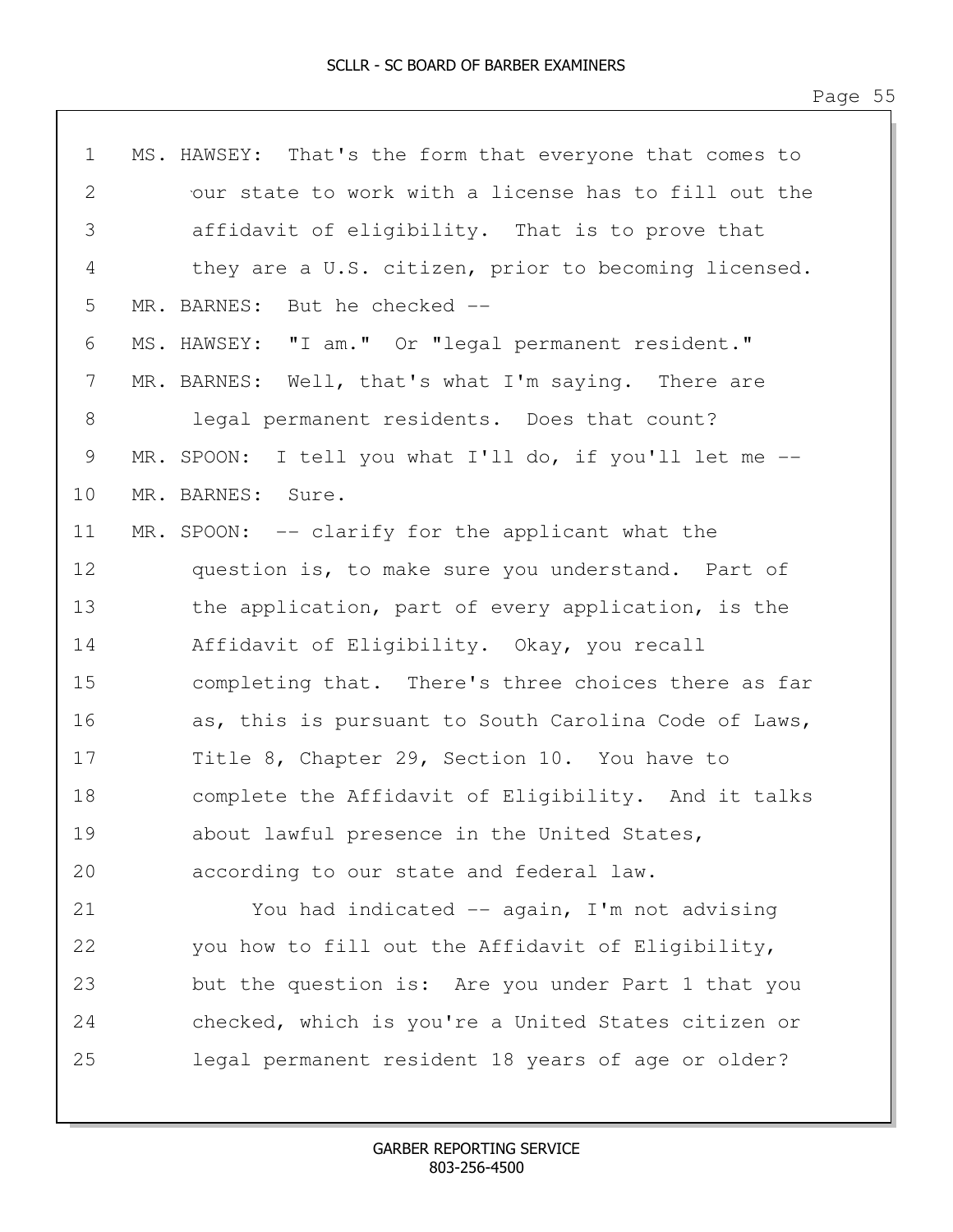| $\mathbf 1$ | MS. HAWSEY: That's the form that everyone that comes to |
|-------------|---------------------------------------------------------|
| 2           | our state to work with a license has to fill out the    |
| 3           | affidavit of eligibility. That is to prove that         |
| 4           | they are a U.S. citizen, prior to becoming licensed.    |
| 5           | MR. BARNES: But he checked --                           |
| 6           | MS. HAWSEY: "I am." Or "legal permanent resident."      |
| 7           | MR. BARNES: Well, that's what I'm saying. There are     |
| $8\,$       | legal permanent residents. Does that count?             |
| 9           | MR. SPOON: I tell you what I'll do, if you'll let me -- |
| 10          | MR. BARNES: Sure.                                       |
| 11          | MR. SPOON: -- clarify for the applicant what the        |
| 12          | question is, to make sure you understand. Part of       |
| 13          | the application, part of every application, is the      |
| 14          | Affidavit of Eligibility. Okay, you recall              |
| 15          | completing that. There's three choices there as far     |
| 16          | as, this is pursuant to South Carolina Code of Laws,    |
| 17          | Title 8, Chapter 29, Section 10. You have to            |
| 18          | complete the Affidavit of Eligibility. And it talks     |
| 19          | about lawful presence in the United States,             |
| 20          | according to our state and federal law.                 |
| 21          | You had indicated -- again, I'm not advising            |
| 22          | you how to fill out the Affidavit of Eligibility,       |
| 23          | but the question is: Are you under Part 1 that you      |
| 24          | checked, which is you're a United States citizen or     |
| 25          | legal permanent resident 18 years of age or older?      |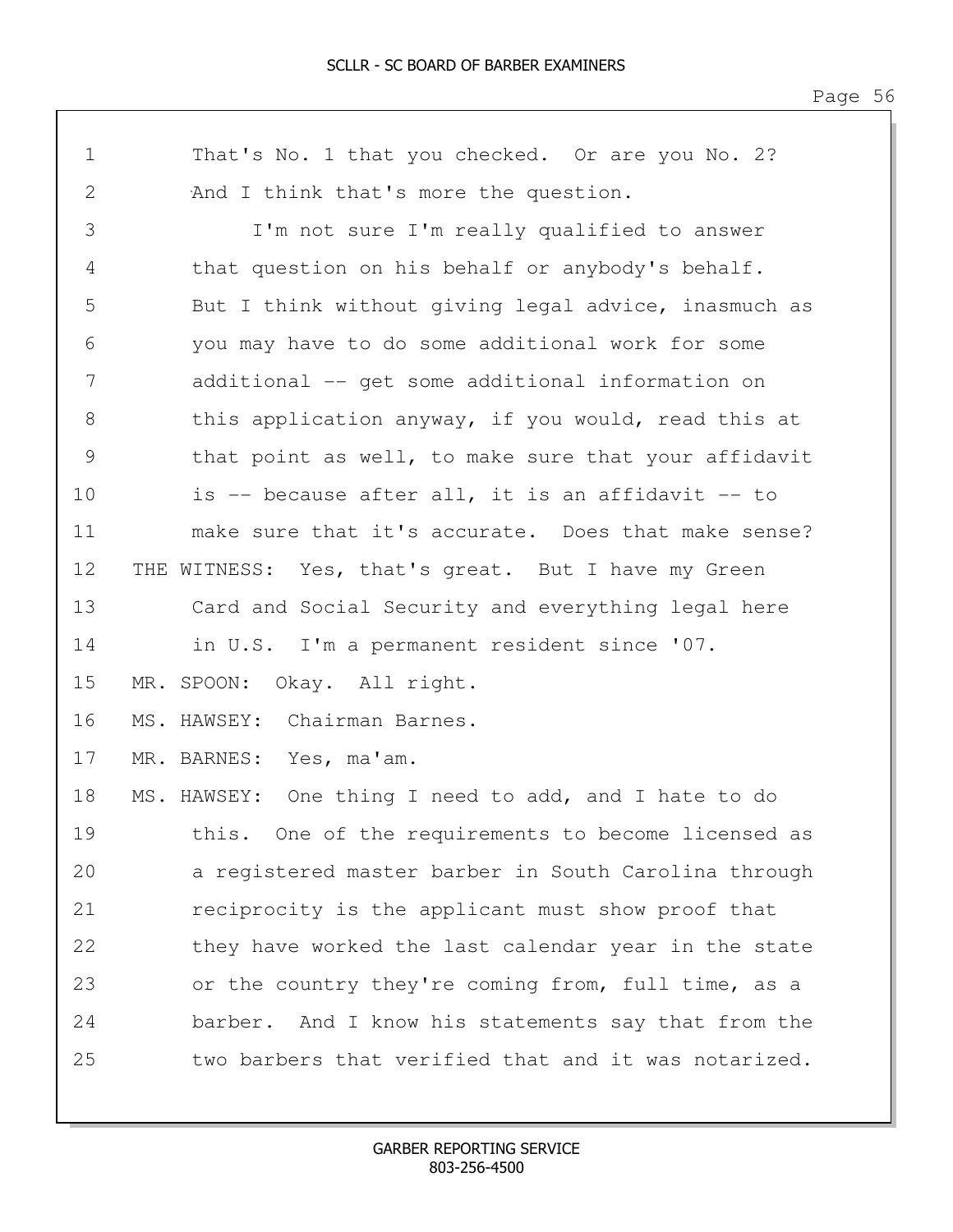1 That's No. 1 that you checked. Or are you No. 2? 2 And I think that's more the question. 3 I'm not sure I'm really qualified to answer 4 that question on his behalf or anybody's behalf. 5 But I think without giving legal advice, inasmuch as 6 you may have to do some additional work for some 7 additional -- get some additional information on 8 this application anyway, if you would, read this at 9 that point as well, to make sure that your affidavit 10 is -- because after all, it is an affidavit -- to 11 make sure that it's accurate. Does that make sense? 12 THE WITNESS: Yes, that's great. But I have my Green 13 Card and Social Security and everything legal here 14 in U.S. I'm a permanent resident since '07. 15 MR. SPOON: Okay. All right. 16 MS. HAWSEY: Chairman Barnes. 17 MR. BARNES: Yes, ma'am. 18 MS. HAWSEY: One thing I need to add, and I hate to do 19 this. One of the requirements to become licensed as 20 a registered master barber in South Carolina through 21 reciprocity is the applicant must show proof that 22 they have worked the last calendar year in the state 23 or the country they're coming from, full time, as a 24 barber. And I know his statements say that from the 25 two barbers that verified that and it was notarized.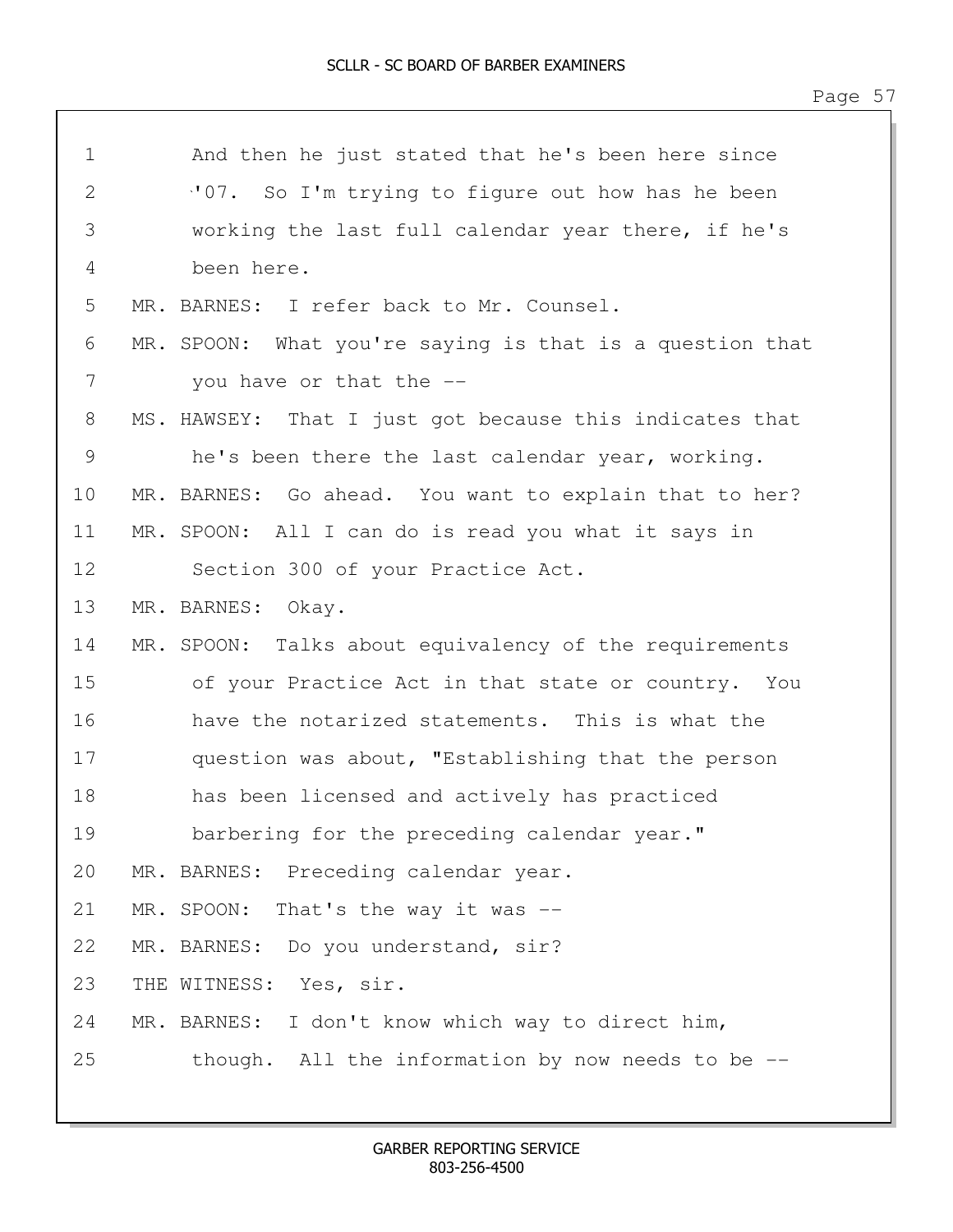| $\mathbf 1$ | And then he just stated that he's been here since        |
|-------------|----------------------------------------------------------|
| 2           | "07. So I'm trying to figure out how has he been         |
| 3           | working the last full calendar year there, if he's       |
| 4           | been here.                                               |
| 5           | MR. BARNES: I refer back to Mr. Counsel.                 |
| 6           | MR. SPOON: What you're saying is that is a question that |
| 7           | you have or that the --                                  |
| 8           | MS. HAWSEY: That I just got because this indicates that  |
| 9           | he's been there the last calendar year, working.         |
| 10          | MR. BARNES: Go ahead. You want to explain that to her?   |
| 11          | MR. SPOON: All I can do is read you what it says in      |
| 12          | Section 300 of your Practice Act.                        |
| 13          | MR. BARNES: Okay.                                        |
| 14          | MR. SPOON: Talks about equivalency of the requirements   |
| 15          | of your Practice Act in that state or country. You       |
| 16          | have the notarized statements. This is what the          |
| 17          | question was about, "Establishing that the person        |
| 18          | has been licensed and actively has practiced             |
| 19          | barbering for the preceding calendar year."              |
| 20          | MR. BARNES: Preceding calendar year.                     |
| 21          | MR. SPOON:<br>That's the way it was --                   |
| 22          | MR. BARNES: Do you understand, sir?                      |
| 23          | THE WITNESS: Yes, sir.                                   |
| 24          | MR. BARNES: I don't know which way to direct him,        |
| 25          | though. All the information by now needs to be $-$ -     |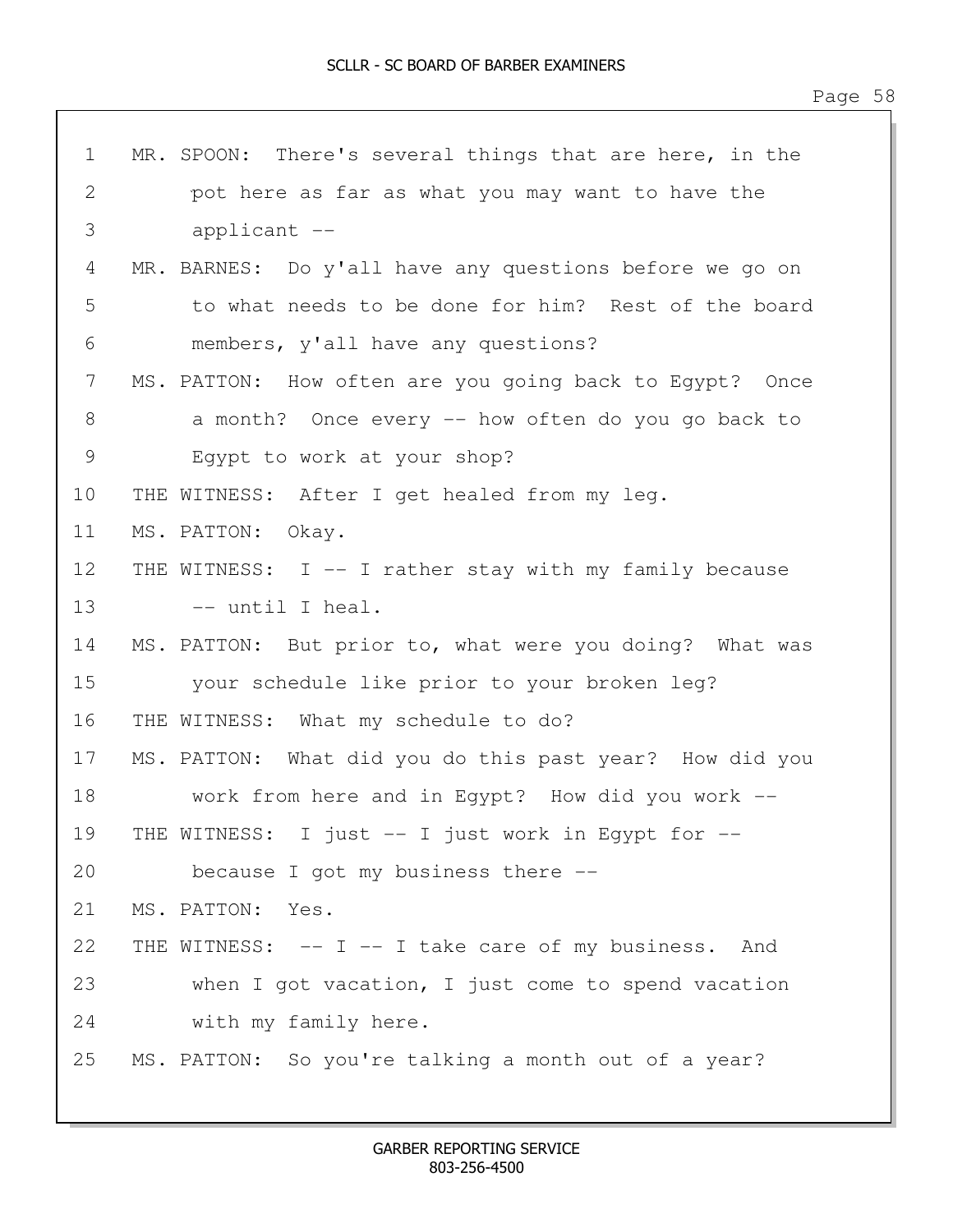| $\mathbf 1$ | MR. SPOON: There's several things that are here, in the |
|-------------|---------------------------------------------------------|
| 2           | pot here as far as what you may want to have the        |
| 3           | applicant --                                            |
| 4           | MR. BARNES: Do y'all have any questions before we go on |
| 5           | to what needs to be done for him? Rest of the board     |
| 6           | members, y'all have any questions?                      |
| 7           | MS. PATTON: How often are you going back to Egypt? Once |
| 8           | a month? Once every -- how often do you go back to      |
| 9           | Egypt to work at your shop?                             |
| 10          | THE WITNESS: After I get healed from my leg.            |
| 11          | MS. PATTON: Okay.                                       |
| 12          | THE WITNESS: I -- I rather stay with my family because  |
| 13          | -- until I heal.                                        |
| 14          | MS. PATTON: But prior to, what were you doing? What was |
| 15          | your schedule like prior to your broken leg?            |
| 16          | THE WITNESS: What my schedule to do?                    |
| 17          | MS. PATTON: What did you do this past year? How did you |
| 18          | work from here and in Egypt? How did you work --        |
| 19          | THE WITNESS: I just -- I just work in Egypt for --      |
| 20          | because I got my business there --                      |
| 21          | MS. PATTON:<br>Yes.                                     |
| 22          | THE WITNESS: -- I -- I take care of my business. And    |
| 23          | when I got vacation, I just come to spend vacation      |
| 24          | with my family here.                                    |
| 25          | MS. PATTON: So you're talking a month out of a year?    |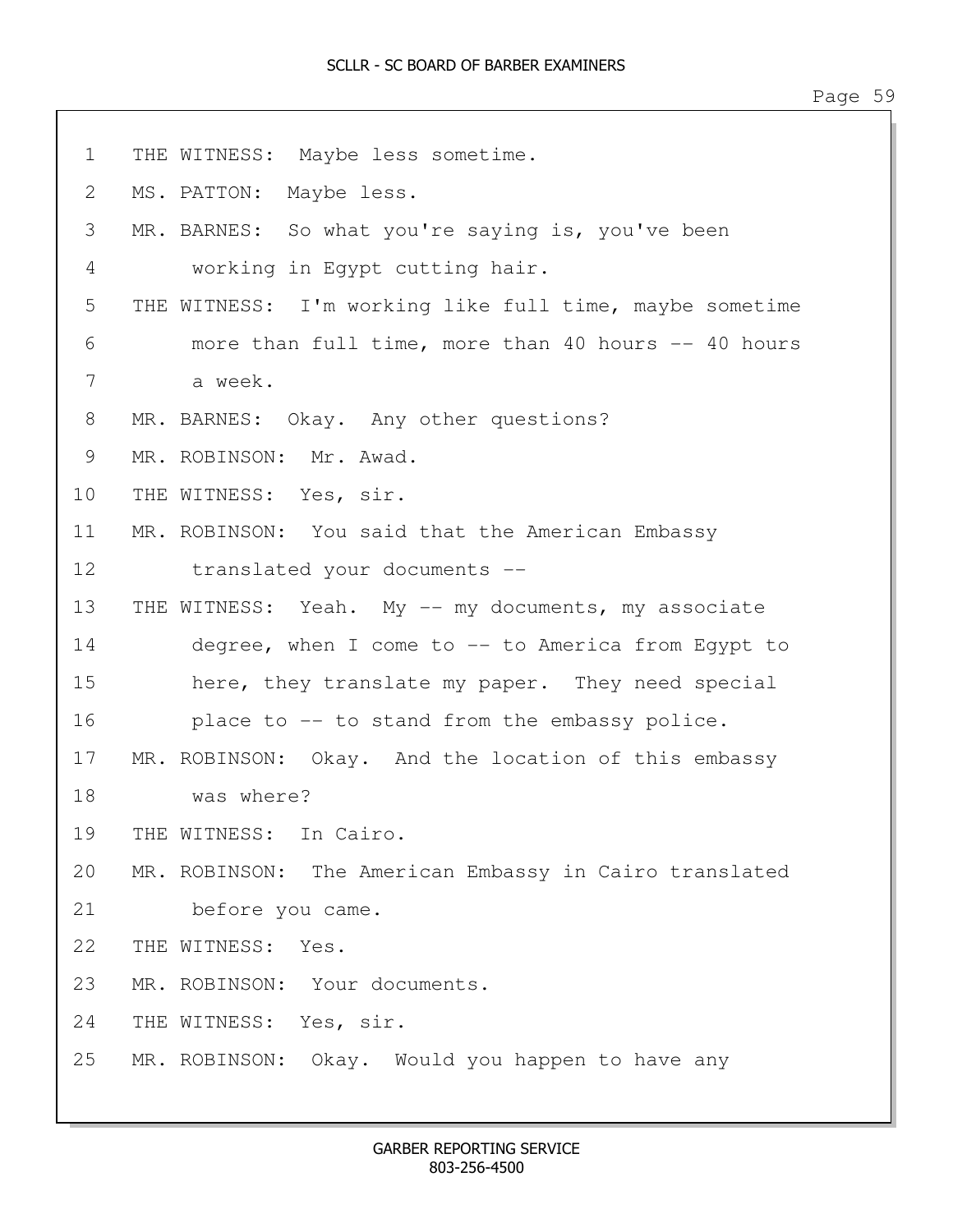1 THE WITNESS: Maybe less sometime. 2 MS. PATTON: Maybe less. 3 MR. BARNES: So what you're saying is, you've been 4 working in Egypt cutting hair. 5 THE WITNESS: I'm working like full time, maybe sometime 6 more than full time, more than 40 hours -- 40 hours 8 MR. BARNES: Okay. Any other questions? 9 MR. ROBINSON: Mr. Awad. 10 THE WITNESS: Yes, sir. 11 MR. ROBINSON: You said that the American Embassy 12 translated your documents -- 13 THE WITNESS: Yeah. My -- my documents, my associate 14 degree, when I come to -- to America from Egypt to 15 here, they translate my paper. They need special 16 place to -- to stand from the embassy police. 17 MR. ROBINSON: Okay. And the location of this embassy 19 THE WITNESS: In Cairo.

20 MR. ROBINSON: The American Embassy in Cairo translated 21 before you came.

22 THE WITNESS: Yes.

18 was where?

7 a week.

23 MR. ROBINSON: Your documents.

24 THE WITNESS: Yes, sir.

25 MR. ROBINSON: Okay. Would you happen to have any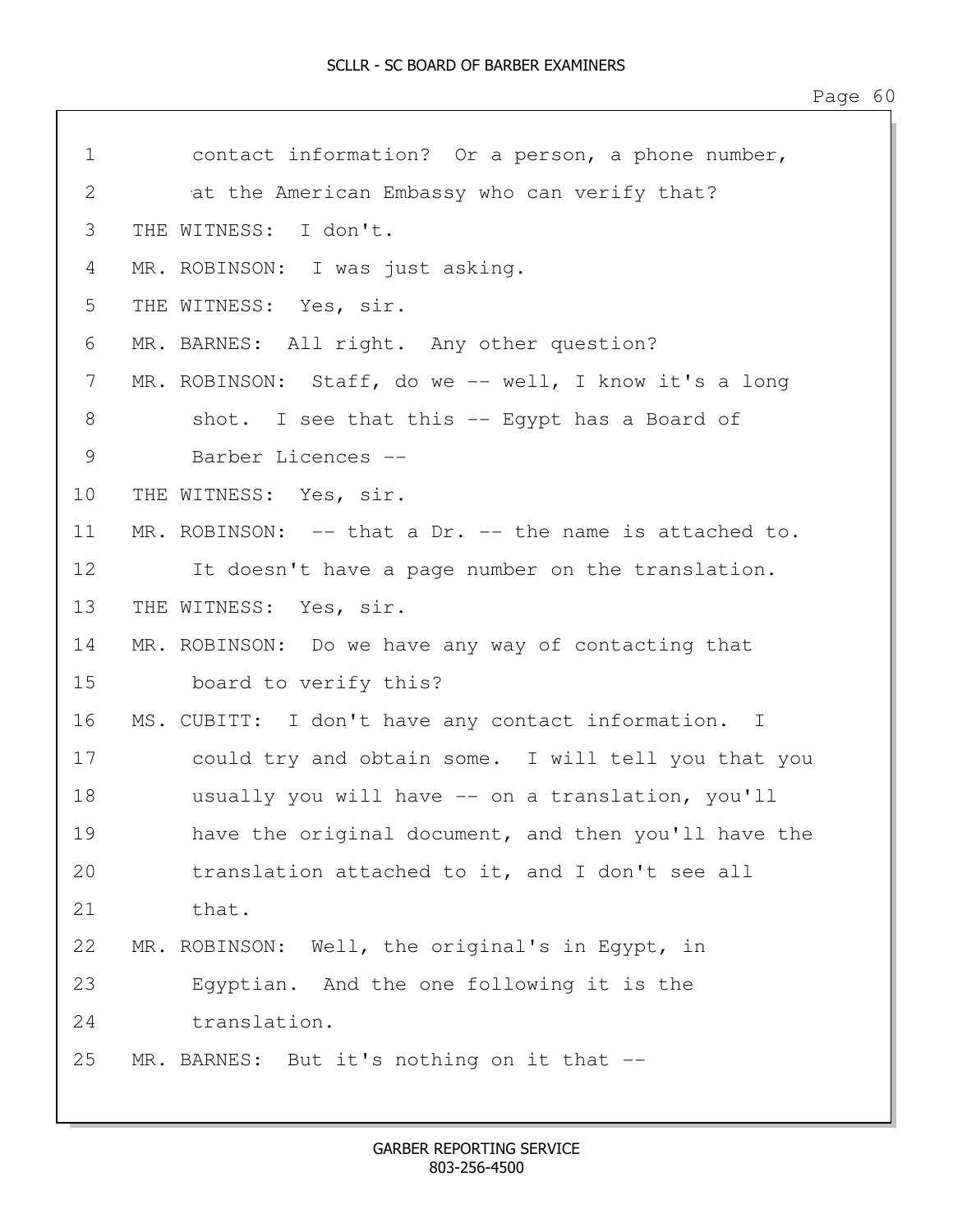| $\mathbf 1$ | contact information? Or a person, a phone number,       |
|-------------|---------------------------------------------------------|
| 2           | at the American Embassy who can verify that?            |
| 3           | THE WITNESS: I don't.                                   |
| 4           | MR. ROBINSON: I was just asking.                        |
| 5           | THE WITNESS: Yes, sir.                                  |
| 6           | MR. BARNES: All right. Any other question?              |
| 7           | MR. ROBINSON: Staff, do we -- well, I know it's a long  |
| 8           | shot. I see that this -- Egypt has a Board of           |
| 9           | Barber Licences --                                      |
| 10          | THE WITNESS: Yes, sir.                                  |
| 11          | MR. ROBINSON: -- that a Dr. -- the name is attached to. |
| 12          | It doesn't have a page number on the translation.       |
| 13          | THE WITNESS: Yes, sir.                                  |
| 14          | MR. ROBINSON: Do we have any way of contacting that     |
| 15          | board to verify this?                                   |
| 16          | MS. CUBITT: I don't have any contact information. I     |
| 17          | could try and obtain some. I will tell you that you     |
| 18          | usually you will have -- on a translation, you'll       |
| 19          | have the original document, and then you'll have the    |
| 20          | translation attached to it, and I don't see all         |
| 21          | that.                                                   |
| 22          | MR. ROBINSON: Well, the original's in Egypt, in         |
| 23          | Eqyptian. And the one following it is the               |
| 24          | translation.                                            |
| 25          | MR. BARNES: But it's nothing on it that --              |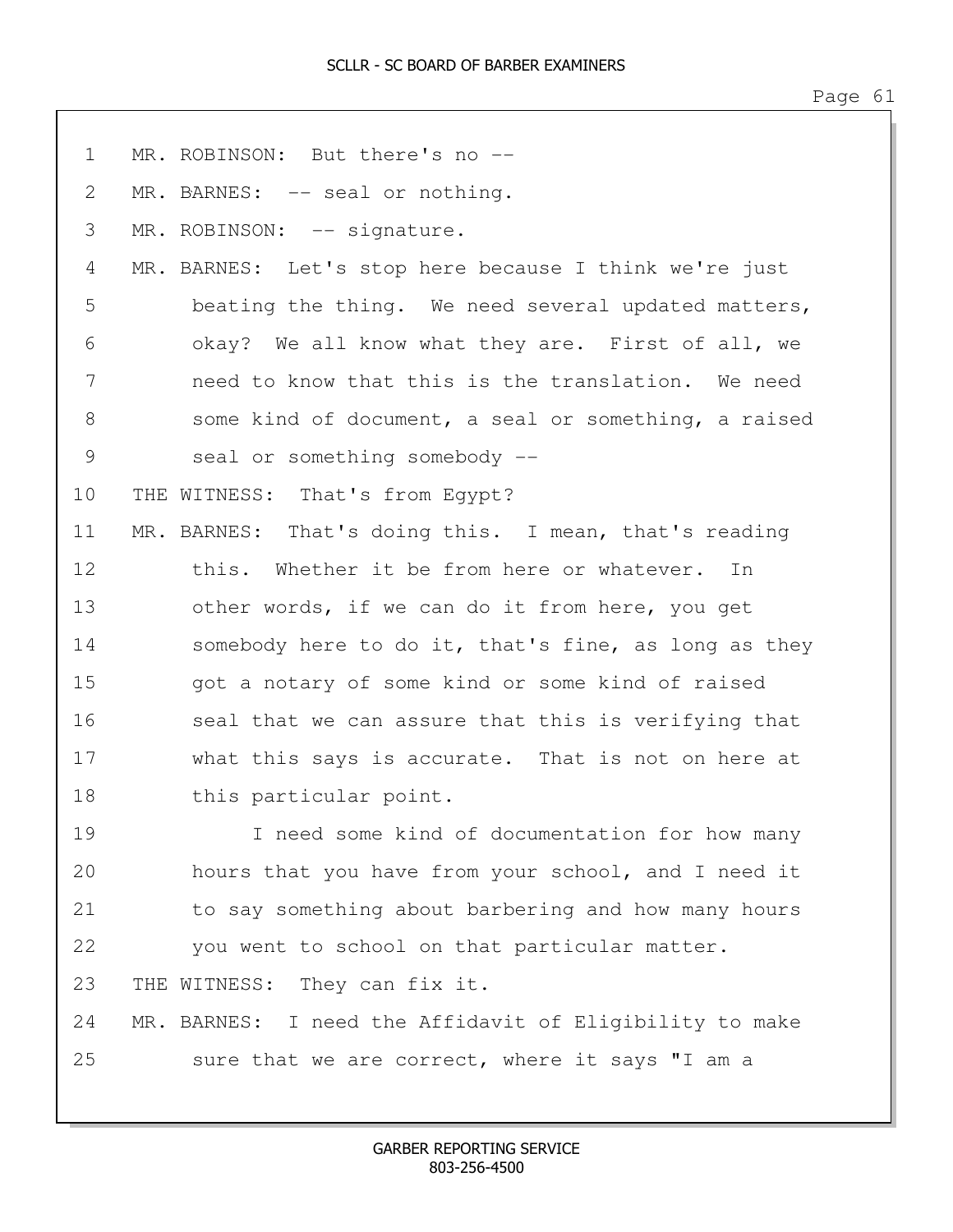| $\mathbf 1$ | MR. ROBINSON: But there's no --                         |
|-------------|---------------------------------------------------------|
| 2           | MR. BARNES: -- seal or nothing.                         |
| 3           | MR. ROBINSON: -- signature.                             |
| 4           | MR. BARNES: Let's stop here because I think we're just  |
| 5           | beating the thing. We need several updated matters,     |
| 6           | okay? We all know what they are. First of all, we       |
| 7           | need to know that this is the translation. We need      |
| 8           | some kind of document, a seal or something, a raised    |
| 9           | seal or something somebody --                           |
| 10          | THE WITNESS: That's from Egypt?                         |
| 11          | MR. BARNES: That's doing this. I mean, that's reading   |
| 12          | this. Whether it be from here or whatever. In           |
| 13          | other words, if we can do it from here, you get         |
| 14          | somebody here to do it, that's fine, as long as they    |
| 15          | got a notary of some kind or some kind of raised        |
| 16          | seal that we can assure that this is verifying that     |
| 17          | what this says is accurate. That is not on here at      |
| 18          | this particular point.                                  |
| 19          | I need some kind of documentation for how many          |
| 20          | hours that you have from your school, and I need it     |
| 21          | to say something about barbering and how many hours     |
| 22          | you went to school on that particular matter.           |
| 23          | THE WITNESS: They can fix it.                           |
| 24          | MR. BARNES: I need the Affidavit of Eligibility to make |
| 25          | sure that we are correct, where it says "I am a         |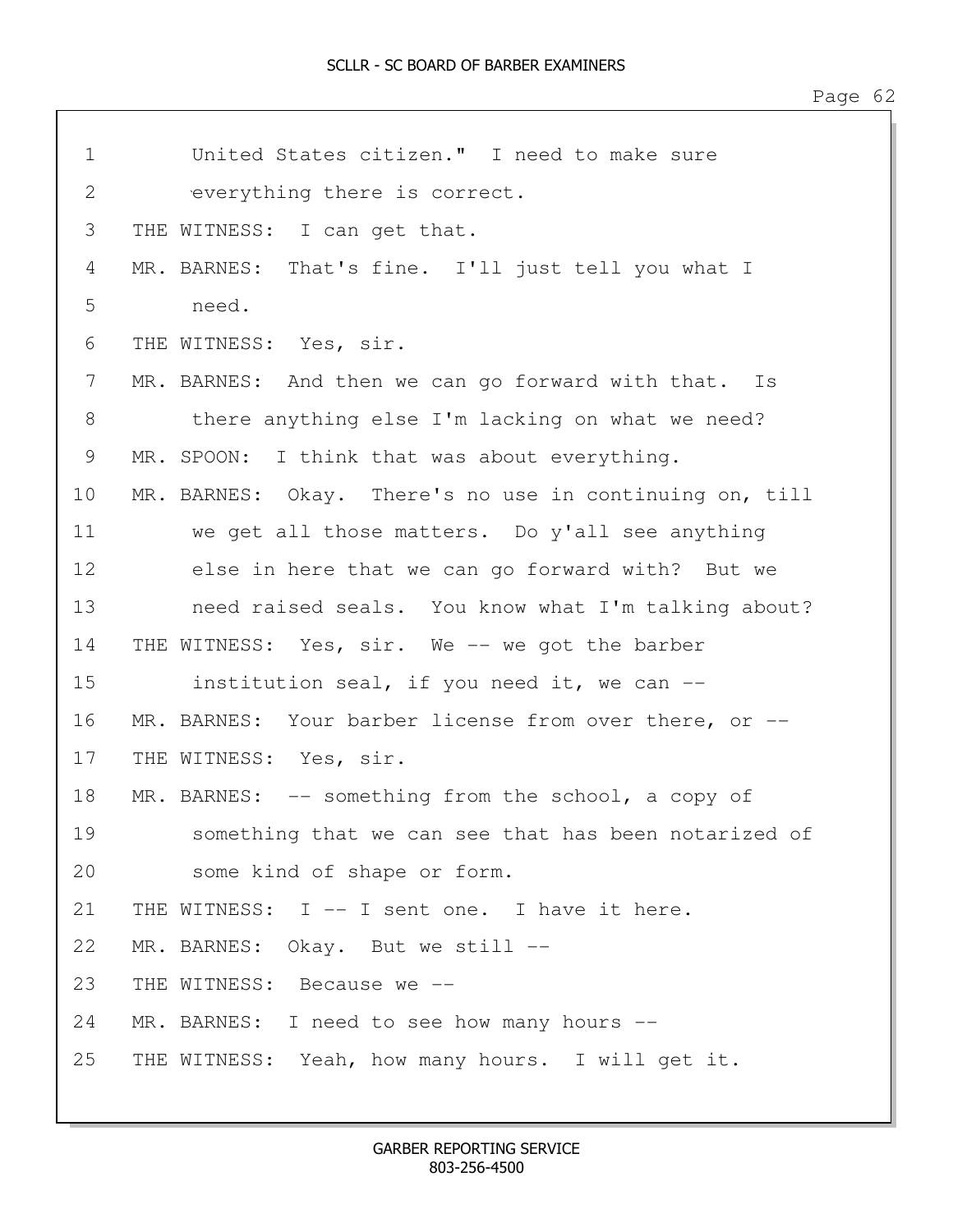| $\mathbf 1$ | United States citizen." I need to make sure             |
|-------------|---------------------------------------------------------|
| 2           | everything there is correct.                            |
| 3           | THE WITNESS: I can get that.                            |
| 4           | MR. BARNES: That's fine. I'll just tell you what I      |
| 5           | need.                                                   |
| 6           | THE WITNESS: Yes, sir.                                  |
| 7           | MR. BARNES: And then we can go forward with that. Is    |
| 8           | there anything else I'm lacking on what we need?        |
| 9           | MR. SPOON: I think that was about everything.           |
| 10          | MR. BARNES: Okay. There's no use in continuing on, till |
| 11          | we get all those matters. Do y'all see anything         |
| 12          | else in here that we can go forward with? But we        |
| 13          | need raised seals. You know what I'm talking about?     |
| 14          | THE WITNESS: Yes, sir. We -- we got the barber          |
| 15          | institution seal, if you need it, we can --             |
| 16          | MR. BARNES: Your barber license from over there, or --  |
| 17          | THE WITNESS: Yes, sir.                                  |
| 18          | MR. BARNES: -- something from the school, a copy of     |
| 19          | something that we can see that has been notarized of    |
| 20          | some kind of shape or form.                             |
| 21          | THE WITNESS: I -- I sent one. I have it here.           |
| 22          | MR. BARNES: Okay. But we still --                       |
| 23          | THE WITNESS: Because we --                              |
| 24          | MR. BARNES: I need to see how many hours --             |
| 25          | THE WITNESS: Yeah, how many hours. I will get it.       |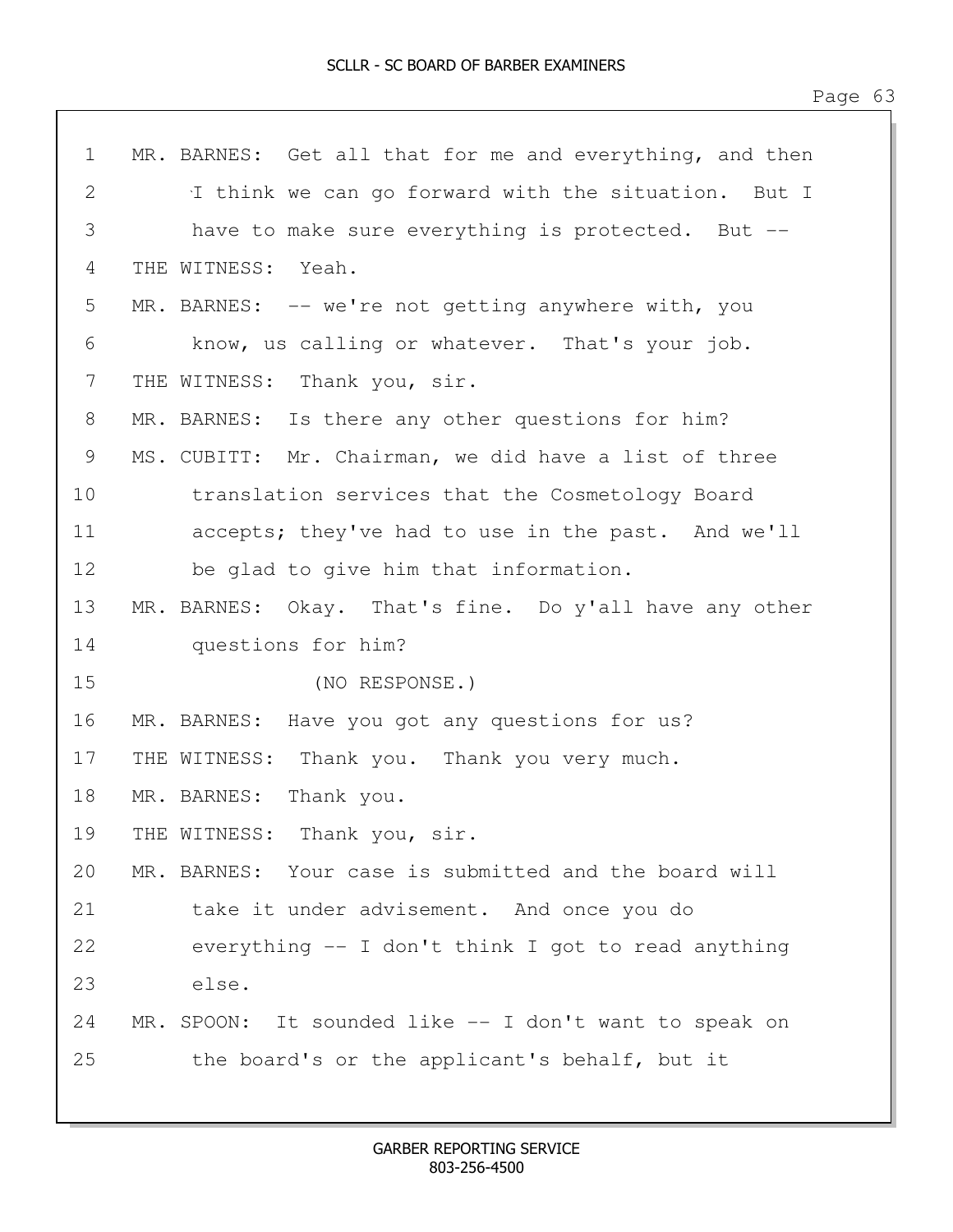| $\mathbf 1$   | MR. BARNES: Get all that for me and everything, and then |
|---------------|----------------------------------------------------------|
| $\mathbf{2}$  | I think we can go forward with the situation. But I      |
| 3             | have to make sure everything is protected. But --        |
| 4             | THE WITNESS:<br>Yeah.                                    |
| 5             | MR. BARNES: -- we're not getting anywhere with, you      |
| 6             | know, us calling or whatever. That's your job.           |
| 7             | THE WITNESS: Thank you, sir.                             |
| 8             | MR. BARNES: Is there any other questions for him?        |
| $\mathcal{G}$ | MS. CUBITT: Mr. Chairman, we did have a list of three    |
| 10            | translation services that the Cosmetology Board          |
| 11            | accepts; they've had to use in the past. And we'll       |
| 12            | be glad to give him that information.                    |
| 13            | MR. BARNES: Okay. That's fine. Do y'all have any other   |
| 14            | questions for him?                                       |
| 15            | (NO RESPONSE.)                                           |
| 16            | MR. BARNES: Have you got any questions for us?           |
| 17            | THE WITNESS: Thank you. Thank you very much.             |
| 18            | MR. BARNES:<br>Thank you.                                |
| 19            | THE WITNESS: Thank you, sir.                             |
| 20            | MR. BARNES: Your case is submitted and the board will    |
| 21            | take it under advisement. And once you do                |
| 22            | everything $-$ I don't think I got to read anything      |
| 23            | else.                                                    |
| 24            | MR. SPOON: It sounded like -- I don't want to speak on   |
| 25            | the board's or the applicant's behalf, but it            |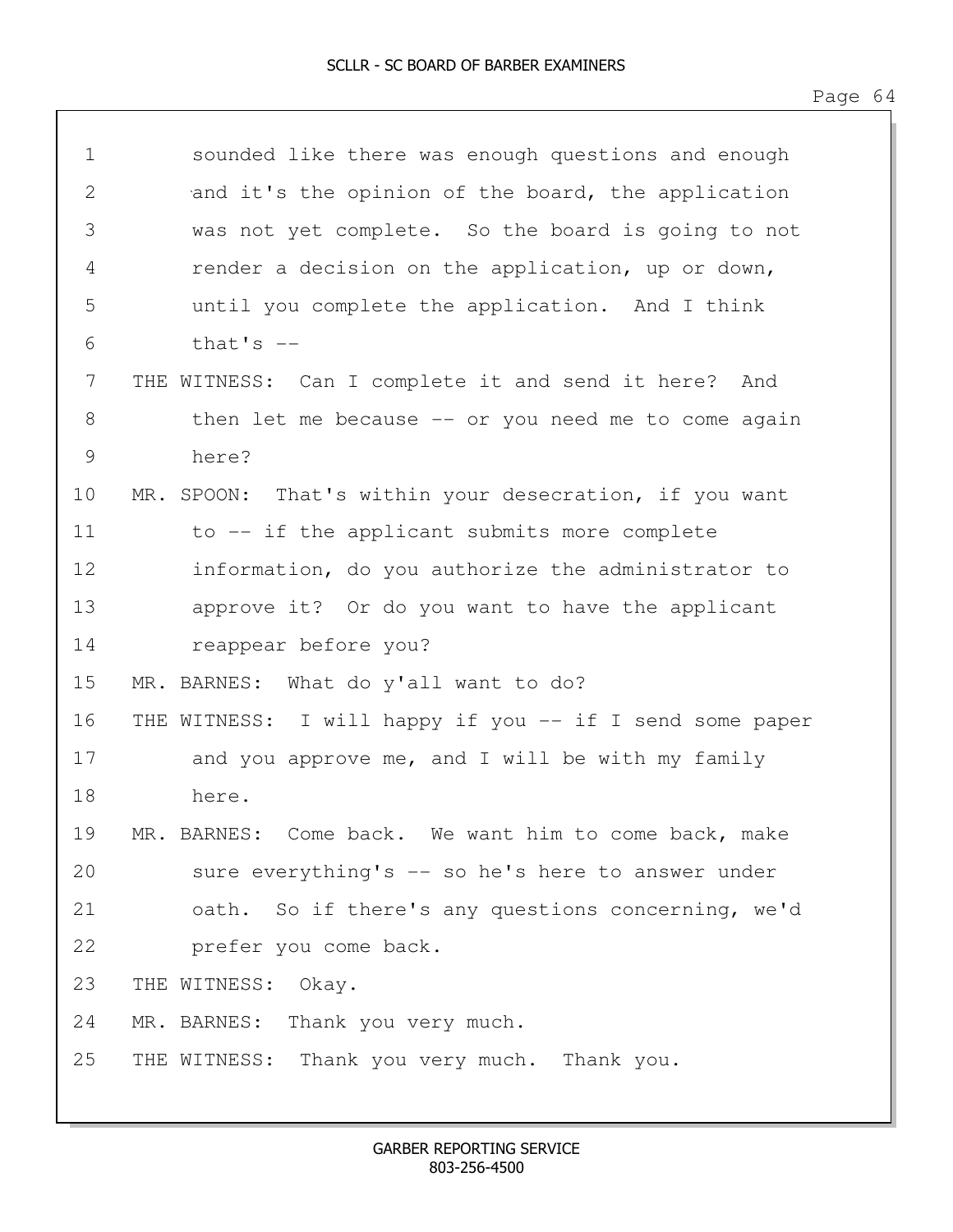| $\mathbf 1$ | sounded like there was enough questions and enough       |
|-------------|----------------------------------------------------------|
| 2           | and it's the opinion of the board, the application       |
| 3           | was not yet complete. So the board is going to not       |
| 4           | render a decision on the application, up or down,        |
| 5           | until you complete the application. And I think          |
| 6           | that's $--$                                              |
| 7           | THE WITNESS: Can I complete it and send it here? And     |
| 8           | then let me because $-$ or you need me to come again     |
| 9           | here?                                                    |
| 10          | MR. SPOON: That's within your desecration, if you want   |
| 11          | to -- if the applicant submits more complete             |
| 12          | information, do you authorize the administrator to       |
| 13          | approve it? Or do you want to have the applicant         |
| 14          | reappear before you?                                     |
| 15          | MR. BARNES: What do y'all want to do?                    |
| 16          | THE WITNESS: I will happy if you -- if I send some paper |
| 17          | and you approve me, and I will be with my family         |
| 18          | here.                                                    |
| 19          | MR. BARNES: Come back. We want him to come back, make    |
| 20          | sure everything's -- so he's here to answer under        |
| 21          | oath. So if there's any questions concerning, we'd       |
| 22          | prefer you come back.                                    |
| 23          | THE WITNESS: Okay.                                       |
| 24          | MR. BARNES: Thank you very much.                         |
| 25          | THE WITNESS: Thank you very much. Thank you.             |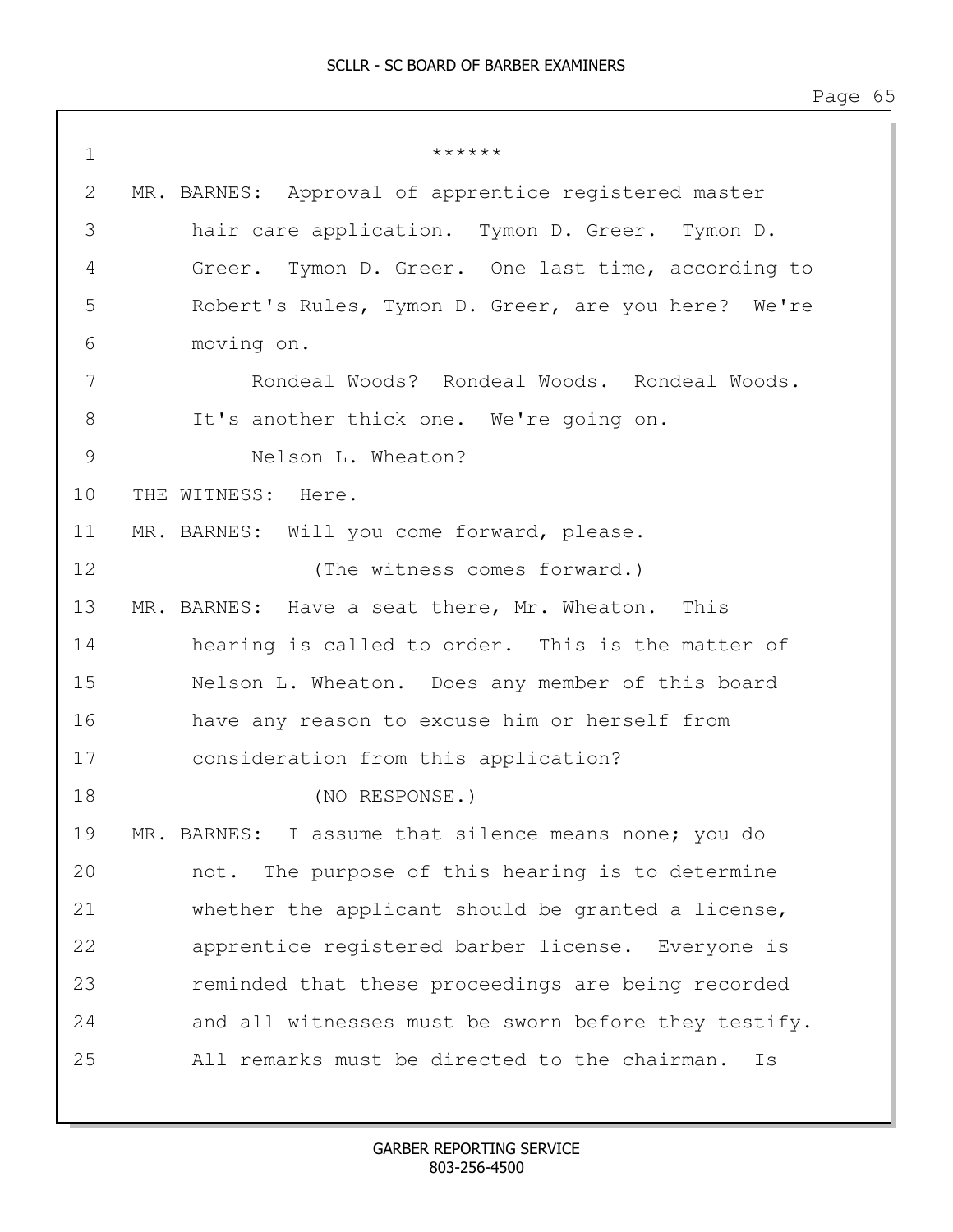1  $*******$ 2 MR. BARNES: Approval of apprentice registered master 3 hair care application. Tymon D. Greer. Tymon D. 4 Greer. Tymon D. Greer. One last time, according to 5 Robert's Rules, Tymon D. Greer, are you here? We're 6 moving on. 7 Rondeal Woods? Rondeal Woods. Rondeal Woods. 8 It's another thick one. We're going on. 9 Nelson L. Wheaton? 10 THE WITNESS: Here. 11 MR. BARNES: Will you come forward, please. 12 (The witness comes forward.) 13 MR. BARNES: Have a seat there, Mr. Wheaton. This 14 hearing is called to order. This is the matter of 15 Nelson L. Wheaton. Does any member of this board 16 have any reason to excuse him or herself from 17 consideration from this application? 18 (NO RESPONSE.) 19 MR. BARNES: I assume that silence means none; you do 20 not. The purpose of this hearing is to determine 21 whether the applicant should be granted a license, 22 apprentice registered barber license. Everyone is 23 reminded that these proceedings are being recorded 24 and all witnesses must be sworn before they testify. 25 All remarks must be directed to the chairman. Is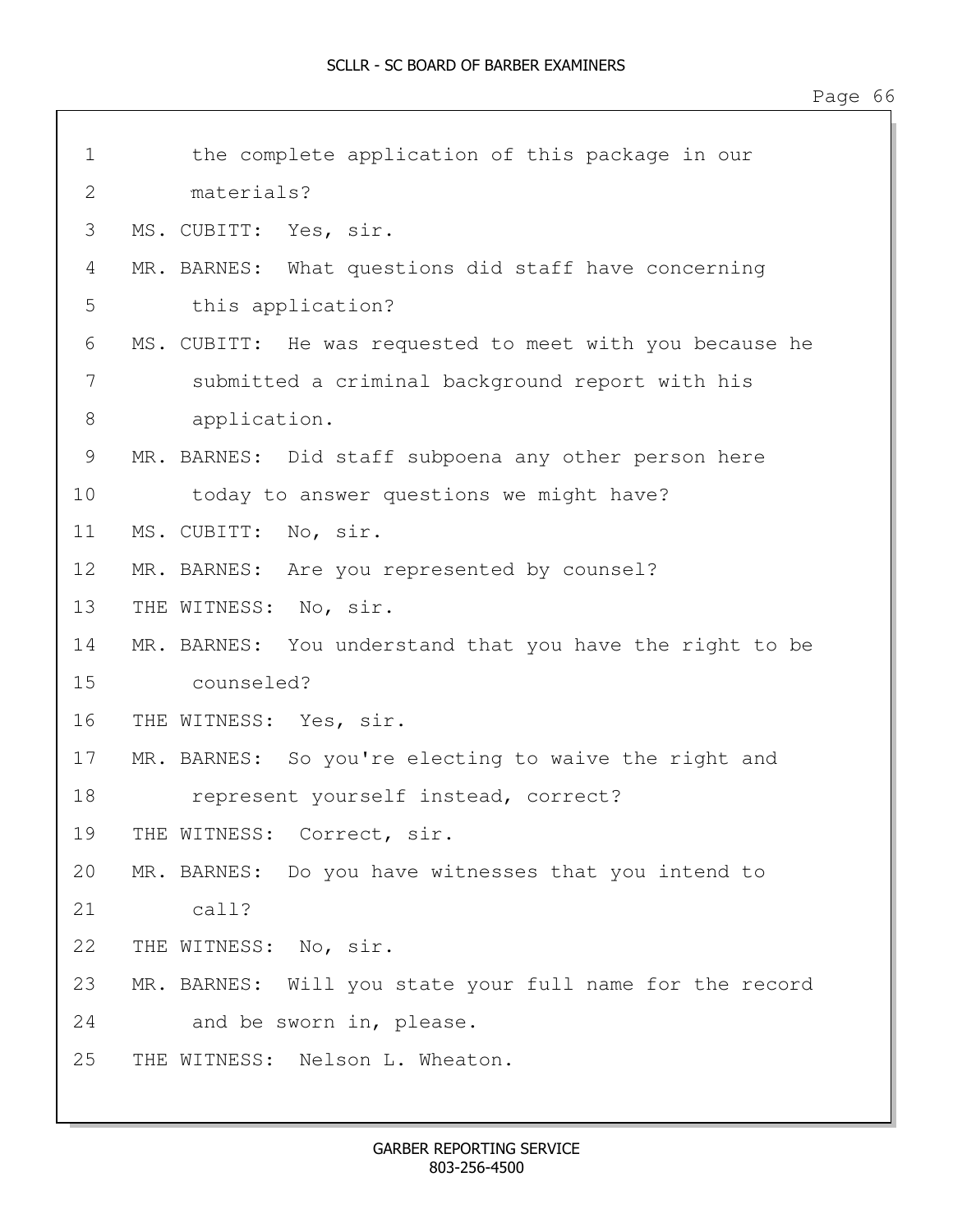| $\mathbf 1$ | the complete application of this package in our          |  |
|-------------|----------------------------------------------------------|--|
| 2           | materials?                                               |  |
| 3           | MS. CUBITT: Yes, sir.                                    |  |
| 4           | MR. BARNES: What questions did staff have concerning     |  |
| 5           | this application?                                        |  |
| 6           | MS. CUBITT: He was requested to meet with you because he |  |
| 7           | submitted a criminal background report with his          |  |
| 8           | application.                                             |  |
| 9           | MR. BARNES: Did staff subpoena any other person here     |  |
| 10          | today to answer questions we might have?                 |  |
| 11          | MS. CUBITT: No, sir.                                     |  |
| 12          | MR. BARNES: Are you represented by counsel?              |  |
| 13          | THE WITNESS: No, sir.                                    |  |
| 14          | MR. BARNES: You understand that you have the right to be |  |
| 15          | counseled?                                               |  |
| 16          | THE WITNESS: Yes, sir.                                   |  |
| 17          | MR. BARNES: So you're electing to waive the right and    |  |
| 18          | represent yourself instead, correct?                     |  |
| 19          | THE WITNESS: Correct, sir.                               |  |
| 20          | MR. BARNES: Do you have witnesses that you intend to     |  |
| 21          | $cal1$ ?                                                 |  |
| 22          | THE WITNESS: No, sir.                                    |  |
| 23          | MR. BARNES: Will you state your full name for the record |  |
| 24          | and be sworn in, please.                                 |  |
| 25          | THE WITNESS: Nelson L. Wheaton.                          |  |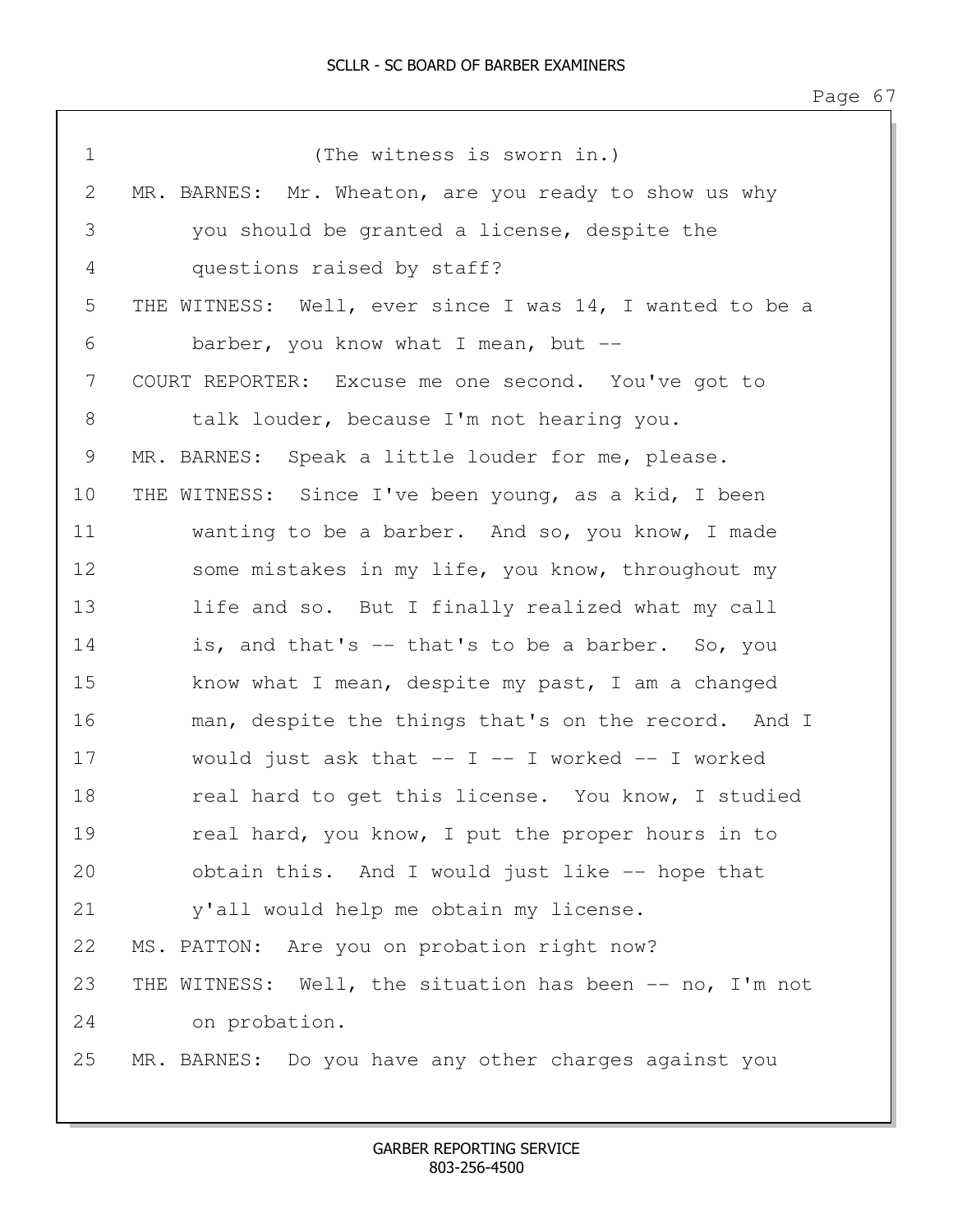| $\mathbf 1$ | (The witness is sworn in.)                               |
|-------------|----------------------------------------------------------|
| 2           | MR. BARNES: Mr. Wheaton, are you ready to show us why    |
| 3           | you should be granted a license, despite the             |
| 4           | questions raised by staff?                               |
| 5           | THE WITNESS: Well, ever since I was 14, I wanted to be a |
| 6           | barber, you know what I mean, but $-$                    |
| 7           | COURT REPORTER: Excuse me one second. You've got to      |
| 8           | talk louder, because I'm not hearing you.                |
| 9           | MR. BARNES: Speak a little louder for me, please.        |
| 10          | THE WITNESS: Since I've been young, as a kid, I been     |
| 11          | wanting to be a barber. And so, you know, I made         |
| 12          | some mistakes in my life, you know, throughout my        |
| 13          | life and so. But I finally realized what my call         |
| 14          | is, and that's -- that's to be a barber. So, you         |
| 15          | know what I mean, despite my past, I am a changed        |
| 16          | man, despite the things that's on the record. And I      |
| 17          | would just ask that $--$ I $--$ I worked $--$ I worked   |
| 18          | real hard to get this license. You know, I studied       |
| 19          | real hard, you know, I put the proper hours in to        |
| 20          | obtain this. And I would just like -- hope that          |
| 21          | y'all would help me obtain my license.                   |
| 22          | MS. PATTON: Are you on probation right now?              |
| 23          | THE WITNESS: Well, the situation has been -- no, I'm not |
| 24          | on probation.                                            |
| 25          | MR. BARNES: Do you have any other charges against you    |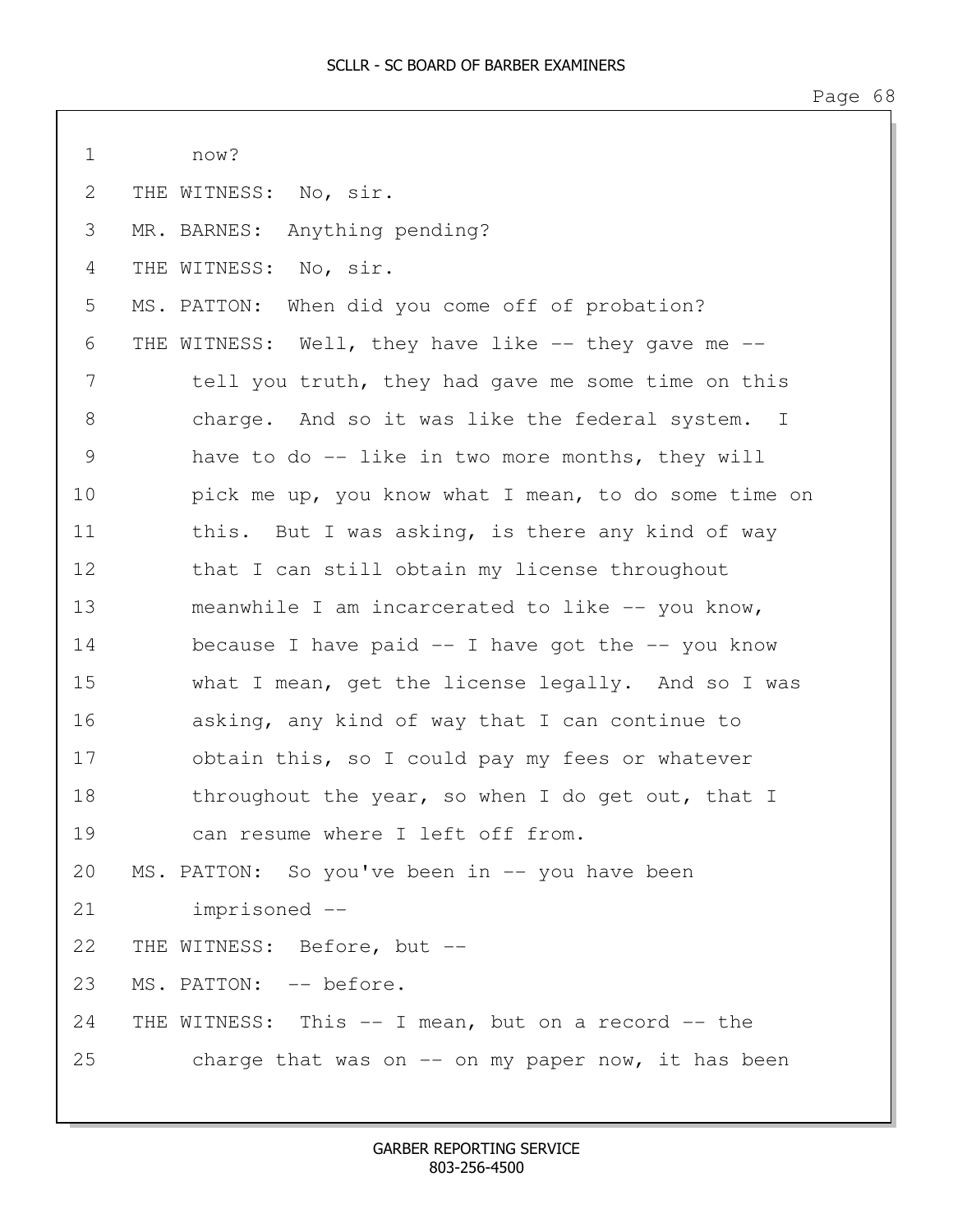1 now?

2 THE WITNESS: No, sir.

4 THE WITNESS: No, sir.

3 MR. BARNES: Anything pending? 5 MS. PATTON: When did you come off of probation? 6 THE WITNESS: Well, they have like -- they gave me -- 7 tell you truth, they had gave me some time on this

8 charge. And so it was like the federal system. I 9 have to do -- like in two more months, they will 10 **pick me up, you know what I mean, to do some time on** 11 this. But I was asking, is there any kind of way 12 that I can still obtain my license throughout 13 meanwhile I am incarcerated to like -- you know, 14 because I have paid -- I have got the -- you know 15 what I mean, get the license legally. And so I was 16 asking, any kind of way that I can continue to 17 obtain this, so I could pay my fees or whatever 18 throughout the year, so when I do get out, that I 19 can resume where I left off from. 20 MS. PATTON: So you've been in -- you have been 21 imprisoned -- 22 THE WITNESS: Before, but -- 23 MS. PATTON: -- before. 24 THE WITNESS: This -- I mean, but on a record -- the 25 charge that was on -- on my paper now, it has been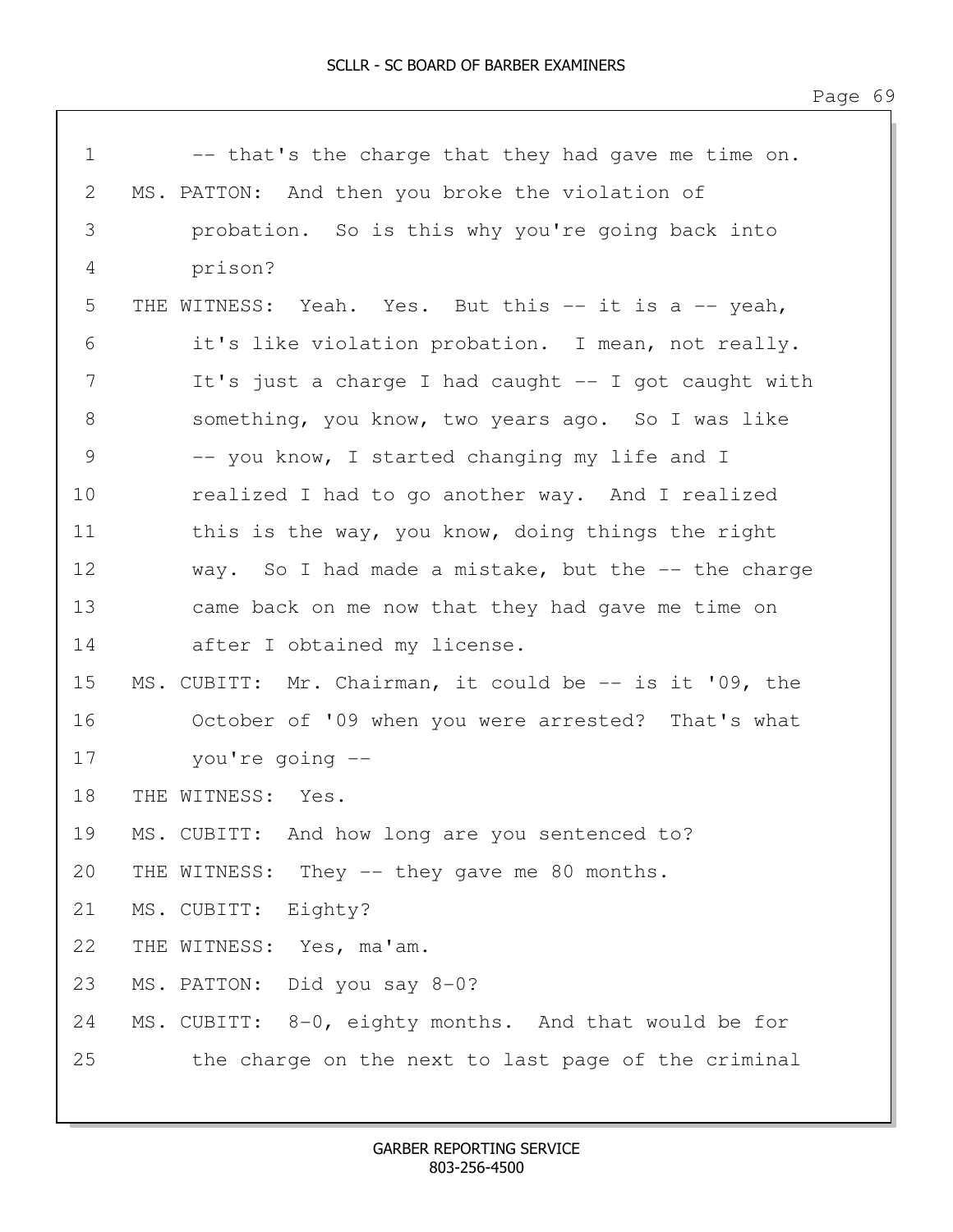| $\mathbf 1$   | -- that's the charge that they had gave me time on.         |  |
|---------------|-------------------------------------------------------------|--|
| 2             | MS. PATTON: And then you broke the violation of             |  |
| 3             | probation. So is this why you're going back into            |  |
| 4             | prison?                                                     |  |
| 5             | Yeah. Yes. But this $--$ it is a $--$ yeah,<br>THE WITNESS: |  |
| 6             | it's like violation probation. I mean, not really.          |  |
| 7             | It's just a charge I had caught -- I got caught with        |  |
| 8             | something, you know, two years ago. So I was like           |  |
| $\mathcal{G}$ | -- you know, I started changing my life and I               |  |
| 10            | realized I had to go another way. And I realized            |  |
| 11            | this is the way, you know, doing things the right           |  |
| 12            | way. So I had made a mistake, but the -- the charge         |  |
| 13            | came back on me now that they had gave me time on           |  |
| 14            | after I obtained my license.                                |  |
| 15            | MS. CUBITT: Mr. Chairman, it could be -- is it '09, the     |  |
| 16            | October of '09 when you were arrested? That's what          |  |
| 17            | you're going --                                             |  |
| 18            | THE WITNESS:<br>Yes.                                        |  |
| 19            | MS. CUBITT: And how long are you sentenced to?              |  |
| 20            | THE WITNESS: They -- they gave me 80 months.                |  |
| 21            | MS. CUBITT: Eighty?                                         |  |
| 22            | THE WITNESS: Yes, ma'am.                                    |  |
| 23            | MS. PATTON: Did you say 8-0?                                |  |
| 24            | MS. CUBITT: 8-0, eighty months. And that would be for       |  |
| 25            | the charge on the next to last page of the criminal         |  |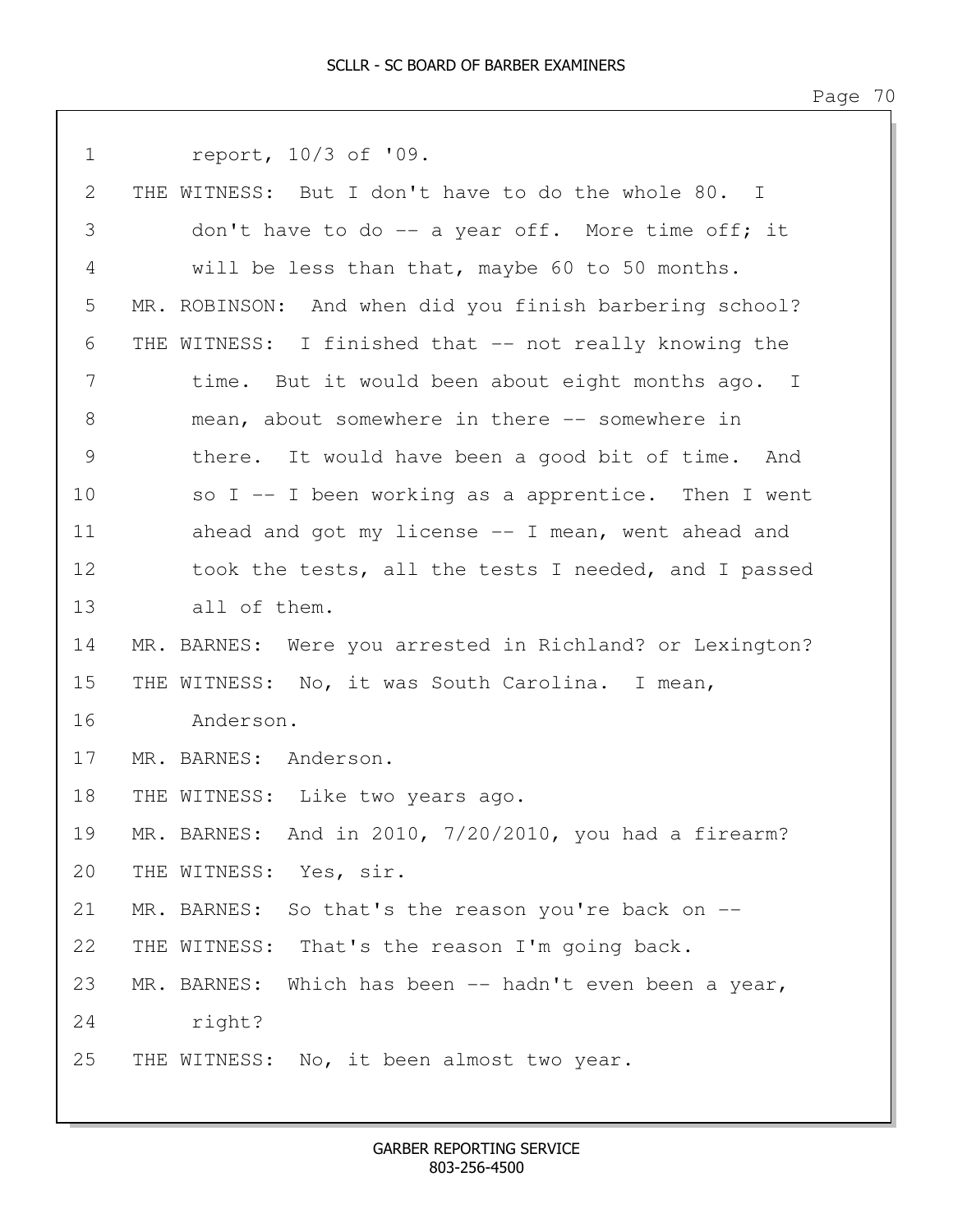| $\mathbf 1$   | report, 10/3 of '09.                                     |
|---------------|----------------------------------------------------------|
| 2             | THE WITNESS: But I don't have to do the whole 80. I      |
| 3             | don't have to do -- a year off. More time off; it        |
| 4             | will be less than that, maybe 60 to 50 months.           |
| 5             | MR. ROBINSON: And when did you finish barbering school?  |
| 6             | THE WITNESS: I finished that -- not really knowing the   |
| 7             | time. But it would been about eight months ago. I        |
| 8             | mean, about somewhere in there -- somewhere in           |
| $\mathcal{G}$ | there. It would have been a good bit of time. And        |
| 10            | so $I$ -- I been working as a apprentice. Then I went    |
| 11            | ahead and got my license -- I mean, went ahead and       |
| 12            | took the tests, all the tests I needed, and I passed     |
| 13            | all of them.                                             |
| 14            | MR. BARNES: Were you arrested in Richland? or Lexington? |
| 15            | THE WITNESS: No, it was South Carolina. I mean,          |
| 16            | Anderson.                                                |
| 17            | MR. BARNES: Anderson.                                    |
| 18            | THE WITNESS: Like two years ago.                         |
| 19            | MR. BARNES: And in 2010, 7/20/2010, you had a firearm?   |
| 20            | THE WITNESS: Yes, sir.                                   |
| 21            | MR. BARNES: So that's the reason you're back on --       |
| 22            | THE WITNESS: That's the reason I'm going back.           |
| 23            | MR. BARNES: Which has been -- hadn't even been a year,   |
| 24            | right?                                                   |
| 25            | THE WITNESS: No, it been almost two year.                |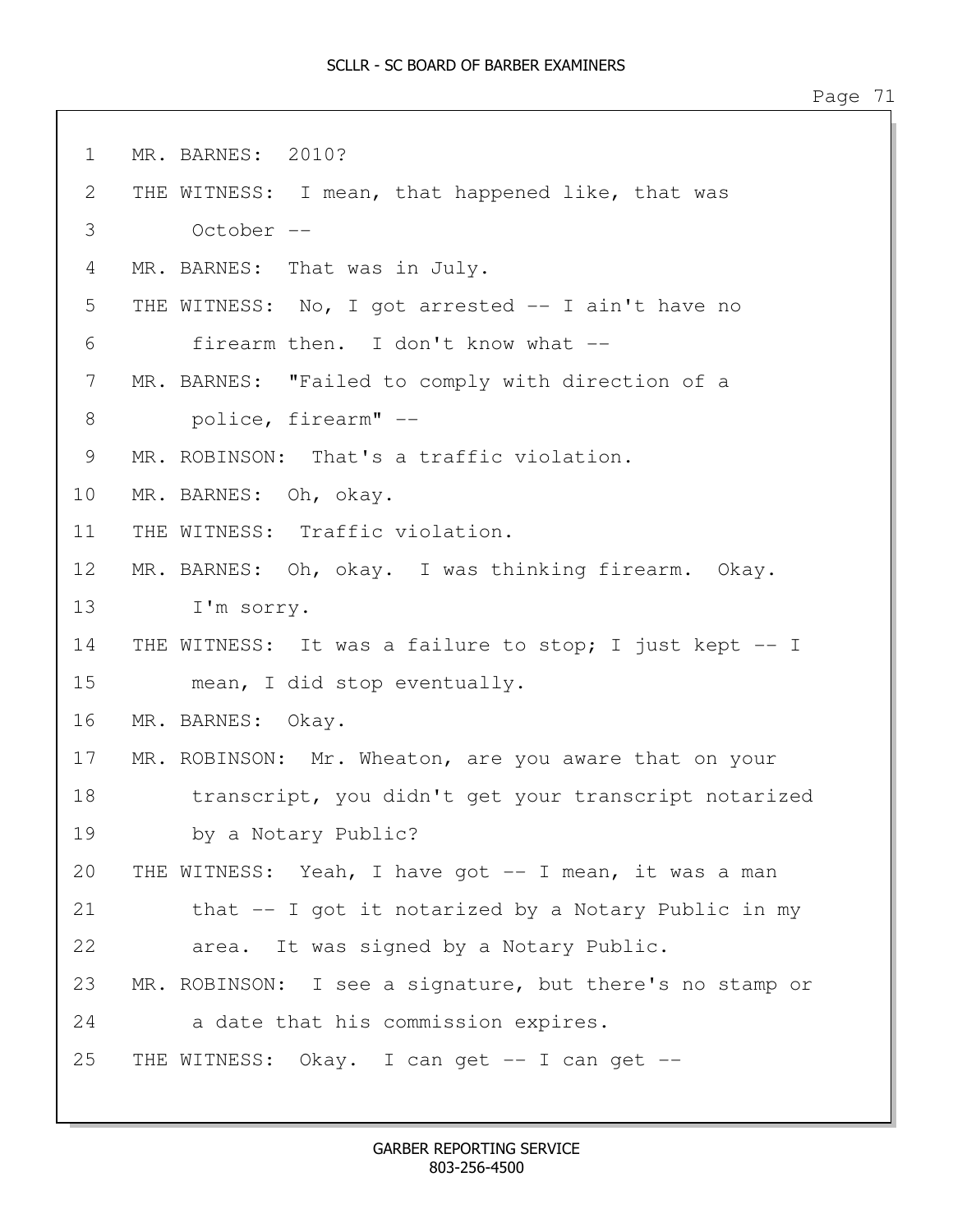| $\mathbf 1$ | MR. BARNES: 2010?                                        |
|-------------|----------------------------------------------------------|
| 2           | THE WITNESS: I mean, that happened like, that was        |
| 3           | October --                                               |
| 4           | MR. BARNES: That was in July.                            |
| 5           | THE WITNESS: No, I got arrested -- I ain't have no       |
| 6           | firearm then. I don't know what --                       |
| 7           | MR. BARNES: "Failed to comply with direction of a        |
| 8           | police, firearm" --                                      |
| 9           | MR. ROBINSON: That's a traffic violation.                |
| 10          | MR. BARNES: Oh, okay.                                    |
| 11          | THE WITNESS: Traffic violation.                          |
| 12          | MR. BARNES: Oh, okay. I was thinking firearm. Okay.      |
| 13          | I'm sorry.                                               |
| 14          | THE WITNESS: It was a failure to stop; I just kept -- I  |
| 15          | mean, I did stop eventually.                             |
| 16          | MR. BARNES: Okay.                                        |
| 17          | MR. ROBINSON: Mr. Wheaton, are you aware that on your    |
| 18          | transcript, you didn't get your transcript notarized     |
| 19          | by a Notary Public?                                      |
| 20          | THE WITNESS: Yeah, I have got -- I mean, it was a man    |
| 21          | that -- I got it notarized by a Notary Public in my      |
| 22          | area. It was signed by a Notary Public.                  |
| 23          | MR. ROBINSON: I see a signature, but there's no stamp or |
| 24          | a date that his commission expires.                      |
| 25          | THE WITNESS: Okay. I can get -- I can get --             |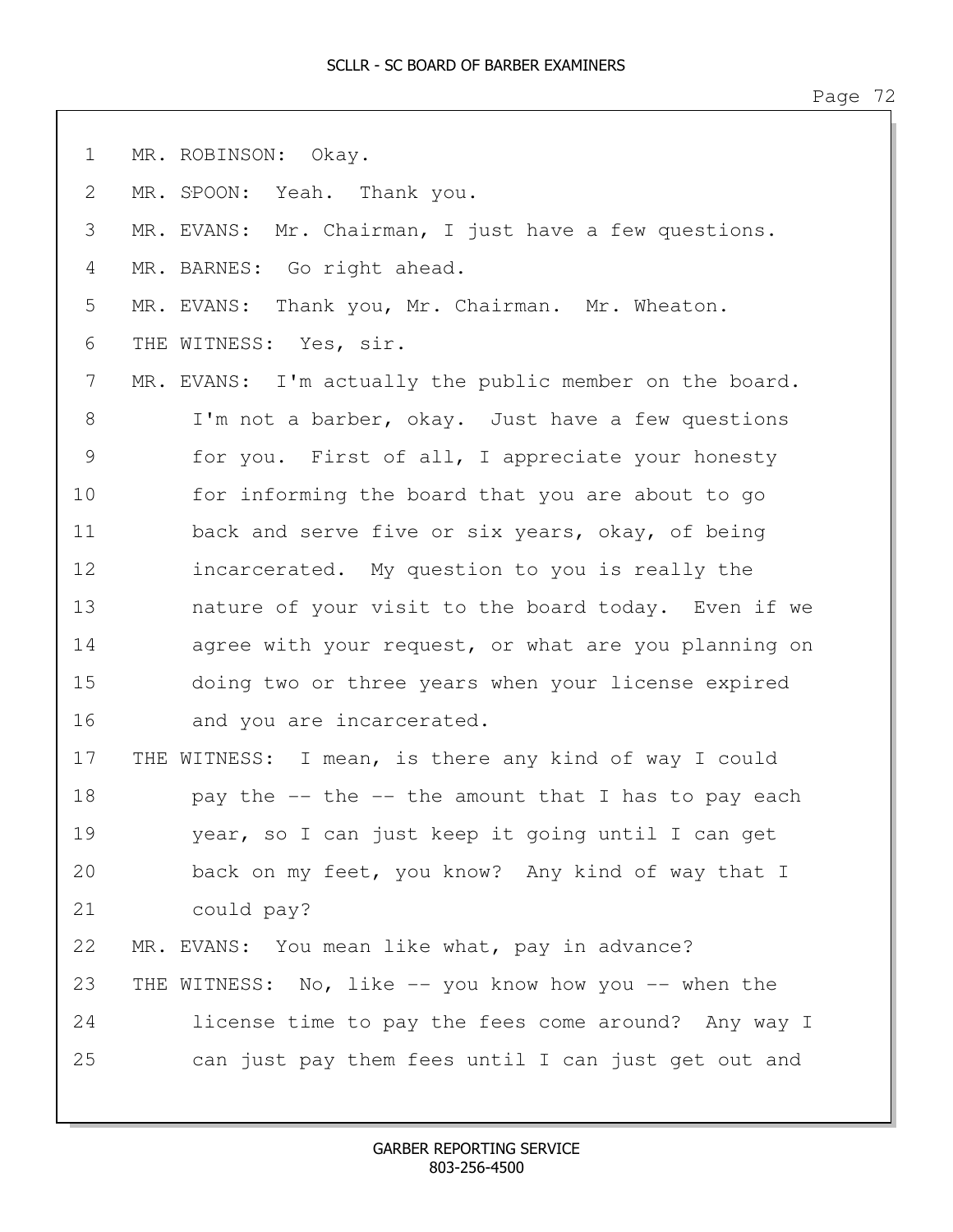| $\mathbf 1$   | MR. ROBINSON: Okay.                                     |
|---------------|---------------------------------------------------------|
| $\mathbf{2}$  | MR. SPOON: Yeah. Thank you.                             |
| 3             | MR. EVANS: Mr. Chairman, I just have a few questions.   |
| 4             | MR. BARNES: Go right ahead.                             |
| 5             | MR. EVANS: Thank you, Mr. Chairman. Mr. Wheaton.        |
| 6             | THE WITNESS: Yes, sir.                                  |
| 7             | MR. EVANS: I'm actually the public member on the board. |
| $8\,$         | I'm not a barber, okay. Just have a few questions       |
| $\mathcal{G}$ | for you. First of all, I appreciate your honesty        |
| 10            | for informing the board that you are about to go        |
| 11            | back and serve five or six years, okay, of being        |
| 12            | incarcerated. My question to you is really the          |
| 13            | nature of your visit to the board today. Even if we     |
| 14            | agree with your request, or what are you planning on    |
| 15            | doing two or three years when your license expired      |
| 16            | and you are incarcerated.                               |
| 17            | THE WITNESS: I mean, is there any kind of way I could   |
| 18            | pay the -- the -- the amount that I has to pay each     |
| 19            | year, so I can just keep it going until I can get       |
| 20            | back on my feet, you know? Any kind of way that I       |
| 21            | could pay?                                              |
| 22            | MR. EVANS: You mean like what, pay in advance?          |
| 23            | THE WITNESS: No, like -- you know how you -- when the   |
| 24            | license time to pay the fees come around? Any way I     |
| 25            | can just pay them fees until I can just get out and     |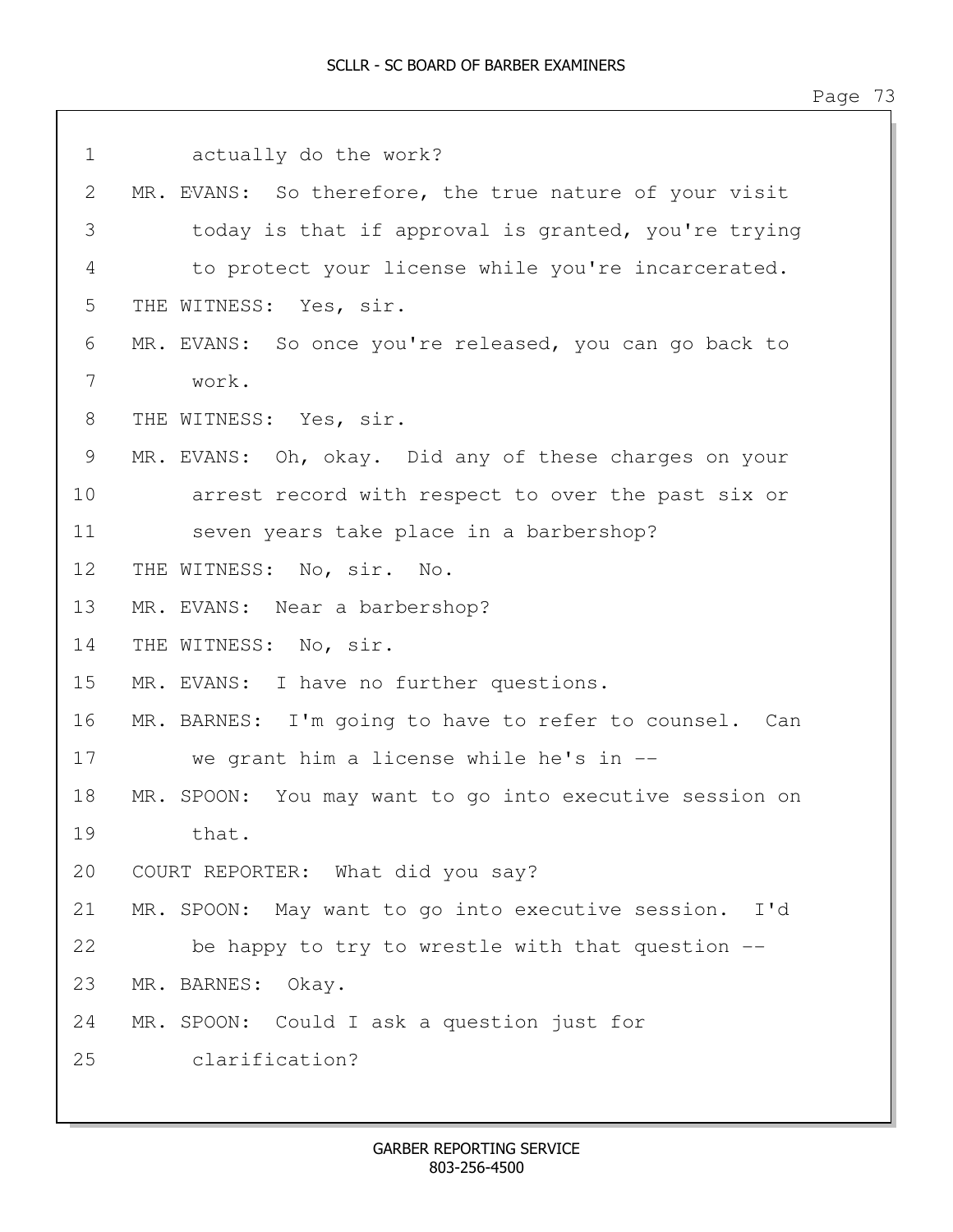| $\mathbf 1$ | actually do the work?                                      |
|-------------|------------------------------------------------------------|
| 2           | MR. EVANS: So therefore, the true nature of your visit     |
| 3           | today is that if approval is granted, you're trying        |
| 4           | to protect your license while you're incarcerated.         |
| 5           | THE WITNESS: Yes, sir.                                     |
| 6           | MR. EVANS: So once you're released, you can go back to     |
| 7           | work.                                                      |
| 8           | THE WITNESS: Yes, sir.                                     |
| 9           | MR. EVANS: Oh, okay. Did any of these charges on your      |
| 10          | arrest record with respect to over the past six or         |
| 11          | seven years take place in a barbershop?                    |
| 12          | THE WITNESS: No, sir. No.                                  |
| 13          | MR. EVANS: Near a barbershop?                              |
| 14          | THE WITNESS: No, sir.                                      |
| 15          | MR. EVANS: I have no further questions.                    |
| 16          | MR. BARNES: I'm going to have to refer to counsel. Can     |
| 17          | we grant him a license while he's in --                    |
| 18          | You may want to go into executive session on<br>MR. SPOON: |
| 19          | that.                                                      |
| 20          | COURT REPORTER: What did you say?                          |
| 21          | MR. SPOON: May want to go into executive session. I'd      |
| 22          | be happy to try to wrestle with that question --           |
| 23          | MR. BARNES:<br>Okay.                                       |
| 24          | MR. SPOON: Could I ask a question just for                 |
| 25          | clarification?                                             |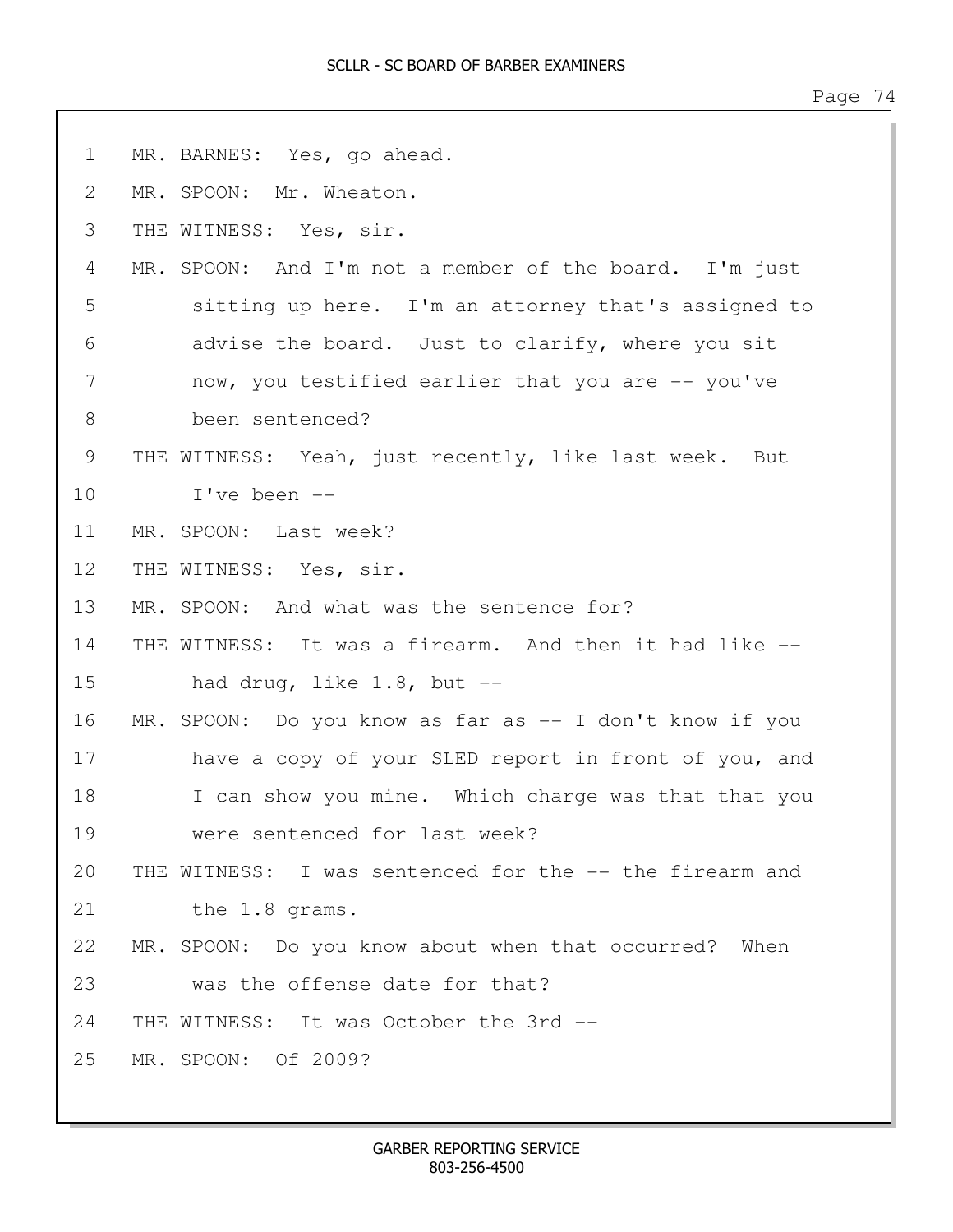| $\mathbf 1$ | MR. BARNES: Yes, go ahead.                                  |
|-------------|-------------------------------------------------------------|
| 2           | MR. SPOON: Mr. Wheaton.                                     |
| 3           | THE WITNESS: Yes, sir.                                      |
| 4           | MR. SPOON: And I'm not a member of the board. I'm just      |
| 5           | sitting up here. I'm an attorney that's assigned to         |
| 6           | advise the board. Just to clarify, where you sit            |
| 7           | now, you testified earlier that you are -- you've           |
| 8           | been sentenced?                                             |
| 9           | THE WITNESS: Yeah, just recently, like last week. But       |
| 10          | I've been --                                                |
| 11          | MR. SPOON: Last week?                                       |
| 12          | THE WITNESS: Yes, sir.                                      |
| 13          | MR. SPOON: And what was the sentence for?                   |
| 14          | THE WITNESS: It was a firearm. And then it had like --      |
| 15          | had drug, like $1.8$ , but $-$                              |
| 16          | MR.<br>SPOON: Do you know as far as $-$ I don't know if you |
| 17          | have a copy of your SLED report in front of you, and        |
| 18          | I can show you mine. Which charge was that that you         |
| 19          | were sentenced for last week?                               |
| 20          | THE WITNESS: I was sentenced for the -- the firearm and     |
| 21          | the 1.8 grams.                                              |
| 22          | MR. SPOON: Do you know about when that occurred?<br>When    |
| 23          | was the offense date for that?                              |
| 24          | THE WITNESS: It was October the 3rd --                      |
| 25          | MR. SPOON: Of 2009?                                         |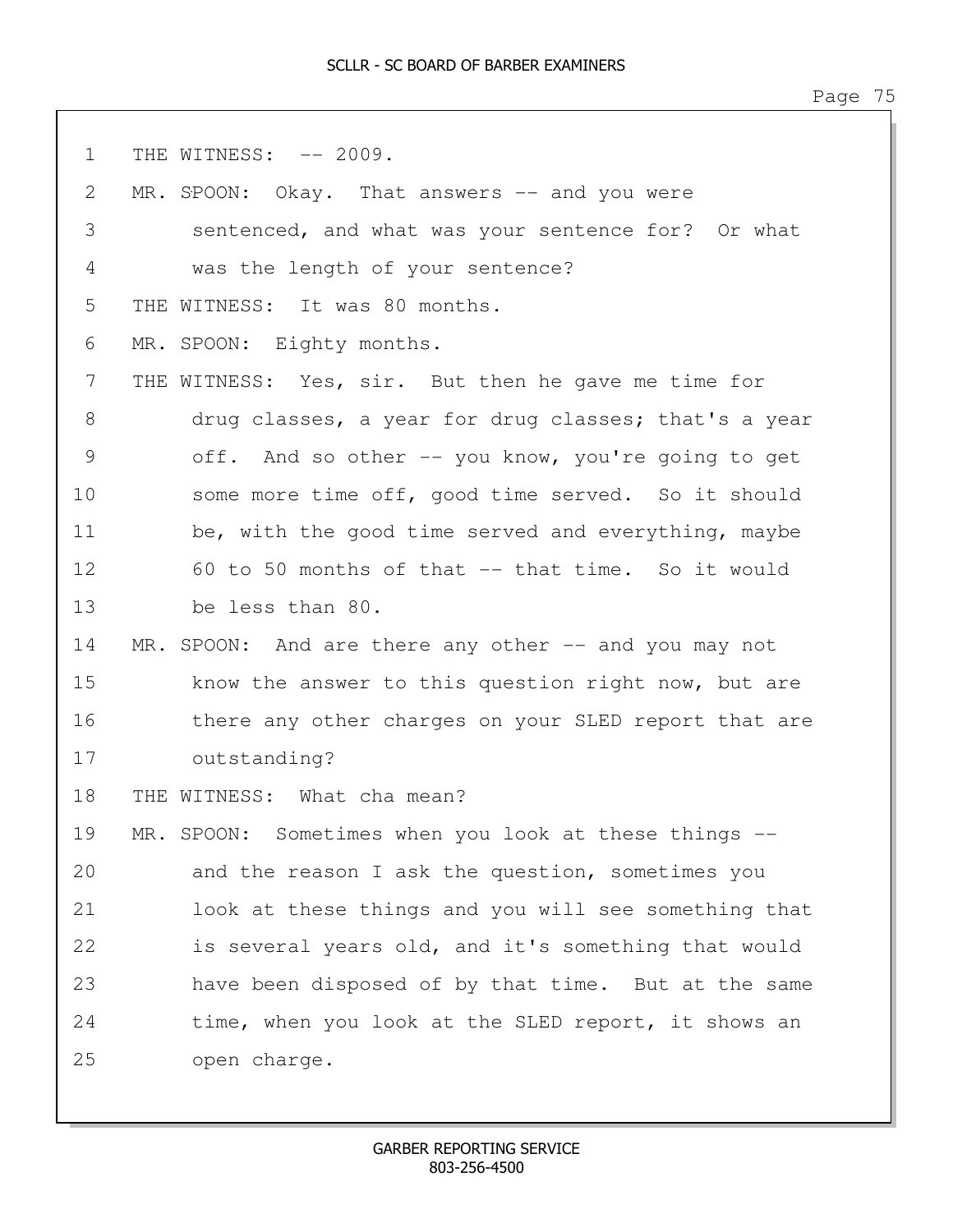1 THE WITNESS:  $-- 2009$ . 2 MR. SPOON: Okay. That answers -- and you were 3 sentenced, and what was your sentence for? Or what 4 was the length of your sentence? 5 THE WITNESS: It was 80 months. 6 MR. SPOON: Eighty months. 7 THE WITNESS: Yes, sir. But then he gave me time for 8 drug classes, a year for drug classes; that's a year 9 off. And so other -- you know, you're going to get 10 some more time off, good time served. So it should 11 be, with the good time served and everything, maybe 12 60 to 50 months of that -- that time. So it would 13 be less than 80. 14 MR. SPOON: And are there any other -- and you may not 15 know the answer to this question right now, but are 16 there any other charges on your SLED report that are 17 outstanding? 18 THE WITNESS: What cha mean? 19 MR. SPOON: Sometimes when you look at these things -- 20 and the reason I ask the question, sometimes you 21 look at these things and you will see something that 22 is several years old, and it's something that would 23 have been disposed of by that time. But at the same 24 time, when you look at the SLED report, it shows an 25 open charge.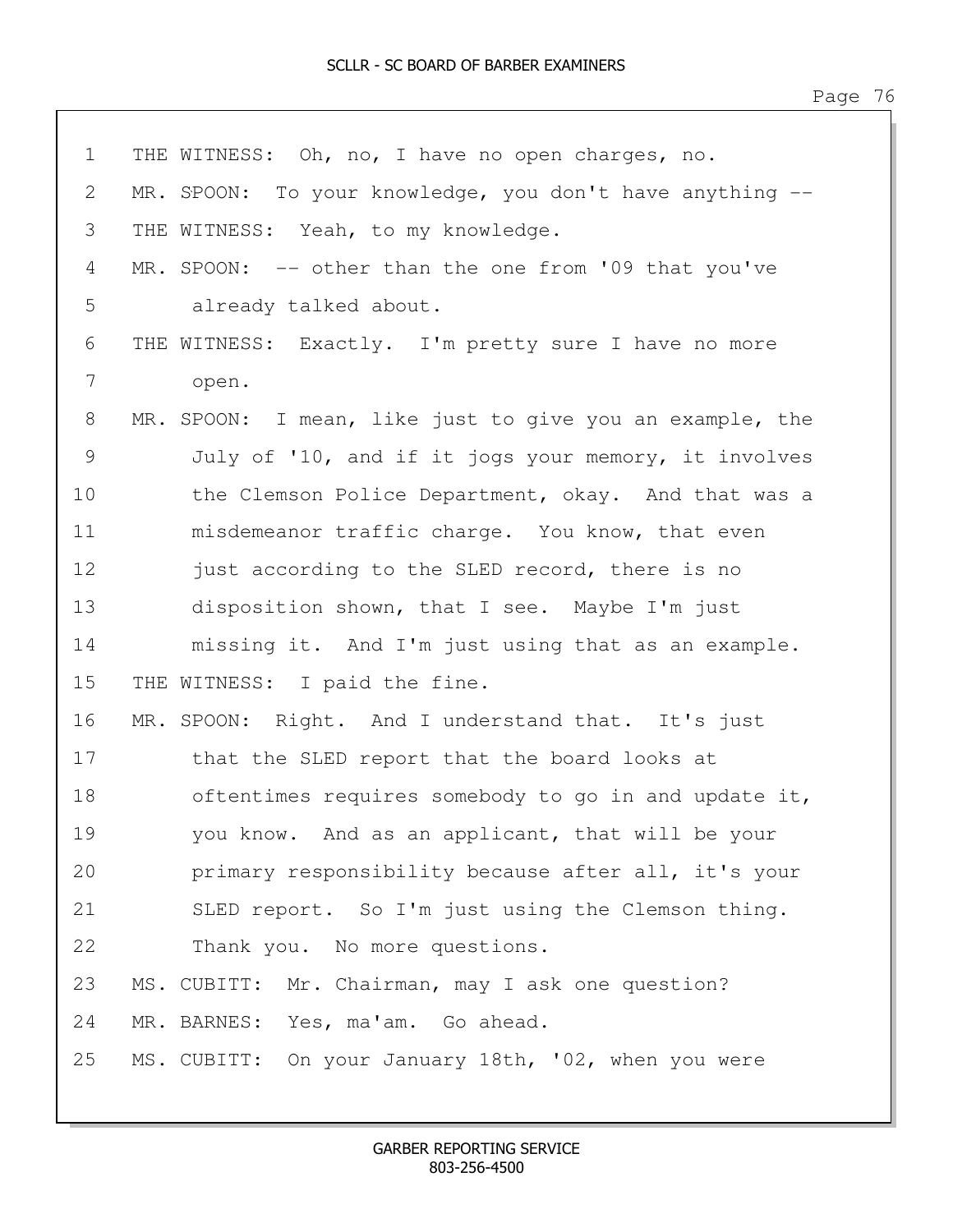| $\mathbf 1$ | THE WITNESS: Oh, no, I have no open charges, no.         |
|-------------|----------------------------------------------------------|
| 2           | MR. SPOON: To your knowledge, you don't have anything -- |
| 3           | THE WITNESS: Yeah, to my knowledge.                      |
| 4           | MR. SPOON: -- other than the one from '09 that you've    |
| 5           | already talked about.                                    |
| 6           | THE WITNESS: Exactly. I'm pretty sure I have no more     |
| 7           | open.                                                    |
| 8           | MR. SPOON: I mean, like just to give you an example, the |
| 9           | July of '10, and if it jogs your memory, it involves     |
| 10          | the Clemson Police Department, okay. And that was a      |
| 11          | misdemeanor traffic charge. You know, that even          |
| 12          | just according to the SLED record, there is no           |
| 13          | disposition shown, that I see. Maybe I'm just            |
| 14          | missing it. And I'm just using that as an example.       |
| 15          | THE WITNESS: I paid the fine.                            |
| 16          | MR. SPOON: Right. And I understand that. It's just       |
| 17          | that the SLED report that the board looks at             |
| 18          | oftentimes requires somebody to go in and update it,     |
| 19          | you know. And as an applicant, that will be your         |
| 20          | primary responsibility because after all, it's your      |
| 21          | SLED report. So I'm just using the Clemson thing.        |
| 22          | Thank you. No more questions.                            |
| 23          | MS. CUBITT: Mr. Chairman, may I ask one question?        |
| 24          | MR. BARNES: Yes, ma'am. Go ahead.                        |
| 25          | MS. CUBITT: On your January 18th, '02, when you were     |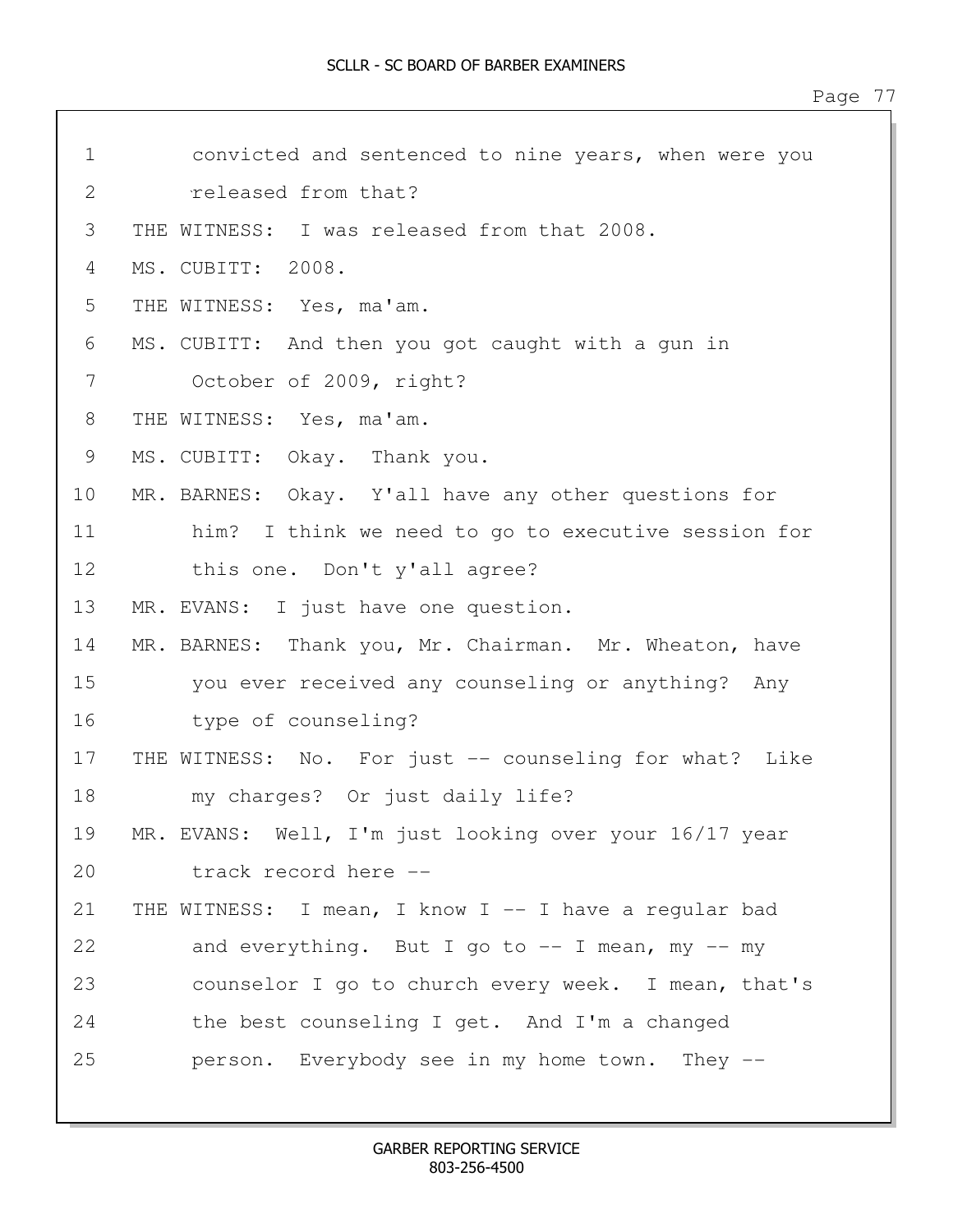| $\mathbf 1$ | convicted and sentenced to nine years, when were you   |
|-------------|--------------------------------------------------------|
| 2           | released from that?                                    |
| 3           | THE WITNESS: I was released from that 2008.            |
| 4           | MS. CUBITT: 2008.                                      |
| 5           | THE WITNESS: Yes, ma'am.                               |
| 6           | MS. CUBITT: And then you got caught with a gun in      |
| 7           | October of 2009, right?                                |
| 8           | THE WITNESS: Yes, ma'am.                               |
| 9           | MS. CUBITT: Okay. Thank you.                           |
| 10          | MR. BARNES: Okay. Y'all have any other questions for   |
| 11          | him? I think we need to go to executive session for    |
| 12          | this one. Don't y'all agree?                           |
| 13          | MR. EVANS: I just have one question.                   |
| 14          | MR. BARNES: Thank you, Mr. Chairman. Mr. Wheaton, have |
| 15          | you ever received any counseling or anything? Any      |
| 16          | type of counseling?                                    |
| 17          | THE WITNESS: No. For just -- counseling for what? Like |
| 18          | my charges? Or just daily life?                        |
| 19          | MR. EVANS: Well, I'm just looking over your 16/17 year |
| 20          | track record here --                                   |
| 21          | THE WITNESS: I mean, I know I -- I have a regular bad  |
| 22          | and everything. But I go to $-$ I mean, my $-$ my      |
| 23          | counselor I go to church every week. I mean, that's    |
| 24          | the best counseling I get. And I'm a changed           |
| 25          | person. Everybody see in my home town. They --         |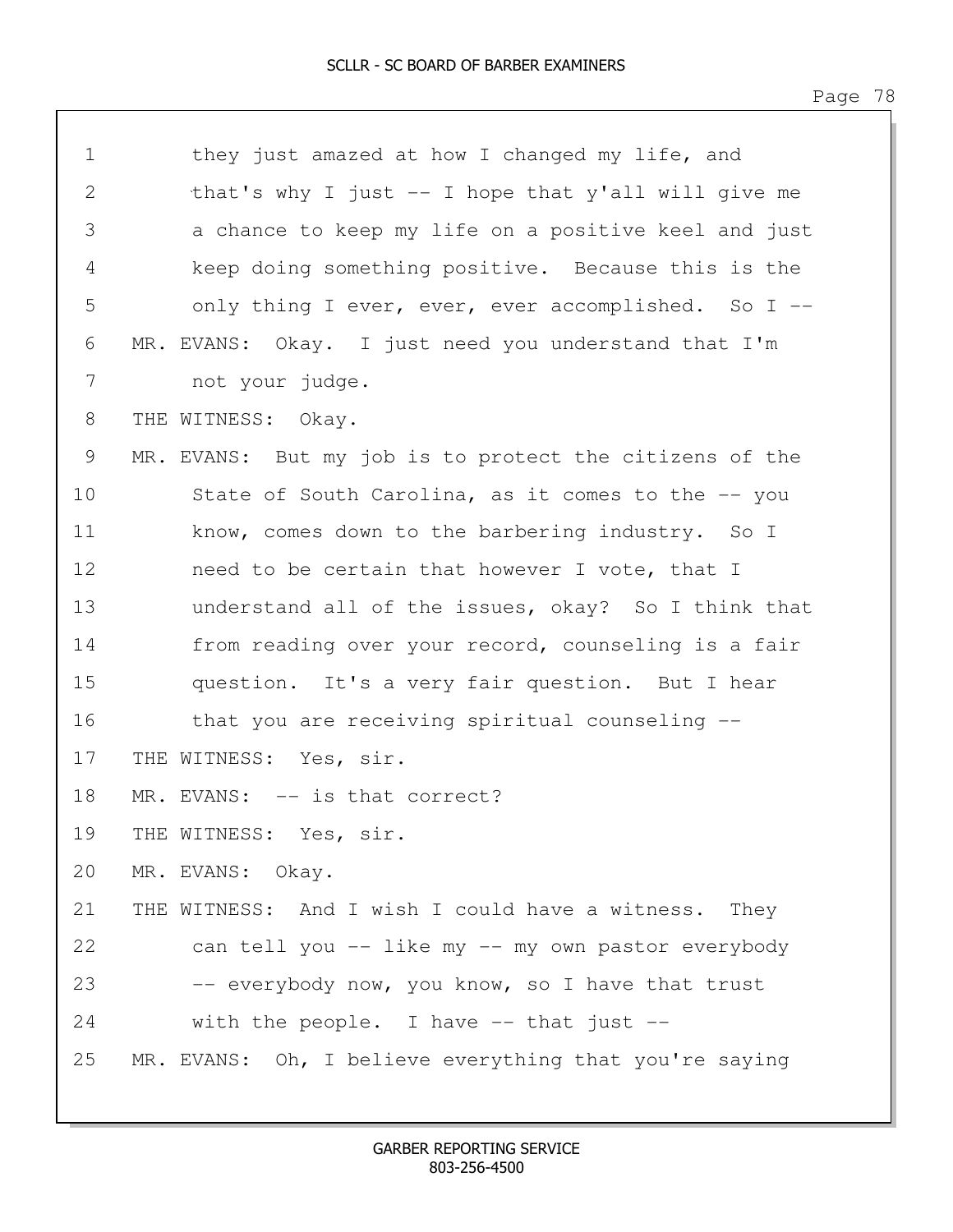| $\mathbf 1$  | they just amazed at how I changed my life, and          |  |
|--------------|---------------------------------------------------------|--|
| $\mathbf{2}$ | that's why I just $-$ I hope that y'all will give me    |  |
| 3            | a chance to keep my life on a positive keel and just    |  |
| 4            | keep doing something positive. Because this is the      |  |
| 5            | only thing I ever, ever, ever accomplished. So I --     |  |
| 6            | MR. EVANS: Okay. I just need you understand that I'm    |  |
| 7            | not your judge.                                         |  |
| 8            | THE WITNESS: Okay.                                      |  |
| 9            | MR. EVANS: But my job is to protect the citizens of the |  |
| 10           | State of South Carolina, as it comes to the -- you      |  |
| 11           | know, comes down to the barbering industry. So I        |  |
| 12           | need to be certain that however I vote, that I          |  |
| 13           | understand all of the issues, okay? So I think that     |  |
| 14           | from reading over your record, counseling is a fair     |  |
| 15           | question. It's a very fair question. But I hear         |  |
| 16           | that you are receiving spiritual counseling --          |  |
| 17           | THE WITNESS: Yes, sir.                                  |  |
| 18           | MR. EVANS: -- is that correct?                          |  |
| 19           | THE WITNESS: Yes, sir.                                  |  |
| 20           | MR. EVANS: Okay.                                        |  |
| 21           | THE WITNESS: And I wish I could have a witness. They    |  |
| 22           | can tell you -- like my -- my own pastor everybody      |  |
| 23           | -- everybody now, you know, so I have that trust        |  |
| 24           | with the people. I have $--$ that just $--$             |  |
| 25           | MR. EVANS: Oh, I believe everything that you're saying  |  |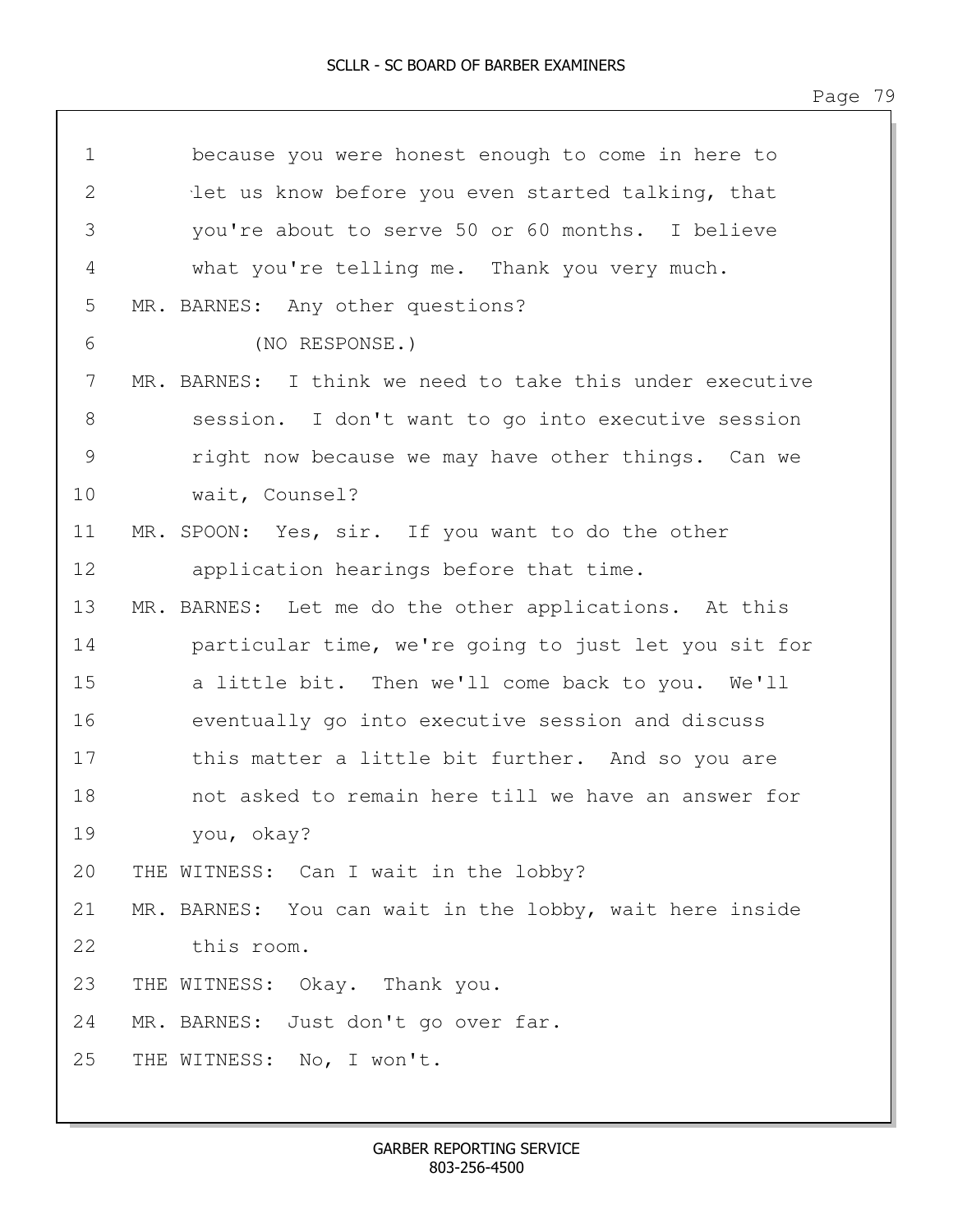| $\mathbf 1$    | because you were honest enough to come in here to        |  |
|----------------|----------------------------------------------------------|--|
| $\overline{2}$ | let us know before you even started talking, that        |  |
| 3              | you're about to serve 50 or 60 months. I believe         |  |
| 4              | what you're telling me. Thank you very much.             |  |
| 5              | MR. BARNES: Any other questions?                         |  |
| 6              | (NO RESPONSE.)                                           |  |
| 7              | MR. BARNES: I think we need to take this under executive |  |
| $8\,$          | session. I don't want to go into executive session       |  |
| $\mathcal{G}$  | right now because we may have other things. Can we       |  |
| 10             | wait, Counsel?                                           |  |
| 11             | MR. SPOON: Yes, sir. If you want to do the other         |  |
| 12             | application hearings before that time.                   |  |
| 13             | MR. BARNES: Let me do the other applications. At this    |  |
| 14             | particular time, we're going to just let you sit for     |  |
| 15             | a little bit. Then we'll come back to you. We'll         |  |
| 16             | eventually go into executive session and discuss         |  |
| 17             | this matter a little bit further. And so you are         |  |
| 18             | not asked to remain here till we have an answer for      |  |
| 19             | you, okay?                                               |  |
| 20             | THE WITNESS: Can I wait in the lobby?                    |  |
| 21             | MR. BARNES: You can wait in the lobby, wait here inside  |  |
| 22             | this room.                                               |  |
| 23             | THE WITNESS: Okay. Thank you.                            |  |
| 24             | MR. BARNES: Just don't go over far.                      |  |
| 25             | THE WITNESS: No, I won't.                                |  |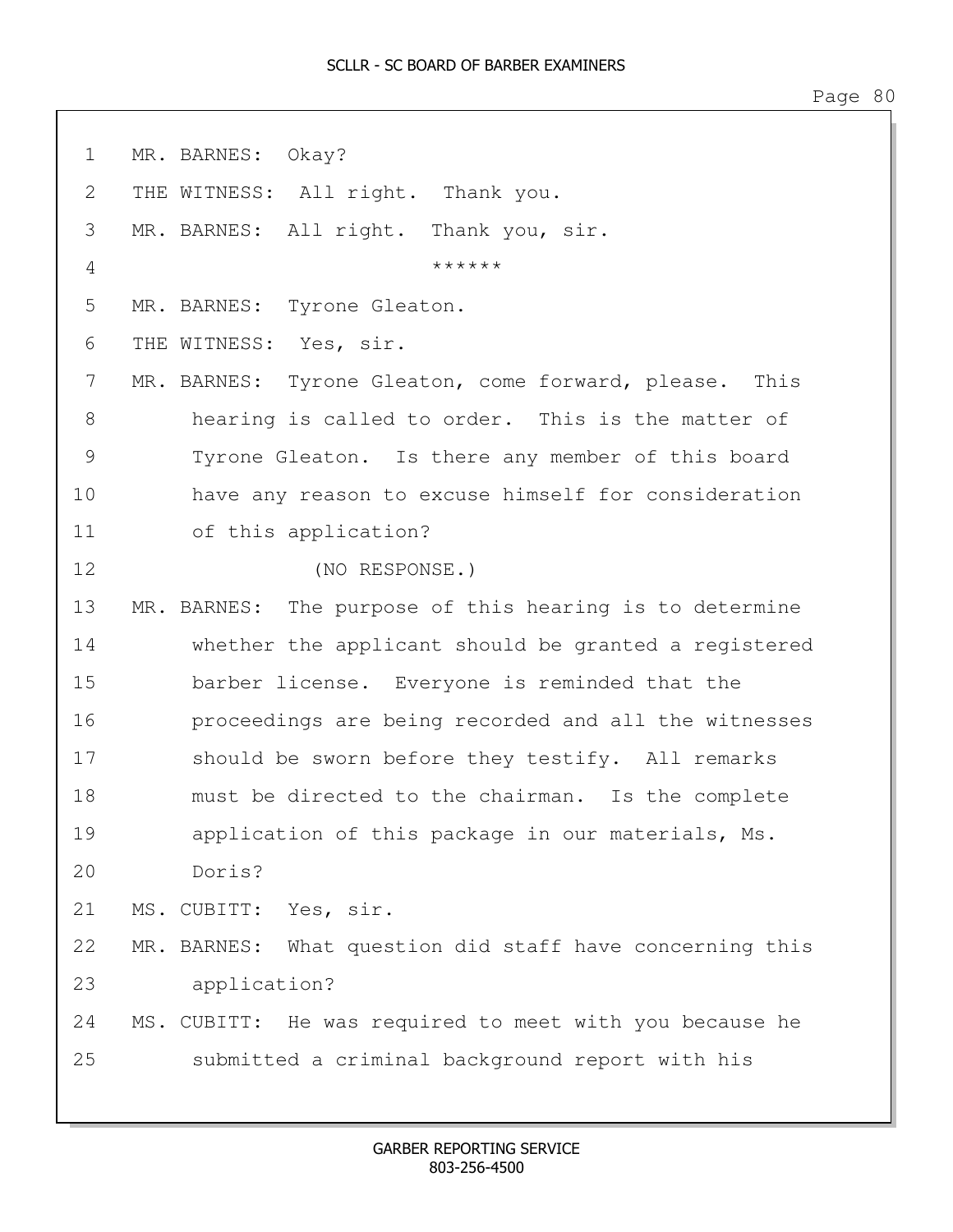1 MR. BARNES: Okay? 2 THE WITNESS: All right. Thank you. 3 MR. BARNES: All right. Thank you, sir.  $4$ 5 MR. BARNES: Tyrone Gleaton. 6 THE WITNESS: Yes, sir. 7 MR. BARNES: Tyrone Gleaton, come forward, please. This 8 hearing is called to order. This is the matter of 9 Tyrone Gleaton. Is there any member of this board 10 have any reason to excuse himself for consideration 11 of this application? 12 (NO RESPONSE.) 13 MR. BARNES: The purpose of this hearing is to determine 14 whether the applicant should be granted a registered 15 barber license. Everyone is reminded that the 16 proceedings are being recorded and all the witnesses 17 should be sworn before they testify. All remarks 18 must be directed to the chairman. Is the complete 19 application of this package in our materials, Ms. 20 Doris? 21 MS. CUBITT: Yes, sir. 22 MR. BARNES: What question did staff have concerning this 23 application? 24 MS. CUBITT: He was required to meet with you because he 25 submitted a criminal background report with his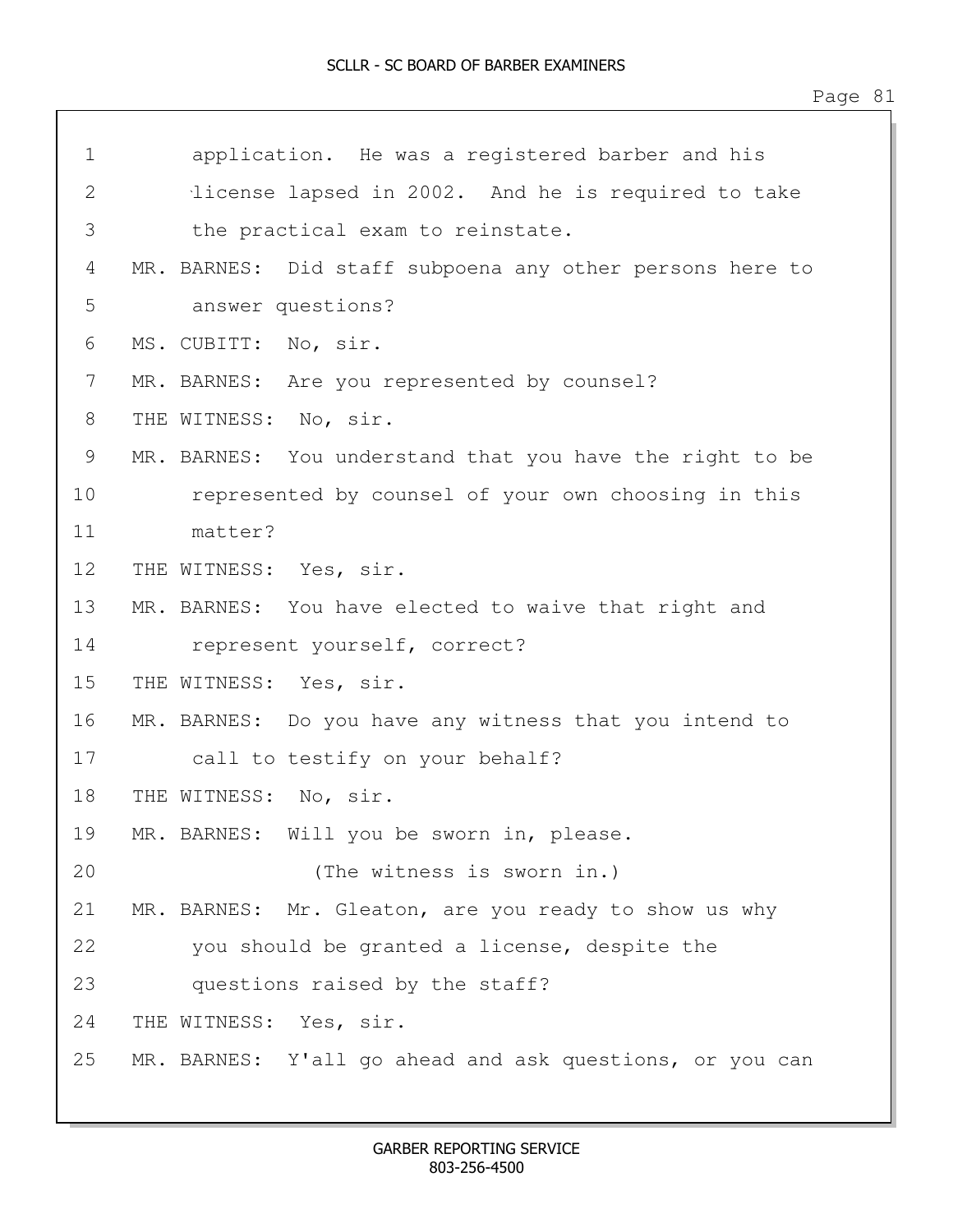| $\mathbf 1$  | application. He was a registered barber and his          |
|--------------|----------------------------------------------------------|
| $\mathbf{2}$ | license lapsed in 2002. And he is required to take       |
| 3            | the practical exam to reinstate.                         |
| 4            | MR. BARNES: Did staff subpoena any other persons here to |
| 5            | answer questions?                                        |
| 6            | MS. CUBITT: No, sir.                                     |
| 7            | MR. BARNES: Are you represented by counsel?              |
| 8            | THE WITNESS: No, sir.                                    |
| 9            | MR. BARNES: You understand that you have the right to be |
| 10           | represented by counsel of your own choosing in this      |
| 11           | matter?                                                  |
| 12           | THE WITNESS: Yes, sir.                                   |
| 13           | MR. BARNES: You have elected to waive that right and     |
| 14           | represent yourself, correct?                             |
| 15           | THE WITNESS: Yes, sir.                                   |
| 16           | MR. BARNES: Do you have any witness that you intend to   |
| 17           | call to testify on your behalf?                          |
| 18           | THE WITNESS: No, sir.                                    |
| 19           | MR. BARNES: Will you be sworn in, please.                |
| 20           | (The witness is sworn in.)                               |
| 21           | MR. BARNES: Mr. Gleaton, are you ready to show us why    |
| 22           | you should be granted a license, despite the             |
| 23           | questions raised by the staff?                           |
| 24           | THE WITNESS: Yes, sir.                                   |
| 25           | MR. BARNES: Y'all go ahead and ask questions, or you can |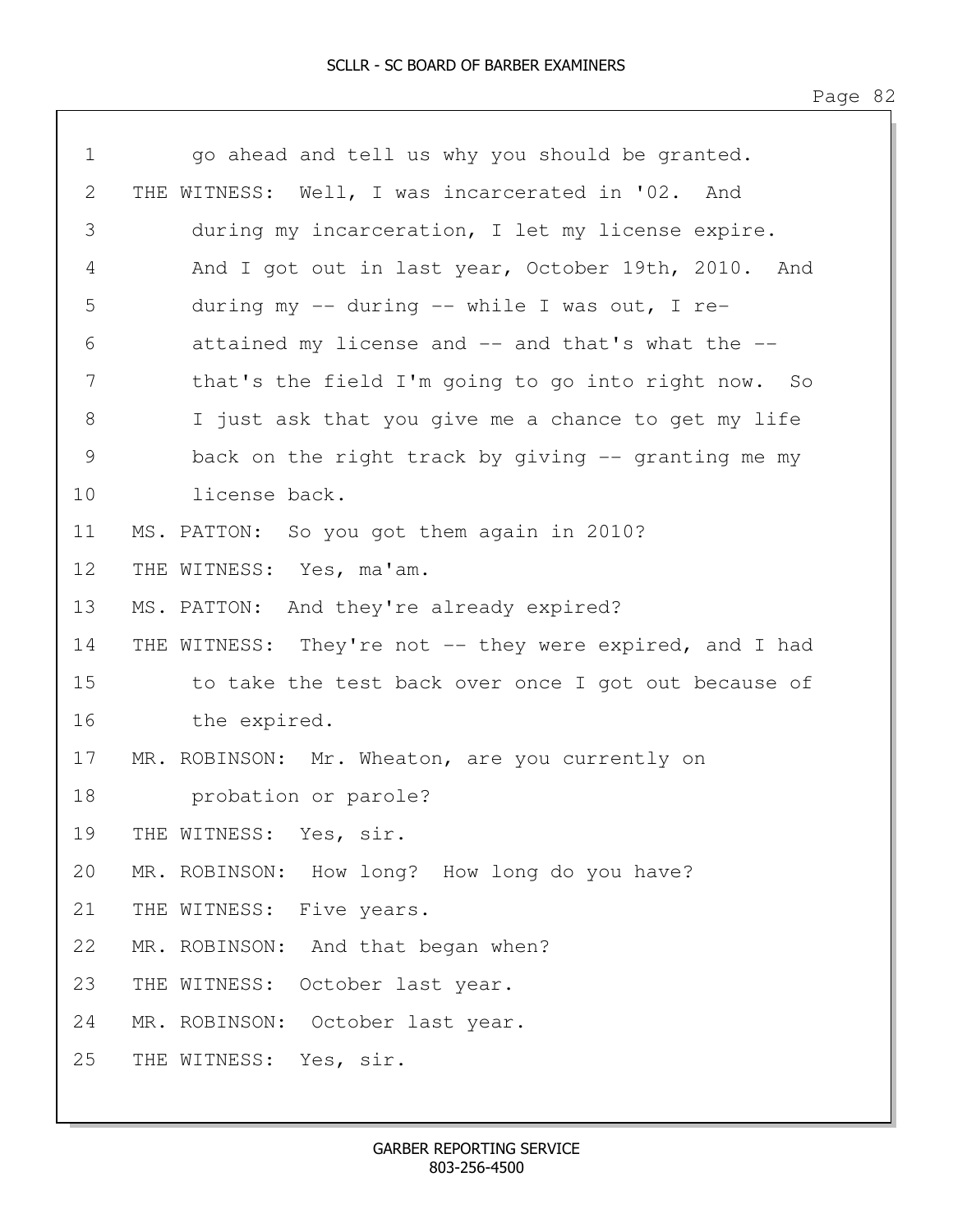| $\mathbf 1$ | go ahead and tell us why you should be granted.          |
|-------------|----------------------------------------------------------|
| 2           | THE WITNESS: Well, I was incarcerated in '02. And        |
| 3           | during my incarceration, I let my license expire.        |
| 4           | And I got out in last year, October 19th, 2010. And      |
| 5           | during my $-$ during $-$ while I was out, I re-          |
| 6           | attained my license and -- and that's what the --        |
| 7           | that's the field I'm going to go into right now. So      |
| 8           | I just ask that you give me a chance to get my life      |
| 9           | back on the right track by giving $-$ granting me my     |
| 10          | license back.                                            |
| 11          | MS. PATTON: So you got them again in 2010?               |
| 12          | THE WITNESS: Yes, ma'am.                                 |
| 13          | MS. PATTON: And they're already expired?                 |
| 14          | THE WITNESS: They're not -- they were expired, and I had |
| 15          | to take the test back over once I got out because of     |
| 16          | the expired.                                             |
| 17          | MR. ROBINSON: Mr. Wheaton, are you currently on          |
| 18          | probation or parole?                                     |
| 19          | THE WITNESS: Yes, sir.                                   |
| 20          | MR. ROBINSON: How long? How long do you have?            |
| 21          | THE WITNESS: Five years.                                 |
| 22          | MR. ROBINSON: And that began when?                       |
| 23          | THE WITNESS: October last year.                          |
| 24          | MR. ROBINSON: October last year.                         |
| 25          | THE WITNESS: Yes, sir.                                   |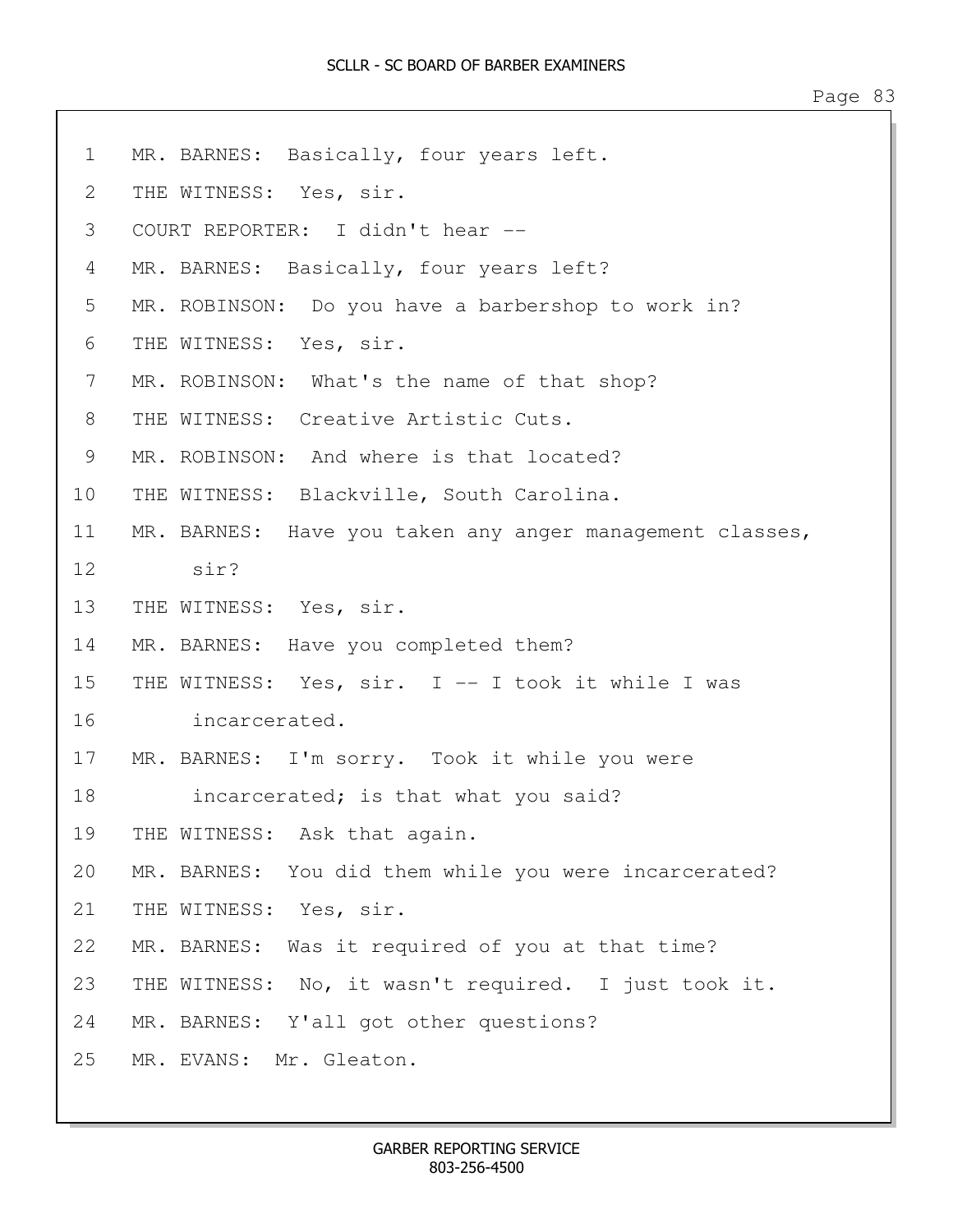1 MR. BARNES: Basically, four years left. 2 THE WITNESS: Yes, sir. 3 COURT REPORTER: I didn't hear -- 4 MR. BARNES: Basically, four years left? 5 MR. ROBINSON: Do you have a barbershop to work in? 6 THE WITNESS: Yes, sir. 7 MR. ROBINSON: What's the name of that shop? 8 THE WITNESS: Creative Artistic Cuts. 9 MR. ROBINSON: And where is that located? 10 THE WITNESS: Blackville, South Carolina. 11 MR. BARNES: Have you taken any anger management classes, 12 sir? 13 THE WITNESS: Yes, sir. 14 MR. BARNES: Have you completed them? 15 THE WITNESS: Yes, sir. I -- I took it while I was 16 incarcerated. 17 MR. BARNES: I'm sorry. Took it while you were 18 **incarcerated;** is that what you said? 19 THE WITNESS: Ask that again. 20 MR. BARNES: You did them while you were incarcerated? 21 THE WITNESS: Yes, sir. 22 MR. BARNES: Was it required of you at that time? 23 THE WITNESS: No, it wasn't required. I just took it. 24 MR. BARNES: Y'all got other questions? 25 MR. EVANS: Mr. Gleaton.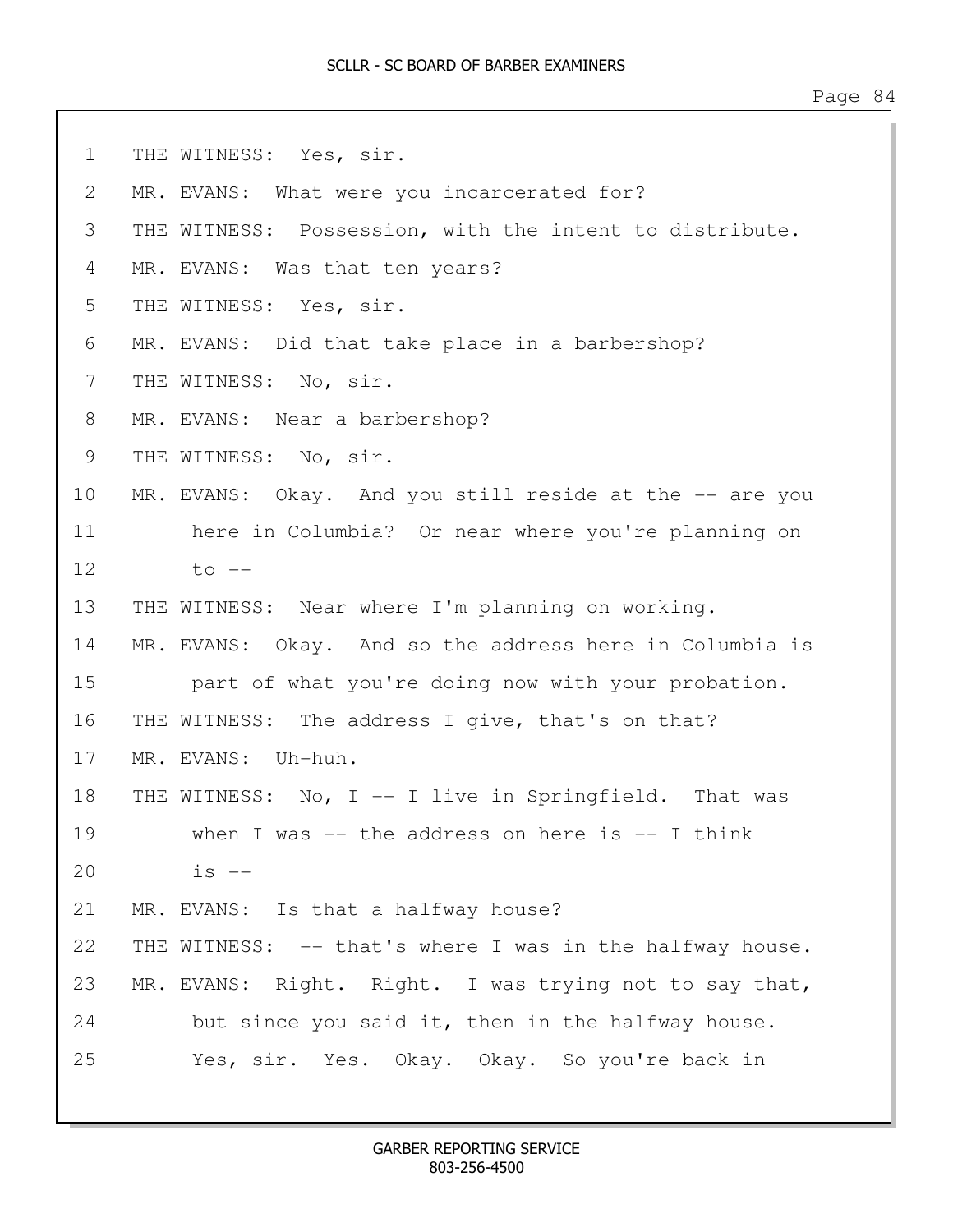| Page |  | $\varDelta$<br>↤ |
|------|--|------------------|
|------|--|------------------|

1 THE WITNESS: Yes, sir. 2 MR. EVANS: What were you incarcerated for? 3 THE WITNESS: Possession, with the intent to distribute. 4 MR. EVANS: Was that ten years? 5 THE WITNESS: Yes, sir. 6 MR. EVANS: Did that take place in a barbershop? 7 THE WITNESS: No, sir. 8 MR. EVANS: Near a barbershop? 9 THE WITNESS: No, sir. 10 MR. EVANS: Okay. And you still reside at the -- are you 11 here in Columbia? Or near where you're planning on  $12$  to  $-$ 13 THE WITNESS: Near where I'm planning on working. 14 MR. EVANS: Okay. And so the address here in Columbia is 15 **part of what you're doing now with your probation.** 16 THE WITNESS: The address I give, that's on that? 17 MR. EVANS: Uh-huh. 18 THE WITNESS: No, I -- I live in Springfield. That was 19 when I was -- the address on here is -- I think 20 is -- 21 MR. EVANS: Is that a halfway house? 22 THE WITNESS: -- that's where I was in the halfway house. 23 MR. EVANS: Right. Right. I was trying not to say that, 24 but since you said it, then in the halfway house. 25 Yes, sir. Yes. Okay. Okay. So you're back in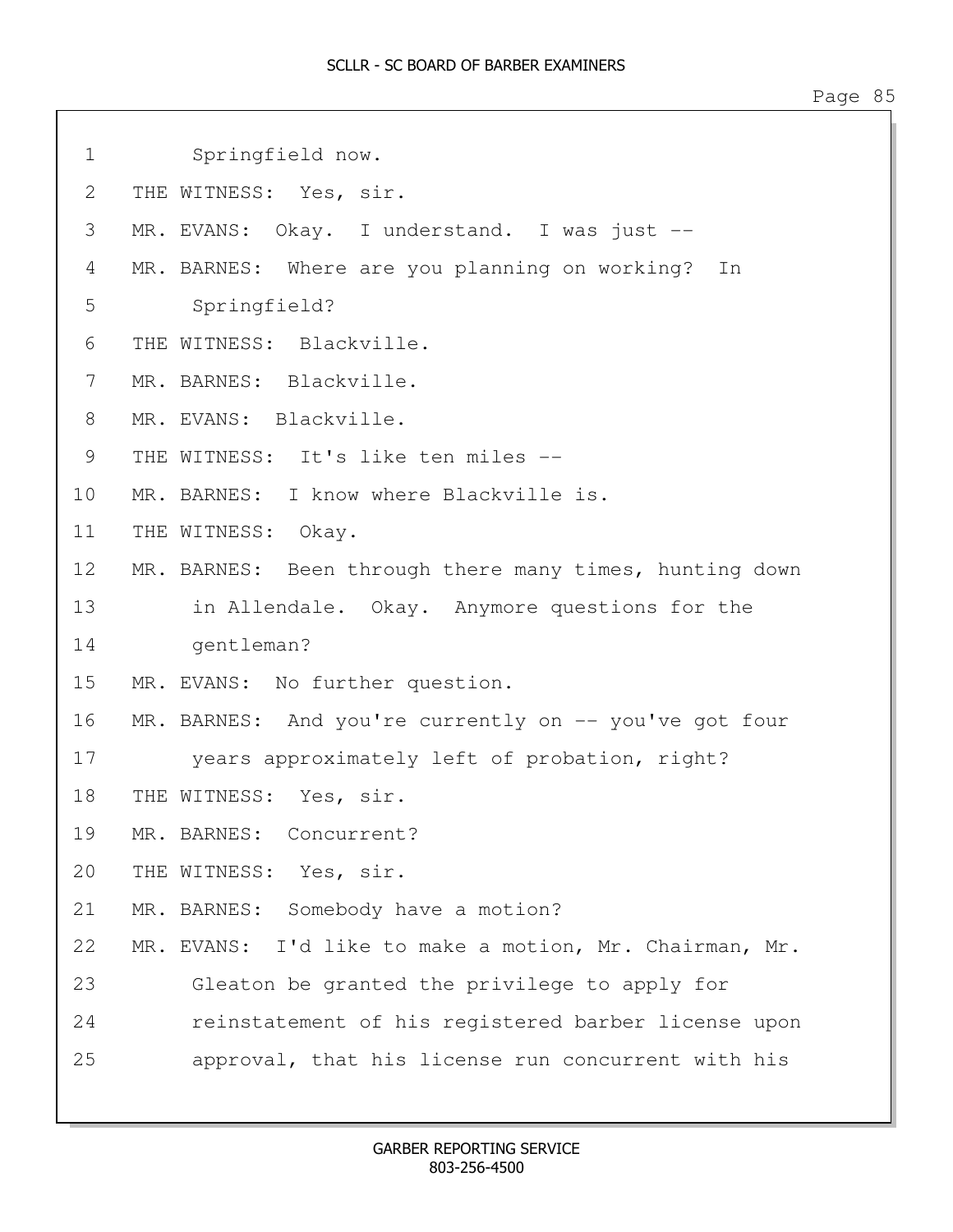```
1 Springfield now.
2 THE WITNESS: Yes, sir. 
3 MR. EVANS: Okay. I understand. I was just --
4 MR. BARNES: Where are you planning on working? In
5 Springfield?
6 THE WITNESS: Blackville.
7 MR. BARNES: Blackville.
8 MR. EVANS: Blackville.
9 THE WITNESS: It's like ten miles --
10 MR. BARNES: I know where Blackville is.
11 THE WITNESS: Okay. 
12 MR. BARNES: Been through there many times, hunting down
13 in Allendale. Okay. Anymore questions for the
14 gentleman?
15 MR. EVANS: No further question.
16 MR. BARNES: And you're currently on -- you've got four
17 years approximately left of probation, right?
18 THE WITNESS: Yes, sir.
19 MR. BARNES: Concurrent?
20 THE WITNESS: Yes, sir. 
21 MR. BARNES: Somebody have a motion?
22 MR. EVANS: I'd like to make a motion, Mr. Chairman, Mr.
23 Gleaton be granted the privilege to apply for
24 reinstatement of his registered barber license upon
25 approval, that his license run concurrent with his
```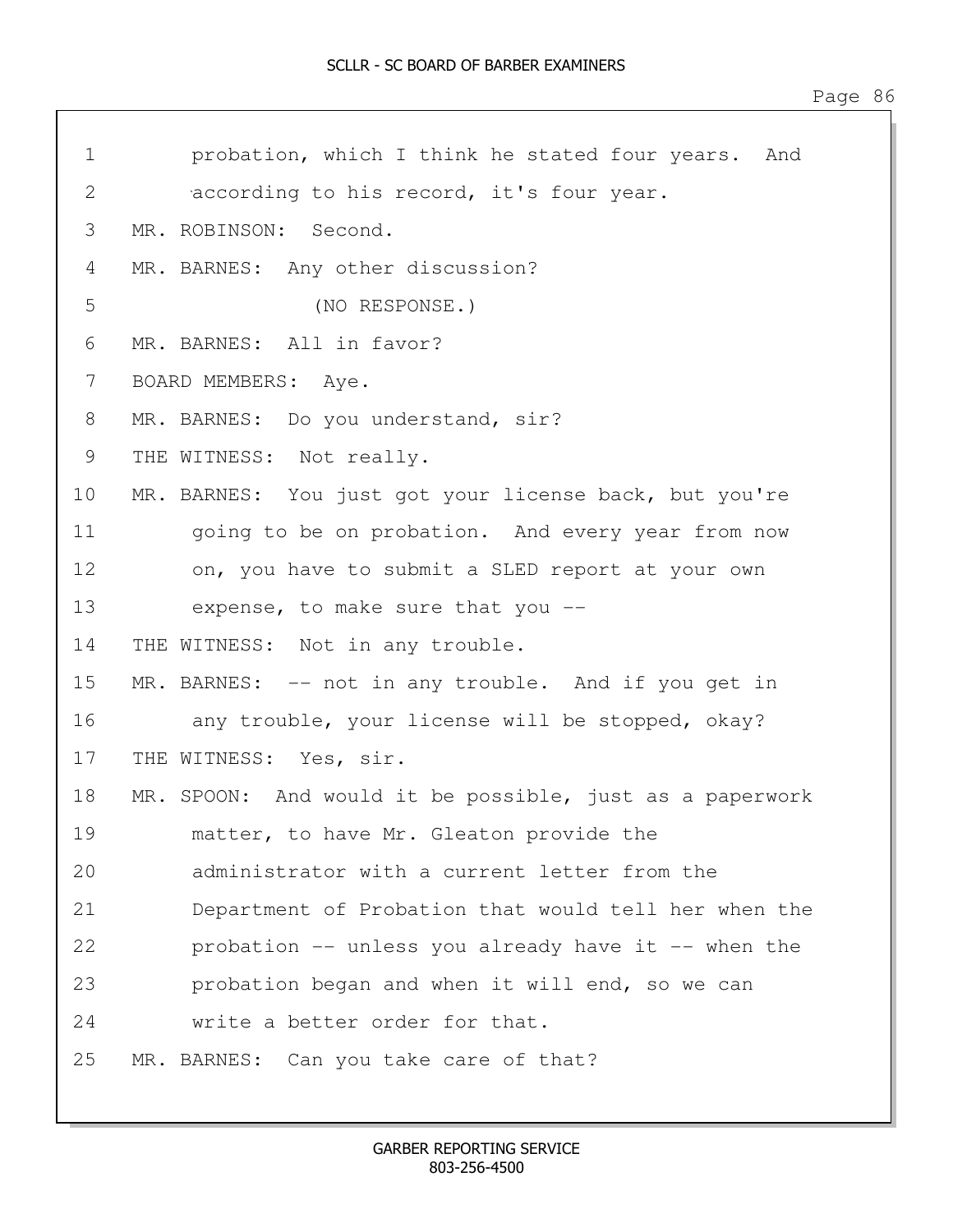| $\mathbf 1$   | probation, which I think he stated four years. And       |
|---------------|----------------------------------------------------------|
| $\mathbf{2}$  | according to his record, it's four year.                 |
| 3             | MR. ROBINSON: Second.                                    |
| 4             | MR. BARNES: Any other discussion?                        |
| 5             | (NO RESPONSE.)                                           |
| 6             | MR. BARNES: All in favor?                                |
| 7             | BOARD MEMBERS: Aye.                                      |
| 8             | MR. BARNES: Do you understand, sir?                      |
| $\mathcal{G}$ | THE WITNESS: Not really.                                 |
| 10            | MR. BARNES: You just got your license back, but you're   |
| 11            | going to be on probation. And every year from now        |
| 12            | on, you have to submit a SLED report at your own         |
| 13            | expense, to make sure that you --                        |
| 14            | THE WITNESS: Not in any trouble.                         |
| 15            | MR. BARNES: -- not in any trouble. And if you get in     |
| 16            | any trouble, your license will be stopped, okay?         |
| 17            | THE WITNESS: Yes, sir.                                   |
| 18            | MR. SPOON: And would it be possible, just as a paperwork |
| 19            | matter, to have Mr. Gleaton provide the                  |
| 20            | administrator with a current letter from the             |
| 21            | Department of Probation that would tell her when the     |
| 22            | probation -- unless you already have it -- when the      |
| 23            | probation began and when it will end, so we can          |
| 24            | write a better order for that.                           |
| 25            | MR. BARNES: Can you take care of that?                   |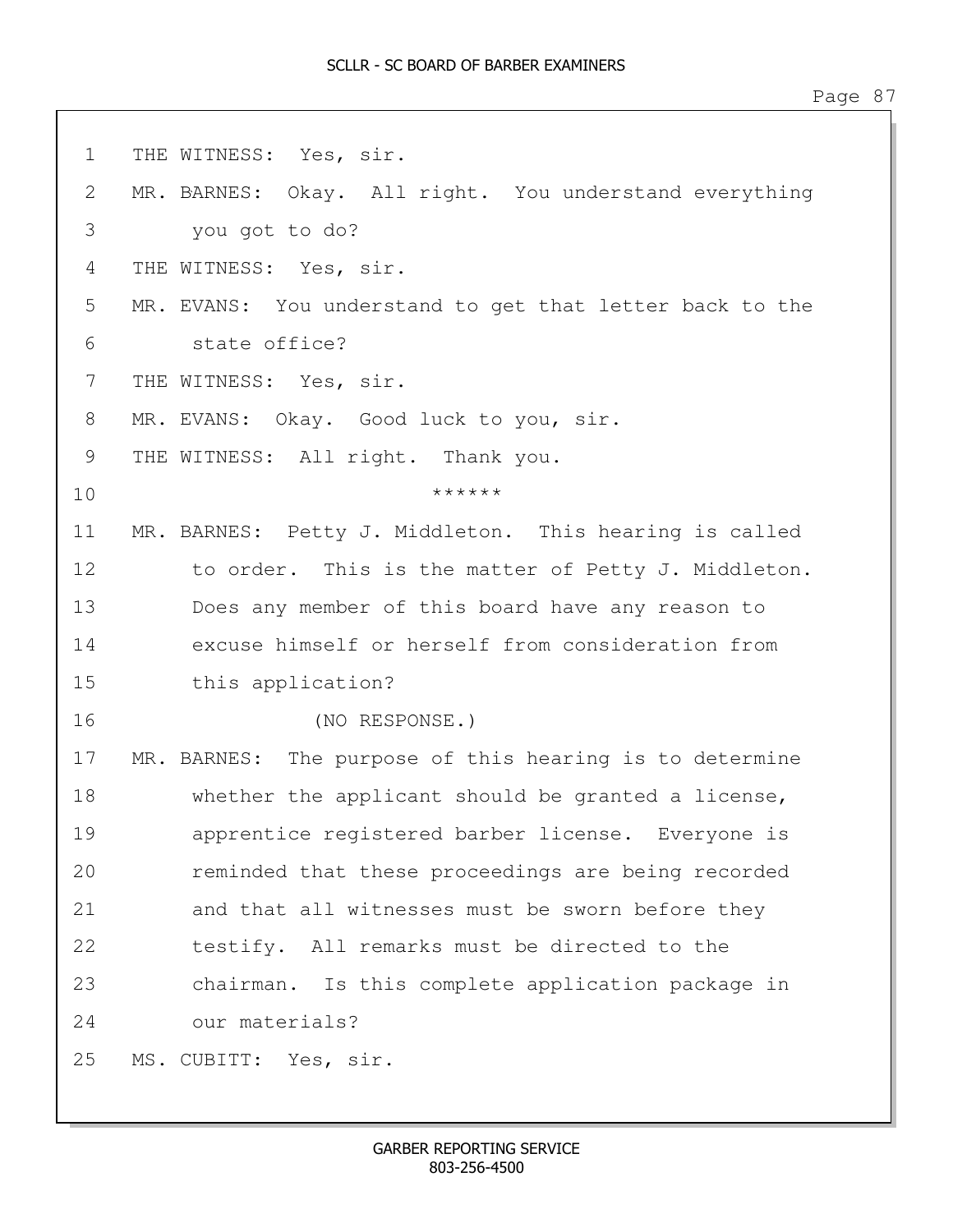| $\mathbf 1$  | THE WITNESS: Yes, sir.                                   |
|--------------|----------------------------------------------------------|
| $\mathbf{2}$ | MR. BARNES: Okay. All right. You understand everything   |
| 3            | you got to do?                                           |
| 4            | THE WITNESS: Yes, sir.                                   |
| 5            | MR. EVANS: You understand to get that letter back to the |
| 6            | state office?                                            |
| 7            | THE WITNESS: Yes, sir.                                   |
| 8            | MR. EVANS: Okay. Good luck to you, sir.                  |
| 9            | THE WITNESS: All right. Thank you.                       |
| 10           | ******                                                   |
| 11           | MR. BARNES: Petty J. Middleton. This hearing is called   |
| 12           | to order. This is the matter of Petty J. Middleton.      |
| 13           | Does any member of this board have any reason to         |
| 14           | excuse himself or herself from consideration from        |
| 15           | this application?                                        |
| 16           | (NO RESPONSE.)                                           |
| 17           | MR. BARNES: The purpose of this hearing is to determine  |
| 18           | whether the applicant should be granted a license,       |
| 19           | apprentice registered barber license. Everyone is        |
| 20           | reminded that these proceedings are being recorded       |
| 21           | and that all witnesses must be sworn before they         |
| 22           | testify. All remarks must be directed to the             |
| 23           | chairman. Is this complete application package in        |
| 24           | our materials?                                           |
| 25           | MS. CUBITT: Yes, sir.                                    |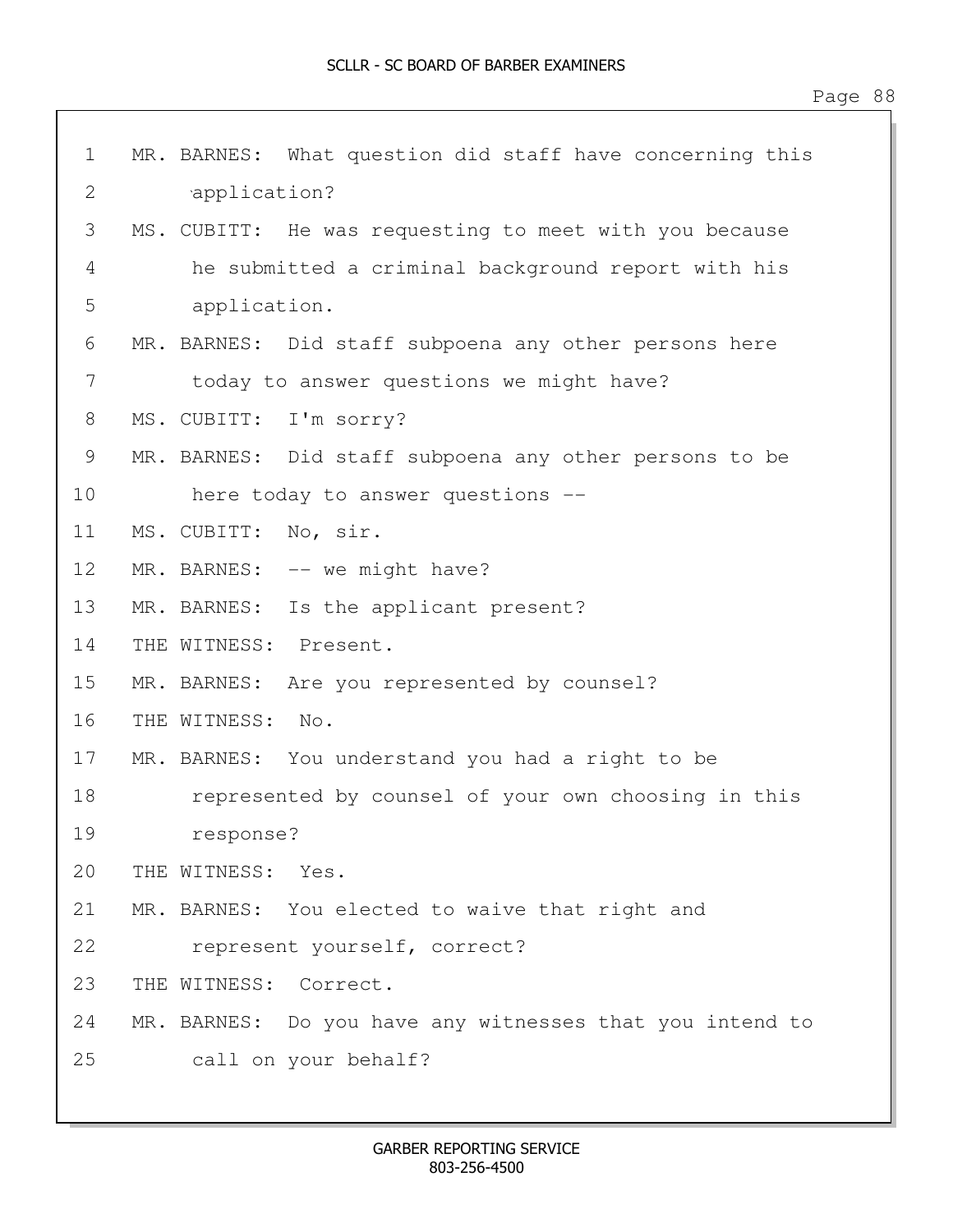| $\mathbf 1$  | MR. BARNES: What question did staff have concerning this |
|--------------|----------------------------------------------------------|
| $\mathbf{2}$ | application?                                             |
| 3            | MS. CUBITT: He was requesting to meet with you because   |
| 4            | he submitted a criminal background report with his       |
| 5            | application.                                             |
| 6            | MR. BARNES: Did staff subpoena any other persons here    |
| 7            | today to answer questions we might have?                 |
| 8            | MS. CUBITT: I'm sorry?                                   |
| 9            | MR. BARNES: Did staff subpoena any other persons to be   |
| 10           | here today to answer questions --                        |
| 11           | MS. CUBITT: No, sir.                                     |
| 12           | MR. BARNES: -- we might have?                            |
| 13           | Is the applicant present?<br>MR. BARNES:                 |
| 14           | THE WITNESS: Present.                                    |
| 15           | MR. BARNES: Are you represented by counsel?              |
| 16           | THE WITNESS:<br>No.                                      |
| 17           | MR. BARNES: You understand you had a right to be         |
| 18           | represented by counsel of your own choosing in this      |
| 19           | response?                                                |
| 20           | THE WITNESS: Yes.                                        |
| 21           | MR. BARNES: You elected to waive that right and          |
| 22           | represent yourself, correct?                             |
| 23           | THE WITNESS:<br>Correct.                                 |
| 24           | MR. BARNES: Do you have any witnesses that you intend to |
| 25           | call on your behalf?                                     |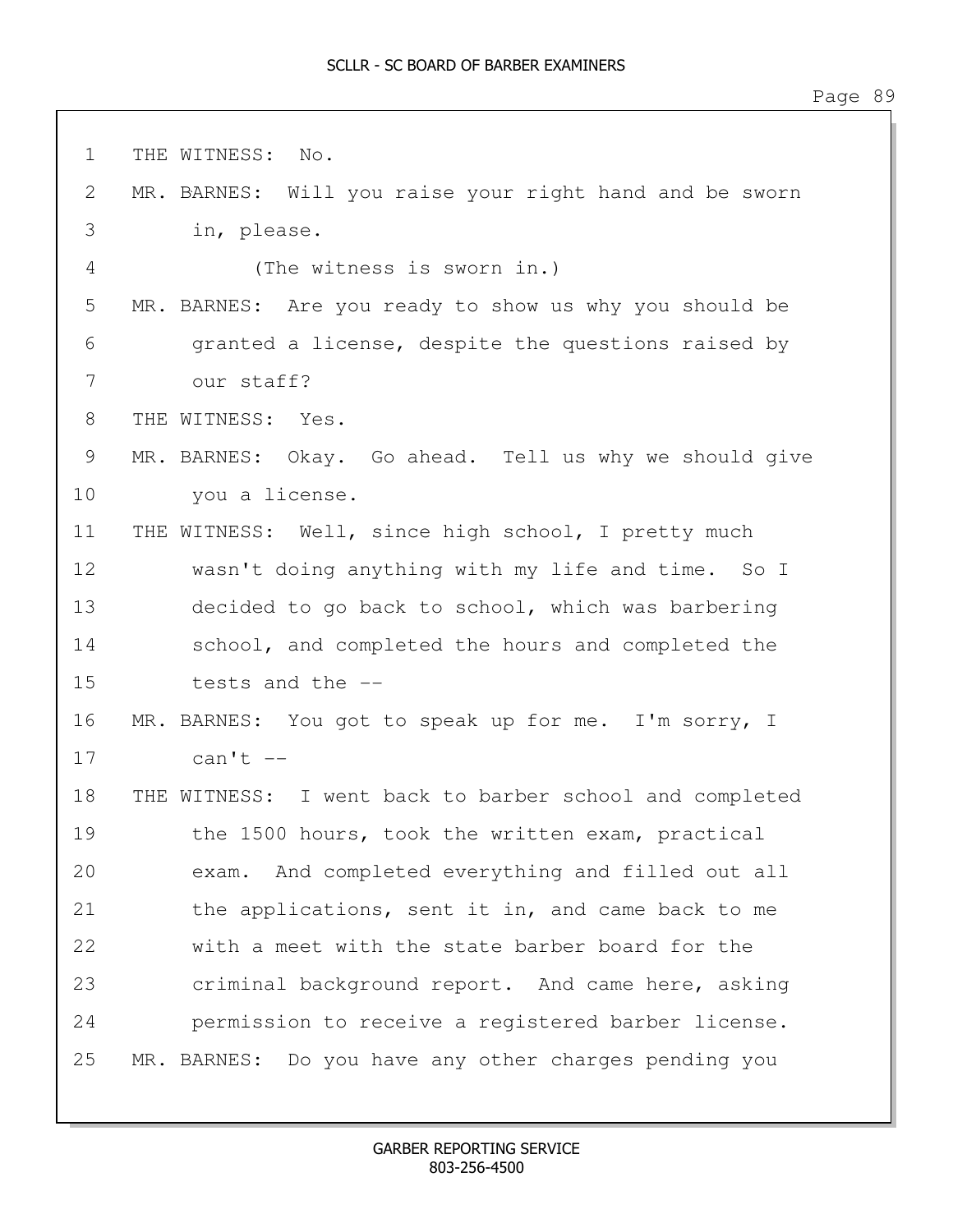1 THE WITNESS: No. 2 MR. BARNES: Will you raise your right hand and be sworn 3 in, please. 4 (The witness is sworn in.) 5 MR. BARNES: Are you ready to show us why you should be 6 granted a license, despite the questions raised by 7 our staff? 8 THE WITNESS: Yes. 9 MR. BARNES: Okay. Go ahead. Tell us why we should give 10 you a license. 11 THE WITNESS: Well, since high school, I pretty much 12 wasn't doing anything with my life and time. So I 13 decided to go back to school, which was barbering 14 school, and completed the hours and completed the 15 tests and the -- 16 MR. BARNES: You got to speak up for me. I'm sorry, I 17 can't -- 18 THE WITNESS: I went back to barber school and completed 19 the 1500 hours, took the written exam, practical 20 exam. And completed everything and filled out all 21 the applications, sent it in, and came back to me 22 with a meet with the state barber board for the 23 criminal background report. And came here, asking 24 permission to receive a registered barber license. 25 MR. BARNES: Do you have any other charges pending you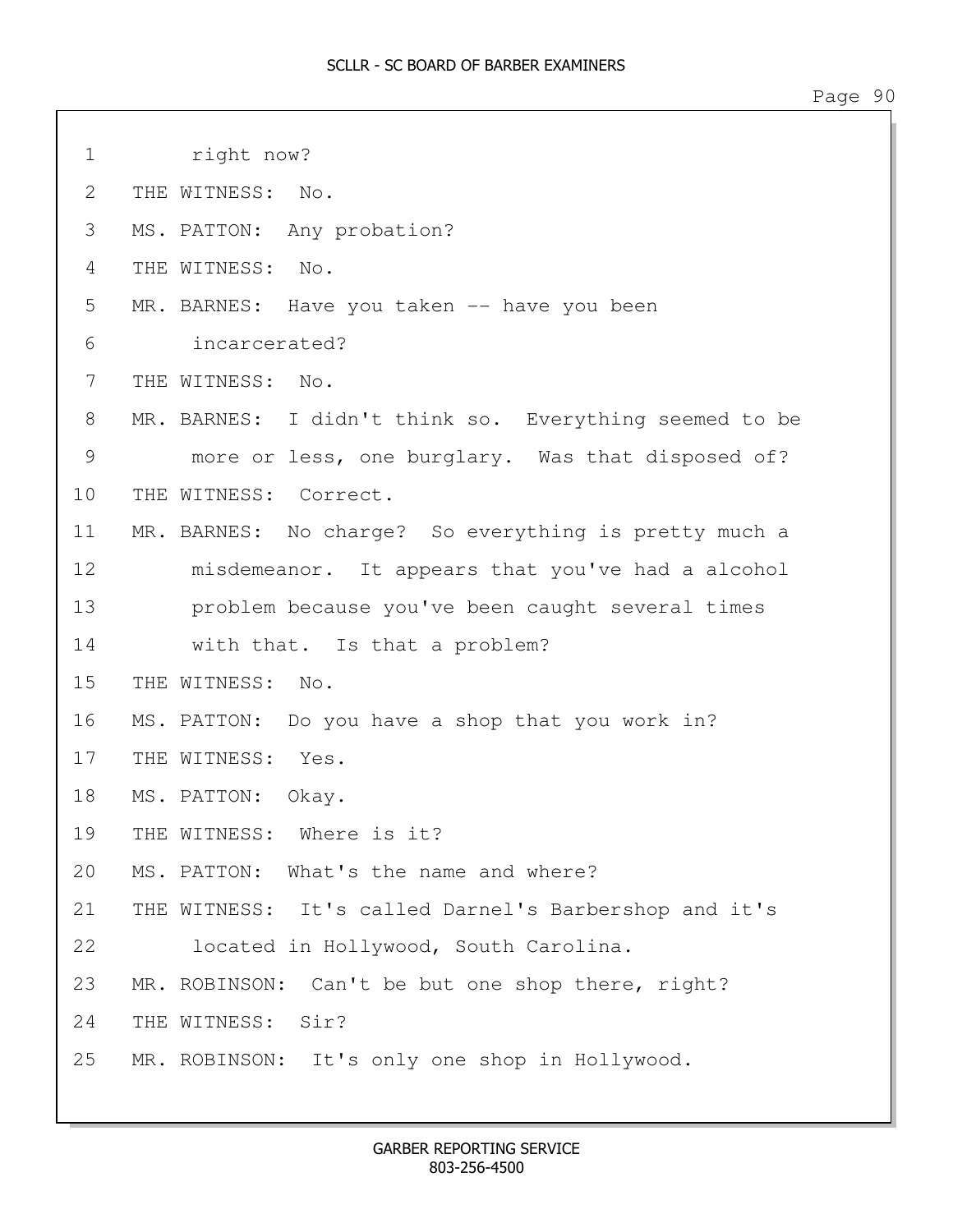1 right now? 2 THE WITNESS: No. 3 MS. PATTON: Any probation? 4 THE WITNESS: No. 5 MR. BARNES: Have you taken -- have you been 6 incarcerated? 7 THE WITNESS: No. 8 MR. BARNES: I didn't think so. Everything seemed to be 9 more or less, one burglary. Was that disposed of? 10 THE WITNESS: Correct. 11 MR. BARNES: No charge? So everything is pretty much a 12 misdemeanor. It appears that you've had a alcohol 13 problem because you've been caught several times 14 with that. Is that a problem? 15 THE WITNESS: No. 16 MS. PATTON: Do you have a shop that you work in? 17 THE WITNESS: Yes. 18 MS. PATTON: Okay. 19 THE WITNESS: Where is it? 20 MS. PATTON: What's the name and where? 21 THE WITNESS: It's called Darnel's Barbershop and it's 22 located in Hollywood, South Carolina. 23 MR. ROBINSON: Can't be but one shop there, right? 24 THE WITNESS: Sir? 25 MR. ROBINSON: It's only one shop in Hollywood.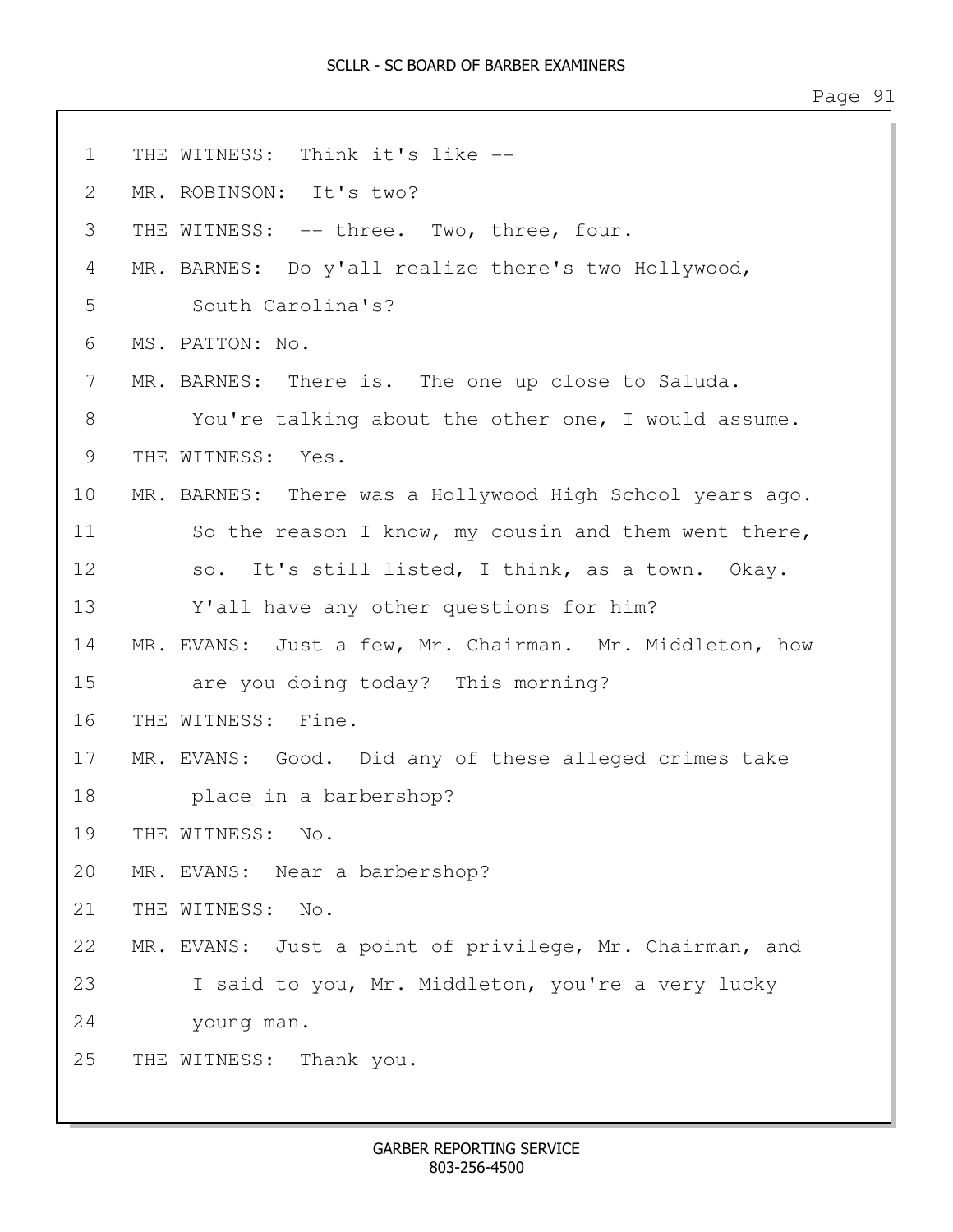| $\mathbf 1$ | THE WITNESS: Think it's like --                          |
|-------------|----------------------------------------------------------|
| 2           | MR. ROBINSON: It's two?                                  |
| 3           | THE WITNESS: -- three. Two, three, four.                 |
| 4           | MR. BARNES: Do y'all realize there's two Hollywood,      |
| 5           | South Carolina's?                                        |
| 6           | MS. PATTON: No.                                          |
| 7           | MR. BARNES: There is. The one up close to Saluda.        |
| 8           | You're talking about the other one, I would assume.      |
| 9           | THE WITNESS: Yes.                                        |
| 10          | MR. BARNES: There was a Hollywood High School years ago. |
| 11          | So the reason I know, my cousin and them went there,     |
| 12          | so. It's still listed, I think, as a town. Okay.         |
| 13          | Y'all have any other questions for him?                  |
| 14          | MR. EVANS: Just a few, Mr. Chairman. Mr. Middleton, how  |
| 15          | are you doing today? This morning?                       |
| 16          | THE WITNESS: Fine.                                       |
| 17          | MR. EVANS: Good. Did any of these alleged crimes take    |
| 18          | place in a barbershop?                                   |
| 19          | THE WITNESS: No.                                         |
| 20          | MR. EVANS: Near a barbershop?                            |
| 21          | THE WITNESS: No.                                         |
| 22          | MR. EVANS: Just a point of privilege, Mr. Chairman, and  |
| 23          | I said to you, Mr. Middleton, you're a very lucky        |
| 24          | young man.                                               |
| 25          | THE WITNESS: Thank you.                                  |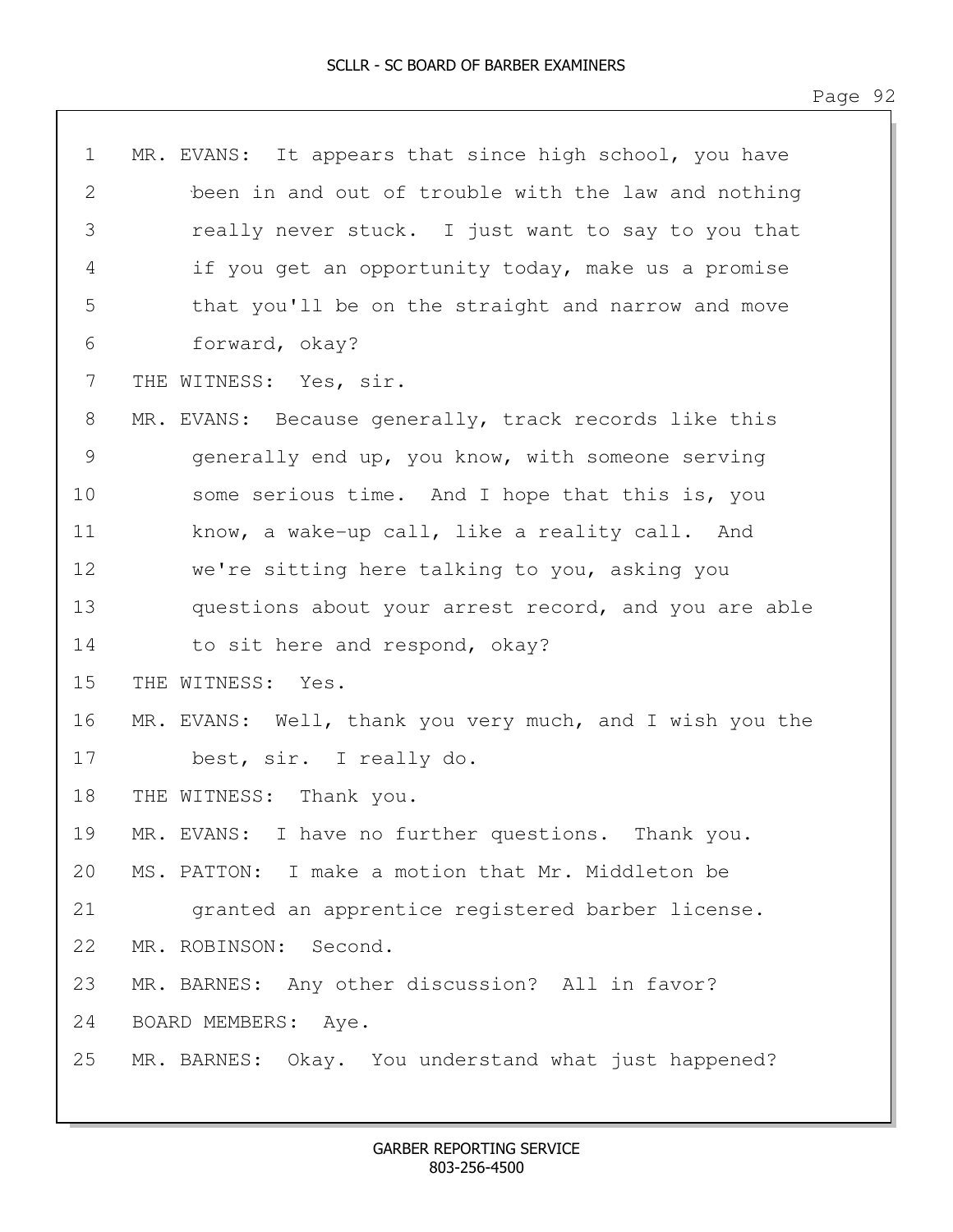| $\mathbf 1$  | MR. EVANS: It appears that since high school, you have   |
|--------------|----------------------------------------------------------|
| $\mathbf{2}$ | been in and out of trouble with the law and nothing      |
| 3            | really never stuck. I just want to say to you that       |
| 4            | if you get an opportunity today, make us a promise       |
| 5            | that you'll be on the straight and narrow and move       |
| 6            | forward, okay?                                           |
| 7            | THE WITNESS: Yes, sir.                                   |
| 8            | MR. EVANS: Because generally, track records like this    |
| 9            | generally end up, you know, with someone serving         |
| 10           | some serious time. And I hope that this is, you          |
| 11           | know, a wake-up call, like a reality call. And           |
| 12           | we're sitting here talking to you, asking you            |
| 13           | questions about your arrest record, and you are able     |
| 14           | to sit here and respond, okay?                           |
| 15           | THE WITNESS: Yes.                                        |
| 16           | MR. EVANS: Well, thank you very much, and I wish you the |
| 17           | best, sir. I really do.                                  |
| 18           | THE WITNESS: Thank you.                                  |
| 19           | MR. EVANS: I have no further questions. Thank you.       |
| 20           | MS. PATTON: I make a motion that Mr. Middleton be        |
| 21           | granted an apprentice registered barber license.         |
| 22           | MR. ROBINSON: Second.                                    |
| 23           | MR. BARNES: Any other discussion? All in favor?          |
| 24           | BOARD MEMBERS: Aye.                                      |
| 25           | MR. BARNES: Okay. You understand what just happened?     |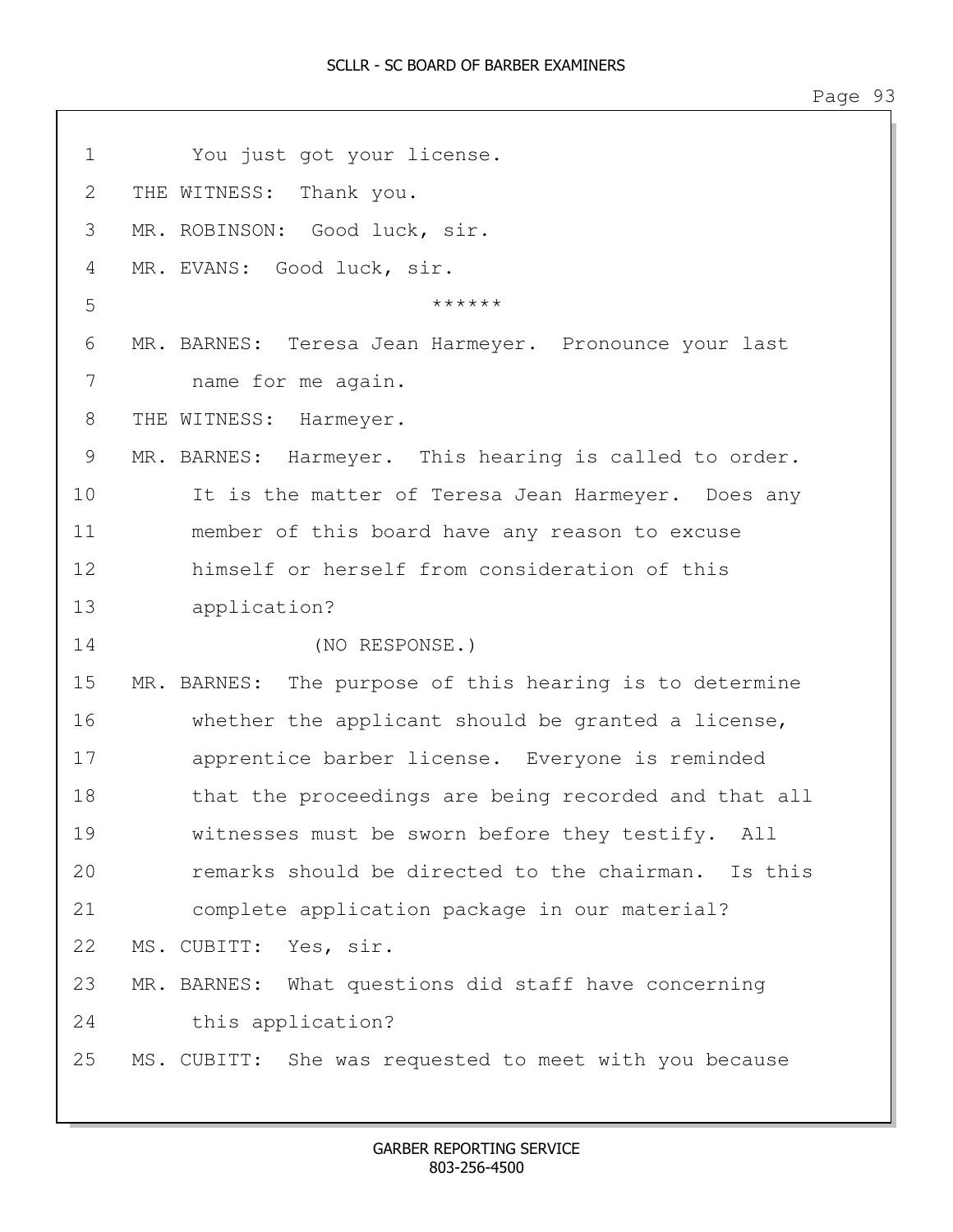1 You just got your license. 2 THE WITNESS: Thank you. 3 MR. ROBINSON: Good luck, sir. 4 MR. EVANS: Good luck, sir.  $5$  \*\*\*\*\*\* 6 MR. BARNES: Teresa Jean Harmeyer. Pronounce your last 7 name for me again. 8 THE WITNESS: Harmeyer. 9 MR. BARNES: Harmeyer. This hearing is called to order. 10 It is the matter of Teresa Jean Harmeyer. Does any 11 member of this board have any reason to excuse 12 himself or herself from consideration of this 13 application? 14 (NO RESPONSE.) 15 MR. BARNES: The purpose of this hearing is to determine 16 whether the applicant should be granted a license, 17 apprentice barber license. Everyone is reminded 18 that the proceedings are being recorded and that all 19 witnesses must be sworn before they testify. All 20 remarks should be directed to the chairman. Is this 21 complete application package in our material? 22 MS. CUBITT: Yes, sir. 23 MR. BARNES: What questions did staff have concerning 24 this application? 25 MS. CUBITT: She was requested to meet with you because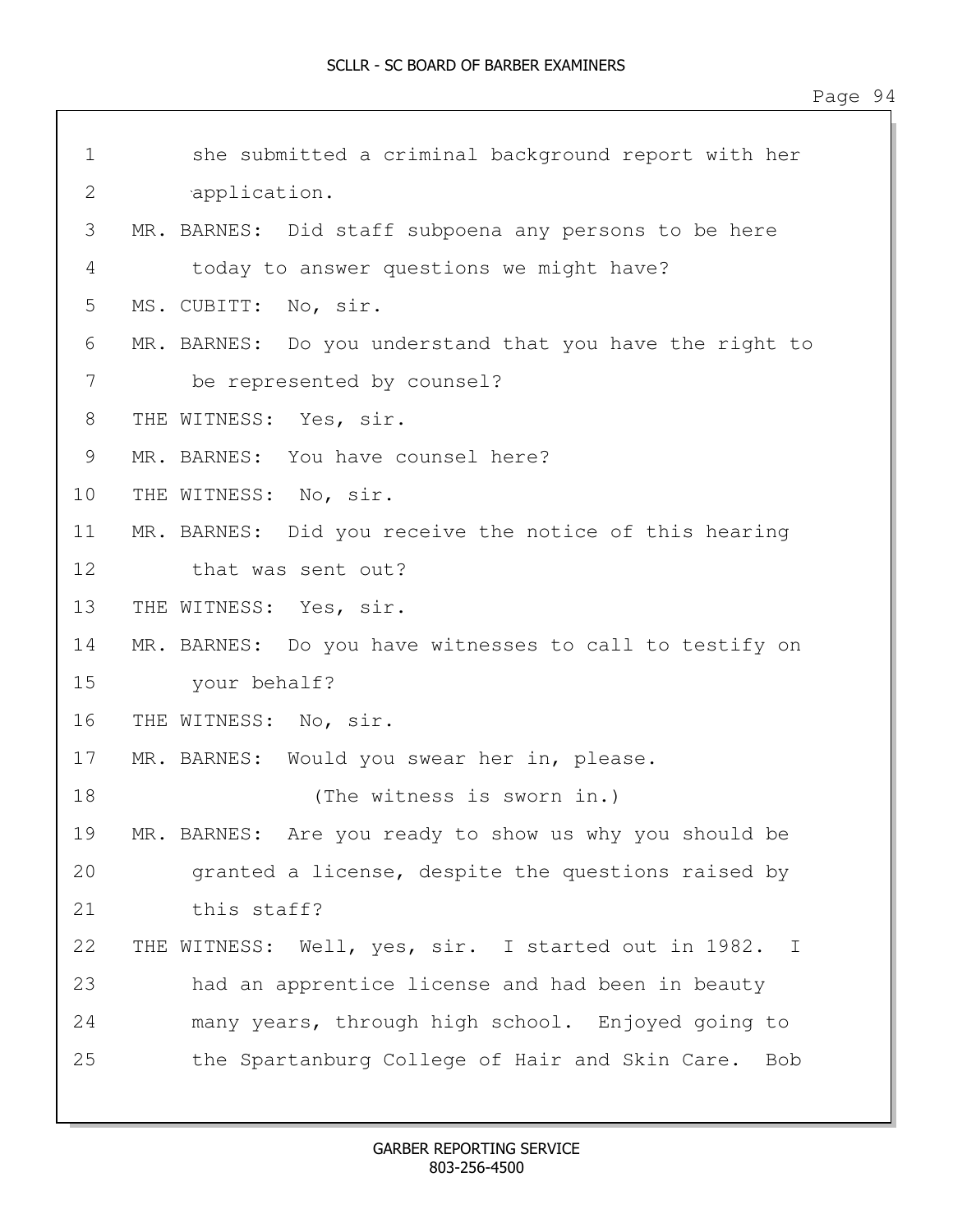| $\mathbf 1$ | she submitted a criminal background report with her      |
|-------------|----------------------------------------------------------|
| 2           | application.                                             |
| 3           | MR. BARNES: Did staff subpoena any persons to be here    |
| 4           | today to answer questions we might have?                 |
| 5           | MS. CUBITT: No, sir.                                     |
| 6           | MR. BARNES: Do you understand that you have the right to |
| 7           | be represented by counsel?                               |
| 8           | THE WITNESS: Yes, sir.                                   |
| 9           | MR. BARNES: You have counsel here?                       |
| 10          | THE WITNESS: No, sir.                                    |
| 11          | MR. BARNES: Did you receive the notice of this hearing   |
| 12          | that was sent out?                                       |
| 13          | THE WITNESS: Yes, sir.                                   |
| 14          | MR. BARNES: Do you have witnesses to call to testify on  |
| 15          | your behalf?                                             |
| 16          | THE WITNESS: No, sir.                                    |
| 17          | MR. BARNES: Would you swear her in, please.              |
| 18          | (The witness is sworn in.)                               |
| 19          | MR. BARNES: Are you ready to show us why you should be   |
| 20          | granted a license, despite the questions raised by       |
| 21          | this staff?                                              |
| 22          | THE WITNESS: Well, yes, sir. I started out in 1982. I    |
| 23          | had an apprentice license and had been in beauty         |
| 24          | many years, through high school. Enjoyed going to        |
| 25          | the Spartanburg College of Hair and Skin Care.<br>Bob    |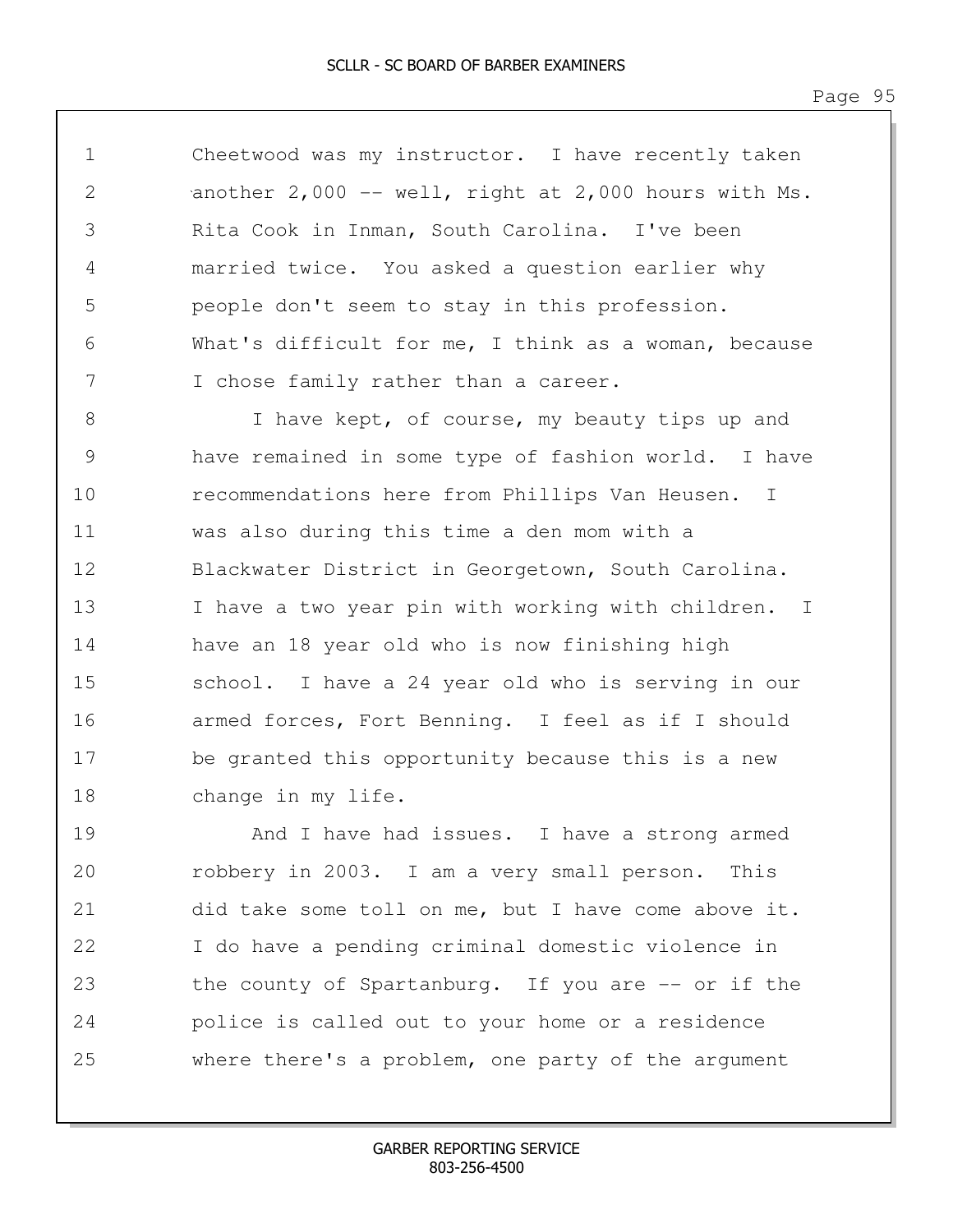1 Cheetwood was my instructor. I have recently taken 2 another 2,000 -- well, right at 2,000 hours with Ms. 3 Rita Cook in Inman, South Carolina. I've been 4 married twice. You asked a question earlier why 5 people don't seem to stay in this profession. 6 What's difficult for me, I think as a woman, because 7 I chose family rather than a career.

8 1 I have kept, of course, my beauty tips up and 9 have remained in some type of fashion world. I have 10 recommendations here from Phillips Van Heusen. I 11 was also during this time a den mom with a 12 Blackwater District in Georgetown, South Carolina. 13 I have a two year pin with working with children. I 14 have an 18 year old who is now finishing high 15 school. I have a 24 year old who is serving in our 16 armed forces, Fort Benning. I feel as if I should 17 be granted this opportunity because this is a new 18 change in my life.

19 And I have had issues. I have a strong armed 20 robbery in 2003. I am a very small person. This 21 did take some toll on me, but I have come above it. 22 I do have a pending criminal domestic violence in 23 the county of Spartanburg. If you are -- or if the 24 police is called out to your home or a residence 25 where there's a problem, one party of the argument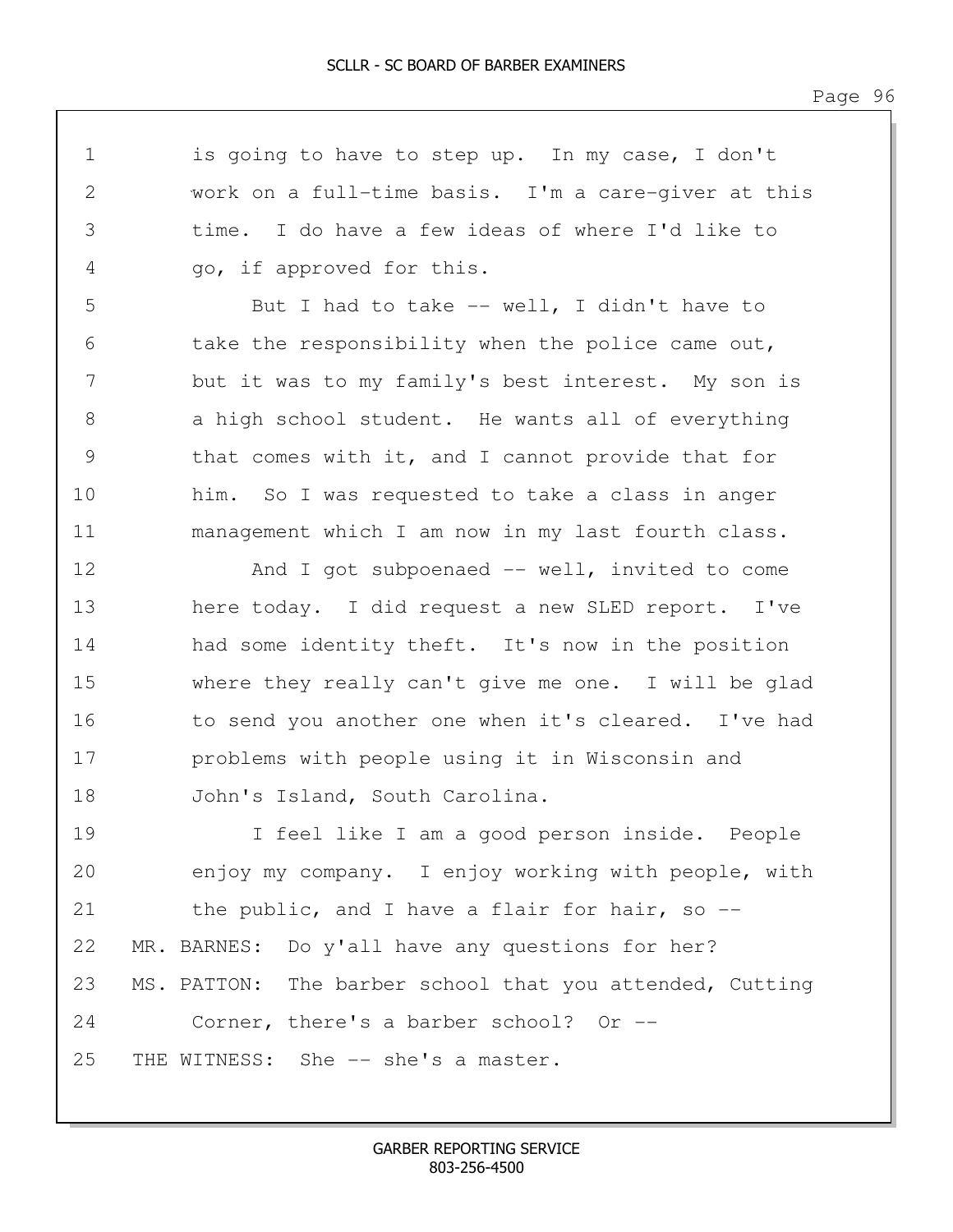1 is going to have to step up. In my case, I don't 2 work on a full-time basis. I'm a care-giver at this 3 time. I do have a few ideas of where I'd like to 4 go, if approved for this. 5 But I had to take -- well, I didn't have to 6 take the responsibility when the police came out, 7 but it was to my family's best interest. My son is 8 a high school student. He wants all of everything 9 that comes with it, and I cannot provide that for 10 him. So I was requested to take a class in anger 11 management which I am now in my last fourth class. 12 And I got subpoenaed -- well, invited to come 13 here today. I did request a new SLED report. I've 14 had some identity theft. It's now in the position 15 where they really can't give me one. I will be glad 16 to send you another one when it's cleared. I've had 17 problems with people using it in Wisconsin and 18 John's Island, South Carolina. 19 I feel like I am a good person inside. People 20 enjoy my company. I enjoy working with people, with 21 the public, and I have a flair for hair, so --22 MR. BARNES: Do y'all have any questions for her? 23 MS. PATTON: The barber school that you attended, Cutting 24 Corner, there's a barber school? Or -- 25 THE WITNESS: She -- she's a master.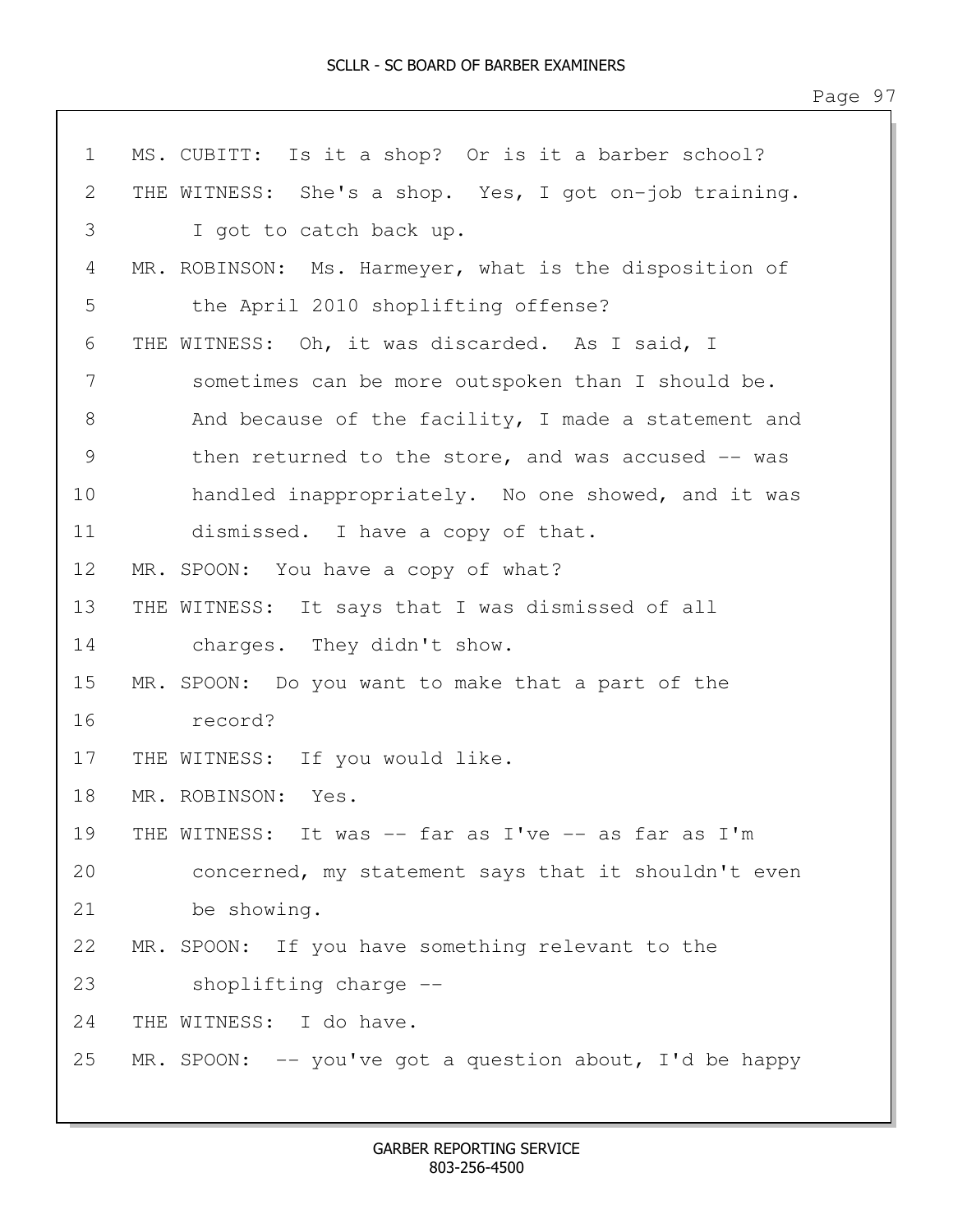| $\mathbf 1$   | MS. CUBITT: Is it a shop? Or is it a barber school?        |
|---------------|------------------------------------------------------------|
| 2             | THE WITNESS: She's a shop. Yes, I got on-job training.     |
| 3             | I got to catch back up.                                    |
| 4             | MR. ROBINSON: Ms. Harmeyer, what is the disposition of     |
| 5             | the April 2010 shoplifting offense?                        |
| 6             | THE WITNESS: Oh, it was discarded. As I said, I            |
| 7             | sometimes can be more outspoken than I should be.          |
| 8             | And because of the facility, I made a statement and        |
| $\mathcal{G}$ | then returned to the store, and was accused -- was         |
| 10            | handled inappropriately. No one showed, and it was         |
| 11            | dismissed. I have a copy of that.                          |
| 12            | MR. SPOON: You have a copy of what?                        |
| 13            | THE WITNESS: It says that I was dismissed of all           |
| 14            | charges. They didn't show.                                 |
| 15            | MR. SPOON: Do you want to make that a part of the          |
| 16            | record?                                                    |
| 17            | THE WITNESS: If you would like.                            |
| 18            | MR. ROBINSON: Yes.                                         |
| 19            | THE WITNESS: It was -- far as I've -- as far as I'm        |
| 20            | concerned, my statement says that it shouldn't even        |
| 21            | be showing.                                                |
| 22            | MR. SPOON: If you have something relevant to the           |
| 23            | shoplifting charge --                                      |
| 24            | THE WITNESS: I do have.                                    |
| 25            | MR. SPOON: $-$ - you've got a question about, I'd be happy |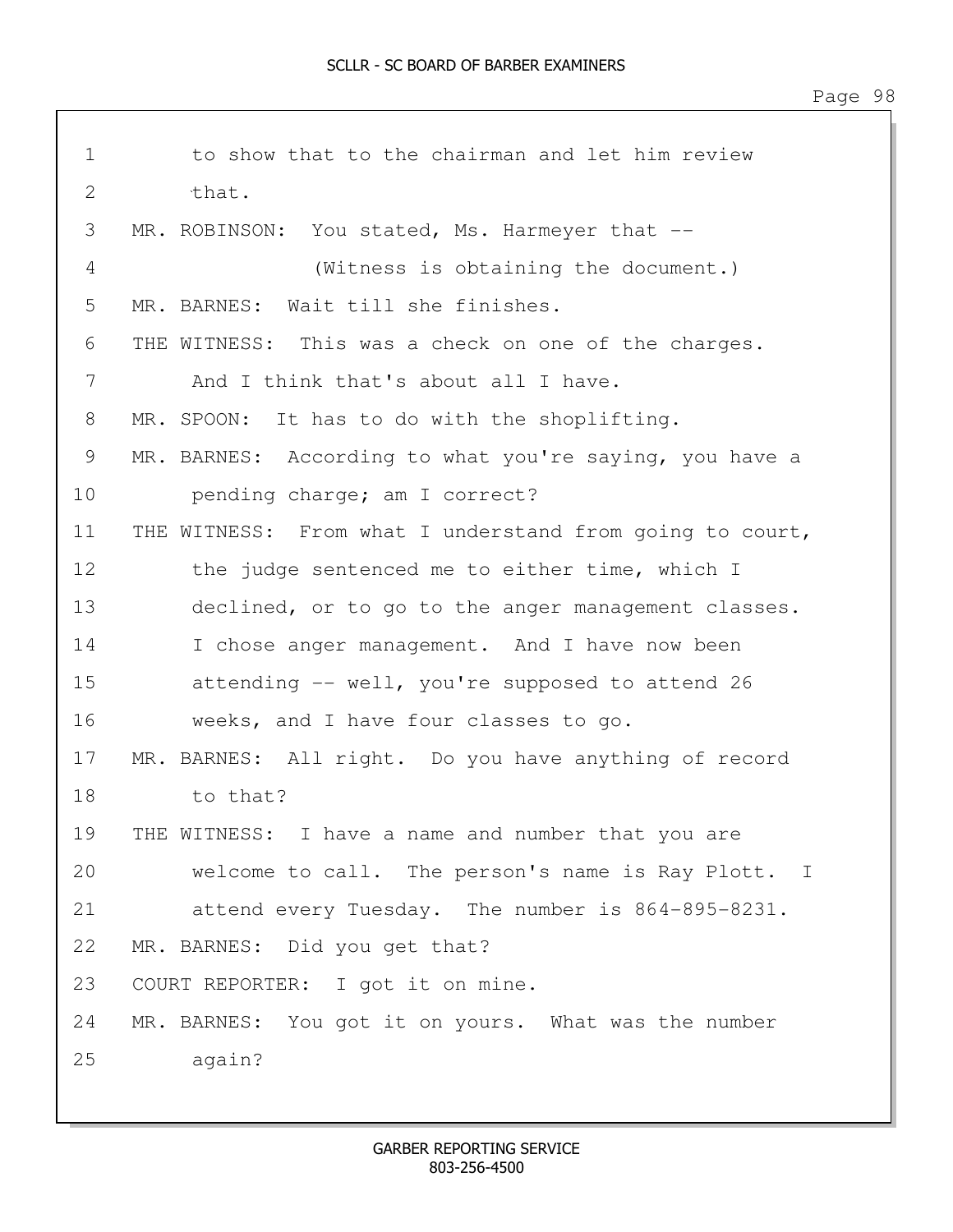| $\mathbf 1$ | to show that to the chairman and let him review          |
|-------------|----------------------------------------------------------|
| 2           | that.                                                    |
| 3           | MR. ROBINSON: You stated, Ms. Harmeyer that --           |
| 4           | (Witness is obtaining the document.)                     |
| 5           | MR. BARNES: Wait till she finishes.                      |
| 6           | THE WITNESS: This was a check on one of the charges.     |
| 7           | And I think that's about all I have.                     |
| 8           | MR. SPOON: It has to do with the shoplifting.            |
| 9           | MR. BARNES: According to what you're saying, you have a  |
| 10          | pending charge; am I correct?                            |
| 11          | THE WITNESS: From what I understand from going to court, |
| 12          | the judge sentenced me to either time, which I           |
| 13          | declined, or to go to the anger management classes.      |
| 14          | I chose anger management. And I have now been            |
| 15          | attending -- well, you're supposed to attend 26          |
| 16          | weeks, and I have four classes to go.                    |
| 17          | MR. BARNES: All right. Do you have anything of record    |
| 18          | to that?                                                 |
| 19          | THE WITNESS: I have a name and number that you are       |
| 20          | welcome to call. The person's name is Ray Plott. I       |
| 21          | attend every Tuesday. The number is 864-895-8231.        |
| 22          | MR. BARNES: Did you get that?                            |
| 23          | COURT REPORTER: I got it on mine.                        |
| 24          | MR. BARNES: You got it on yours. What was the number     |
| 25          | again?                                                   |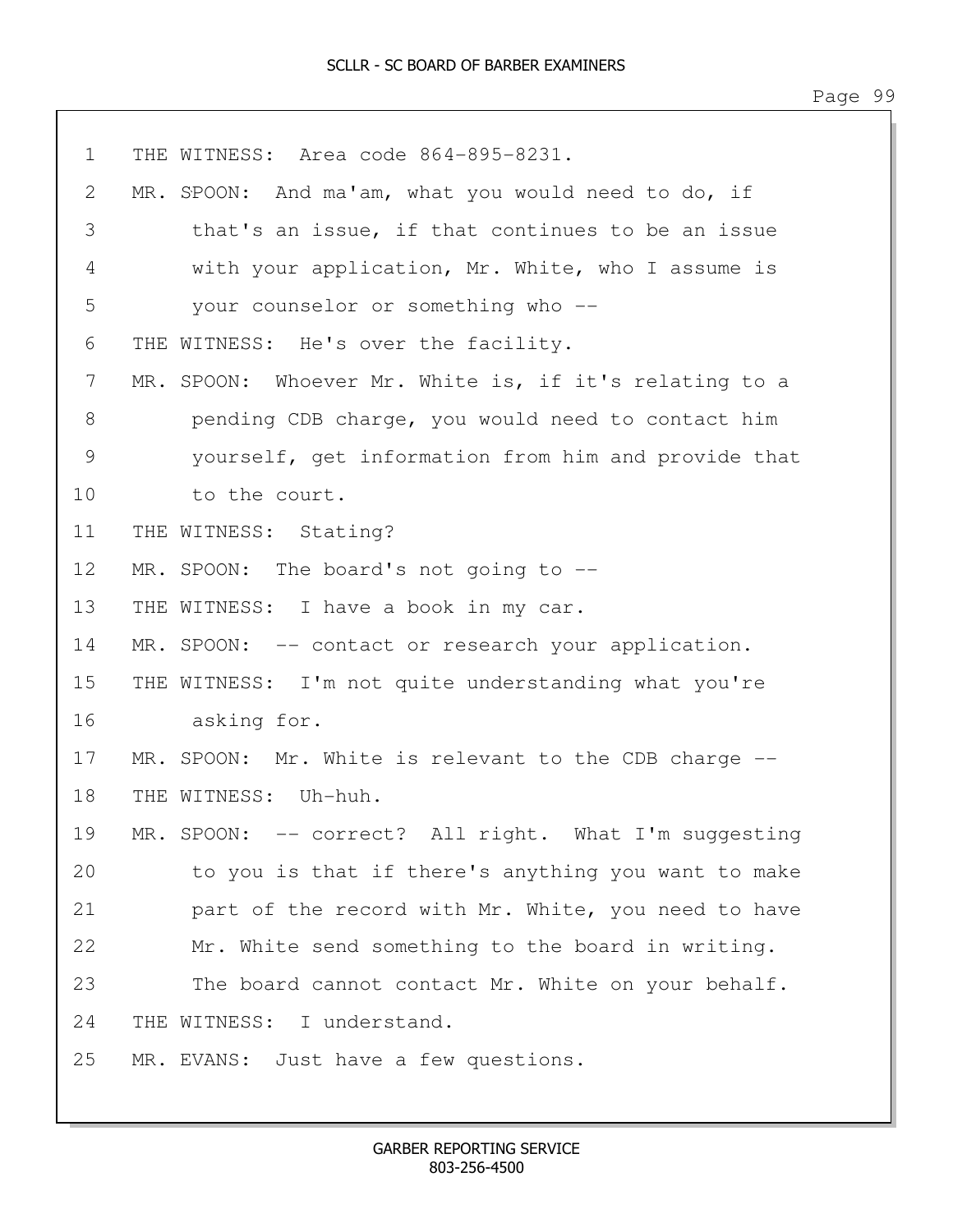1 THE WITNESS: Area code 864-895-8231. 2 MR. SPOON: And ma'am, what you would need to do, if 3 that's an issue, if that continues to be an issue 4 with your application, Mr. White, who I assume is 5 your counselor or something who -- 6 THE WITNESS: He's over the facility. 7 MR. SPOON: Whoever Mr. White is, if it's relating to a 8 pending CDB charge, you would need to contact him 9 yourself, get information from him and provide that 10 to the court. 11 THE WITNESS: Stating? 12 MR. SPOON: The board's not going to --13 THE WITNESS: I have a book in my car. 14 MR. SPOON: -- contact or research your application. 15 THE WITNESS: I'm not quite understanding what you're 16 asking for. 17 MR. SPOON: Mr. White is relevant to the CDB charge -- 18 THE WITNESS: Uh-huh. 19 MR. SPOON: -- correct? All right. What I'm suggesting 20 to you is that if there's anything you want to make 21 part of the record with Mr. White, you need to have 22 Mr. White send something to the board in writing. 23 The board cannot contact Mr. White on your behalf. 24 THE WITNESS: I understand. 25 MR. EVANS: Just have a few questions.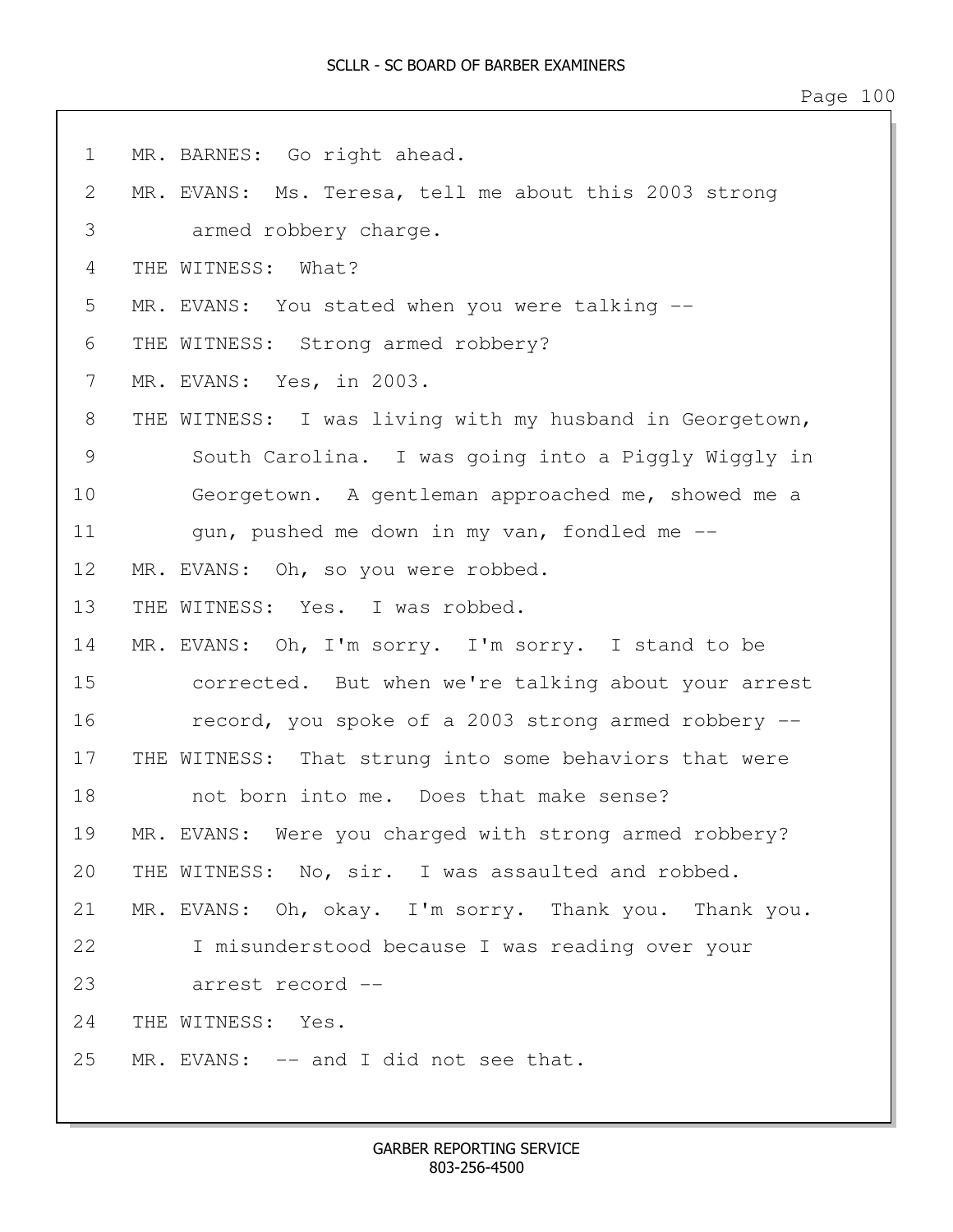1 MR. BARNES: Go right ahead. 2 MR. EVANS: Ms. Teresa, tell me about this 2003 strong 3 armed robbery charge. 4 THE WITNESS: What? 5 MR. EVANS: You stated when you were talking -- 6 THE WITNESS: Strong armed robbery? 7 MR. EVANS: Yes, in 2003. 8 THE WITNESS: I was living with my husband in Georgetown, 9 South Carolina. I was going into a Piggly Wiggly in 10 Georgetown. A gentleman approached me, showed me a 11 gun, pushed me down in my van, fondled me --12 MR. EVANS: Oh, so you were robbed. 13 THE WITNESS: Yes. I was robbed. 14 MR. EVANS: Oh, I'm sorry. I'm sorry. I stand to be 15 corrected. But when we're talking about your arrest 16 record, you spoke of a 2003 strong armed robbery -- 17 THE WITNESS: That strung into some behaviors that were 18 not born into me. Does that make sense? 19 MR. EVANS: Were you charged with strong armed robbery? 20 THE WITNESS: No, sir. I was assaulted and robbed. 21 MR. EVANS: Oh, okay. I'm sorry. Thank you. Thank you. 22 I misunderstood because I was reading over your 23 arrest record -- 24 THE WITNESS: Yes. 25 MR. EVANS: -- and I did not see that.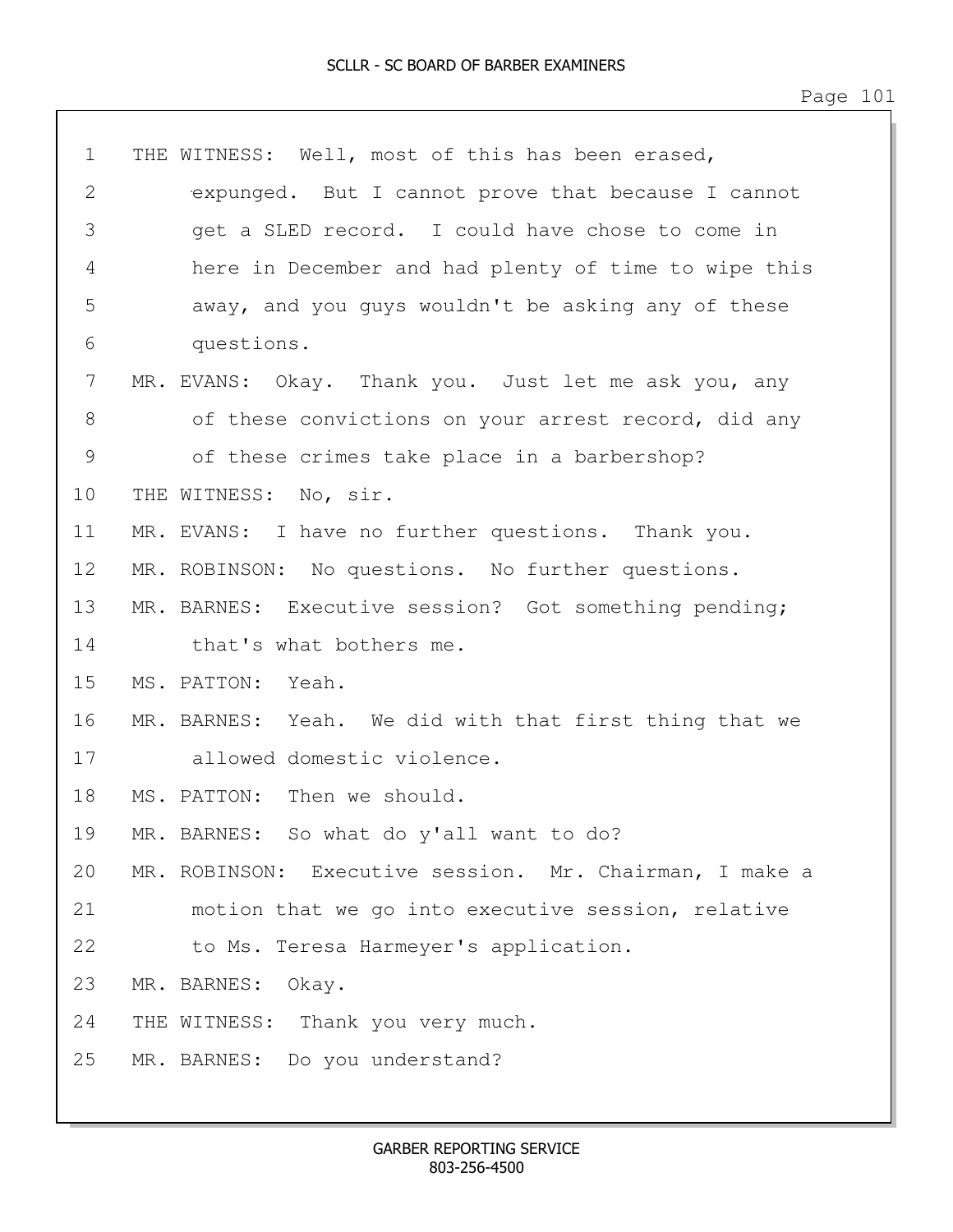| $\mathbf 1$    | THE WITNESS: Well, most of this has been erased,        |
|----------------|---------------------------------------------------------|
| 2              | expunged. But I cannot prove that because I cannot      |
| 3              | get a SLED record. I could have chose to come in        |
| 4              | here in December and had plenty of time to wipe this    |
| 5              | away, and you guys wouldn't be asking any of these      |
| 6              | questions.                                              |
| $7\phantom{.}$ | MR. EVANS: Okay. Thank you. Just let me ask you, any    |
| 8              | of these convictions on your arrest record, did any     |
| 9              | of these crimes take place in a barbershop?             |
| 10             | THE WITNESS: No, sir.                                   |
| 11             | MR. EVANS: I have no further questions. Thank you.      |
| 12             | MR. ROBINSON: No questions. No further questions.       |
| 13             | MR. BARNES: Executive session? Got something pending;   |
| 14             | that's what bothers me.                                 |
| 15             | MS. PATTON: Yeah.                                       |
| 16             | MR. BARNES: Yeah. We did with that first thing that we  |
| 17             | allowed domestic violence.                              |
| 18             | MS. PATTON: Then we should.                             |
| 19             | MR. BARNES: So what do y'all want to do?                |
| 20             | MR. ROBINSON: Executive session. Mr. Chairman, I make a |
| 21             | motion that we go into executive session, relative      |
| 22             | to Ms. Teresa Harmeyer's application.                   |
| 23             | MR. BARNES: Okay.                                       |
| 24             | THE WITNESS: Thank you very much.                       |
| 25             | MR. BARNES: Do you understand?                          |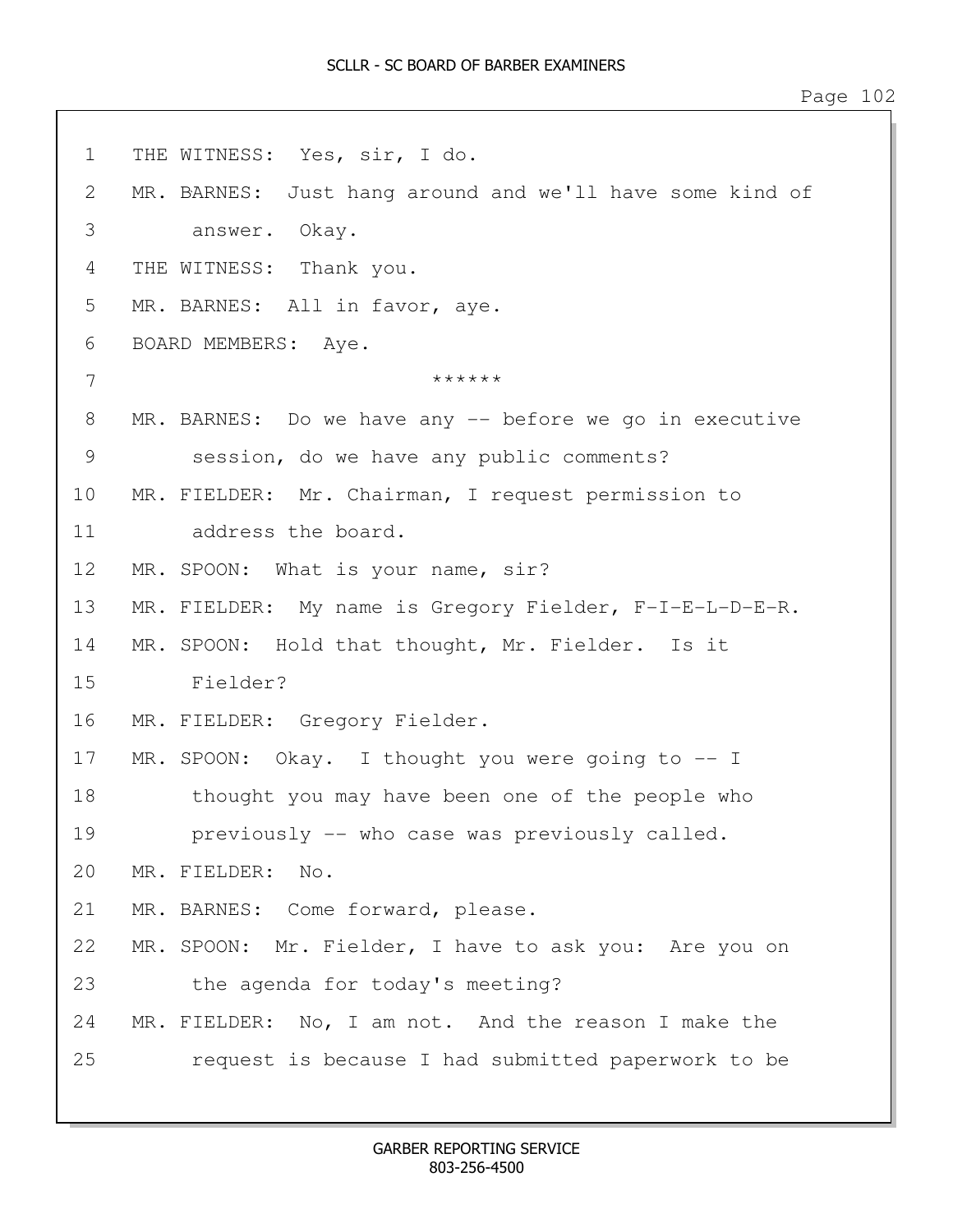1 THE WITNESS: Yes, sir, I do. 2 MR. BARNES: Just hang around and we'll have some kind of 3 answer. Okay. 4 THE WITNESS: Thank you. 5 MR. BARNES: All in favor, aye. 6 BOARD MEMBERS: Aye.  $7$ 8 MR. BARNES: Do we have any -- before we go in executive 9 session, do we have any public comments? 10 MR. FIELDER: Mr. Chairman, I request permission to 11 address the board. 12 MR. SPOON: What is your name, sir? 13 MR. FIELDER: My name is Gregory Fielder, F-I-E-L-D-E-R. 14 MR. SPOON: Hold that thought, Mr. Fielder. Is it 15 Fielder? 16 MR. FIELDER: Gregory Fielder. 17 MR. SPOON: Okay. I thought you were going to -- I 18 thought you may have been one of the people who 19 previously -- who case was previously called. 20 MR. FIELDER: No. 21 MR. BARNES: Come forward, please. 22 MR. SPOON: Mr. Fielder, I have to ask you: Are you on 23 the agenda for today's meeting? 24 MR. FIELDER: No, I am not. And the reason I make the 25 request is because I had submitted paperwork to be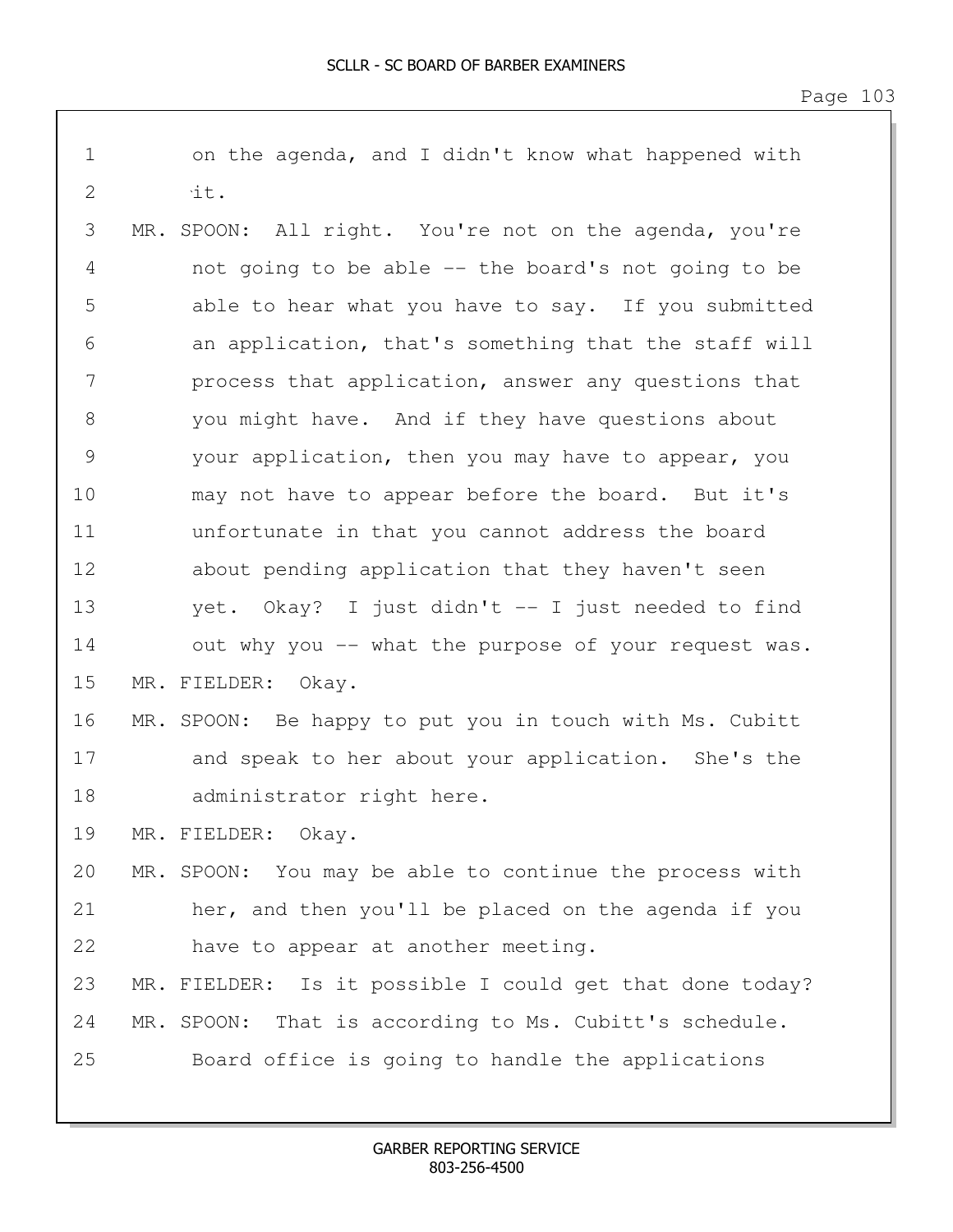| $\mathbf 1$   | on the agenda, and I didn't know what happened with      |
|---------------|----------------------------------------------------------|
| $\mathbf 2$   | it.                                                      |
| 3             | MR. SPOON: All right. You're not on the agenda, you're   |
| 4             | not going to be able -- the board's not going to be      |
| 5             | able to hear what you have to say. If you submitted      |
| 6             | an application, that's something that the staff will     |
| 7             | process that application, answer any questions that      |
| $8\,$         | you might have. And if they have questions about         |
| $\mathcal{G}$ | your application, then you may have to appear, you       |
| 10            | may not have to appear before the board. But it's        |
| 11            | unfortunate in that you cannot address the board         |
| 12            | about pending application that they haven't seen         |
| 13            | yet. Okay? I just didn't -- I just needed to find        |
| 14            | out why you -- what the purpose of your request was.     |
| 15            | MR. FIELDER: Okay.                                       |
| 16            | MR. SPOON: Be happy to put you in touch with Ms. Cubitt  |
| 17            | and speak to her about your application. She's the       |
| 18            | administrator right here.                                |
| 19            | MR. FIELDER: Okay.                                       |
| 20            | MR. SPOON: You may be able to continue the process with  |
| 21            | her, and then you'll be placed on the agenda if you      |
| 22            | have to appear at another meeting.                       |
| 23            | MR. FIELDER: Is it possible I could get that done today? |
| 24            | MR. SPOON: That is according to Ms. Cubitt's schedule.   |
| 25            | Board office is going to handle the applications         |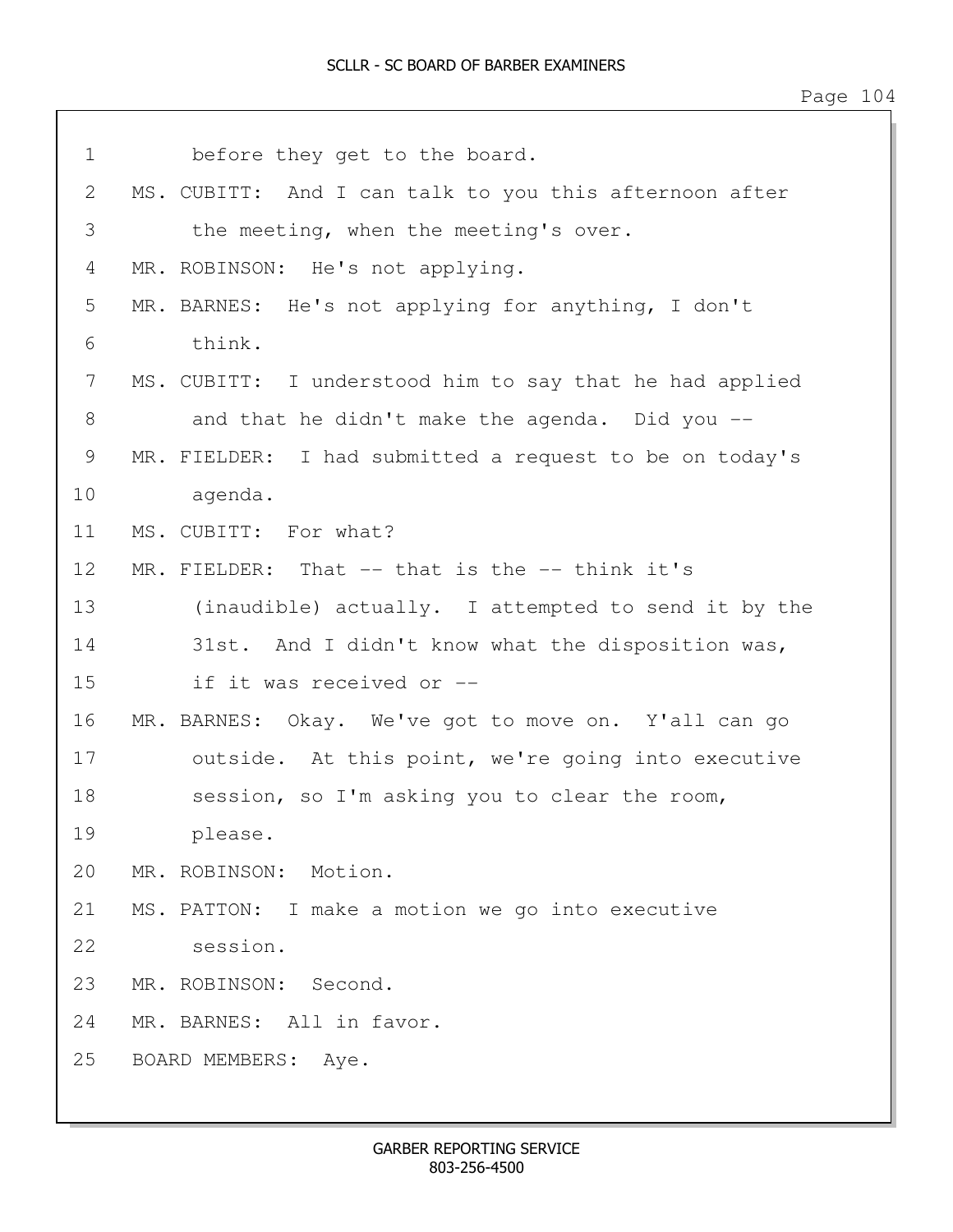Page 104

| $\mathbf 1$ | before they get to the board.    |                                                         |
|-------------|----------------------------------|---------------------------------------------------------|
| 2           |                                  | MS. CUBITT: And I can talk to you this afternoon after  |
| 3           |                                  | the meeting, when the meeting's over.                   |
| 4           | MR. ROBINSON: He's not applying. |                                                         |
| 5           |                                  | MR. BARNES: He's not applying for anything, I don't     |
| 6           | think.                           |                                                         |
| 7           |                                  | MS. CUBITT: I understood him to say that he had applied |
| 8           |                                  | and that he didn't make the agenda. Did you --          |
| 9           |                                  | MR. FIELDER: I had submitted a request to be on today's |
| 10          | agenda.                          |                                                         |
| 11          | MS. CUBITT: For what?            |                                                         |
| 12          |                                  | MR. FIELDER: That -- that is the -- think it's          |
| 13          |                                  | (inaudible) actually. I attempted to send it by the     |
| 14          |                                  | 31st. And I didn't know what the disposition was,       |
| 15          | if it was received or --         |                                                         |
| 16          |                                  | MR. BARNES: Okay. We've got to move on. Y'all can go    |
| 17          |                                  | outside. At this point, we're going into executive      |
| 18          |                                  | session, so I'm asking you to clear the room,           |
| 19          | please.                          |                                                         |
|             | 20 MR. ROBINSON: Motion.         |                                                         |
| 21          |                                  | MS. PATTON: I make a motion we go into executive        |
| 22          | session.                         |                                                         |
| 23          | MR. ROBINSON: Second.            |                                                         |
| 24          | MR. BARNES: All in favor.        |                                                         |
| 25          | BOARD MEMBERS: Aye.              |                                                         |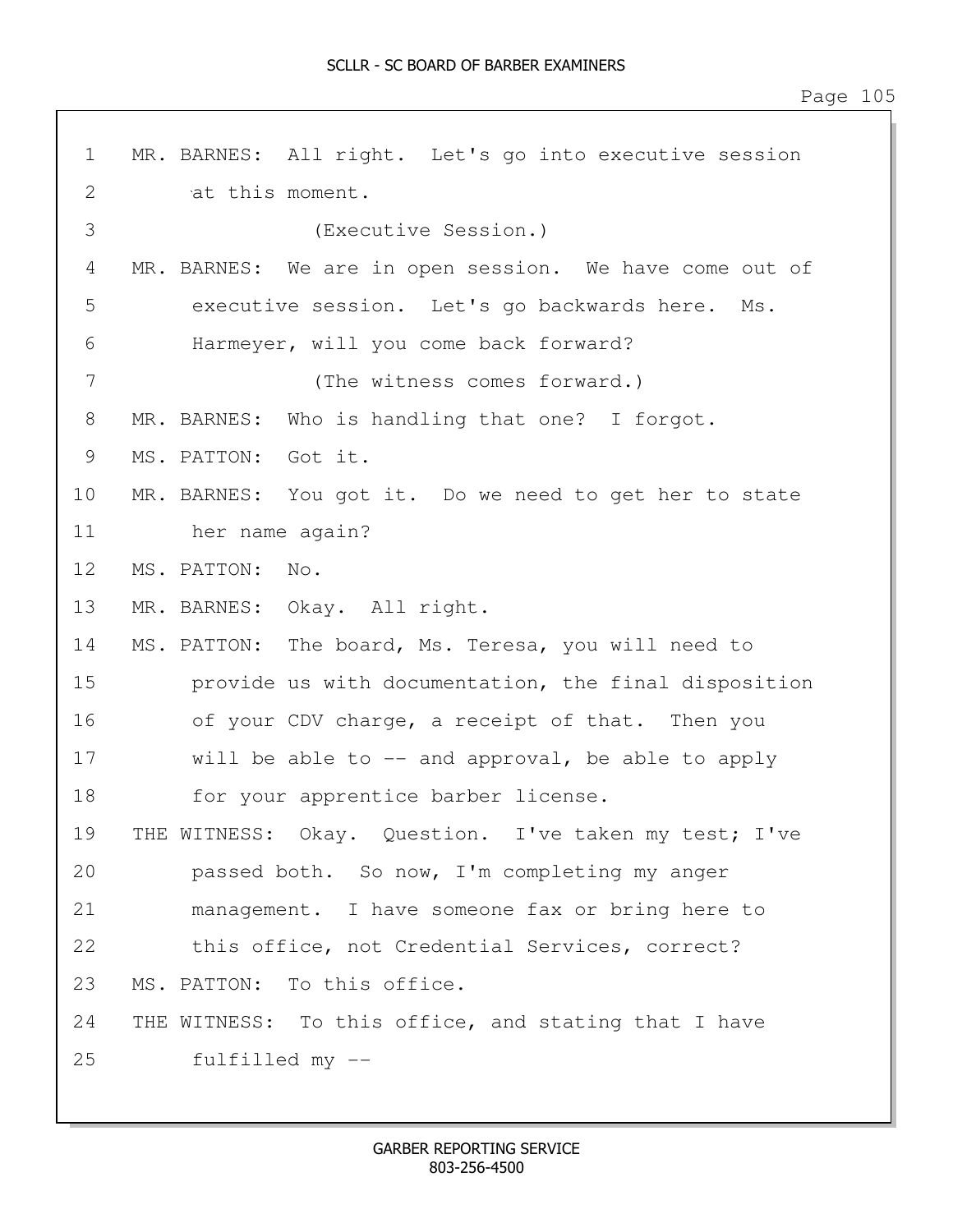| $\mathbf 1$     | MR. BARNES: All right. Let's go into executive session  |
|-----------------|---------------------------------------------------------|
| 2               | at this moment.                                         |
| 3               | (Executive Session.)                                    |
| 4               | MR. BARNES: We are in open session. We have come out of |
| 5               | executive session. Let's go backwards here. Ms.         |
| 6               | Harmeyer, will you come back forward?                   |
| 7               | (The witness comes forward.)                            |
| 8               | MR. BARNES: Who is handling that one? I forgot.         |
| 9               | MS. PATTON: Got it.                                     |
| 10              | MR. BARNES: You got it. Do we need to get her to state  |
| 11              | her name again?                                         |
| 12 <sup>°</sup> | MS. PATTON: No.                                         |
| 13              | MR. BARNES: Okay. All right.                            |
| 14              | MS. PATTON: The board, Ms. Teresa, you will need to     |
| 15              | provide us with documentation, the final disposition    |
| 16              | of your CDV charge, a receipt of that. Then you         |
| 17              | will be able to $-$ and approval, be able to apply      |
| 18              | for your apprentice barber license.                     |
| 19              | THE WITNESS: Okay. Question. I've taken my test; I've   |
| 20              | passed both. So now, I'm completing my anger            |
| 21              | management. I have someone fax or bring here to         |
| 22              | this office, not Credential Services, correct?          |
| 23              | MS. PATTON: To this office.                             |
| 24              | THE WITNESS: To this office, and stating that I have    |
| 25              | fulfilled my --                                         |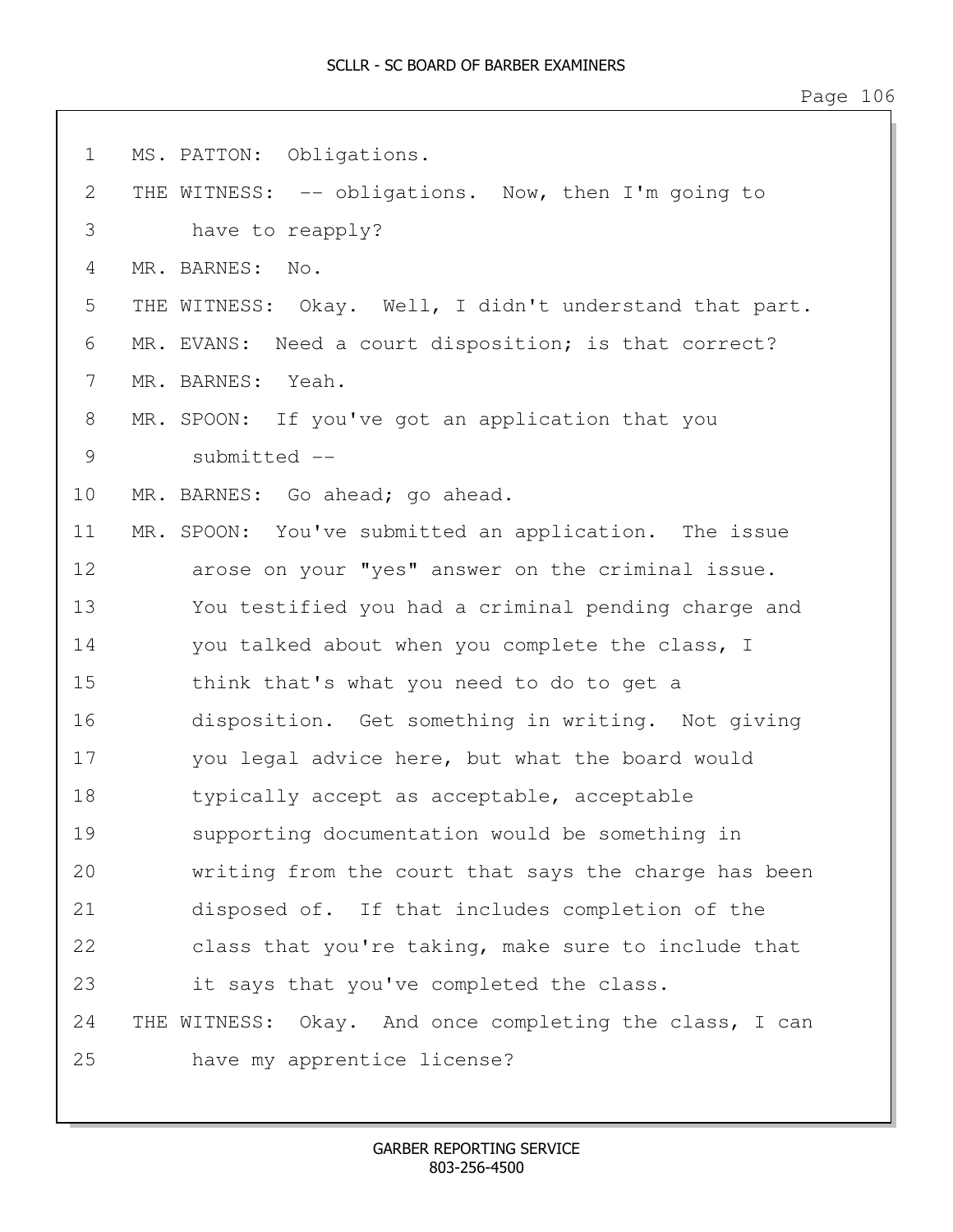Page 106

| $\mathbf 1$ | MS. PATTON: Obligations.                                   |
|-------------|------------------------------------------------------------|
| 2           | THE WITNESS: -- obligations. Now, then I'm going to        |
| 3           | have to reapply?                                           |
| 4           | MR. BARNES:<br>No.                                         |
| 5           | THE WITNESS: Okay. Well, I didn't understand that part.    |
| 6           | Need a court disposition; is that correct?<br>MR. EVANS:   |
| 7           | Yeah.<br>MR. BARNES:                                       |
| 8           | MR. SPOON: If you've got an application that you           |
| 9           | submitted --                                               |
| 10          | MR. BARNES: Go ahead; go ahead.                            |
| 11          | MR. SPOON: You've submitted an application. The issue      |
| 12          | arose on your "yes" answer on the criminal issue.          |
| 13          | You testified you had a criminal pending charge and        |
| 14          | you talked about when you complete the class, I            |
| 15          | think that's what you need to do to get a                  |
| 16          | disposition. Get something in writing. Not giving          |
| 17          | you legal advice here, but what the board would            |
| 18          | typically accept as acceptable, acceptable                 |
| 19          | supporting documentation would be something in             |
| 20          | writing from the court that says the charge has been       |
| 21          | disposed of. If that includes completion of the            |
| 22          | class that you're taking, make sure to include that        |
| 23          | it says that you've completed the class.                   |
| 24          | THE WITNESS:<br>Okay. And once completing the class, I can |
| 25          | have my apprentice license?                                |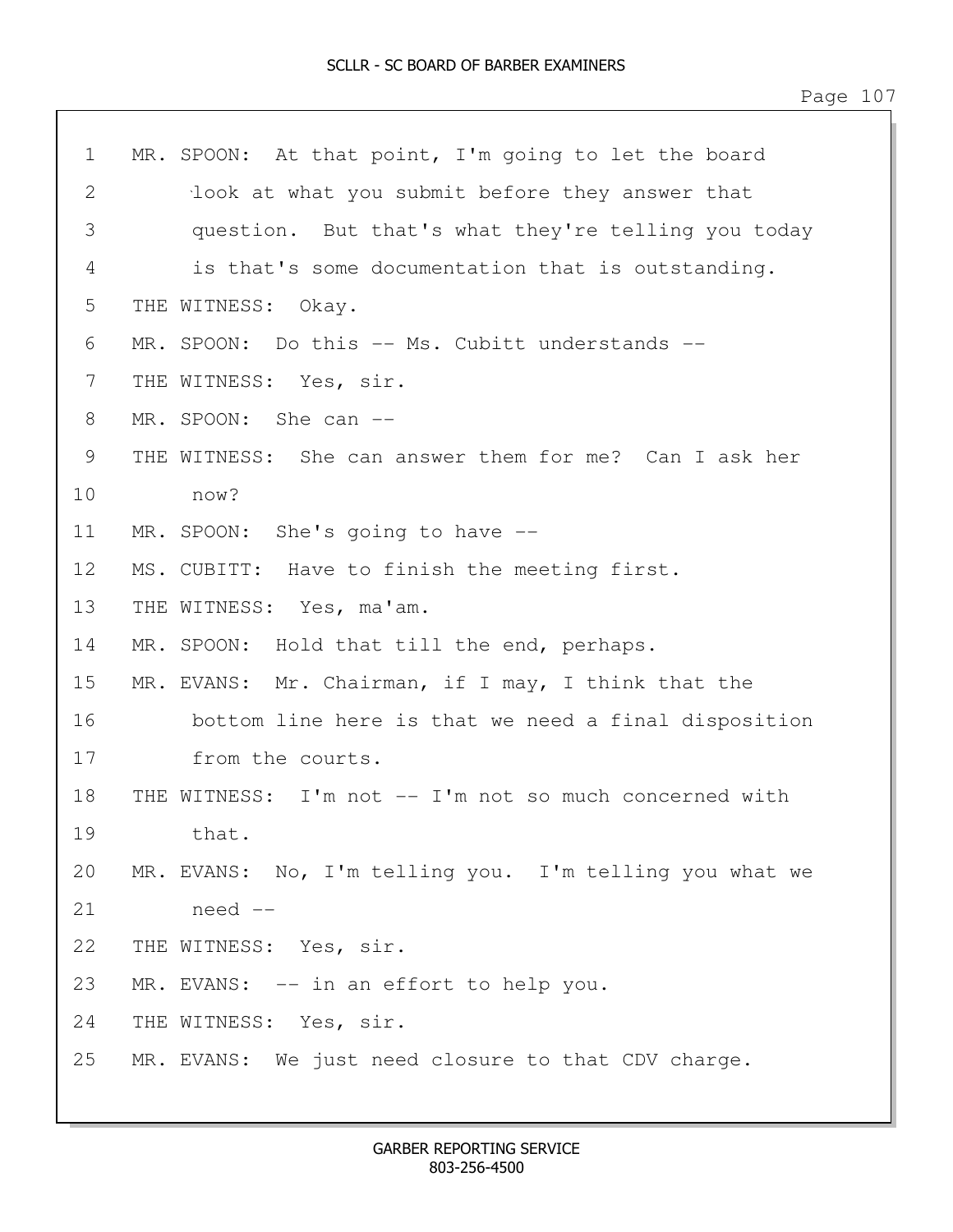| $\mathbf 1$  | MR. SPOON: At that point, I'm going to let the board    |  |
|--------------|---------------------------------------------------------|--|
| $\mathbf{2}$ | look at what you submit before they answer that         |  |
| 3            | question. But that's what they're telling you today     |  |
| 4            | is that's some documentation that is outstanding.       |  |
| 5            | THE WITNESS: Okay.                                      |  |
| 6            | MR. SPOON: Do this -- Ms. Cubitt understands --         |  |
| 7            | THE WITNESS: Yes, sir.                                  |  |
| 8            | MR. SPOON: She can --                                   |  |
| 9            | THE WITNESS: She can answer them for me? Can I ask her  |  |
| 10           | now?                                                    |  |
| 11           | MR. SPOON: She's going to have --                       |  |
| 12           | MS. CUBITT: Have to finish the meeting first.           |  |
| 13           | THE WITNESS: Yes, ma'am.                                |  |
| 14           | MR. SPOON: Hold that till the end, perhaps.             |  |
| 15           | MR. EVANS: Mr. Chairman, if I may, I think that the     |  |
| 16           | bottom line here is that we need a final disposition    |  |
| 17           | from the courts.                                        |  |
| 18           | THE WITNESS: I'm not -- I'm not so much concerned with  |  |
| 19           | that.                                                   |  |
| 20           | MR. EVANS: No, I'm telling you. I'm telling you what we |  |
| 21           | need --                                                 |  |
| 22           | THE WITNESS: Yes, sir.                                  |  |
| 23           | MR. EVANS: -- in an effort to help you.                 |  |
| 24           | THE WITNESS: Yes, sir.                                  |  |
| 25           | MR. EVANS: We just need closure to that CDV charge.     |  |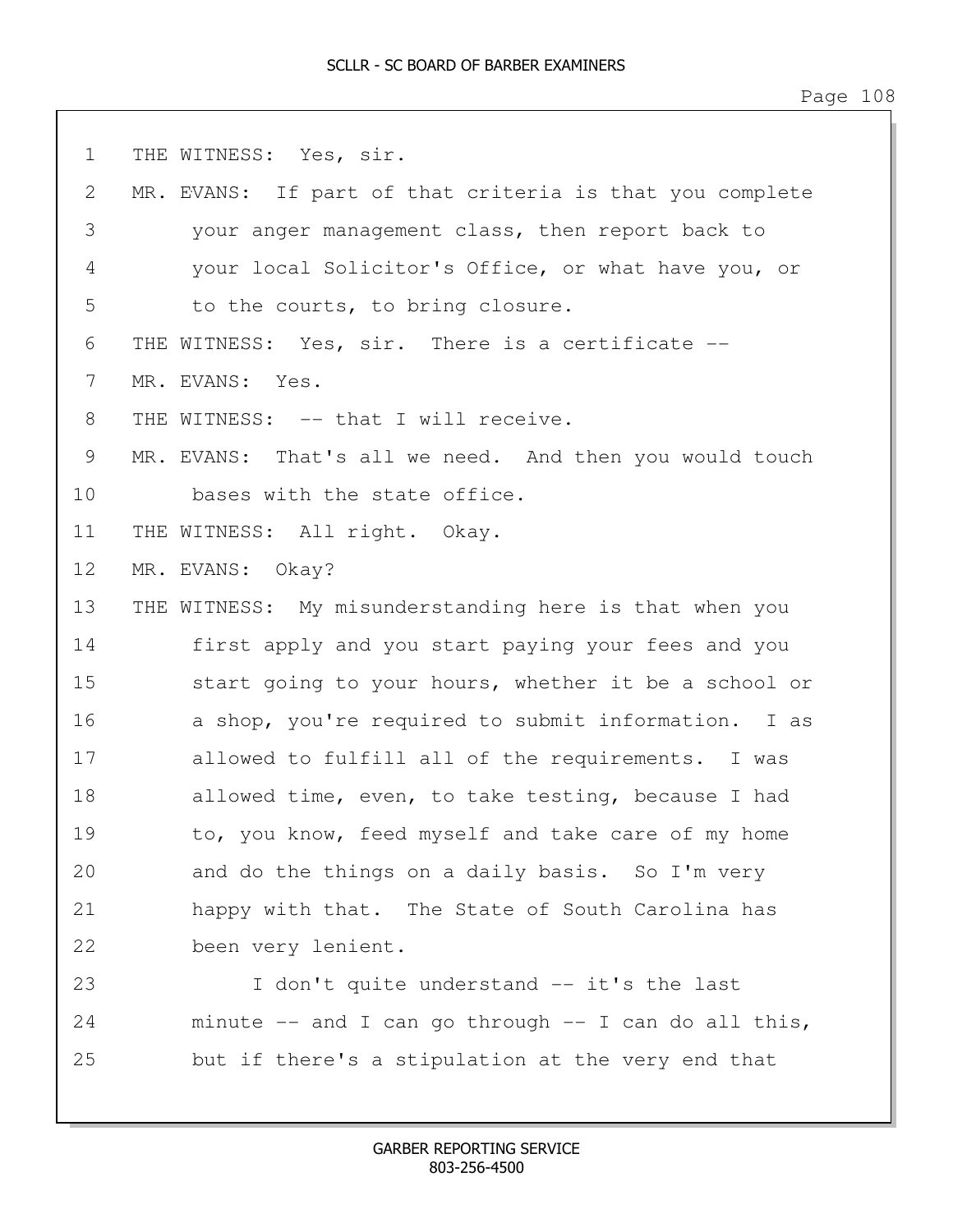| $\mathbf 1$ | THE WITNESS: Yes, sir.                                   |
|-------------|----------------------------------------------------------|
| 2           | MR. EVANS: If part of that criteria is that you complete |
| 3           | your anger management class, then report back to         |
| 4           | your local Solicitor's Office, or what have you, or      |
| 5           | to the courts, to bring closure.                         |
| 6           | THE WITNESS: Yes, sir. There is a certificate --         |
| 7           | MR. EVANS: Yes.                                          |
| 8           | THE WITNESS: -- that I will receive.                     |
| 9           | MR. EVANS: That's all we need. And then you would touch  |
| 10          | bases with the state office.                             |
| 11          | THE WITNESS: All right. Okay.                            |
| 12          | MR. EVANS: Okay?                                         |
| 13          | THE WITNESS: My misunderstanding here is that when you   |
| 14          | first apply and you start paying your fees and you       |
| 15          | start going to your hours, whether it be a school or     |
| 16          | a shop, you're required to submit information. I as      |
| 17          | allowed to fulfill all of the requirements. I was        |
| 18          | allowed time, even, to take testing, because I had       |
| 19          | to, you know, feed myself and take care of my home       |
| 20          | and do the things on a daily basis. So I'm very          |
| 21          | happy with that. The State of South Carolina has         |
| 22          | been very lenient.                                       |
| 23          | I don't quite understand -- it's the last                |
| 24          | minute $--$ and I can go through $--$ I can do all this, |
| 25          | but if there's a stipulation at the very end that        |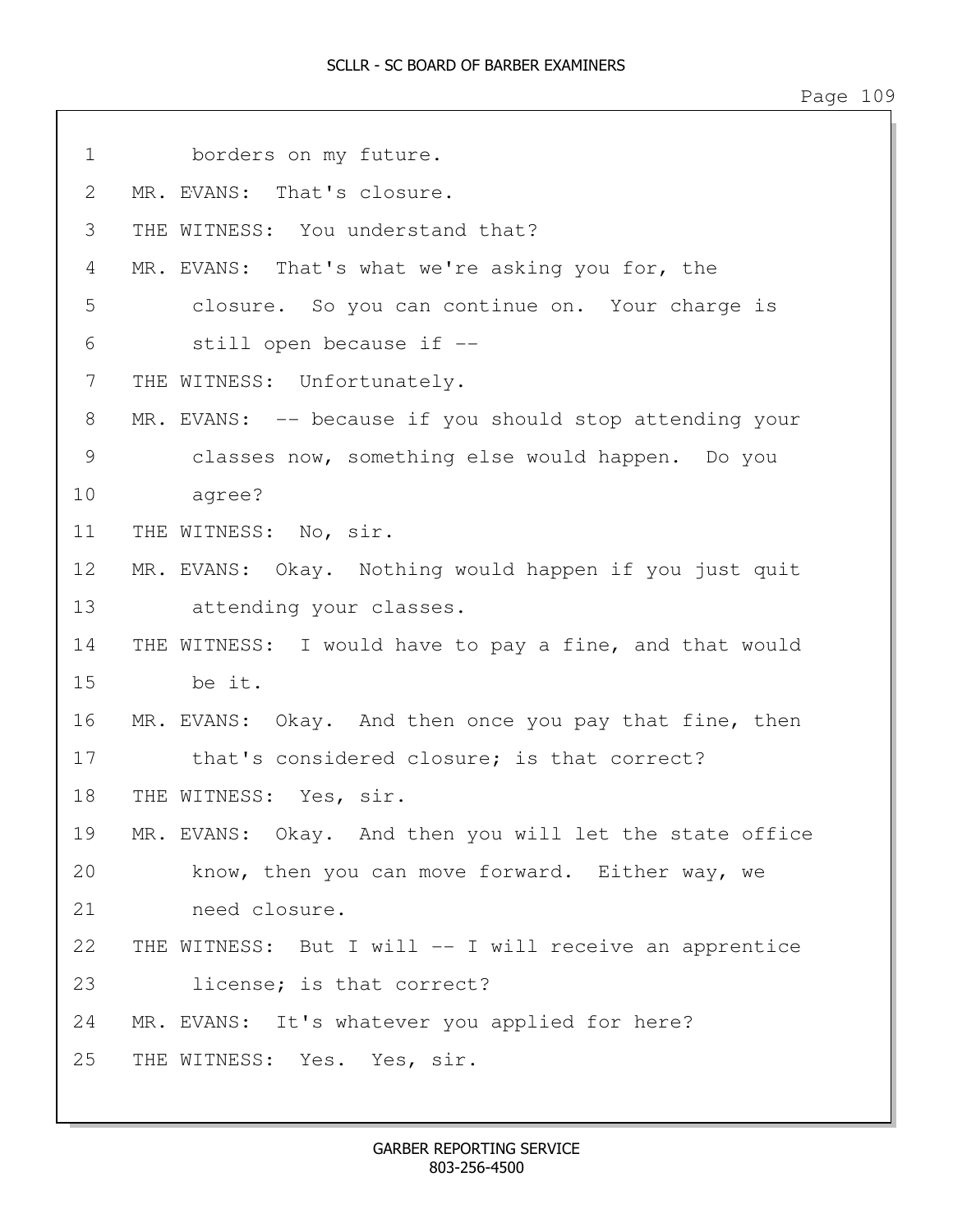1 borders on my future. 2 MR. EVANS: That's closure. 3 THE WITNESS: You understand that? 4 MR. EVANS: That's what we're asking you for, the 5 closure. So you can continue on. Your charge is 6 still open because if -- 7 THE WITNESS: Unfortunately. 8 MR. EVANS: -- because if you should stop attending your 9 classes now, something else would happen. Do you 10 agree? 11 THE WITNESS: No, sir. 12 MR. EVANS: Okay. Nothing would happen if you just quit 13 attending your classes. 14 THE WITNESS: I would have to pay a fine, and that would 15 be it. 16 MR. EVANS: Okay. And then once you pay that fine, then 17 that's considered closure; is that correct? 18 THE WITNESS: Yes, sir. 19 MR. EVANS: Okay. And then you will let the state office 20 know, then you can move forward. Either way, we 21 need closure. 22 THE WITNESS: But I will -- I will receive an apprentice 23 license; is that correct? 24 MR. EVANS: It's whatever you applied for here? 25 THE WITNESS: Yes. Yes, sir.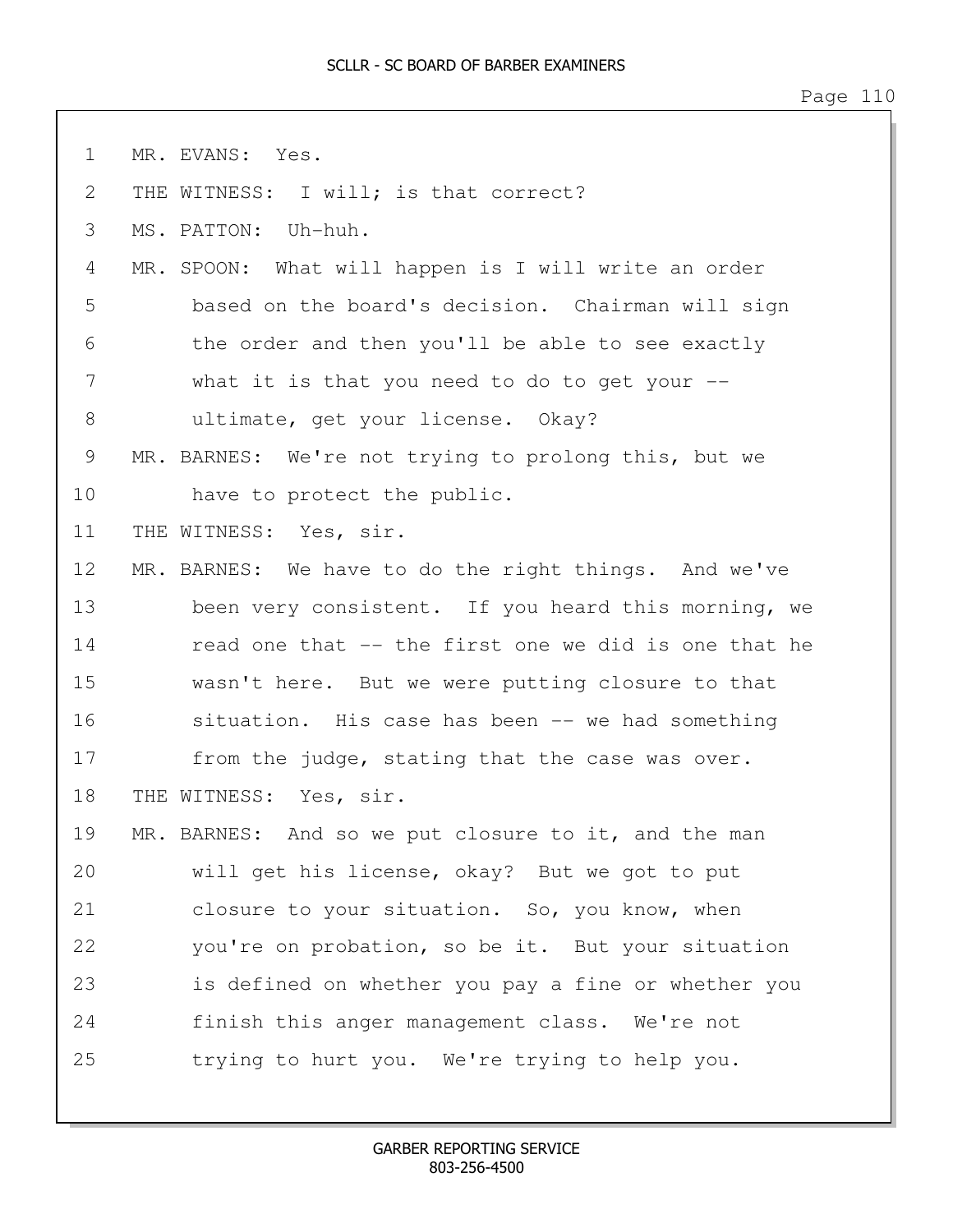Page 110

| $\mathbf 1$  | MR. EVANS: Yes.                                       |
|--------------|-------------------------------------------------------|
| $\mathbf{2}$ | THE WITNESS: I will; is that correct?                 |
| 3            | MS. PATTON: Uh-huh.                                   |
| 4            | MR. SPOON: What will happen is I will write an order  |
| 5            | based on the board's decision. Chairman will sign     |
| 6            | the order and then you'll be able to see exactly      |
| 7            | what it is that you need to do to get your --         |
| 8            | ultimate, get your license. Okay?                     |
| 9            | MR. BARNES: We're not trying to prolong this, but we  |
| 10           | have to protect the public.                           |
| 11           | THE WITNESS: Yes, sir.                                |
| 12           | MR. BARNES: We have to do the right things. And we've |
| 13           | been very consistent. If you heard this morning, we   |
| 14           | read one that -- the first one we did is one that he  |
| 15           | wasn't here. But we were putting closure to that      |
| 16           | situation. His case has been -- we had something      |
| 17           | from the judge, stating that the case was over.       |
| 18           | THE WITNESS: Yes, sir.                                |
| 19           | MR. BARNES: And so we put closure to it, and the man  |
| 20           | will get his license, okay? But we got to put         |
| 21           | closure to your situation. So, you know, when         |
| 22           | you're on probation, so be it. But your situation     |
| 23           | is defined on whether you pay a fine or whether you   |
| 24           | finish this anger management class. We're not         |
| 25           | trying to hurt you. We're trying to help you.         |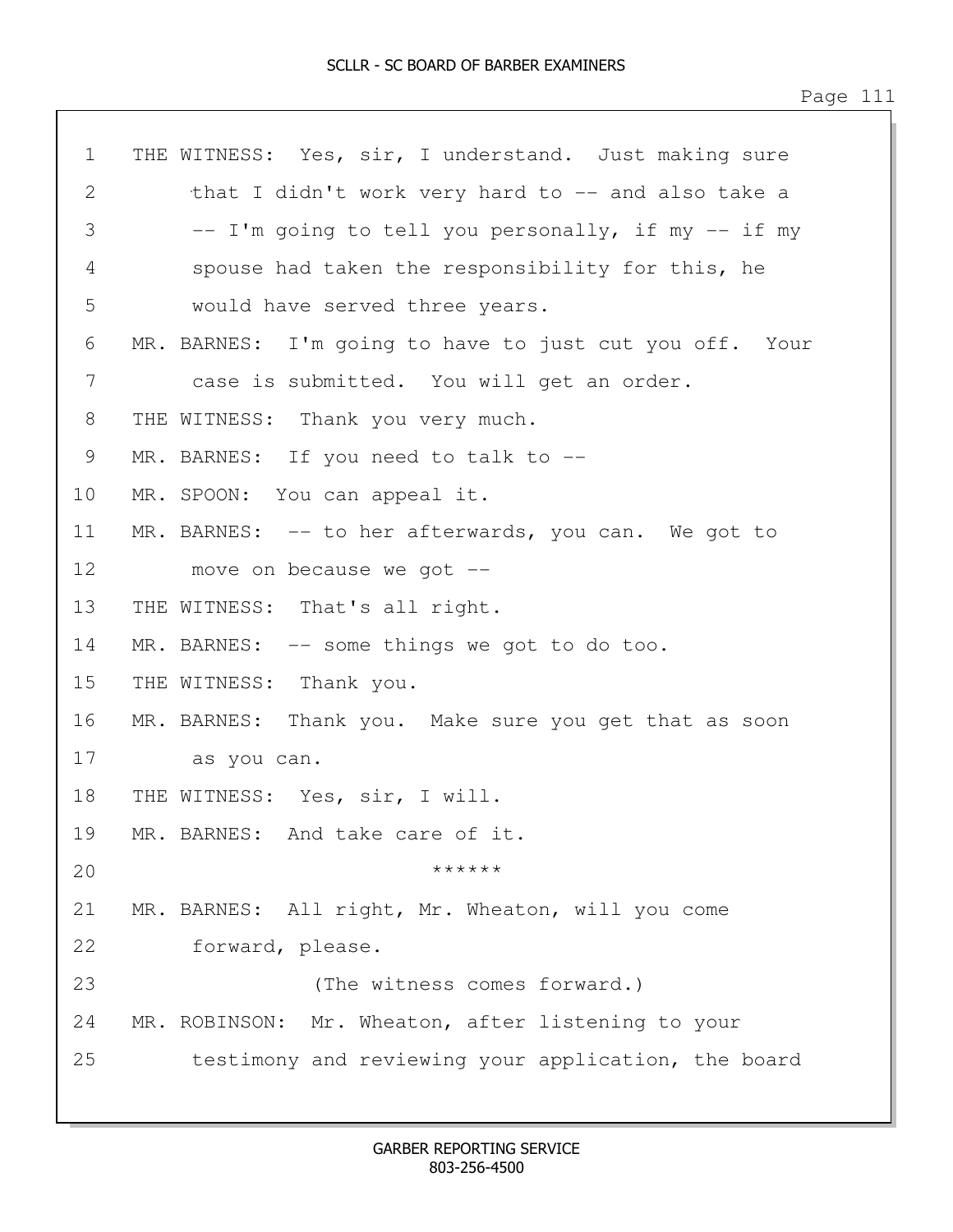| $\mathbf 1$       | THE WITNESS: Yes, sir, I understand. Just making sure   |
|-------------------|---------------------------------------------------------|
| 2                 | that I didn't work very hard to -- and also take a      |
| 3                 | -- I'm going to tell you personally, if my -- if my     |
| 4                 | spouse had taken the responsibility for this, he        |
| 5                 | would have served three years.                          |
| 6                 | MR. BARNES: I'm going to have to just cut you off. Your |
| 7                 | case is submitted. You will get an order.               |
| 8                 | THE WITNESS: Thank you very much.                       |
| 9                 | MR. BARNES: If you need to talk to --                   |
| $10 \,$           | MR. SPOON: You can appeal it.                           |
| 11                | MR. BARNES: -- to her afterwards, you can. We got to    |
| $12 \overline{ }$ | move on because we got --                               |
| 13                | THE WITNESS: That's all right.                          |
| 14                | MR. BARNES: -- some things we got to do too.            |
| 15                | THE WITNESS: Thank you.                                 |
| 16                | MR. BARNES: Thank you. Make sure you get that as soon   |
| 17                | as you can.                                             |
| 18                | THE WITNESS: Yes, sir, I will.                          |
| 19                | MR. BARNES: And take care of it.                        |
| 20                | ******                                                  |
| 21                | MR. BARNES: All right, Mr. Wheaton, will you come       |
| 22                | forward, please.                                        |
| 23                | (The witness comes forward.)                            |
| 24                | MR. ROBINSON: Mr. Wheaton, after listening to your      |
| 25                | testimony and reviewing your application, the board     |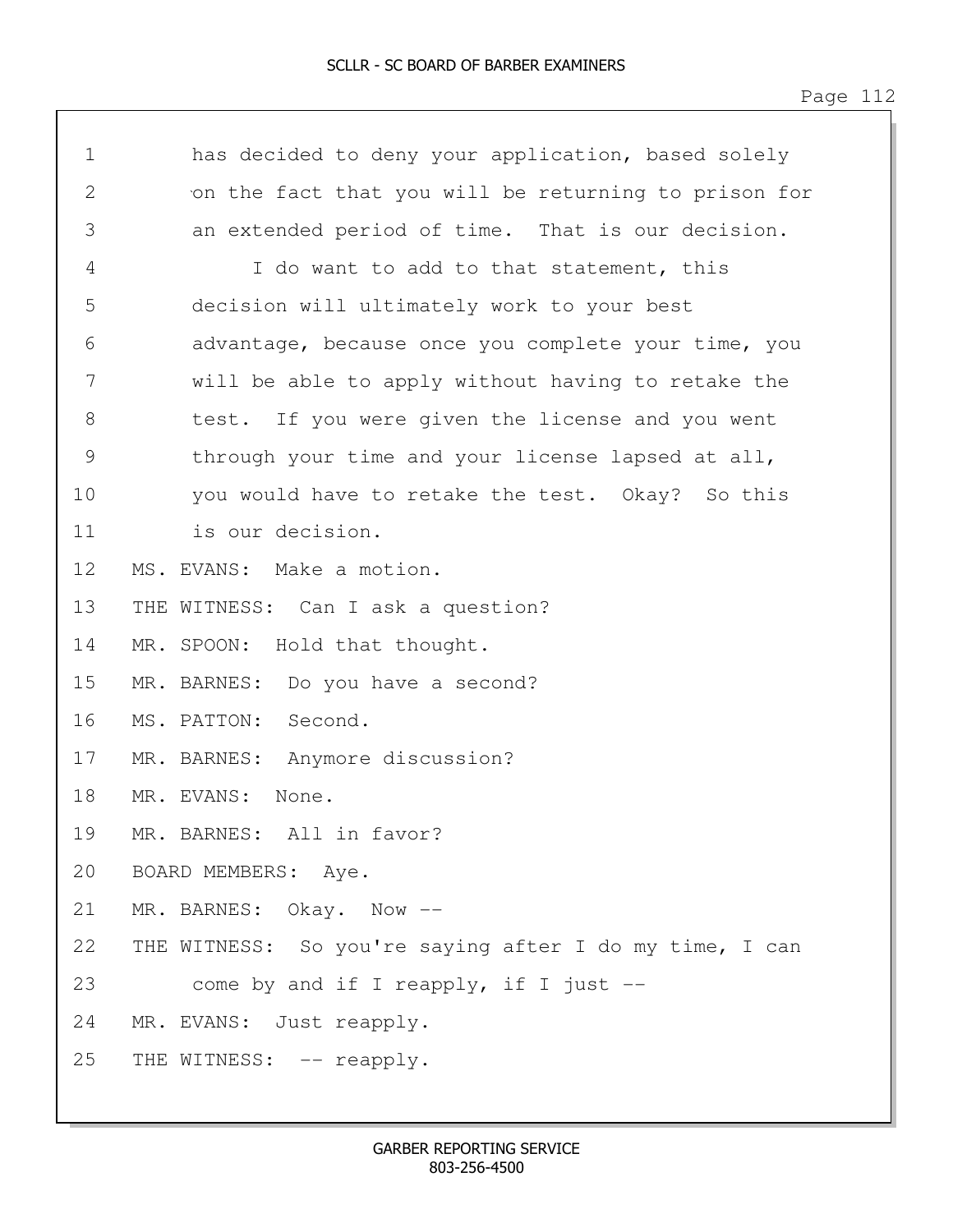1 has decided to deny your application, based solely 2 on the fact that you will be returning to prison for 3 an extended period of time. That is our decision. 4 I do want to add to that statement, this 5 decision will ultimately work to your best 6 advantage, because once you complete your time, you 7 will be able to apply without having to retake the 8 test. If you were given the license and you went 9 through your time and your license lapsed at all, 10 you would have to retake the test. Okay? So this 11 is our decision. 12 MS. EVANS: Make a motion. 13 THE WITNESS: Can I ask a question? 14 MR. SPOON: Hold that thought. 15 MR. BARNES: Do you have a second? 16 MS. PATTON: Second. 17 MR. BARNES: Anymore discussion? 18 MR. EVANS: None. 19 MR. BARNES: All in favor? 20 BOARD MEMBERS: Aye. 21 MR. BARNES: Okay. Now -- 22 THE WITNESS: So you're saying after I do my time, I can 23 come by and if I reapply, if I just -- 24 MR. EVANS: Just reapply. 25 THE WITNESS: -- reapply.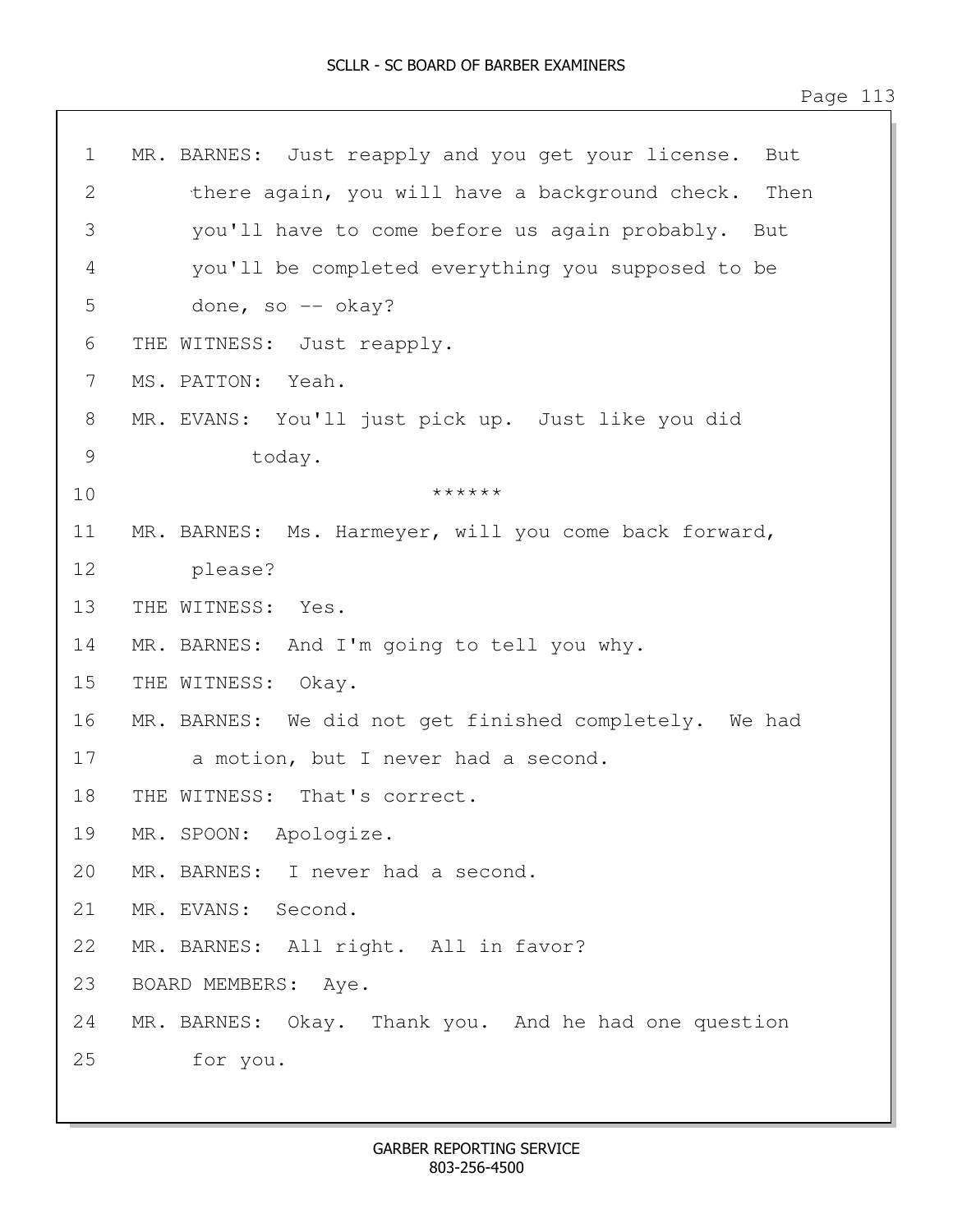1 MR. BARNES: Just reapply and you get your license. But 2 there again, you will have a background check. Then 3 you'll have to come before us again probably. But 4 you'll be completed everything you supposed to be 5 done, so -- okay? 6 THE WITNESS: Just reapply. 7 MS. PATTON: Yeah. 8 MR. EVANS: You'll just pick up. Just like you did 9 today. 10 \*\*\*\*\*\*\* 11 MR. BARNES: Ms. Harmeyer, will you come back forward, 12 please? 13 THE WITNESS: Yes. 14 MR. BARNES: And I'm going to tell you why. 15 THE WITNESS: Okay. 16 MR. BARNES: We did not get finished completely. We had 17 a motion, but I never had a second. 18 THE WITNESS: That's correct. 19 MR. SPOON: Apologize. 20 MR. BARNES: I never had a second. 21 MR. EVANS: Second. 22 MR. BARNES: All right. All in favor? 23 BOARD MEMBERS: Aye. 24 MR. BARNES: Okay. Thank you. And he had one question 25 for you.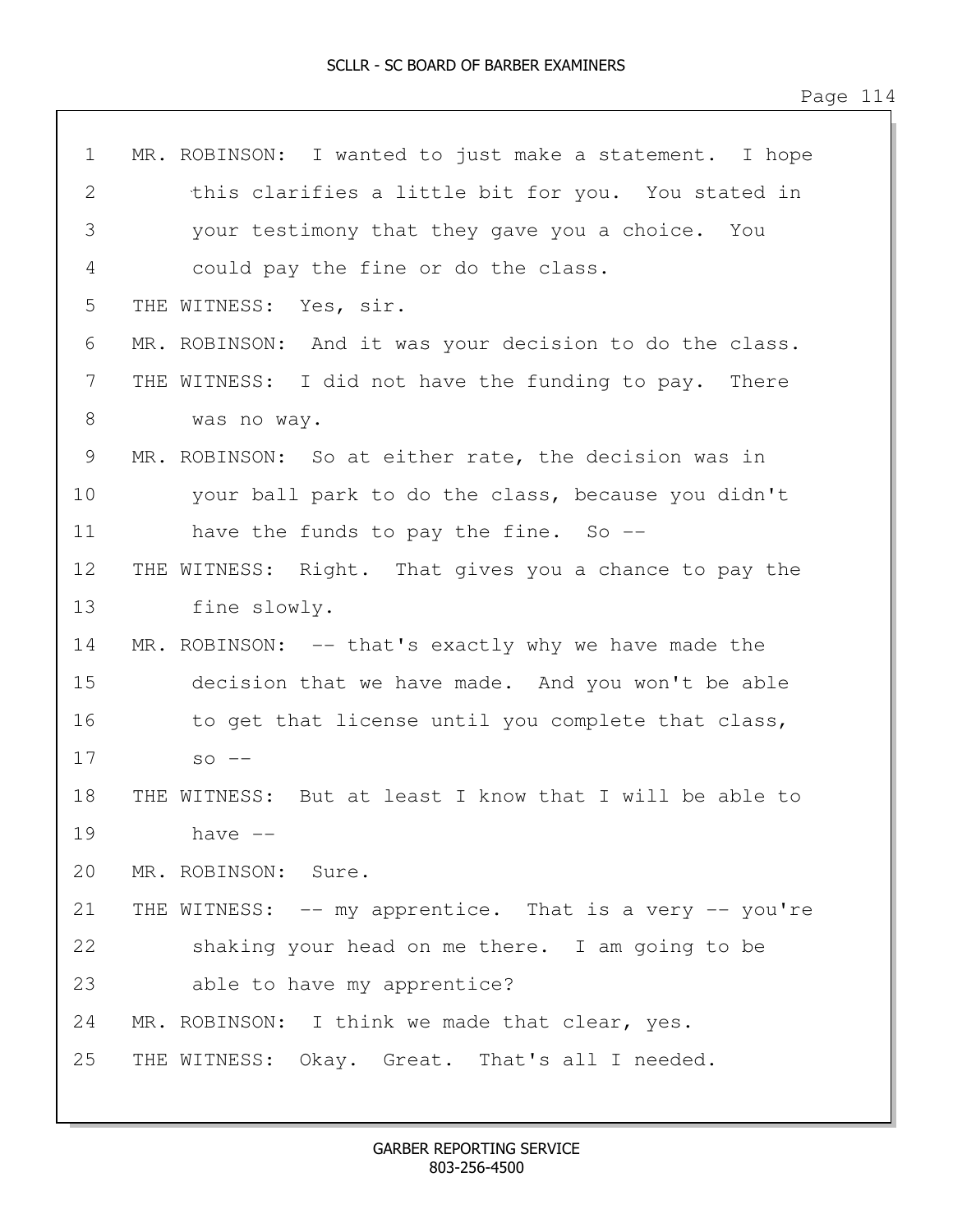| $\mathbf 1$ | MR. ROBINSON: I wanted to just make a statement. I hope |
|-------------|---------------------------------------------------------|
| 2           | this clarifies a little bit for you. You stated in      |
| 3           | your testimony that they gave you a choice. You         |
| 4           | could pay the fine or do the class.                     |
| 5           | THE WITNESS: Yes, sir.                                  |
| 6           | MR. ROBINSON: And it was your decision to do the class. |
| 7           | THE WITNESS: I did not have the funding to pay. There   |
| 8           | was no way.                                             |
| 9           | MR. ROBINSON: So at either rate, the decision was in    |
| 10          | your ball park to do the class, because you didn't      |
| 11          | have the funds to pay the fine. So $-$ -                |
| 12          | THE WITNESS: Right. That gives you a chance to pay the  |
| 13          | fine slowly.                                            |
| 14          | MR. ROBINSON: -- that's exactly why we have made the    |
| 15          | decision that we have made. And you won't be able       |
| 16          | to get that license until you complete that class,      |
| 17          | $SO$ $--$                                               |
| 18          | THE WITNESS: But at least I know that I will be able to |
| 19          | have --                                                 |
| 20          | MR. ROBINSON: Sure.                                     |
| 21          | THE WITNESS: -- my apprentice. That is a very -- you're |
| 22          | shaking your head on me there. I am going to be         |
| 23          | able to have my apprentice?                             |
| 24          | MR. ROBINSON: I think we made that clear, yes.          |
| 25          | THE WITNESS: Okay. Great. That's all I needed.          |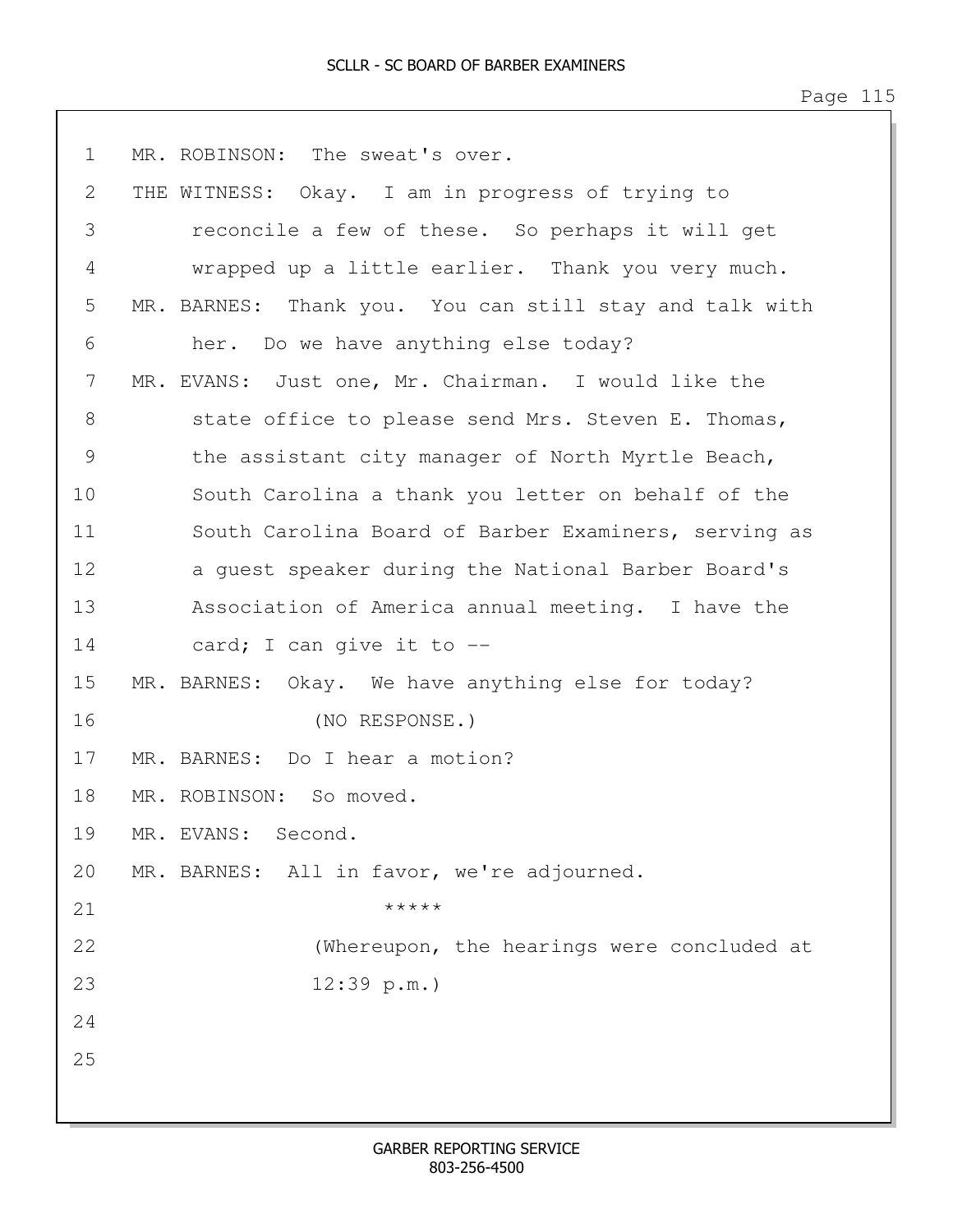Page 115

1 MR. ROBINSON: The sweat's over. 2 THE WITNESS: Okay. I am in progress of trying to 3 reconcile a few of these. So perhaps it will get 4 wrapped up a little earlier. Thank you very much. 5 MR. BARNES: Thank you. You can still stay and talk with 6 her. Do we have anything else today? 7 MR. EVANS: Just one, Mr. Chairman. I would like the 8 state office to please send Mrs. Steven E. Thomas, 9 the assistant city manager of North Myrtle Beach, 10 South Carolina a thank you letter on behalf of the 11 South Carolina Board of Barber Examiners, serving as 12 a guest speaker during the National Barber Board's 13 Association of America annual meeting. I have the 14 card; I can give it to -- 15 MR. BARNES: Okay. We have anything else for today? 16 (NO RESPONSE.) 17 MR. BARNES: Do I hear a motion? 18 MR. ROBINSON: So moved. 19 MR. EVANS: Second. 20 MR. BARNES: All in favor, we're adjourned. 21  $*****$ 22 (Whereupon, the hearings were concluded at 23 12:39 p.m.) 24 25